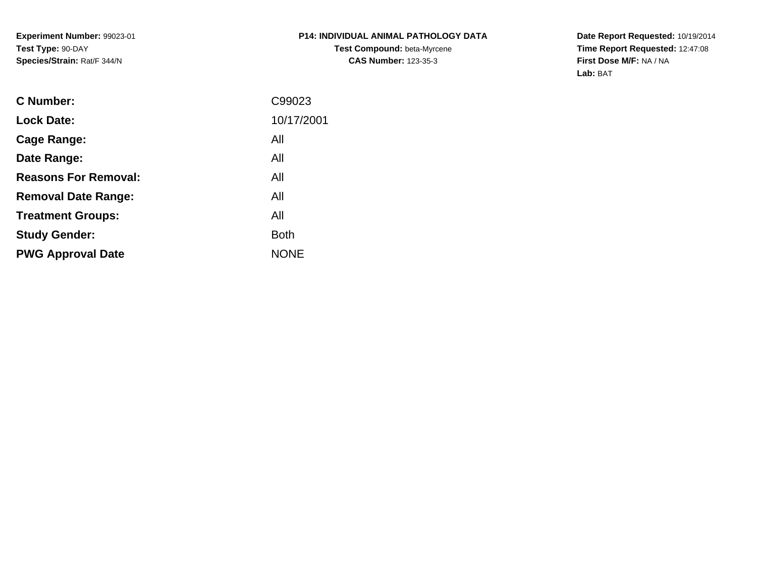**Experiment Number:** 99023-01**Test Type:** 90-DAY**Species/Strain:** Rat/F 344/N

## **P14: INDIVIDUAL ANIMAL PATHOLOGY DATATest Compound:** beta-Myrcene**CAS Number:** 123-35-3

**Date Report Requested:** 10/19/2014 **Time Report Requested:** 12:47:08**First Dose M/F:** NA / NA**Lab:** BAT

| <b>C</b> Number:            | C99023      |
|-----------------------------|-------------|
| <b>Lock Date:</b>           | 10/17/2001  |
| Cage Range:                 | All         |
| Date Range:                 | All         |
| <b>Reasons For Removal:</b> | All         |
| <b>Removal Date Range:</b>  | All         |
| <b>Treatment Groups:</b>    | All         |
| <b>Study Gender:</b>        | <b>Both</b> |
| <b>PWG Approval Date</b>    | <b>NONE</b> |
|                             |             |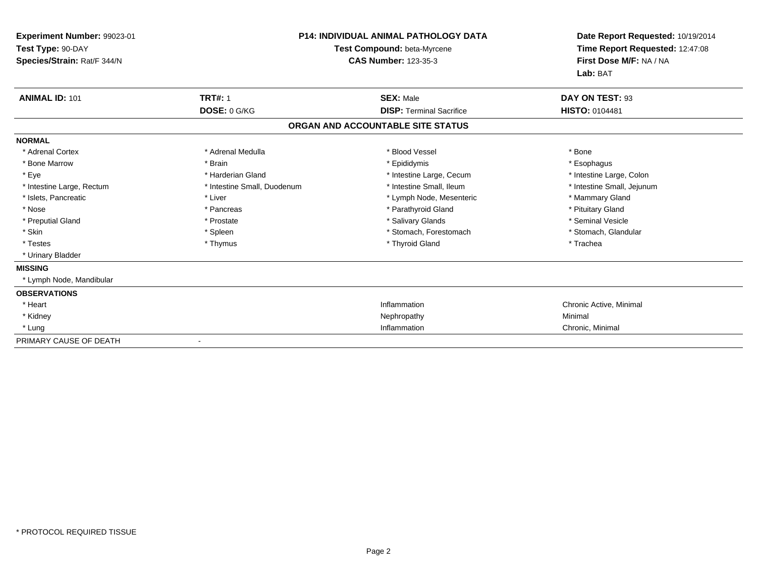| Experiment Number: 99023-01<br>Test Type: 90-DAY<br>Species/Strain: Rat/F 344/N |                             | <b>P14: INDIVIDUAL ANIMAL PATHOLOGY DATA</b><br>Test Compound: beta-Myrcene<br><b>CAS Number: 123-35-3</b> | Date Report Requested: 10/19/2014<br>Time Report Requested: 12:47:08<br>First Dose M/F: NA / NA<br>Lab: BAT |
|---------------------------------------------------------------------------------|-----------------------------|------------------------------------------------------------------------------------------------------------|-------------------------------------------------------------------------------------------------------------|
| <b>ANIMAL ID: 101</b>                                                           | <b>TRT#: 1</b>              | <b>SEX: Male</b>                                                                                           | DAY ON TEST: 93                                                                                             |
|                                                                                 | DOSE: 0 G/KG                | <b>DISP: Terminal Sacrifice</b>                                                                            | <b>HISTO: 0104481</b>                                                                                       |
|                                                                                 |                             | ORGAN AND ACCOUNTABLE SITE STATUS                                                                          |                                                                                                             |
| <b>NORMAL</b>                                                                   |                             |                                                                                                            |                                                                                                             |
| * Adrenal Cortex                                                                | * Adrenal Medulla           | * Blood Vessel                                                                                             | * Bone                                                                                                      |
| * Bone Marrow                                                                   | * Brain                     | * Epididymis                                                                                               | * Esophagus                                                                                                 |
| * Eye                                                                           | * Harderian Gland           | * Intestine Large, Cecum                                                                                   | * Intestine Large, Colon                                                                                    |
| * Intestine Large, Rectum                                                       | * Intestine Small, Duodenum | * Intestine Small, Ileum                                                                                   | * Intestine Small, Jejunum                                                                                  |
| * Islets, Pancreatic                                                            | * Liver                     | * Lymph Node, Mesenteric                                                                                   | * Mammary Gland                                                                                             |
| * Nose                                                                          | * Pancreas                  | * Parathyroid Gland                                                                                        | * Pituitary Gland                                                                                           |
| * Preputial Gland                                                               | * Prostate                  | * Salivary Glands                                                                                          | * Seminal Vesicle                                                                                           |
| * Skin                                                                          | * Spleen                    | * Stomach, Forestomach                                                                                     | * Stomach, Glandular                                                                                        |
| * Testes                                                                        | * Thymus                    | * Thyroid Gland                                                                                            | * Trachea                                                                                                   |
| * Urinary Bladder                                                               |                             |                                                                                                            |                                                                                                             |
| <b>MISSING</b>                                                                  |                             |                                                                                                            |                                                                                                             |
| * Lymph Node, Mandibular                                                        |                             |                                                                                                            |                                                                                                             |
| <b>OBSERVATIONS</b>                                                             |                             |                                                                                                            |                                                                                                             |
| * Heart                                                                         |                             | Inflammation                                                                                               | Chronic Active, Minimal                                                                                     |
| * Kidney                                                                        |                             | Nephropathy                                                                                                | Minimal                                                                                                     |
| * Lung                                                                          |                             | Inflammation                                                                                               | Chronic, Minimal                                                                                            |
| PRIMARY CAUSE OF DEATH                                                          |                             |                                                                                                            |                                                                                                             |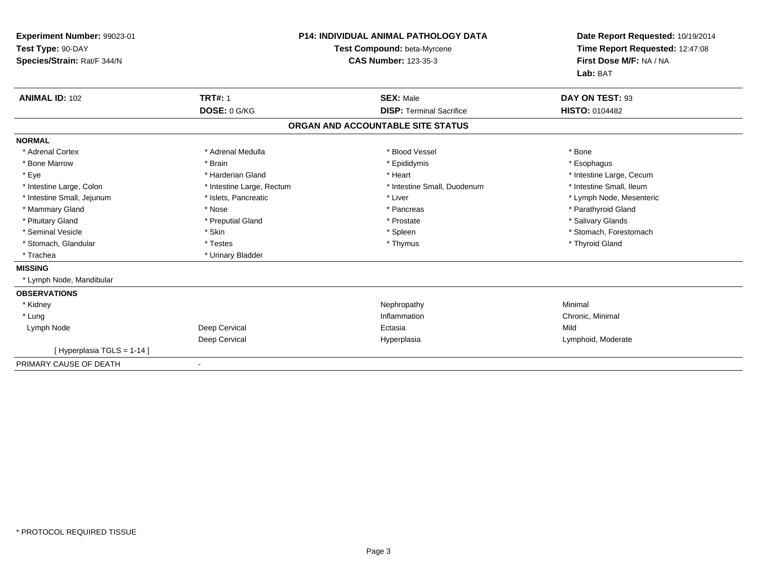| Experiment Number: 99023-01<br>Test Type: 90-DAY<br>Species/Strain: Rat/F 344/N<br><b>ANIMAL ID: 102</b> | <b>TRT#: 1</b><br>DOSE: 0 G/KG                    | <b>P14: INDIVIDUAL ANIMAL PATHOLOGY DATA</b><br>Test Compound: beta-Myrcene<br><b>CAS Number: 123-35-3</b><br><b>SEX: Male</b><br><b>DISP: Terminal Sacrifice</b> | Date Report Requested: 10/19/2014<br>Time Report Requested: 12:47:08<br>First Dose M/F: NA / NA<br>Lab: BAT<br>DAY ON TEST: 93<br><b>HISTO: 0104482</b> |
|----------------------------------------------------------------------------------------------------------|---------------------------------------------------|-------------------------------------------------------------------------------------------------------------------------------------------------------------------|---------------------------------------------------------------------------------------------------------------------------------------------------------|
|                                                                                                          |                                                   | ORGAN AND ACCOUNTABLE SITE STATUS                                                                                                                                 |                                                                                                                                                         |
| <b>NORMAL</b>                                                                                            |                                                   |                                                                                                                                                                   |                                                                                                                                                         |
| * Adrenal Cortex                                                                                         | * Adrenal Medulla                                 | * Blood Vessel                                                                                                                                                    | * Bone                                                                                                                                                  |
| * Bone Marrow                                                                                            | * Brain                                           | * Epididymis                                                                                                                                                      | * Esophagus                                                                                                                                             |
| * Eye                                                                                                    | * Harderian Gland                                 | * Heart                                                                                                                                                           | * Intestine Large, Cecum                                                                                                                                |
| * Intestine Large, Colon                                                                                 | * Intestine Large, Rectum<br>* Islets, Pancreatic | * Intestine Small, Duodenum<br>* Liver                                                                                                                            | * Intestine Small, Ileum                                                                                                                                |
| * Intestine Small, Jejunum<br>* Mammary Gland                                                            | * Nose                                            | * Pancreas                                                                                                                                                        | * Lymph Node, Mesenteric<br>* Parathyroid Gland                                                                                                         |
|                                                                                                          |                                                   |                                                                                                                                                                   |                                                                                                                                                         |
| * Pituitary Gland<br>* Seminal Vesicle                                                                   | * Preputial Gland<br>* Skin                       | * Prostate                                                                                                                                                        | * Salivary Glands<br>* Stomach, Forestomach                                                                                                             |
|                                                                                                          | * Testes                                          | * Spleen                                                                                                                                                          |                                                                                                                                                         |
| * Stomach, Glandular                                                                                     |                                                   | * Thymus                                                                                                                                                          | * Thyroid Gland                                                                                                                                         |
| * Trachea                                                                                                | * Urinary Bladder                                 |                                                                                                                                                                   |                                                                                                                                                         |
| <b>MISSING</b>                                                                                           |                                                   |                                                                                                                                                                   |                                                                                                                                                         |
| * Lymph Node, Mandibular                                                                                 |                                                   |                                                                                                                                                                   |                                                                                                                                                         |
| <b>OBSERVATIONS</b>                                                                                      |                                                   |                                                                                                                                                                   |                                                                                                                                                         |
| * Kidney                                                                                                 |                                                   | Nephropathy                                                                                                                                                       | Minimal                                                                                                                                                 |
| * Lung                                                                                                   |                                                   | Inflammation                                                                                                                                                      | Chronic, Minimal                                                                                                                                        |
| Lymph Node                                                                                               | Deep Cervical                                     | Ectasia                                                                                                                                                           | Mild                                                                                                                                                    |
|                                                                                                          | Deep Cervical                                     | Hyperplasia                                                                                                                                                       | Lymphoid, Moderate                                                                                                                                      |
| [Hyperplasia TGLS = 1-14]                                                                                |                                                   |                                                                                                                                                                   |                                                                                                                                                         |
| PRIMARY CAUSE OF DEATH                                                                                   |                                                   |                                                                                                                                                                   |                                                                                                                                                         |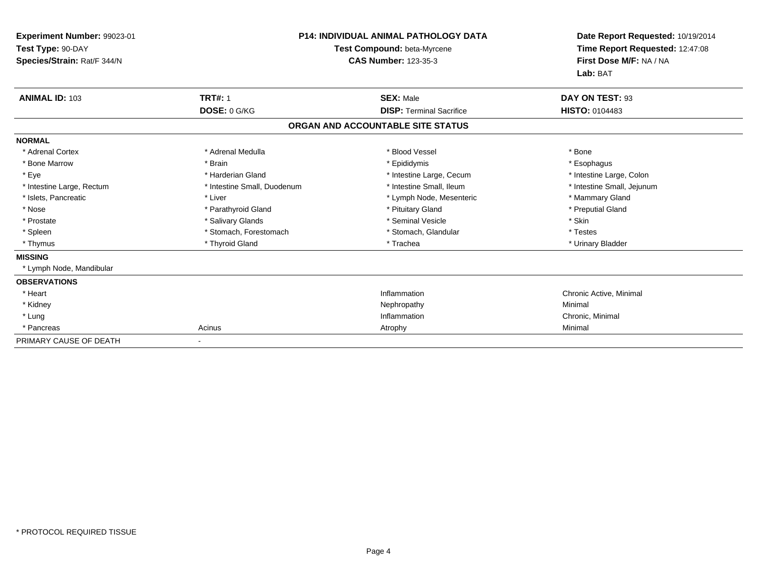| Experiment Number: 99023-01<br>Test Type: 90-DAY<br>Species/Strain: Rat/F 344/N |                             | <b>P14: INDIVIDUAL ANIMAL PATHOLOGY DATA</b><br>Test Compound: beta-Myrcene<br><b>CAS Number: 123-35-3</b> | Date Report Requested: 10/19/2014<br>Time Report Requested: 12:47:08<br>First Dose M/F: NA / NA<br>Lab: BAT |
|---------------------------------------------------------------------------------|-----------------------------|------------------------------------------------------------------------------------------------------------|-------------------------------------------------------------------------------------------------------------|
| <b>ANIMAL ID: 103</b>                                                           | <b>TRT#: 1</b>              | <b>SEX: Male</b>                                                                                           | DAY ON TEST: 93                                                                                             |
|                                                                                 | DOSE: 0 G/KG                | <b>DISP: Terminal Sacrifice</b>                                                                            | <b>HISTO: 0104483</b>                                                                                       |
|                                                                                 |                             | ORGAN AND ACCOUNTABLE SITE STATUS                                                                          |                                                                                                             |
| <b>NORMAL</b>                                                                   |                             |                                                                                                            |                                                                                                             |
| * Adrenal Cortex                                                                | * Adrenal Medulla           | * Blood Vessel                                                                                             | * Bone                                                                                                      |
| * Bone Marrow                                                                   | * Brain                     | * Epididymis                                                                                               | * Esophagus                                                                                                 |
| * Eye                                                                           | * Harderian Gland           | * Intestine Large, Cecum                                                                                   | * Intestine Large, Colon                                                                                    |
| * Intestine Large, Rectum                                                       | * Intestine Small, Duodenum | * Intestine Small, Ileum                                                                                   | * Intestine Small, Jejunum                                                                                  |
| * Islets, Pancreatic                                                            | * Liver                     | * Lymph Node, Mesenteric                                                                                   | * Mammary Gland                                                                                             |
| * Nose                                                                          | * Parathyroid Gland         | * Pituitary Gland                                                                                          | * Preputial Gland                                                                                           |
| * Prostate                                                                      | * Salivary Glands           | * Seminal Vesicle                                                                                          | * Skin                                                                                                      |
| * Spleen                                                                        | * Stomach, Forestomach      | * Stomach, Glandular                                                                                       | * Testes                                                                                                    |
| * Thymus                                                                        | * Thyroid Gland             | * Trachea                                                                                                  | * Urinary Bladder                                                                                           |
| <b>MISSING</b>                                                                  |                             |                                                                                                            |                                                                                                             |
| * Lymph Node, Mandibular                                                        |                             |                                                                                                            |                                                                                                             |
| <b>OBSERVATIONS</b>                                                             |                             |                                                                                                            |                                                                                                             |
| * Heart                                                                         |                             | Inflammation                                                                                               | Chronic Active, Minimal                                                                                     |
| * Kidney                                                                        |                             | Nephropathy                                                                                                | Minimal                                                                                                     |
| * Lung                                                                          |                             | Inflammation                                                                                               | Chronic, Minimal                                                                                            |
| * Pancreas                                                                      | Acinus                      | Atrophy                                                                                                    | Minimal                                                                                                     |
| PRIMARY CAUSE OF DEATH                                                          |                             |                                                                                                            |                                                                                                             |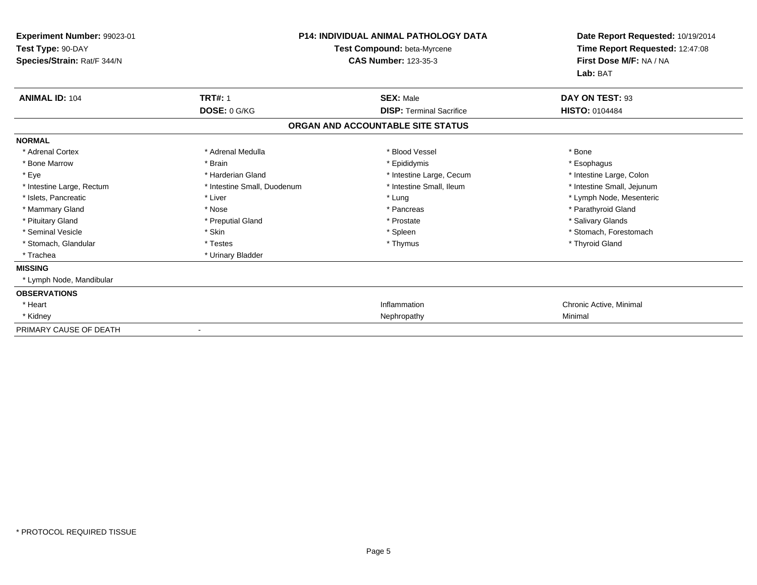| Experiment Number: 99023-01<br>Test Type: 90-DAY<br>Species/Strain: Rat/F 344/N |                             | <b>P14: INDIVIDUAL ANIMAL PATHOLOGY DATA</b><br>Test Compound: beta-Myrcene<br><b>CAS Number: 123-35-3</b> | Date Report Requested: 10/19/2014<br>Time Report Requested: 12:47:08<br>First Dose M/F: NA / NA<br>Lab: BAT |
|---------------------------------------------------------------------------------|-----------------------------|------------------------------------------------------------------------------------------------------------|-------------------------------------------------------------------------------------------------------------|
| <b>ANIMAL ID: 104</b>                                                           | <b>TRT#: 1</b>              | <b>SEX: Male</b>                                                                                           | DAY ON TEST: 93                                                                                             |
|                                                                                 | DOSE: 0 G/KG                | <b>DISP: Terminal Sacrifice</b>                                                                            | <b>HISTO: 0104484</b>                                                                                       |
|                                                                                 |                             | ORGAN AND ACCOUNTABLE SITE STATUS                                                                          |                                                                                                             |
| <b>NORMAL</b>                                                                   |                             |                                                                                                            |                                                                                                             |
| * Adrenal Cortex                                                                | * Adrenal Medulla           | * Blood Vessel                                                                                             | * Bone                                                                                                      |
| * Bone Marrow                                                                   | * Brain                     | * Epididymis                                                                                               | * Esophagus                                                                                                 |
| * Eye                                                                           | * Harderian Gland           | * Intestine Large, Cecum                                                                                   | * Intestine Large, Colon                                                                                    |
| * Intestine Large, Rectum                                                       | * Intestine Small, Duodenum | * Intestine Small, Ileum                                                                                   | * Intestine Small, Jejunum                                                                                  |
| * Islets. Pancreatic                                                            | * Liver                     | * Lung                                                                                                     | * Lymph Node, Mesenteric                                                                                    |
| * Mammary Gland                                                                 | * Nose                      | * Pancreas                                                                                                 | * Parathyroid Gland                                                                                         |
| * Pituitary Gland                                                               | * Preputial Gland           | * Prostate                                                                                                 | * Salivary Glands                                                                                           |
| * Seminal Vesicle                                                               | * Skin                      | * Spleen                                                                                                   | * Stomach, Forestomach                                                                                      |
| * Stomach, Glandular                                                            | * Testes                    | * Thymus                                                                                                   | * Thyroid Gland                                                                                             |
| * Trachea                                                                       | * Urinary Bladder           |                                                                                                            |                                                                                                             |
| <b>MISSING</b>                                                                  |                             |                                                                                                            |                                                                                                             |
| * Lymph Node, Mandibular                                                        |                             |                                                                                                            |                                                                                                             |
| <b>OBSERVATIONS</b>                                                             |                             |                                                                                                            |                                                                                                             |
| * Heart                                                                         |                             | Inflammation                                                                                               | Chronic Active, Minimal                                                                                     |
| * Kidney                                                                        |                             | Nephropathy                                                                                                | Minimal                                                                                                     |
| PRIMARY CAUSE OF DEATH                                                          |                             |                                                                                                            |                                                                                                             |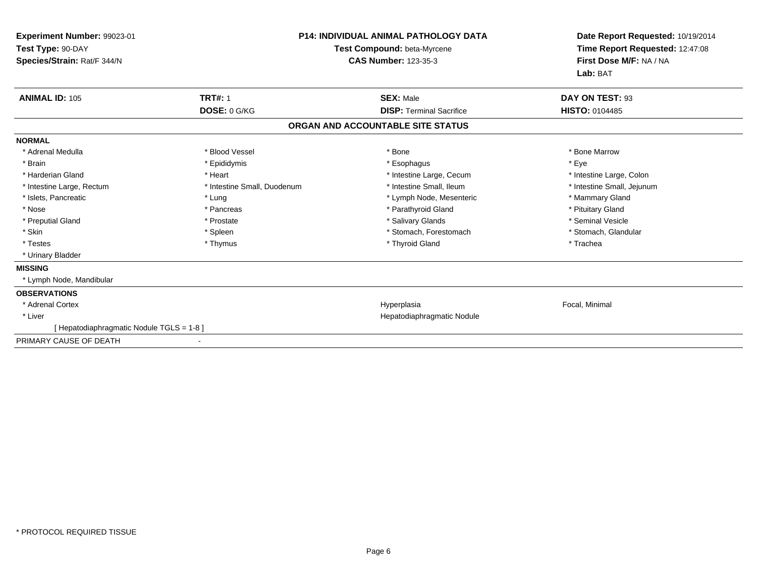| Experiment Number: 99023-01<br>Test Type: 90-DAY<br>Species/Strain: Rat/F 344/N |                             | <b>P14: INDIVIDUAL ANIMAL PATHOLOGY DATA</b><br>Test Compound: beta-Myrcene<br><b>CAS Number: 123-35-3</b> | Date Report Requested: 10/19/2014<br>Time Report Requested: 12:47:08<br>First Dose M/F: NA / NA<br>Lab: BAT |
|---------------------------------------------------------------------------------|-----------------------------|------------------------------------------------------------------------------------------------------------|-------------------------------------------------------------------------------------------------------------|
| <b>ANIMAL ID: 105</b>                                                           | <b>TRT#: 1</b>              | <b>SEX: Male</b>                                                                                           | DAY ON TEST: 93                                                                                             |
|                                                                                 | DOSE: 0 G/KG                | <b>DISP: Terminal Sacrifice</b>                                                                            | HISTO: 0104485                                                                                              |
|                                                                                 |                             | ORGAN AND ACCOUNTABLE SITE STATUS                                                                          |                                                                                                             |
| <b>NORMAL</b>                                                                   |                             |                                                                                                            |                                                                                                             |
| * Adrenal Medulla                                                               | * Blood Vessel              | * Bone                                                                                                     | * Bone Marrow                                                                                               |
| * Brain                                                                         | * Epididymis                | * Esophagus                                                                                                | * Eye                                                                                                       |
| * Harderian Gland                                                               | * Heart                     | * Intestine Large, Cecum                                                                                   | * Intestine Large, Colon                                                                                    |
| * Intestine Large, Rectum                                                       | * Intestine Small, Duodenum | * Intestine Small, Ileum                                                                                   | * Intestine Small, Jejunum                                                                                  |
| * Islets, Pancreatic                                                            | * Lung                      | * Lymph Node, Mesenteric                                                                                   | * Mammary Gland                                                                                             |
| * Nose                                                                          | * Pancreas                  | * Parathyroid Gland                                                                                        | * Pituitary Gland                                                                                           |
| * Preputial Gland                                                               | * Prostate                  | * Salivary Glands                                                                                          | * Seminal Vesicle                                                                                           |
| * Skin                                                                          | * Spleen                    | * Stomach, Forestomach                                                                                     | * Stomach, Glandular                                                                                        |
| * Testes                                                                        | * Thymus                    | * Thyroid Gland                                                                                            | * Trachea                                                                                                   |
| * Urinary Bladder                                                               |                             |                                                                                                            |                                                                                                             |
| <b>MISSING</b>                                                                  |                             |                                                                                                            |                                                                                                             |
| * Lymph Node, Mandibular                                                        |                             |                                                                                                            |                                                                                                             |
| <b>OBSERVATIONS</b>                                                             |                             |                                                                                                            |                                                                                                             |
| * Adrenal Cortex                                                                |                             | Hyperplasia                                                                                                | Focal, Minimal                                                                                              |
| * Liver                                                                         |                             | Hepatodiaphragmatic Nodule                                                                                 |                                                                                                             |
| [Hepatodiaphragmatic Nodule TGLS = 1-8]                                         |                             |                                                                                                            |                                                                                                             |
| PRIMARY CAUSE OF DEATH                                                          |                             |                                                                                                            |                                                                                                             |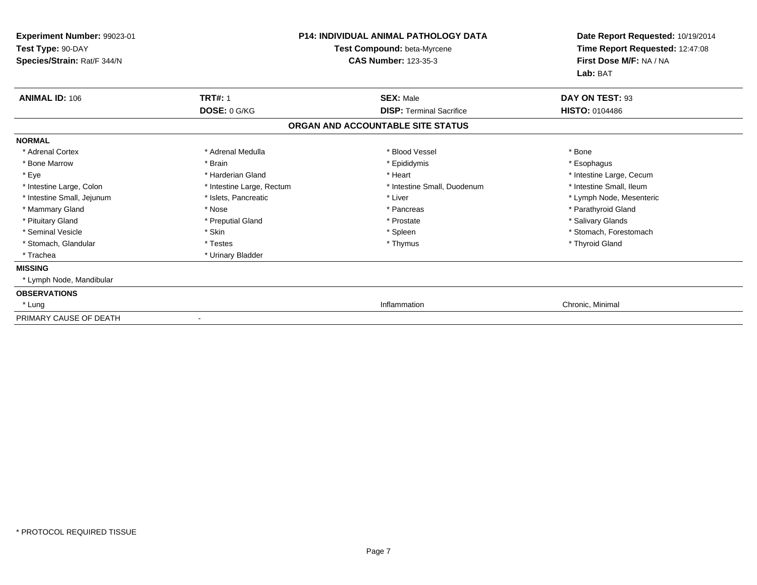| Experiment Number: 99023-01<br>Test Type: 90-DAY<br>Species/Strain: Rat/F 344/N |                           | <b>P14: INDIVIDUAL ANIMAL PATHOLOGY DATA</b><br>Test Compound: beta-Myrcene<br><b>CAS Number: 123-35-3</b> | Date Report Requested: 10/19/2014<br>Time Report Requested: 12:47:08<br>First Dose M/F: NA / NA<br>Lab: BAT |
|---------------------------------------------------------------------------------|---------------------------|------------------------------------------------------------------------------------------------------------|-------------------------------------------------------------------------------------------------------------|
|                                                                                 |                           |                                                                                                            |                                                                                                             |
| <b>ANIMAL ID: 106</b>                                                           | <b>TRT#: 1</b>            | <b>SEX: Male</b>                                                                                           | DAY ON TEST: 93                                                                                             |
|                                                                                 | DOSE: 0 G/KG              | <b>DISP: Terminal Sacrifice</b>                                                                            | <b>HISTO: 0104486</b>                                                                                       |
|                                                                                 |                           | ORGAN AND ACCOUNTABLE SITE STATUS                                                                          |                                                                                                             |
| <b>NORMAL</b>                                                                   |                           |                                                                                                            |                                                                                                             |
| * Adrenal Cortex                                                                | * Adrenal Medulla         | * Blood Vessel                                                                                             | * Bone                                                                                                      |
| * Bone Marrow                                                                   | * Brain                   | * Epididymis                                                                                               | * Esophagus                                                                                                 |
| * Eye                                                                           | * Harderian Gland         | * Heart                                                                                                    | * Intestine Large, Cecum                                                                                    |
| * Intestine Large, Colon                                                        | * Intestine Large, Rectum | * Intestine Small, Duodenum                                                                                | * Intestine Small, Ileum                                                                                    |
| * Intestine Small, Jejunum                                                      | * Islets, Pancreatic      | * Liver                                                                                                    | * Lymph Node, Mesenteric                                                                                    |
| * Mammary Gland                                                                 | * Nose                    | * Pancreas                                                                                                 | * Parathyroid Gland                                                                                         |
| * Pituitary Gland                                                               | * Preputial Gland         | * Prostate                                                                                                 | * Salivary Glands                                                                                           |
| * Seminal Vesicle                                                               | * Skin                    | * Spleen                                                                                                   | * Stomach, Forestomach                                                                                      |
| * Stomach, Glandular                                                            | * Testes                  | * Thymus                                                                                                   | * Thyroid Gland                                                                                             |
| * Trachea                                                                       | * Urinary Bladder         |                                                                                                            |                                                                                                             |
| <b>MISSING</b>                                                                  |                           |                                                                                                            |                                                                                                             |
| * Lymph Node, Mandibular                                                        |                           |                                                                                                            |                                                                                                             |
| <b>OBSERVATIONS</b>                                                             |                           |                                                                                                            |                                                                                                             |
| * Lung                                                                          |                           | Inflammation                                                                                               | Chronic, Minimal                                                                                            |
| PRIMARY CAUSE OF DEATH                                                          |                           |                                                                                                            |                                                                                                             |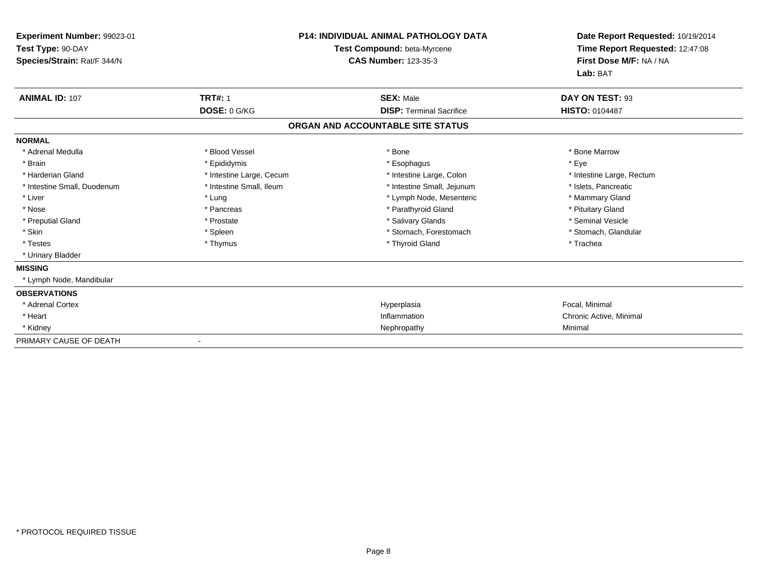| Experiment Number: 99023-01<br>Test Type: 90-DAY<br>Species/Strain: Rat/F 344/N |                          | <b>P14: INDIVIDUAL ANIMAL PATHOLOGY DATA</b><br>Test Compound: beta-Myrcene<br><b>CAS Number: 123-35-3</b> | Date Report Requested: 10/19/2014<br>Time Report Requested: 12:47:08<br>First Dose M/F: NA / NA<br>Lab: BAT |
|---------------------------------------------------------------------------------|--------------------------|------------------------------------------------------------------------------------------------------------|-------------------------------------------------------------------------------------------------------------|
| <b>ANIMAL ID: 107</b>                                                           | <b>TRT#: 1</b>           | <b>SEX: Male</b>                                                                                           | DAY ON TEST: 93                                                                                             |
|                                                                                 | DOSE: 0 G/KG             | <b>DISP: Terminal Sacrifice</b>                                                                            | <b>HISTO: 0104487</b>                                                                                       |
|                                                                                 |                          | ORGAN AND ACCOUNTABLE SITE STATUS                                                                          |                                                                                                             |
| <b>NORMAL</b>                                                                   |                          |                                                                                                            |                                                                                                             |
| * Adrenal Medulla                                                               | * Blood Vessel           | * Bone                                                                                                     | * Bone Marrow                                                                                               |
| * Brain                                                                         | * Epididymis             | * Esophagus                                                                                                | * Eye                                                                                                       |
| * Harderian Gland                                                               | * Intestine Large, Cecum | * Intestine Large, Colon                                                                                   | * Intestine Large, Rectum                                                                                   |
| * Intestine Small, Duodenum                                                     | * Intestine Small, Ileum | * Intestine Small, Jejunum                                                                                 | * Islets, Pancreatic                                                                                        |
| * Liver                                                                         | * Lung                   | * Lymph Node, Mesenteric                                                                                   | * Mammary Gland                                                                                             |
| * Nose                                                                          | * Pancreas               | * Parathyroid Gland                                                                                        | * Pituitary Gland                                                                                           |
| * Preputial Gland                                                               | * Prostate               | * Salivary Glands                                                                                          | * Seminal Vesicle                                                                                           |
| * Skin                                                                          | * Spleen                 | * Stomach, Forestomach                                                                                     | * Stomach, Glandular                                                                                        |
| * Testes                                                                        | * Thymus                 | * Thyroid Gland                                                                                            | * Trachea                                                                                                   |
| * Urinary Bladder                                                               |                          |                                                                                                            |                                                                                                             |
| <b>MISSING</b>                                                                  |                          |                                                                                                            |                                                                                                             |
| * Lymph Node, Mandibular                                                        |                          |                                                                                                            |                                                                                                             |
| <b>OBSERVATIONS</b>                                                             |                          |                                                                                                            |                                                                                                             |
| * Adrenal Cortex                                                                |                          | Hyperplasia                                                                                                | Focal, Minimal                                                                                              |
| * Heart                                                                         |                          | Inflammation                                                                                               | Chronic Active, Minimal                                                                                     |
| * Kidney                                                                        |                          | Nephropathy                                                                                                | Minimal                                                                                                     |
| PRIMARY CAUSE OF DEATH                                                          |                          |                                                                                                            |                                                                                                             |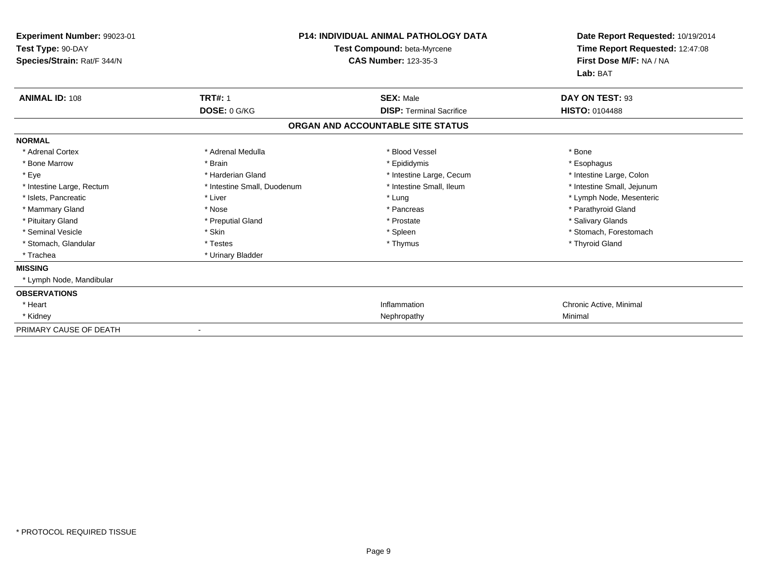| Experiment Number: 99023-01<br>Test Type: 90-DAY<br>Species/Strain: Rat/F 344/N |                             | <b>P14: INDIVIDUAL ANIMAL PATHOLOGY DATA</b><br>Test Compound: beta-Myrcene<br><b>CAS Number: 123-35-3</b> | Date Report Requested: 10/19/2014<br>Time Report Requested: 12:47:08<br>First Dose M/F: NA / NA<br>Lab: BAT |
|---------------------------------------------------------------------------------|-----------------------------|------------------------------------------------------------------------------------------------------------|-------------------------------------------------------------------------------------------------------------|
| <b>ANIMAL ID: 108</b>                                                           | <b>TRT#: 1</b>              | <b>SEX: Male</b>                                                                                           | DAY ON TEST: 93                                                                                             |
|                                                                                 | DOSE: 0 G/KG                | <b>DISP: Terminal Sacrifice</b>                                                                            | <b>HISTO: 0104488</b>                                                                                       |
|                                                                                 |                             | ORGAN AND ACCOUNTABLE SITE STATUS                                                                          |                                                                                                             |
| <b>NORMAL</b>                                                                   |                             |                                                                                                            |                                                                                                             |
| * Adrenal Cortex                                                                | * Adrenal Medulla           | * Blood Vessel                                                                                             | * Bone                                                                                                      |
| * Bone Marrow                                                                   | * Brain                     | * Epididymis                                                                                               | * Esophagus                                                                                                 |
| * Eye                                                                           | * Harderian Gland           | * Intestine Large, Cecum                                                                                   | * Intestine Large, Colon                                                                                    |
| * Intestine Large, Rectum                                                       | * Intestine Small, Duodenum | * Intestine Small, Ileum                                                                                   | * Intestine Small, Jejunum                                                                                  |
| * Islets, Pancreatic                                                            | * Liver                     | * Lung                                                                                                     | * Lymph Node, Mesenteric                                                                                    |
| * Mammary Gland                                                                 | * Nose                      | * Pancreas                                                                                                 | * Parathyroid Gland                                                                                         |
| * Pituitary Gland                                                               | * Preputial Gland           | * Prostate                                                                                                 | * Salivary Glands                                                                                           |
| * Seminal Vesicle                                                               | * Skin                      | * Spleen                                                                                                   | * Stomach, Forestomach                                                                                      |
| * Stomach, Glandular                                                            | * Testes                    | * Thymus                                                                                                   | * Thyroid Gland                                                                                             |
| * Trachea                                                                       | * Urinary Bladder           |                                                                                                            |                                                                                                             |
| <b>MISSING</b>                                                                  |                             |                                                                                                            |                                                                                                             |
| * Lymph Node, Mandibular                                                        |                             |                                                                                                            |                                                                                                             |
| <b>OBSERVATIONS</b>                                                             |                             |                                                                                                            |                                                                                                             |
| * Heart                                                                         |                             | Inflammation                                                                                               | Chronic Active, Minimal                                                                                     |
| * Kidney                                                                        |                             | Nephropathy                                                                                                | Minimal                                                                                                     |
| PRIMARY CAUSE OF DEATH                                                          |                             |                                                                                                            |                                                                                                             |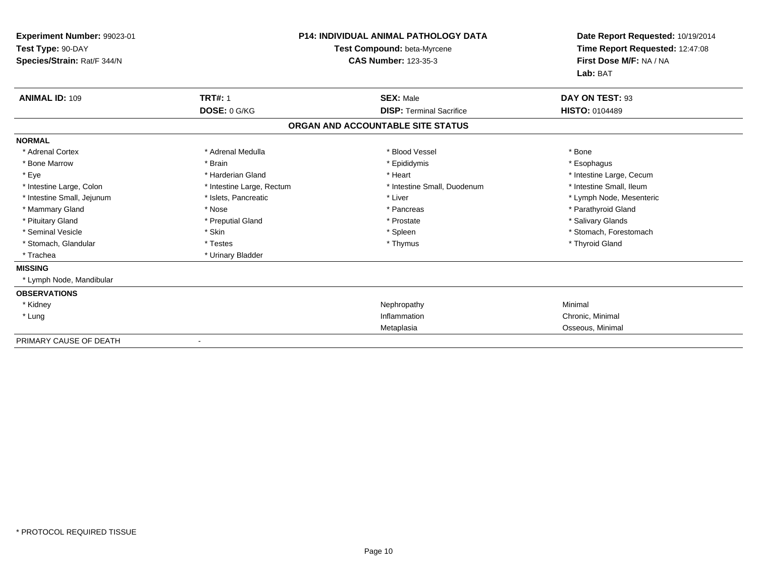| Experiment Number: 99023-01<br>Test Type: 90-DAY<br>Species/Strain: Rat/F 344/N |                           | <b>P14: INDIVIDUAL ANIMAL PATHOLOGY DATA</b><br>Test Compound: beta-Myrcene<br><b>CAS Number: 123-35-3</b> | Date Report Requested: 10/19/2014<br>Time Report Requested: 12:47:08<br>First Dose M/F: NA / NA<br>Lab: BAT |
|---------------------------------------------------------------------------------|---------------------------|------------------------------------------------------------------------------------------------------------|-------------------------------------------------------------------------------------------------------------|
| <b>ANIMAL ID: 109</b>                                                           | <b>TRT#: 1</b>            | <b>SEX: Male</b>                                                                                           | DAY ON TEST: 93                                                                                             |
|                                                                                 | DOSE: 0 G/KG              | <b>DISP: Terminal Sacrifice</b>                                                                            | <b>HISTO: 0104489</b>                                                                                       |
|                                                                                 |                           | ORGAN AND ACCOUNTABLE SITE STATUS                                                                          |                                                                                                             |
| <b>NORMAL</b>                                                                   |                           |                                                                                                            |                                                                                                             |
| * Adrenal Cortex                                                                | * Adrenal Medulla         | * Blood Vessel                                                                                             | * Bone                                                                                                      |
| * Bone Marrow                                                                   | * Brain                   | * Epididymis                                                                                               | * Esophagus                                                                                                 |
| * Eye                                                                           | * Harderian Gland         | * Heart                                                                                                    | * Intestine Large, Cecum                                                                                    |
| * Intestine Large, Colon                                                        | * Intestine Large, Rectum | * Intestine Small, Duodenum                                                                                | * Intestine Small, Ileum                                                                                    |
| * Intestine Small, Jejunum                                                      | * Islets, Pancreatic      | * Liver                                                                                                    | * Lymph Node, Mesenteric                                                                                    |
| * Mammary Gland                                                                 | * Nose                    | * Pancreas                                                                                                 | * Parathyroid Gland                                                                                         |
| * Pituitary Gland                                                               | * Preputial Gland         | * Prostate                                                                                                 | * Salivary Glands                                                                                           |
| * Seminal Vesicle                                                               | * Skin                    | * Spleen                                                                                                   | * Stomach. Forestomach                                                                                      |
| * Stomach, Glandular                                                            | * Testes                  | * Thymus                                                                                                   | * Thyroid Gland                                                                                             |
| * Trachea                                                                       | * Urinary Bladder         |                                                                                                            |                                                                                                             |
| <b>MISSING</b>                                                                  |                           |                                                                                                            |                                                                                                             |
| * Lymph Node, Mandibular                                                        |                           |                                                                                                            |                                                                                                             |
| <b>OBSERVATIONS</b>                                                             |                           |                                                                                                            |                                                                                                             |
| * Kidney                                                                        |                           | Nephropathy                                                                                                | Minimal                                                                                                     |
| * Lung                                                                          |                           | Inflammation                                                                                               | Chronic, Minimal                                                                                            |
|                                                                                 |                           | Metaplasia                                                                                                 | Osseous, Minimal                                                                                            |
| PRIMARY CAUSE OF DEATH                                                          |                           |                                                                                                            |                                                                                                             |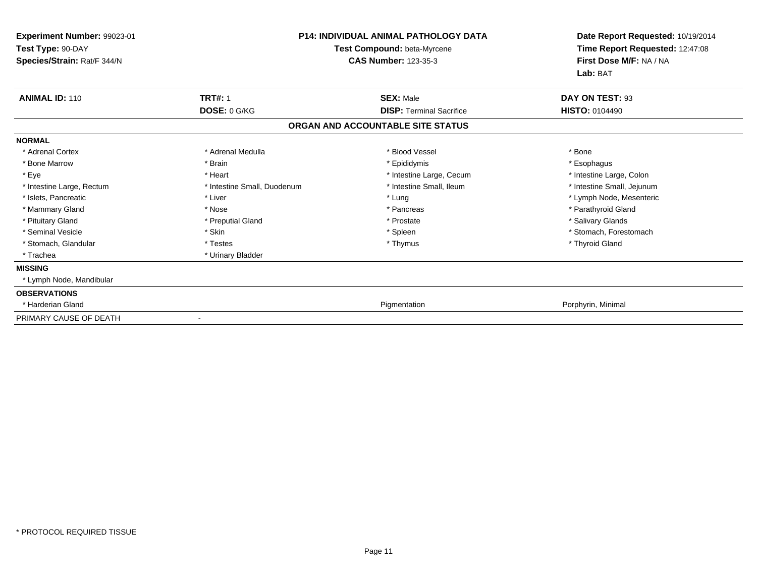| Experiment Number: 99023-01<br>Test Type: 90-DAY<br>Species/Strain: Rat/F 344/N |                             | <b>P14: INDIVIDUAL ANIMAL PATHOLOGY DATA</b><br>Test Compound: beta-Myrcene<br><b>CAS Number: 123-35-3</b> | Date Report Requested: 10/19/2014<br>Time Report Requested: 12:47:08<br>First Dose M/F: NA / NA<br>Lab: BAT |
|---------------------------------------------------------------------------------|-----------------------------|------------------------------------------------------------------------------------------------------------|-------------------------------------------------------------------------------------------------------------|
| <b>ANIMAL ID: 110</b>                                                           | <b>TRT#: 1</b>              | <b>SEX: Male</b>                                                                                           | DAY ON TEST: 93                                                                                             |
|                                                                                 | DOSE: 0 G/KG                | <b>DISP: Terminal Sacrifice</b>                                                                            | <b>HISTO: 0104490</b>                                                                                       |
|                                                                                 |                             | ORGAN AND ACCOUNTABLE SITE STATUS                                                                          |                                                                                                             |
| <b>NORMAL</b>                                                                   |                             |                                                                                                            |                                                                                                             |
| * Adrenal Cortex                                                                | * Adrenal Medulla           | * Blood Vessel                                                                                             | * Bone                                                                                                      |
| * Bone Marrow                                                                   | * Brain                     | * Epididymis                                                                                               | * Esophagus                                                                                                 |
| * Eye                                                                           | * Heart                     | * Intestine Large, Cecum                                                                                   | * Intestine Large, Colon                                                                                    |
| * Intestine Large, Rectum                                                       | * Intestine Small, Duodenum | * Intestine Small, Ileum                                                                                   | * Intestine Small, Jejunum                                                                                  |
| * Islets, Pancreatic                                                            | * Liver                     | * Lung                                                                                                     | * Lymph Node, Mesenteric                                                                                    |
| * Mammary Gland                                                                 | * Nose                      | * Pancreas                                                                                                 | * Parathyroid Gland                                                                                         |
| * Pituitary Gland                                                               | * Preputial Gland           | * Prostate                                                                                                 | * Salivary Glands                                                                                           |
| * Seminal Vesicle                                                               | * Skin                      | * Spleen                                                                                                   | * Stomach, Forestomach                                                                                      |
| * Stomach, Glandular                                                            | * Testes                    | * Thymus                                                                                                   | * Thyroid Gland                                                                                             |
| * Trachea                                                                       | * Urinary Bladder           |                                                                                                            |                                                                                                             |
| <b>MISSING</b>                                                                  |                             |                                                                                                            |                                                                                                             |
| * Lymph Node, Mandibular                                                        |                             |                                                                                                            |                                                                                                             |
| <b>OBSERVATIONS</b>                                                             |                             |                                                                                                            |                                                                                                             |
| * Harderian Gland                                                               |                             | Pigmentation                                                                                               | Porphyrin, Minimal                                                                                          |
| PRIMARY CAUSE OF DEATH                                                          |                             |                                                                                                            |                                                                                                             |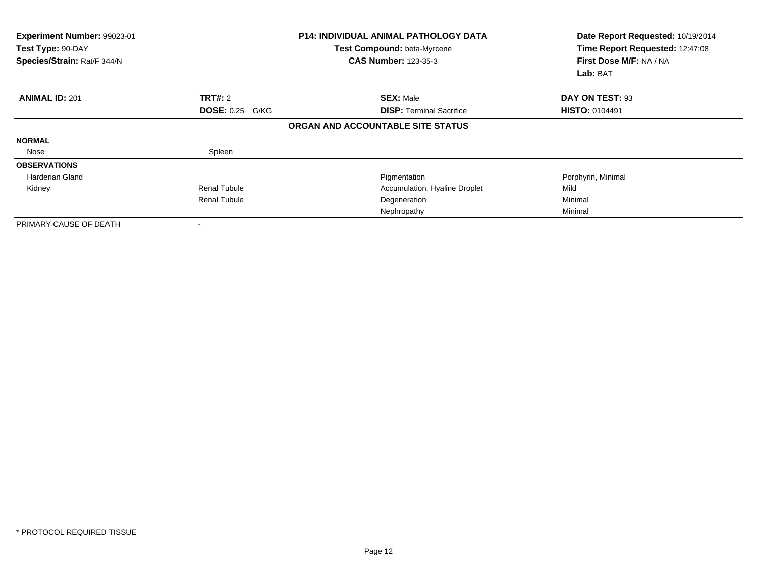| <b>Experiment Number: 99023-01</b><br>Test Type: 90-DAY<br>Species/Strain: Rat/F 344/N |                        | <b>P14: INDIVIDUAL ANIMAL PATHOLOGY DATA</b><br>Test Compound: beta-Myrcene<br><b>CAS Number: 123-35-3</b> | Date Report Requested: 10/19/2014<br>Time Report Requested: 12:47:08<br>First Dose M/F: NA / NA<br>Lab: BAT |
|----------------------------------------------------------------------------------------|------------------------|------------------------------------------------------------------------------------------------------------|-------------------------------------------------------------------------------------------------------------|
| <b>ANIMAL ID: 201</b>                                                                  | TRT#: 2                | <b>SEX: Male</b>                                                                                           | DAY ON TEST: 93                                                                                             |
|                                                                                        | <b>DOSE: 0.25 G/KG</b> | <b>DISP:</b> Terminal Sacrifice                                                                            | <b>HISTO: 0104491</b>                                                                                       |
|                                                                                        |                        | ORGAN AND ACCOUNTABLE SITE STATUS                                                                          |                                                                                                             |
| <b>NORMAL</b>                                                                          |                        |                                                                                                            |                                                                                                             |
| Nose                                                                                   | Spleen                 |                                                                                                            |                                                                                                             |
| <b>OBSERVATIONS</b>                                                                    |                        |                                                                                                            |                                                                                                             |
| Harderian Gland                                                                        |                        | Pigmentation                                                                                               | Porphyrin, Minimal                                                                                          |
| Kidney                                                                                 | <b>Renal Tubule</b>    | Accumulation, Hyaline Droplet                                                                              | Mild                                                                                                        |
|                                                                                        | <b>Renal Tubule</b>    | Degeneration                                                                                               | Minimal                                                                                                     |
|                                                                                        |                        | Nephropathy                                                                                                | Minimal                                                                                                     |
| PRIMARY CAUSE OF DEATH                                                                 |                        |                                                                                                            |                                                                                                             |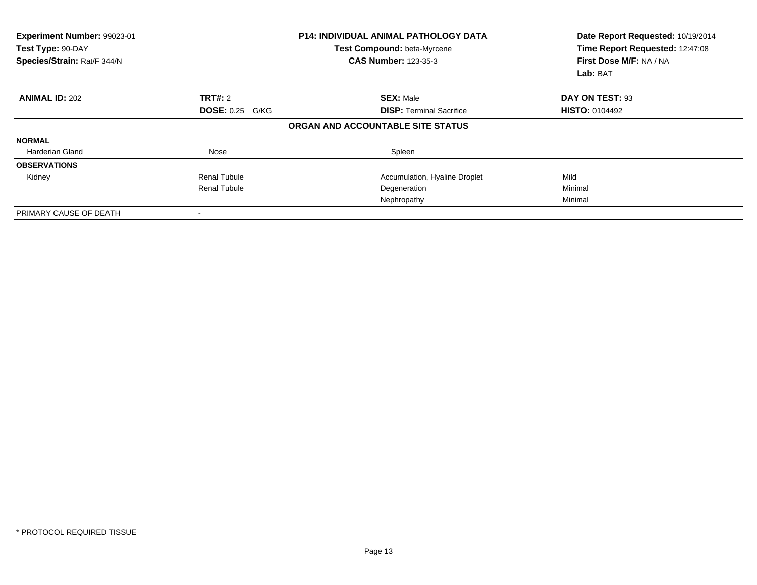| <b>Experiment Number: 99023-01</b><br>Test Type: 90-DAY<br>Species/Strain: Rat/F 344/N |                        | <b>P14: INDIVIDUAL ANIMAL PATHOLOGY DATA</b><br>Test Compound: beta-Myrcene<br><b>CAS Number: 123-35-3</b> | Date Report Requested: 10/19/2014<br>Time Report Requested: 12:47:08<br>First Dose M/F: NA / NA<br>Lab: BAT |
|----------------------------------------------------------------------------------------|------------------------|------------------------------------------------------------------------------------------------------------|-------------------------------------------------------------------------------------------------------------|
| <b>ANIMAL ID: 202</b>                                                                  | <b>TRT#: 2</b>         | <b>SEX: Male</b>                                                                                           | DAY ON TEST: 93                                                                                             |
|                                                                                        | <b>DOSE: 0.25 G/KG</b> | <b>DISP: Terminal Sacrifice</b>                                                                            | <b>HISTO: 0104492</b>                                                                                       |
|                                                                                        |                        | ORGAN AND ACCOUNTABLE SITE STATUS                                                                          |                                                                                                             |
| <b>NORMAL</b>                                                                          |                        |                                                                                                            |                                                                                                             |
| <b>Harderian Gland</b>                                                                 | Nose                   | Spleen                                                                                                     |                                                                                                             |
| <b>OBSERVATIONS</b>                                                                    |                        |                                                                                                            |                                                                                                             |
| Kidney                                                                                 | <b>Renal Tubule</b>    | Accumulation, Hyaline Droplet                                                                              | Mild                                                                                                        |
|                                                                                        | <b>Renal Tubule</b>    | Degeneration                                                                                               | Minimal                                                                                                     |
|                                                                                        |                        | Nephropathy                                                                                                | Minimal                                                                                                     |
| PRIMARY CAUSE OF DEATH                                                                 |                        |                                                                                                            |                                                                                                             |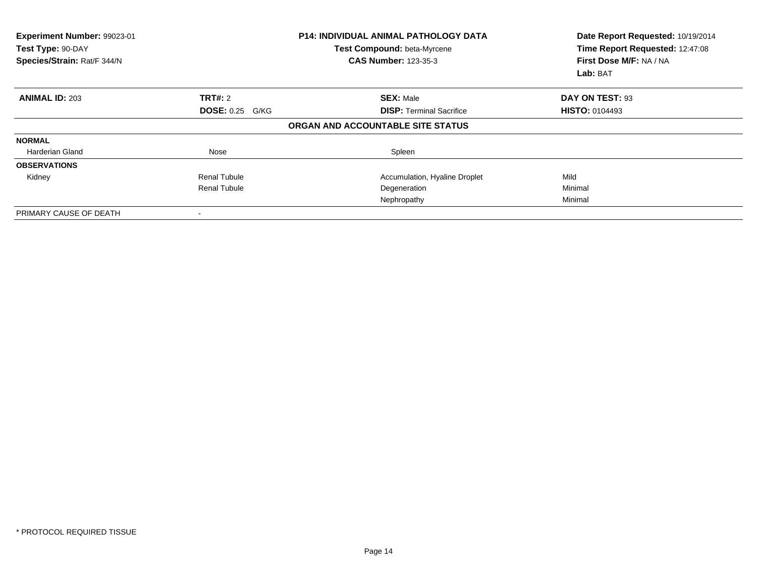| <b>Experiment Number: 99023-01</b><br>Test Type: 90-DAY<br>Species/Strain: Rat/F 344/N |                        | <b>P14: INDIVIDUAL ANIMAL PATHOLOGY DATA</b><br>Test Compound: beta-Myrcene<br><b>CAS Number: 123-35-3</b> | Date Report Requested: 10/19/2014<br>Time Report Requested: 12:47:08<br>First Dose M/F: NA / NA<br>Lab: BAT |
|----------------------------------------------------------------------------------------|------------------------|------------------------------------------------------------------------------------------------------------|-------------------------------------------------------------------------------------------------------------|
| <b>ANIMAL ID: 203</b>                                                                  | <b>TRT#: 2</b>         | <b>SEX: Male</b>                                                                                           | DAY ON TEST: 93                                                                                             |
|                                                                                        | <b>DOSE: 0.25 G/KG</b> | <b>DISP: Terminal Sacrifice</b>                                                                            | <b>HISTO: 0104493</b>                                                                                       |
|                                                                                        |                        | ORGAN AND ACCOUNTABLE SITE STATUS                                                                          |                                                                                                             |
| <b>NORMAL</b>                                                                          |                        |                                                                                                            |                                                                                                             |
| <b>Harderian Gland</b>                                                                 | Nose                   | Spleen                                                                                                     |                                                                                                             |
| <b>OBSERVATIONS</b>                                                                    |                        |                                                                                                            |                                                                                                             |
| Kidney                                                                                 | <b>Renal Tubule</b>    | Accumulation, Hyaline Droplet                                                                              | Mild                                                                                                        |
|                                                                                        | <b>Renal Tubule</b>    | Degeneration                                                                                               | Minimal                                                                                                     |
|                                                                                        |                        | Nephropathy                                                                                                | Minimal                                                                                                     |
| PRIMARY CAUSE OF DEATH                                                                 |                        |                                                                                                            |                                                                                                             |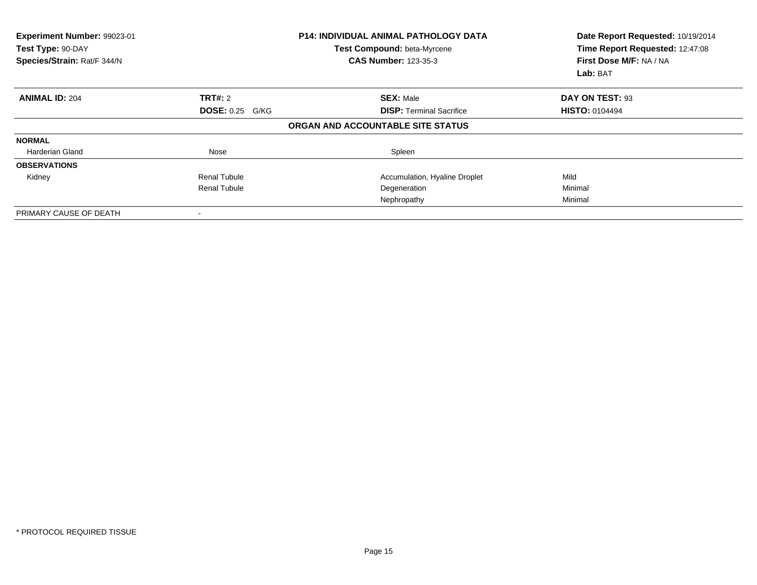| Experiment Number: 99023-01<br>Test Type: 90-DAY<br>Species/Strain: Rat/F 344/N |                        | <b>P14: INDIVIDUAL ANIMAL PATHOLOGY DATA</b><br>Test Compound: beta-Myrcene<br><b>CAS Number: 123-35-3</b> | Date Report Requested: 10/19/2014<br>Time Report Requested: 12:47:08<br>First Dose M/F: NA / NA<br>Lab: BAT |
|---------------------------------------------------------------------------------|------------------------|------------------------------------------------------------------------------------------------------------|-------------------------------------------------------------------------------------------------------------|
| <b>ANIMAL ID: 204</b>                                                           | <b>TRT#: 2</b>         | <b>SEX: Male</b>                                                                                           | DAY ON TEST: 93                                                                                             |
|                                                                                 | <b>DOSE: 0.25 G/KG</b> | <b>DISP:</b> Terminal Sacrifice                                                                            | <b>HISTO: 0104494</b>                                                                                       |
|                                                                                 |                        | ORGAN AND ACCOUNTABLE SITE STATUS                                                                          |                                                                                                             |
| <b>NORMAL</b>                                                                   |                        |                                                                                                            |                                                                                                             |
| Harderian Gland                                                                 | Nose                   | Spleen                                                                                                     |                                                                                                             |
| <b>OBSERVATIONS</b>                                                             |                        |                                                                                                            |                                                                                                             |
| Kidney                                                                          | <b>Renal Tubule</b>    | Accumulation, Hyaline Droplet                                                                              | Mild                                                                                                        |
|                                                                                 | <b>Renal Tubule</b>    | Degeneration                                                                                               | Minimal                                                                                                     |
|                                                                                 |                        | Nephropathy                                                                                                | Minimal                                                                                                     |
| PRIMARY CAUSE OF DEATH                                                          |                        |                                                                                                            |                                                                                                             |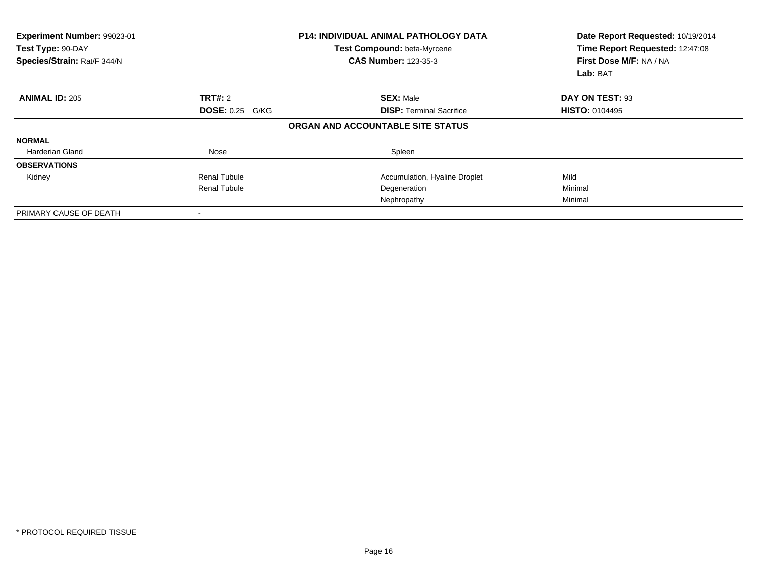| Experiment Number: 99023-01<br>Test Type: 90-DAY<br>Species/Strain: Rat/F 344/N |                        | <b>P14: INDIVIDUAL ANIMAL PATHOLOGY DATA</b><br>Test Compound: beta-Myrcene<br><b>CAS Number: 123-35-3</b> | Date Report Requested: 10/19/2014<br>Time Report Requested: 12:47:08<br>First Dose M/F: NA / NA<br>Lab: BAT |
|---------------------------------------------------------------------------------|------------------------|------------------------------------------------------------------------------------------------------------|-------------------------------------------------------------------------------------------------------------|
| <b>ANIMAL ID: 205</b>                                                           | <b>TRT#: 2</b>         | <b>SEX: Male</b>                                                                                           | DAY ON TEST: 93                                                                                             |
|                                                                                 | <b>DOSE: 0.25 G/KG</b> | <b>DISP:</b> Terminal Sacrifice                                                                            | <b>HISTO: 0104495</b>                                                                                       |
|                                                                                 |                        | ORGAN AND ACCOUNTABLE SITE STATUS                                                                          |                                                                                                             |
| <b>NORMAL</b>                                                                   |                        |                                                                                                            |                                                                                                             |
| Harderian Gland                                                                 | Nose                   | Spleen                                                                                                     |                                                                                                             |
| <b>OBSERVATIONS</b>                                                             |                        |                                                                                                            |                                                                                                             |
| Kidney                                                                          | <b>Renal Tubule</b>    | Accumulation, Hyaline Droplet                                                                              | Mild                                                                                                        |
|                                                                                 | <b>Renal Tubule</b>    | Degeneration                                                                                               | Minimal                                                                                                     |
|                                                                                 |                        | Nephropathy                                                                                                | Minimal                                                                                                     |
| PRIMARY CAUSE OF DEATH                                                          |                        |                                                                                                            |                                                                                                             |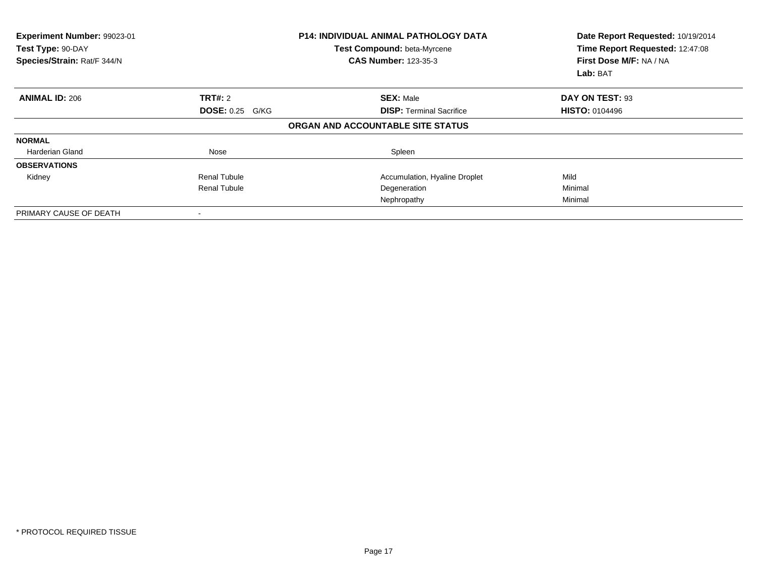| <b>Experiment Number: 99023-01</b><br>Test Type: 90-DAY<br>Species/Strain: Rat/F 344/N |                        | <b>P14: INDIVIDUAL ANIMAL PATHOLOGY DATA</b><br>Test Compound: beta-Myrcene<br><b>CAS Number: 123-35-3</b> | Date Report Requested: 10/19/2014<br>Time Report Requested: 12:47:08<br>First Dose M/F: NA / NA<br>Lab: BAT |
|----------------------------------------------------------------------------------------|------------------------|------------------------------------------------------------------------------------------------------------|-------------------------------------------------------------------------------------------------------------|
| <b>ANIMAL ID: 206</b>                                                                  | <b>TRT#: 2</b>         | <b>SEX: Male</b>                                                                                           | DAY ON TEST: 93                                                                                             |
|                                                                                        | <b>DOSE: 0.25 G/KG</b> | <b>DISP: Terminal Sacrifice</b>                                                                            | <b>HISTO: 0104496</b>                                                                                       |
|                                                                                        |                        | ORGAN AND ACCOUNTABLE SITE STATUS                                                                          |                                                                                                             |
| <b>NORMAL</b>                                                                          |                        |                                                                                                            |                                                                                                             |
| <b>Harderian Gland</b>                                                                 | Nose                   | Spleen                                                                                                     |                                                                                                             |
| <b>OBSERVATIONS</b>                                                                    |                        |                                                                                                            |                                                                                                             |
| Kidney                                                                                 | <b>Renal Tubule</b>    | Accumulation, Hyaline Droplet                                                                              | Mild                                                                                                        |
|                                                                                        | <b>Renal Tubule</b>    | Degeneration                                                                                               | Minimal                                                                                                     |
|                                                                                        |                        | Nephropathy                                                                                                | Minimal                                                                                                     |
| PRIMARY CAUSE OF DEATH                                                                 |                        |                                                                                                            |                                                                                                             |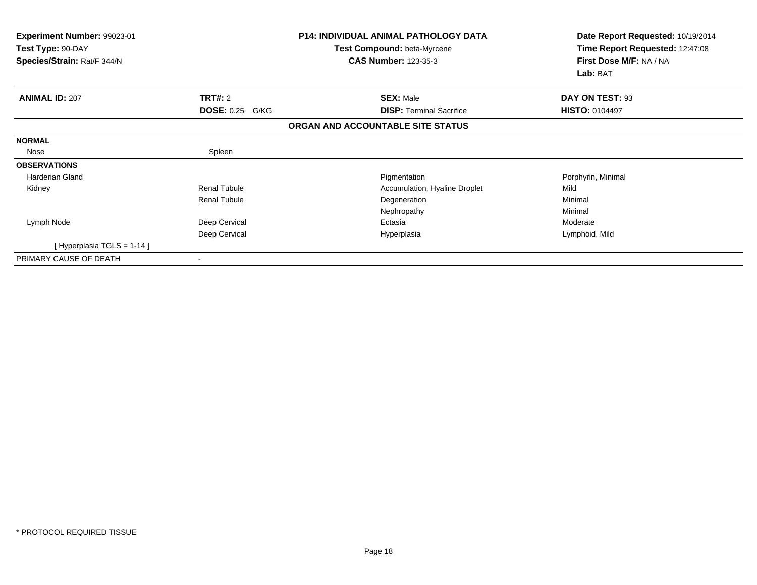| Experiment Number: 99023-01<br>Test Type: 90-DAY<br>Species/Strain: Rat/F 344/N |                        | <b>P14: INDIVIDUAL ANIMAL PATHOLOGY DATA</b><br><b>Test Compound: beta-Myrcene</b><br><b>CAS Number: 123-35-3</b> | Date Report Requested: 10/19/2014<br>Time Report Requested: 12:47:08<br>First Dose M/F: NA / NA<br>Lab: BAT |
|---------------------------------------------------------------------------------|------------------------|-------------------------------------------------------------------------------------------------------------------|-------------------------------------------------------------------------------------------------------------|
| <b>ANIMAL ID: 207</b>                                                           | <b>TRT#: 2</b>         | <b>SEX: Male</b>                                                                                                  | DAY ON TEST: 93                                                                                             |
|                                                                                 | <b>DOSE: 0.25 G/KG</b> | <b>DISP: Terminal Sacrifice</b>                                                                                   | <b>HISTO: 0104497</b>                                                                                       |
|                                                                                 |                        | ORGAN AND ACCOUNTABLE SITE STATUS                                                                                 |                                                                                                             |
| <b>NORMAL</b>                                                                   |                        |                                                                                                                   |                                                                                                             |
| Nose                                                                            | Spleen                 |                                                                                                                   |                                                                                                             |
| <b>OBSERVATIONS</b>                                                             |                        |                                                                                                                   |                                                                                                             |
| <b>Harderian Gland</b>                                                          |                        | Pigmentation                                                                                                      | Porphyrin, Minimal                                                                                          |
| Kidney                                                                          | Renal Tubule           | Accumulation, Hyaline Droplet                                                                                     | Mild                                                                                                        |
|                                                                                 | <b>Renal Tubule</b>    | Degeneration                                                                                                      | Minimal                                                                                                     |
|                                                                                 |                        | Nephropathy                                                                                                       | Minimal                                                                                                     |
| Lymph Node                                                                      | Deep Cervical          | Ectasia                                                                                                           | Moderate                                                                                                    |
|                                                                                 | Deep Cervical          | Hyperplasia                                                                                                       | Lymphoid, Mild                                                                                              |
| [Hyperplasia TGLS = 1-14 ]                                                      |                        |                                                                                                                   |                                                                                                             |
| PRIMARY CAUSE OF DEATH                                                          |                        |                                                                                                                   |                                                                                                             |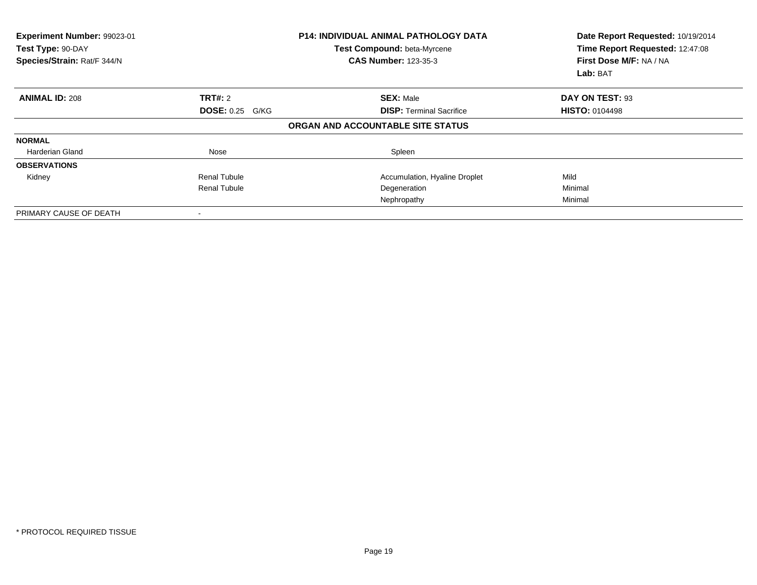| Experiment Number: 99023-01<br>Test Type: 90-DAY<br>Species/Strain: Rat/F 344/N |                        | <b>P14: INDIVIDUAL ANIMAL PATHOLOGY DATA</b><br>Test Compound: beta-Myrcene<br><b>CAS Number: 123-35-3</b> | Date Report Requested: 10/19/2014<br>Time Report Requested: 12:47:08<br>First Dose M/F: NA / NA<br>Lab: BAT |
|---------------------------------------------------------------------------------|------------------------|------------------------------------------------------------------------------------------------------------|-------------------------------------------------------------------------------------------------------------|
| <b>ANIMAL ID: 208</b>                                                           | <b>TRT#: 2</b>         | <b>SEX: Male</b>                                                                                           | DAY ON TEST: 93                                                                                             |
|                                                                                 | <b>DOSE: 0.25 G/KG</b> | <b>DISP:</b> Terminal Sacrifice                                                                            | <b>HISTO: 0104498</b>                                                                                       |
|                                                                                 |                        | ORGAN AND ACCOUNTABLE SITE STATUS                                                                          |                                                                                                             |
| <b>NORMAL</b>                                                                   |                        |                                                                                                            |                                                                                                             |
| Harderian Gland                                                                 | Nose                   | Spleen                                                                                                     |                                                                                                             |
| <b>OBSERVATIONS</b>                                                             |                        |                                                                                                            |                                                                                                             |
| Kidney                                                                          | <b>Renal Tubule</b>    | Accumulation, Hyaline Droplet                                                                              | Mild                                                                                                        |
|                                                                                 | <b>Renal Tubule</b>    | Degeneration                                                                                               | Minimal                                                                                                     |
|                                                                                 |                        | Nephropathy                                                                                                | Minimal                                                                                                     |
| PRIMARY CAUSE OF DEATH                                                          |                        |                                                                                                            |                                                                                                             |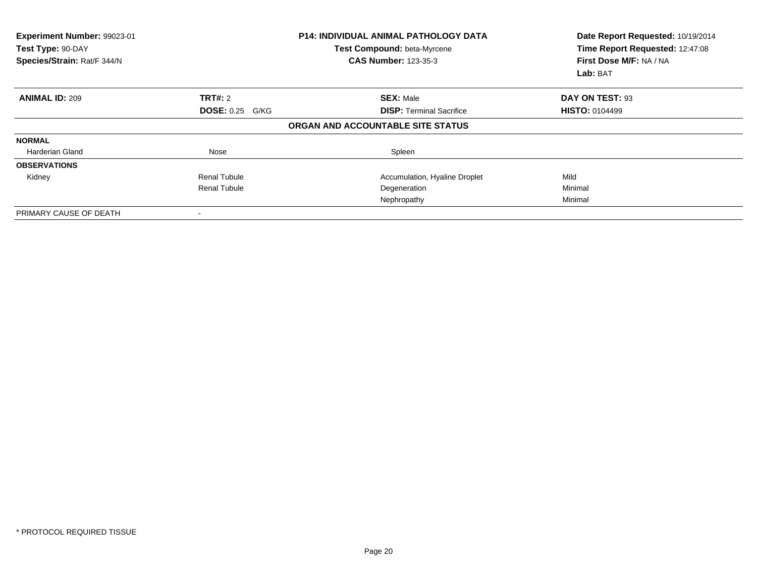| <b>Experiment Number: 99023-01</b><br>Test Type: 90-DAY<br>Species/Strain: Rat/F 344/N |                        | <b>P14: INDIVIDUAL ANIMAL PATHOLOGY DATA</b><br>Test Compound: beta-Myrcene<br><b>CAS Number: 123-35-3</b> | Date Report Requested: 10/19/2014<br>Time Report Requested: 12:47:08<br>First Dose M/F: NA / NA<br>Lab: BAT |
|----------------------------------------------------------------------------------------|------------------------|------------------------------------------------------------------------------------------------------------|-------------------------------------------------------------------------------------------------------------|
| <b>ANIMAL ID: 209</b>                                                                  | <b>TRT#: 2</b>         | <b>SEX: Male</b>                                                                                           | DAY ON TEST: 93                                                                                             |
|                                                                                        | <b>DOSE: 0.25 G/KG</b> | <b>DISP: Terminal Sacrifice</b>                                                                            | <b>HISTO: 0104499</b>                                                                                       |
|                                                                                        |                        | ORGAN AND ACCOUNTABLE SITE STATUS                                                                          |                                                                                                             |
| <b>NORMAL</b>                                                                          |                        |                                                                                                            |                                                                                                             |
| <b>Harderian Gland</b>                                                                 | Nose                   | Spleen                                                                                                     |                                                                                                             |
| <b>OBSERVATIONS</b>                                                                    |                        |                                                                                                            |                                                                                                             |
| Kidney                                                                                 | <b>Renal Tubule</b>    | Accumulation, Hyaline Droplet                                                                              | Mild                                                                                                        |
|                                                                                        | <b>Renal Tubule</b>    | Degeneration                                                                                               | Minimal                                                                                                     |
|                                                                                        |                        | Nephropathy                                                                                                | Minimal                                                                                                     |
| PRIMARY CAUSE OF DEATH                                                                 |                        |                                                                                                            |                                                                                                             |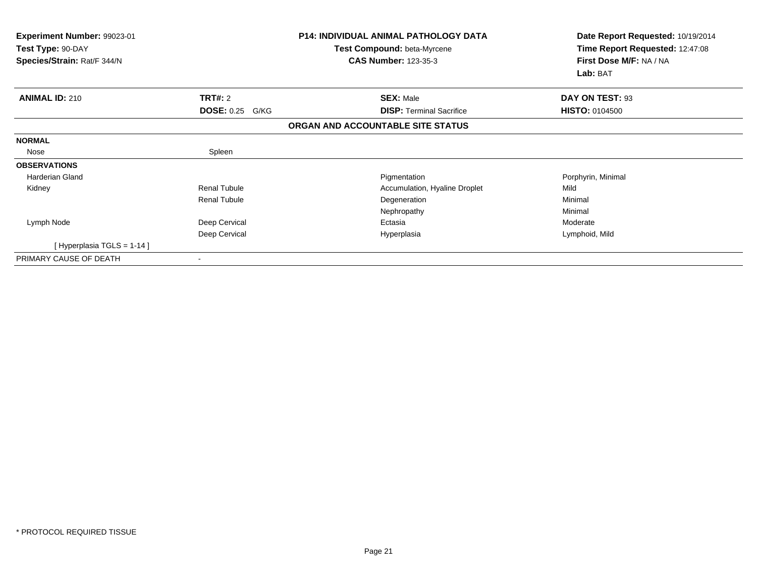| Experiment Number: 99023-01<br>Test Type: 90-DAY<br>Species/Strain: Rat/F 344/N |                        | <b>P14: INDIVIDUAL ANIMAL PATHOLOGY DATA</b><br><b>Test Compound: beta-Myrcene</b><br><b>CAS Number: 123-35-3</b> | Date Report Requested: 10/19/2014<br>Time Report Requested: 12:47:08<br>First Dose M/F: NA / NA<br>Lab: BAT |
|---------------------------------------------------------------------------------|------------------------|-------------------------------------------------------------------------------------------------------------------|-------------------------------------------------------------------------------------------------------------|
| <b>ANIMAL ID: 210</b>                                                           | <b>TRT#: 2</b>         | <b>SEX: Male</b>                                                                                                  | DAY ON TEST: 93                                                                                             |
|                                                                                 | <b>DOSE: 0.25 G/KG</b> | <b>DISP: Terminal Sacrifice</b>                                                                                   | <b>HISTO: 0104500</b>                                                                                       |
|                                                                                 |                        | ORGAN AND ACCOUNTABLE SITE STATUS                                                                                 |                                                                                                             |
| <b>NORMAL</b>                                                                   |                        |                                                                                                                   |                                                                                                             |
| Nose                                                                            | Spleen                 |                                                                                                                   |                                                                                                             |
| <b>OBSERVATIONS</b>                                                             |                        |                                                                                                                   |                                                                                                             |
| <b>Harderian Gland</b>                                                          |                        | Pigmentation                                                                                                      | Porphyrin, Minimal                                                                                          |
| Kidney                                                                          | Renal Tubule           | Accumulation, Hyaline Droplet                                                                                     | Mild                                                                                                        |
|                                                                                 | <b>Renal Tubule</b>    | Degeneration                                                                                                      | Minimal                                                                                                     |
|                                                                                 |                        | Nephropathy                                                                                                       | Minimal                                                                                                     |
| Lymph Node                                                                      | Deep Cervical          | Ectasia                                                                                                           | Moderate                                                                                                    |
|                                                                                 | Deep Cervical          | Hyperplasia                                                                                                       | Lymphoid, Mild                                                                                              |
| [Hyperplasia TGLS = 1-14 ]                                                      |                        |                                                                                                                   |                                                                                                             |
| PRIMARY CAUSE OF DEATH                                                          |                        |                                                                                                                   |                                                                                                             |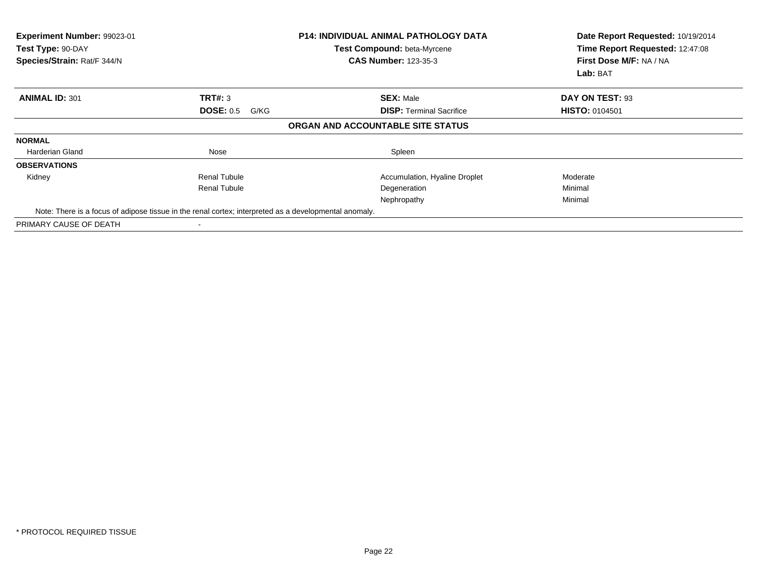| Experiment Number: 99023-01<br>Test Type: 90-DAY<br>Species/Strain: Rat/F 344/N                       |                          | <b>P14: INDIVIDUAL ANIMAL PATHOLOGY DATA</b><br>Test Compound: beta-Myrcene<br><b>CAS Number: 123-35-3</b> | Date Report Requested: 10/19/2014<br>Time Report Requested: 12:47:08<br>First Dose M/F: NA / NA<br><b>Lab: BAT</b> |
|-------------------------------------------------------------------------------------------------------|--------------------------|------------------------------------------------------------------------------------------------------------|--------------------------------------------------------------------------------------------------------------------|
| <b>ANIMAL ID: 301</b>                                                                                 | TRT#: 3                  | <b>SEX: Male</b>                                                                                           | DAY ON TEST: 93                                                                                                    |
|                                                                                                       | <b>DOSE: 0.5</b><br>G/KG | <b>DISP: Terminal Sacrifice</b>                                                                            | <b>HISTO: 0104501</b>                                                                                              |
|                                                                                                       |                          | ORGAN AND ACCOUNTABLE SITE STATUS                                                                          |                                                                                                                    |
| <b>NORMAL</b>                                                                                         |                          |                                                                                                            |                                                                                                                    |
| <b>Harderian Gland</b>                                                                                | Nose                     | Spleen                                                                                                     |                                                                                                                    |
| <b>OBSERVATIONS</b>                                                                                   |                          |                                                                                                            |                                                                                                                    |
| Kidney                                                                                                | <b>Renal Tubule</b>      | Accumulation, Hyaline Droplet                                                                              | Moderate                                                                                                           |
|                                                                                                       | <b>Renal Tubule</b>      | Degeneration                                                                                               | Minimal                                                                                                            |
|                                                                                                       |                          | Nephropathy                                                                                                | Minimal                                                                                                            |
| Note: There is a focus of adipose tissue in the renal cortex; interpreted as a developmental anomaly. |                          |                                                                                                            |                                                                                                                    |
| PRIMARY CAUSE OF DEATH                                                                                |                          |                                                                                                            |                                                                                                                    |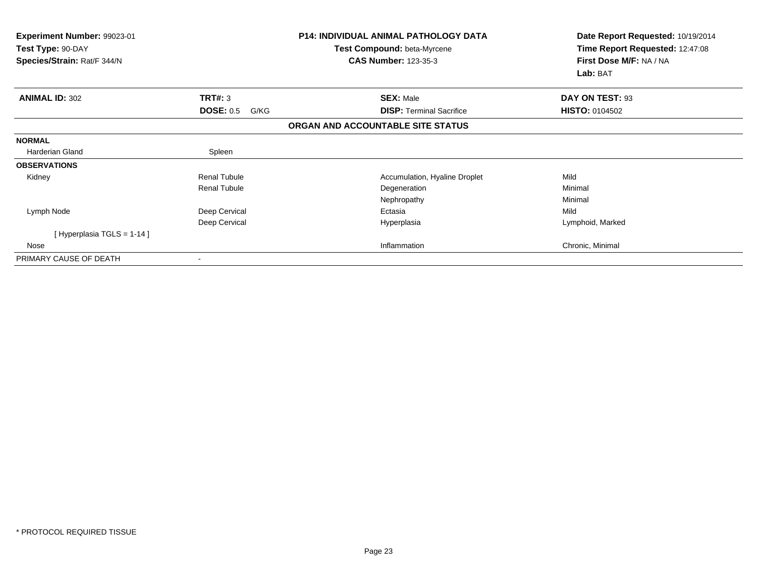| Experiment Number: 99023-01<br>Test Type: 90-DAY<br>Species/Strain: Rat/F 344/N |                          | <b>P14: INDIVIDUAL ANIMAL PATHOLOGY DATA</b><br><b>Test Compound: beta-Myrcene</b><br><b>CAS Number: 123-35-3</b> | Date Report Requested: 10/19/2014<br>Time Report Requested: 12:47:08<br>First Dose M/F: NA / NA<br>Lab: BAT |
|---------------------------------------------------------------------------------|--------------------------|-------------------------------------------------------------------------------------------------------------------|-------------------------------------------------------------------------------------------------------------|
| <b>ANIMAL ID: 302</b>                                                           | <b>TRT#: 3</b>           | <b>SEX: Male</b>                                                                                                  | DAY ON TEST: 93                                                                                             |
|                                                                                 | <b>DOSE: 0.5</b><br>G/KG | <b>DISP: Terminal Sacrifice</b>                                                                                   | <b>HISTO: 0104502</b>                                                                                       |
|                                                                                 |                          | ORGAN AND ACCOUNTABLE SITE STATUS                                                                                 |                                                                                                             |
| <b>NORMAL</b>                                                                   |                          |                                                                                                                   |                                                                                                             |
| Harderian Gland                                                                 | Spleen                   |                                                                                                                   |                                                                                                             |
| <b>OBSERVATIONS</b>                                                             |                          |                                                                                                                   |                                                                                                             |
| Kidney                                                                          | <b>Renal Tubule</b>      | Accumulation, Hyaline Droplet                                                                                     | Mild                                                                                                        |
|                                                                                 | <b>Renal Tubule</b>      | Degeneration                                                                                                      | Minimal                                                                                                     |
|                                                                                 |                          | Nephropathy                                                                                                       | Minimal                                                                                                     |
| Lymph Node                                                                      | Deep Cervical            | Ectasia                                                                                                           | Mild                                                                                                        |
|                                                                                 | Deep Cervical            | Hyperplasia                                                                                                       | Lymphoid, Marked                                                                                            |
| [Hyperplasia TGLS = $1-14$ ]                                                    |                          |                                                                                                                   |                                                                                                             |
| Nose                                                                            |                          | Inflammation                                                                                                      | Chronic, Minimal                                                                                            |
| PRIMARY CAUSE OF DEATH                                                          |                          |                                                                                                                   |                                                                                                             |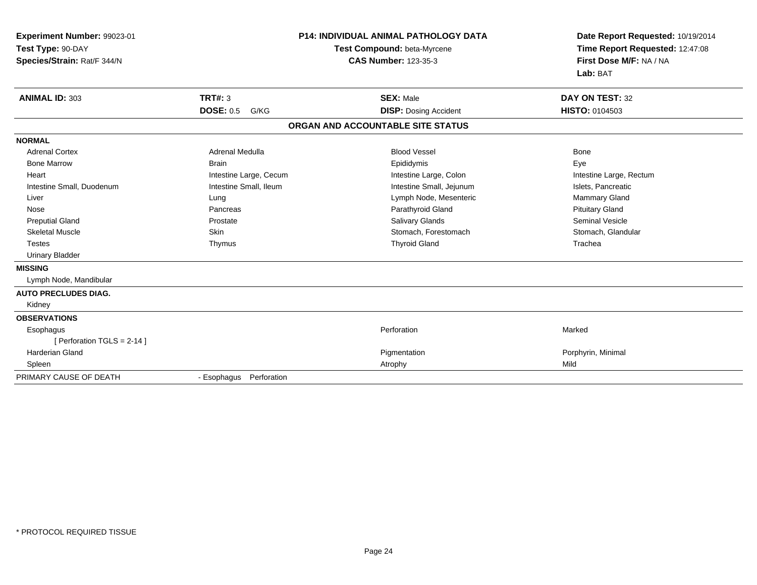| Experiment Number: 99023-01<br>Test Type: 90-DAY<br>Species/Strain: Rat/F 344/N |                          | <b>P14: INDIVIDUAL ANIMAL PATHOLOGY DATA</b><br>Test Compound: beta-Myrcene<br><b>CAS Number: 123-35-3</b> | Date Report Requested: 10/19/2014<br>Time Report Requested: 12:47:08<br>First Dose M/F: NA / NA<br>Lab: BAT |
|---------------------------------------------------------------------------------|--------------------------|------------------------------------------------------------------------------------------------------------|-------------------------------------------------------------------------------------------------------------|
| <b>ANIMAL ID: 303</b>                                                           | <b>TRT#: 3</b>           | <b>SEX: Male</b>                                                                                           | <b>DAY ON TEST: 32</b>                                                                                      |
|                                                                                 | <b>DOSE: 0.5</b><br>G/KG | <b>DISP:</b> Dosing Accident                                                                               | <b>HISTO: 0104503</b>                                                                                       |
|                                                                                 |                          | ORGAN AND ACCOUNTABLE SITE STATUS                                                                          |                                                                                                             |
| <b>NORMAL</b>                                                                   |                          |                                                                                                            |                                                                                                             |
| <b>Adrenal Cortex</b>                                                           | <b>Adrenal Medulla</b>   | <b>Blood Vessel</b>                                                                                        | <b>Bone</b>                                                                                                 |
| <b>Bone Marrow</b>                                                              | <b>Brain</b>             | Epididymis                                                                                                 | Eye                                                                                                         |
| Heart                                                                           | Intestine Large, Cecum   | Intestine Large, Colon                                                                                     | Intestine Large, Rectum                                                                                     |
| Intestine Small, Duodenum                                                       | Intestine Small, Ileum   | Intestine Small, Jejunum                                                                                   | Islets, Pancreatic                                                                                          |
| Liver                                                                           | Lung                     | Lymph Node, Mesenteric                                                                                     | Mammary Gland                                                                                               |
| Nose                                                                            | Pancreas                 | Parathyroid Gland                                                                                          | <b>Pituitary Gland</b>                                                                                      |
| <b>Preputial Gland</b>                                                          | Prostate                 | Salivary Glands                                                                                            | <b>Seminal Vesicle</b>                                                                                      |
| <b>Skeletal Muscle</b>                                                          | Skin                     | Stomach, Forestomach                                                                                       | Stomach, Glandular                                                                                          |
| <b>Testes</b>                                                                   | Thymus                   | <b>Thyroid Gland</b>                                                                                       | Trachea                                                                                                     |
| <b>Urinary Bladder</b>                                                          |                          |                                                                                                            |                                                                                                             |
| <b>MISSING</b>                                                                  |                          |                                                                                                            |                                                                                                             |
| Lymph Node, Mandibular                                                          |                          |                                                                                                            |                                                                                                             |
| <b>AUTO PRECLUDES DIAG.</b>                                                     |                          |                                                                                                            |                                                                                                             |
| Kidney                                                                          |                          |                                                                                                            |                                                                                                             |
| <b>OBSERVATIONS</b>                                                             |                          |                                                                                                            |                                                                                                             |
| Esophagus                                                                       |                          | Perforation                                                                                                | Marked                                                                                                      |
| [ Perforation TGLS = 2-14 ]                                                     |                          |                                                                                                            |                                                                                                             |
| <b>Harderian Gland</b>                                                          |                          | Pigmentation                                                                                               | Porphyrin, Minimal                                                                                          |
| Spleen                                                                          |                          | Atrophy                                                                                                    | Mild                                                                                                        |
| PRIMARY CAUSE OF DEATH                                                          | - Esophagus Perforation  |                                                                                                            |                                                                                                             |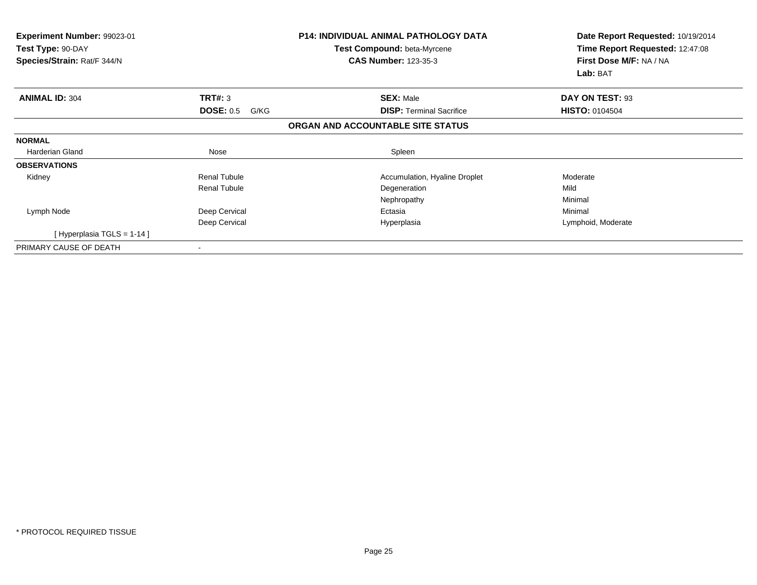| Experiment Number: 99023-01<br>Test Type: 90-DAY<br>Species/Strain: Rat/F 344/N |                          | <b>P14: INDIVIDUAL ANIMAL PATHOLOGY DATA</b><br><b>Test Compound: beta-Myrcene</b><br><b>CAS Number: 123-35-3</b> | Date Report Requested: 10/19/2014<br>Time Report Requested: 12:47:08<br>First Dose M/F: NA / NA<br>Lab: BAT |
|---------------------------------------------------------------------------------|--------------------------|-------------------------------------------------------------------------------------------------------------------|-------------------------------------------------------------------------------------------------------------|
| <b>ANIMAL ID: 304</b>                                                           | TRT#: 3                  | <b>SEX: Male</b>                                                                                                  | DAY ON TEST: 93                                                                                             |
|                                                                                 | <b>DOSE: 0.5</b><br>G/KG | <b>DISP: Terminal Sacrifice</b>                                                                                   | <b>HISTO: 0104504</b>                                                                                       |
|                                                                                 |                          | ORGAN AND ACCOUNTABLE SITE STATUS                                                                                 |                                                                                                             |
| <b>NORMAL</b>                                                                   |                          |                                                                                                                   |                                                                                                             |
| Harderian Gland                                                                 | Nose                     | Spleen                                                                                                            |                                                                                                             |
| <b>OBSERVATIONS</b>                                                             |                          |                                                                                                                   |                                                                                                             |
| Kidney                                                                          | <b>Renal Tubule</b>      | Accumulation, Hyaline Droplet                                                                                     | Moderate                                                                                                    |
|                                                                                 | <b>Renal Tubule</b>      | Degeneration                                                                                                      | Mild                                                                                                        |
|                                                                                 |                          | Nephropathy                                                                                                       | Minimal                                                                                                     |
| Lymph Node                                                                      | Deep Cervical            | Ectasia                                                                                                           | Minimal                                                                                                     |
|                                                                                 | Deep Cervical            | Hyperplasia                                                                                                       | Lymphoid, Moderate                                                                                          |
| [Hyperplasia TGLS = 1-14]                                                       |                          |                                                                                                                   |                                                                                                             |
| PRIMARY CAUSE OF DEATH                                                          |                          |                                                                                                                   |                                                                                                             |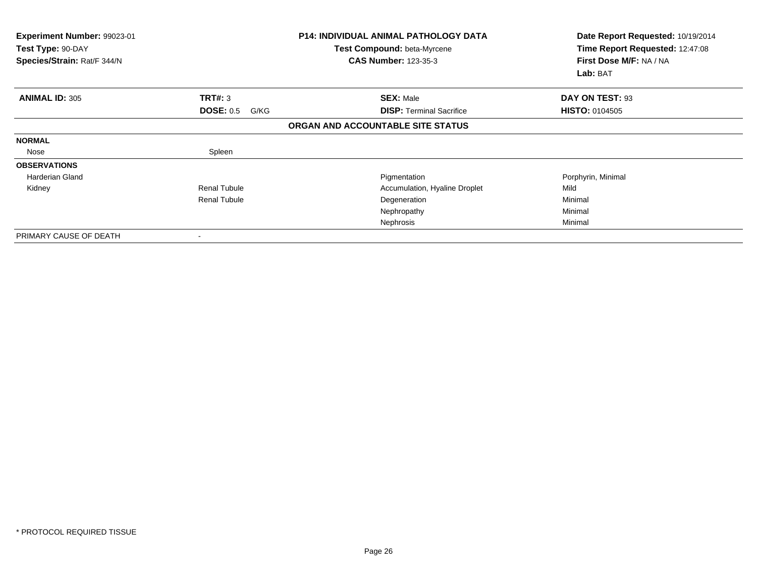| <b>Experiment Number: 99023-01</b><br>Test Type: 90-DAY<br>Species/Strain: Rat/F 344/N |                          | <b>P14: INDIVIDUAL ANIMAL PATHOLOGY DATA</b><br>Test Compound: beta-Myrcene<br><b>CAS Number: 123-35-3</b> | Date Report Requested: 10/19/2014<br>Time Report Requested: 12:47:08<br>First Dose M/F: NA / NA<br>Lab: BAT |
|----------------------------------------------------------------------------------------|--------------------------|------------------------------------------------------------------------------------------------------------|-------------------------------------------------------------------------------------------------------------|
| <b>ANIMAL ID: 305</b>                                                                  | TRT#: 3                  | <b>SEX: Male</b>                                                                                           | DAY ON TEST: 93                                                                                             |
|                                                                                        | <b>DOSE: 0.5</b><br>G/KG | <b>DISP:</b> Terminal Sacrifice                                                                            | <b>HISTO: 0104505</b>                                                                                       |
|                                                                                        |                          | ORGAN AND ACCOUNTABLE SITE STATUS                                                                          |                                                                                                             |
| <b>NORMAL</b>                                                                          |                          |                                                                                                            |                                                                                                             |
| Nose                                                                                   | Spleen                   |                                                                                                            |                                                                                                             |
| <b>OBSERVATIONS</b>                                                                    |                          |                                                                                                            |                                                                                                             |
| Harderian Gland                                                                        |                          | Pigmentation                                                                                               | Porphyrin, Minimal                                                                                          |
| Kidney                                                                                 | <b>Renal Tubule</b>      | Accumulation, Hyaline Droplet                                                                              | Mild                                                                                                        |
|                                                                                        | <b>Renal Tubule</b>      | Degeneration                                                                                               | Minimal                                                                                                     |
|                                                                                        |                          | Nephropathy                                                                                                | Minimal                                                                                                     |
|                                                                                        |                          | Nephrosis                                                                                                  | Minimal                                                                                                     |
| PRIMARY CAUSE OF DEATH                                                                 |                          |                                                                                                            |                                                                                                             |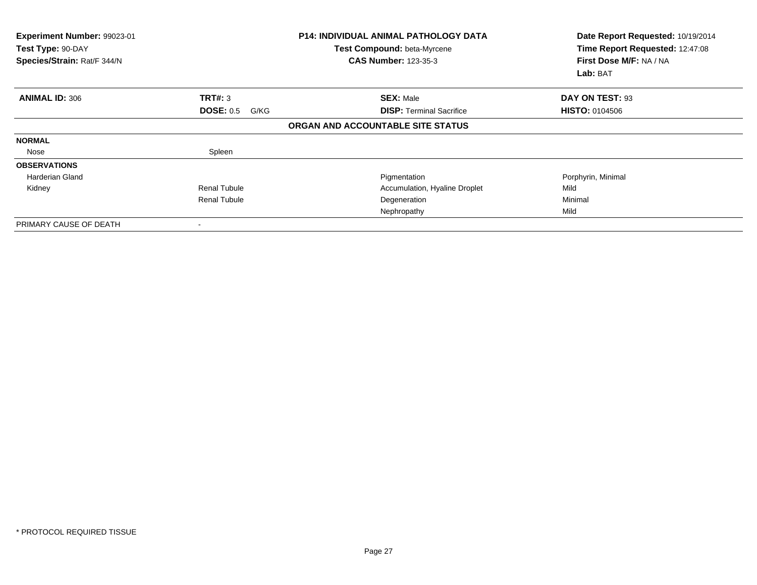| <b>Experiment Number: 99023-01</b><br>Test Type: 90-DAY<br>Species/Strain: Rat/F 344/N |                          | <b>P14: INDIVIDUAL ANIMAL PATHOLOGY DATA</b><br>Test Compound: beta-Myrcene<br><b>CAS Number: 123-35-3</b> | Date Report Requested: 10/19/2014<br>Time Report Requested: 12:47:08<br>First Dose M/F: NA / NA<br>Lab: BAT |
|----------------------------------------------------------------------------------------|--------------------------|------------------------------------------------------------------------------------------------------------|-------------------------------------------------------------------------------------------------------------|
| <b>ANIMAL ID: 306</b>                                                                  | TRT#: 3                  | <b>SEX: Male</b>                                                                                           | DAY ON TEST: 93                                                                                             |
|                                                                                        | <b>DOSE: 0.5</b><br>G/KG | <b>DISP:</b> Terminal Sacrifice                                                                            | <b>HISTO: 0104506</b>                                                                                       |
|                                                                                        |                          | ORGAN AND ACCOUNTABLE SITE STATUS                                                                          |                                                                                                             |
| <b>NORMAL</b>                                                                          |                          |                                                                                                            |                                                                                                             |
| Nose                                                                                   | Spleen                   |                                                                                                            |                                                                                                             |
| <b>OBSERVATIONS</b>                                                                    |                          |                                                                                                            |                                                                                                             |
| <b>Harderian Gland</b>                                                                 |                          | Pigmentation                                                                                               | Porphyrin, Minimal                                                                                          |
| Kidney                                                                                 | <b>Renal Tubule</b>      | Accumulation, Hyaline Droplet                                                                              | Mild                                                                                                        |
|                                                                                        | <b>Renal Tubule</b>      | Degeneration                                                                                               | Minimal                                                                                                     |
|                                                                                        |                          | Nephropathy                                                                                                | Mild                                                                                                        |
| PRIMARY CAUSE OF DEATH                                                                 |                          |                                                                                                            |                                                                                                             |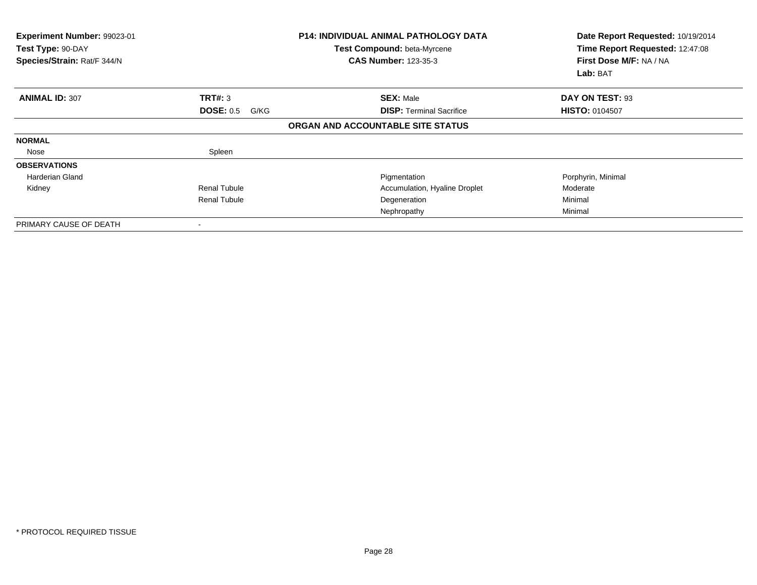| <b>Experiment Number: 99023-01</b><br>Test Type: 90-DAY<br>Species/Strain: Rat/F 344/N |                          | <b>P14: INDIVIDUAL ANIMAL PATHOLOGY DATA</b><br>Test Compound: beta-Myrcene<br><b>CAS Number: 123-35-3</b> | Date Report Requested: 10/19/2014<br>Time Report Requested: 12:47:08<br>First Dose M/F: NA / NA<br>Lab: BAT |
|----------------------------------------------------------------------------------------|--------------------------|------------------------------------------------------------------------------------------------------------|-------------------------------------------------------------------------------------------------------------|
| <b>ANIMAL ID: 307</b>                                                                  | TRT#: 3                  | <b>SEX: Male</b>                                                                                           | DAY ON TEST: 93                                                                                             |
|                                                                                        | <b>DOSE: 0.5</b><br>G/KG | <b>DISP:</b> Terminal Sacrifice                                                                            | <b>HISTO: 0104507</b>                                                                                       |
|                                                                                        |                          | ORGAN AND ACCOUNTABLE SITE STATUS                                                                          |                                                                                                             |
| <b>NORMAL</b>                                                                          |                          |                                                                                                            |                                                                                                             |
| Nose                                                                                   | Spleen                   |                                                                                                            |                                                                                                             |
| <b>OBSERVATIONS</b>                                                                    |                          |                                                                                                            |                                                                                                             |
| Harderian Gland                                                                        |                          | Pigmentation                                                                                               | Porphyrin, Minimal                                                                                          |
| Kidney                                                                                 | <b>Renal Tubule</b>      | Accumulation, Hyaline Droplet                                                                              | Moderate                                                                                                    |
|                                                                                        | <b>Renal Tubule</b>      | Degeneration                                                                                               | Minimal                                                                                                     |
|                                                                                        |                          | Nephropathy                                                                                                | Minimal                                                                                                     |
| PRIMARY CAUSE OF DEATH                                                                 |                          |                                                                                                            |                                                                                                             |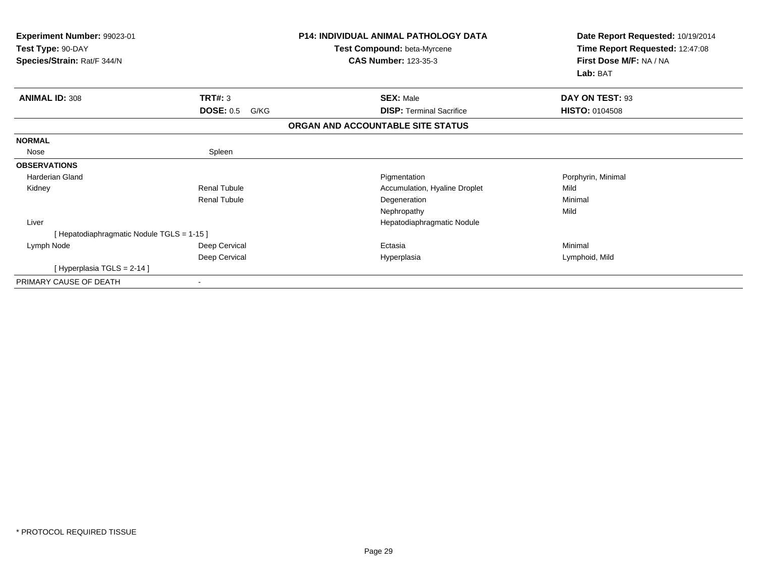| <b>Experiment Number: 99023-01</b><br>Test Type: 90-DAY<br>Species/Strain: Rat/F 344/N |                          | <b>P14: INDIVIDUAL ANIMAL PATHOLOGY DATA</b><br>Test Compound: beta-Myrcene<br><b>CAS Number: 123-35-3</b> | Date Report Requested: 10/19/2014<br>Time Report Requested: 12:47:08<br>First Dose M/F: NA / NA<br>Lab: BAT |
|----------------------------------------------------------------------------------------|--------------------------|------------------------------------------------------------------------------------------------------------|-------------------------------------------------------------------------------------------------------------|
| <b>ANIMAL ID: 308</b>                                                                  | TRT#: 3                  | <b>SEX: Male</b>                                                                                           | DAY ON TEST: 93                                                                                             |
|                                                                                        | <b>DOSE: 0.5</b><br>G/KG | <b>DISP: Terminal Sacrifice</b>                                                                            | <b>HISTO: 0104508</b>                                                                                       |
|                                                                                        |                          | ORGAN AND ACCOUNTABLE SITE STATUS                                                                          |                                                                                                             |
| <b>NORMAL</b>                                                                          |                          |                                                                                                            |                                                                                                             |
| Nose                                                                                   | Spleen                   |                                                                                                            |                                                                                                             |
| <b>OBSERVATIONS</b>                                                                    |                          |                                                                                                            |                                                                                                             |
| <b>Harderian Gland</b>                                                                 |                          | Pigmentation                                                                                               | Porphyrin, Minimal                                                                                          |
| Kidney                                                                                 | <b>Renal Tubule</b>      | Accumulation, Hyaline Droplet                                                                              | Mild                                                                                                        |
|                                                                                        | <b>Renal Tubule</b>      | Degeneration                                                                                               | Minimal                                                                                                     |
|                                                                                        |                          | Nephropathy                                                                                                | Mild                                                                                                        |
| Liver                                                                                  |                          | Hepatodiaphragmatic Nodule                                                                                 |                                                                                                             |
| [Hepatodiaphragmatic Nodule TGLS = 1-15]                                               |                          |                                                                                                            |                                                                                                             |
| Lymph Node                                                                             | Deep Cervical            | Ectasia                                                                                                    | Minimal                                                                                                     |
|                                                                                        | Deep Cervical            | Hyperplasia                                                                                                | Lymphoid, Mild                                                                                              |
| [ Hyperplasia TGLS = 2-14 ]                                                            |                          |                                                                                                            |                                                                                                             |
| PRIMARY CAUSE OF DEATH                                                                 |                          |                                                                                                            |                                                                                                             |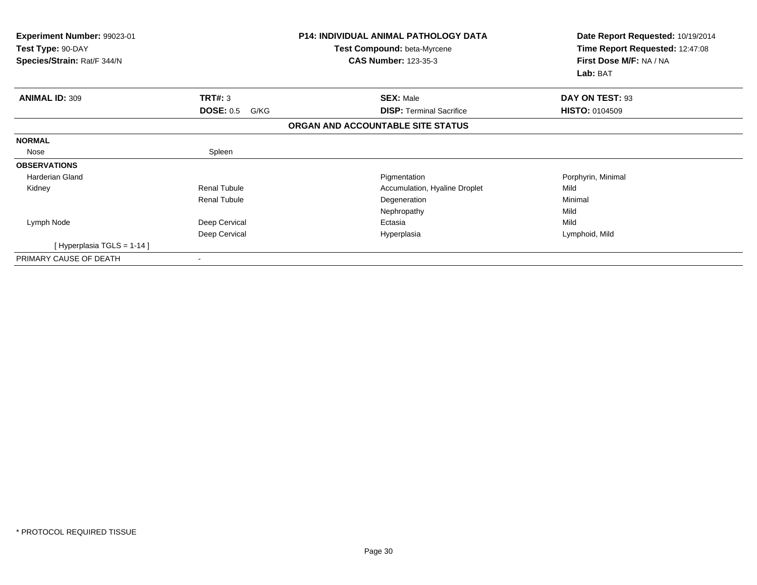| Experiment Number: 99023-01<br>Test Type: 90-DAY<br>Species/Strain: Rat/F 344/N |                          | <b>P14: INDIVIDUAL ANIMAL PATHOLOGY DATA</b><br>Test Compound: beta-Myrcene<br><b>CAS Number: 123-35-3</b> | Date Report Requested: 10/19/2014<br>Time Report Requested: 12:47:08<br>First Dose M/F: NA / NA<br>Lab: BAT |
|---------------------------------------------------------------------------------|--------------------------|------------------------------------------------------------------------------------------------------------|-------------------------------------------------------------------------------------------------------------|
| <b>ANIMAL ID: 309</b>                                                           | TRT#: 3                  | <b>SEX: Male</b>                                                                                           | DAY ON TEST: 93                                                                                             |
|                                                                                 | <b>DOSE: 0.5</b><br>G/KG | <b>DISP: Terminal Sacrifice</b>                                                                            | <b>HISTO: 0104509</b>                                                                                       |
|                                                                                 |                          | ORGAN AND ACCOUNTABLE SITE STATUS                                                                          |                                                                                                             |
| <b>NORMAL</b>                                                                   |                          |                                                                                                            |                                                                                                             |
| Nose                                                                            | Spleen                   |                                                                                                            |                                                                                                             |
| <b>OBSERVATIONS</b>                                                             |                          |                                                                                                            |                                                                                                             |
| <b>Harderian Gland</b>                                                          |                          | Pigmentation                                                                                               | Porphyrin, Minimal                                                                                          |
| Kidney                                                                          | <b>Renal Tubule</b>      | Accumulation, Hyaline Droplet                                                                              | Mild                                                                                                        |
|                                                                                 | <b>Renal Tubule</b>      | Degeneration                                                                                               | Minimal                                                                                                     |
|                                                                                 |                          | Nephropathy                                                                                                | Mild                                                                                                        |
| Lymph Node                                                                      | Deep Cervical            | Ectasia                                                                                                    | Mild                                                                                                        |
|                                                                                 | Deep Cervical            | Hyperplasia                                                                                                | Lymphoid, Mild                                                                                              |
| [Hyperplasia TGLS = $1-14$ ]                                                    |                          |                                                                                                            |                                                                                                             |
| PRIMARY CAUSE OF DEATH                                                          |                          |                                                                                                            |                                                                                                             |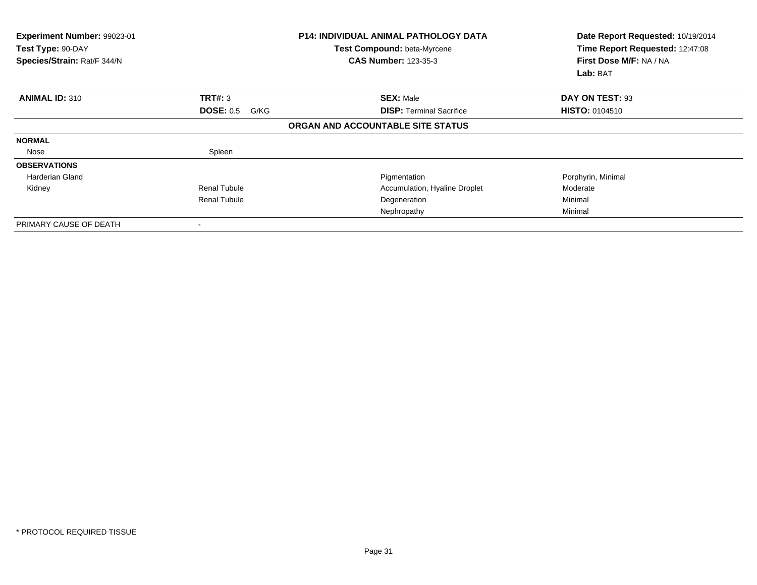| <b>Experiment Number: 99023-01</b><br>Test Type: 90-DAY<br>Species/Strain: Rat/F 344/N |                          | <b>P14: INDIVIDUAL ANIMAL PATHOLOGY DATA</b><br>Test Compound: beta-Myrcene<br><b>CAS Number: 123-35-3</b> | Date Report Requested: 10/19/2014<br>Time Report Requested: 12:47:08<br>First Dose M/F: NA / NA<br>Lab: BAT |
|----------------------------------------------------------------------------------------|--------------------------|------------------------------------------------------------------------------------------------------------|-------------------------------------------------------------------------------------------------------------|
| <b>ANIMAL ID: 310</b>                                                                  | TRT#: 3                  | <b>SEX: Male</b>                                                                                           | DAY ON TEST: 93                                                                                             |
|                                                                                        | <b>DOSE: 0.5</b><br>G/KG | <b>DISP:</b> Terminal Sacrifice                                                                            | <b>HISTO: 0104510</b>                                                                                       |
|                                                                                        |                          | ORGAN AND ACCOUNTABLE SITE STATUS                                                                          |                                                                                                             |
| <b>NORMAL</b>                                                                          |                          |                                                                                                            |                                                                                                             |
| Nose                                                                                   | Spleen                   |                                                                                                            |                                                                                                             |
| <b>OBSERVATIONS</b>                                                                    |                          |                                                                                                            |                                                                                                             |
| Harderian Gland                                                                        |                          | Pigmentation                                                                                               | Porphyrin, Minimal                                                                                          |
| Kidney                                                                                 | <b>Renal Tubule</b>      | Accumulation, Hyaline Droplet                                                                              | Moderate                                                                                                    |
|                                                                                        | <b>Renal Tubule</b>      | Degeneration                                                                                               | Minimal                                                                                                     |
|                                                                                        |                          | Nephropathy                                                                                                | Minimal                                                                                                     |
| PRIMARY CAUSE OF DEATH                                                                 |                          |                                                                                                            |                                                                                                             |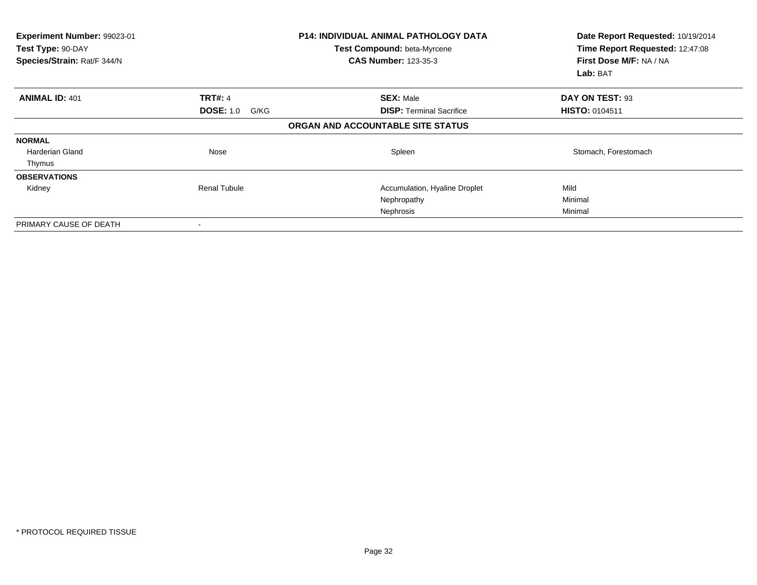| Experiment Number: 99023-01<br>Test Type: 90-DAY<br>Species/Strain: Rat/F 344/N |                          | <b>P14: INDIVIDUAL ANIMAL PATHOLOGY DATA</b><br>Test Compound: beta-Myrcene<br><b>CAS Number: 123-35-3</b> | Date Report Requested: 10/19/2014<br>Time Report Requested: 12:47:08<br>First Dose M/F: NA / NA<br>Lab: BAT |
|---------------------------------------------------------------------------------|--------------------------|------------------------------------------------------------------------------------------------------------|-------------------------------------------------------------------------------------------------------------|
| <b>ANIMAL ID: 401</b>                                                           | <b>TRT#: 4</b>           | <b>SEX: Male</b>                                                                                           | DAY ON TEST: 93                                                                                             |
|                                                                                 | <b>DOSE: 1.0</b><br>G/KG | <b>DISP:</b> Terminal Sacrifice                                                                            | <b>HISTO: 0104511</b>                                                                                       |
|                                                                                 |                          | ORGAN AND ACCOUNTABLE SITE STATUS                                                                          |                                                                                                             |
| <b>NORMAL</b>                                                                   |                          |                                                                                                            |                                                                                                             |
| Harderian Gland                                                                 | Nose                     | Spleen                                                                                                     | Stomach, Forestomach                                                                                        |
| Thymus                                                                          |                          |                                                                                                            |                                                                                                             |
| <b>OBSERVATIONS</b>                                                             |                          |                                                                                                            |                                                                                                             |
| Kidney                                                                          | <b>Renal Tubule</b>      | Accumulation, Hyaline Droplet                                                                              | Mild                                                                                                        |
|                                                                                 |                          | Nephropathy                                                                                                | Minimal                                                                                                     |
|                                                                                 |                          | Nephrosis                                                                                                  | Minimal                                                                                                     |
| PRIMARY CAUSE OF DEATH                                                          |                          |                                                                                                            |                                                                                                             |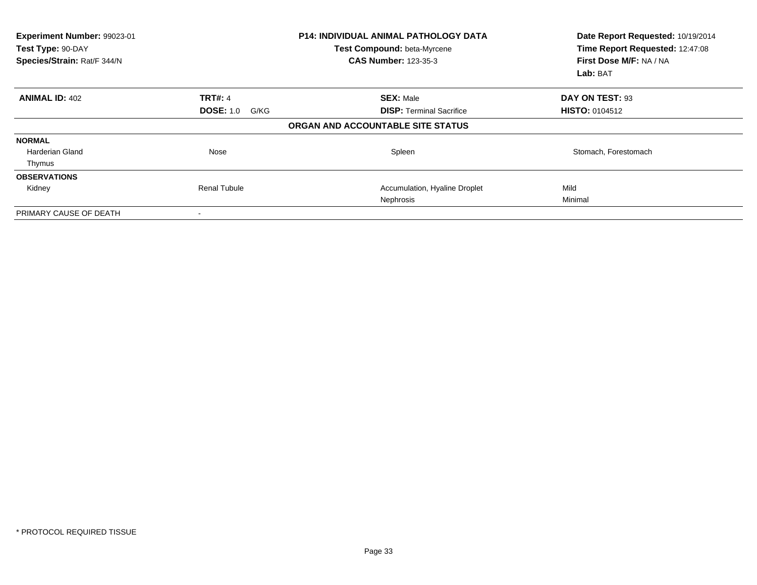| Experiment Number: 99023-01<br>Test Type: 90-DAY<br>Species/Strain: Rat/F 344/N |                          | <b>P14: INDIVIDUAL ANIMAL PATHOLOGY DATA</b><br>Test Compound: beta-Myrcene<br><b>CAS Number: 123-35-3</b> | Date Report Requested: 10/19/2014<br>Time Report Requested: 12:47:08<br>First Dose M/F: NA / NA<br>Lab: BAT |
|---------------------------------------------------------------------------------|--------------------------|------------------------------------------------------------------------------------------------------------|-------------------------------------------------------------------------------------------------------------|
| <b>ANIMAL ID: 402</b>                                                           | <b>TRT#: 4</b>           | <b>SEX: Male</b>                                                                                           | DAY ON TEST: 93                                                                                             |
|                                                                                 | <b>DOSE: 1.0</b><br>G/KG | <b>DISP:</b> Terminal Sacrifice                                                                            | <b>HISTO: 0104512</b>                                                                                       |
|                                                                                 |                          | ORGAN AND ACCOUNTABLE SITE STATUS                                                                          |                                                                                                             |
| <b>NORMAL</b>                                                                   |                          |                                                                                                            |                                                                                                             |
| Harderian Gland                                                                 | Nose                     | Spleen                                                                                                     | Stomach, Forestomach                                                                                        |
| Thymus                                                                          |                          |                                                                                                            |                                                                                                             |
| <b>OBSERVATIONS</b>                                                             |                          |                                                                                                            |                                                                                                             |
| Kidney                                                                          | Renal Tubule             | Accumulation, Hyaline Droplet                                                                              | Mild                                                                                                        |
|                                                                                 |                          | Nephrosis                                                                                                  | Minimal                                                                                                     |
| PRIMARY CAUSE OF DEATH                                                          |                          |                                                                                                            |                                                                                                             |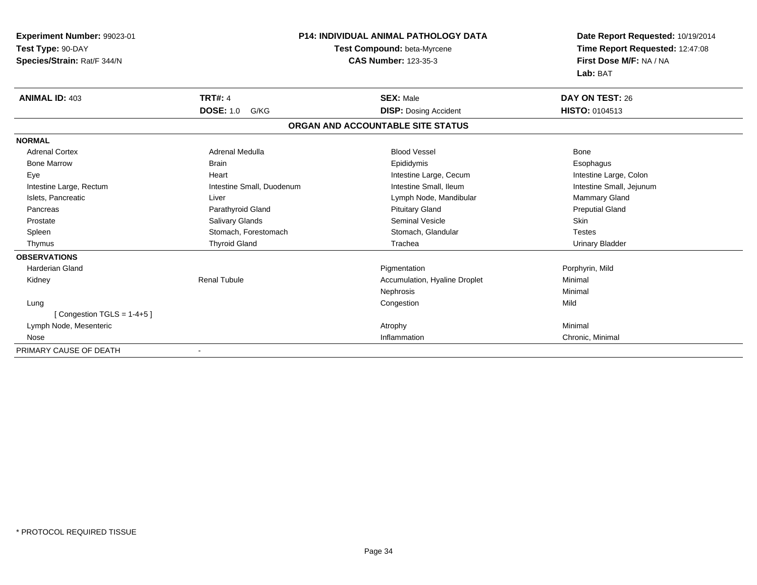| Experiment Number: 99023-01  |                           | <b>P14: INDIVIDUAL ANIMAL PATHOLOGY DATA</b> | Date Report Requested: 10/19/2014                          |  |
|------------------------------|---------------------------|----------------------------------------------|------------------------------------------------------------|--|
| Test Type: 90-DAY            |                           | Test Compound: beta-Myrcene                  | Time Report Requested: 12:47:08<br>First Dose M/F: NA / NA |  |
| Species/Strain: Rat/F 344/N  |                           | <b>CAS Number: 123-35-3</b>                  |                                                            |  |
|                              |                           |                                              | Lab: BAT                                                   |  |
| <b>ANIMAL ID: 403</b>        | <b>TRT#: 4</b>            | <b>SEX: Male</b>                             | DAY ON TEST: 26                                            |  |
|                              | <b>DOSE: 1.0</b><br>G/KG  | <b>DISP: Dosing Accident</b>                 | <b>HISTO: 0104513</b>                                      |  |
|                              |                           | ORGAN AND ACCOUNTABLE SITE STATUS            |                                                            |  |
| <b>NORMAL</b>                |                           |                                              |                                                            |  |
| <b>Adrenal Cortex</b>        | Adrenal Medulla           | <b>Blood Vessel</b>                          | Bone                                                       |  |
| <b>Bone Marrow</b>           | <b>Brain</b>              | Epididymis                                   | Esophagus                                                  |  |
| Eye                          | Heart                     | Intestine Large, Cecum                       | Intestine Large, Colon                                     |  |
| Intestine Large, Rectum      | Intestine Small, Duodenum | Intestine Small, Ileum                       | Intestine Small, Jejunum                                   |  |
| Islets, Pancreatic           | Liver                     | Lymph Node, Mandibular                       | Mammary Gland                                              |  |
| Pancreas                     | Parathyroid Gland         | <b>Pituitary Gland</b>                       | <b>Preputial Gland</b>                                     |  |
| Prostate                     | Salivary Glands           | Seminal Vesicle                              | Skin                                                       |  |
| Spleen                       | Stomach, Forestomach      | Stomach, Glandular                           | <b>Testes</b>                                              |  |
| Thymus                       | <b>Thyroid Gland</b>      | Trachea                                      | <b>Urinary Bladder</b>                                     |  |
| <b>OBSERVATIONS</b>          |                           |                                              |                                                            |  |
| <b>Harderian Gland</b>       |                           | Pigmentation                                 | Porphyrin, Mild                                            |  |
| Kidney                       | <b>Renal Tubule</b>       | Accumulation, Hyaline Droplet                | Minimal                                                    |  |
|                              |                           | Nephrosis                                    | Minimal                                                    |  |
| Lung                         |                           | Congestion                                   | Mild                                                       |  |
| [Congestion TGLS = $1-4+5$ ] |                           |                                              |                                                            |  |
| Lymph Node, Mesenteric       |                           | Atrophy                                      | Minimal                                                    |  |
| Nose                         |                           | Inflammation                                 | Chronic, Minimal                                           |  |
| PRIMARY CAUSE OF DEATH       |                           |                                              |                                                            |  |

-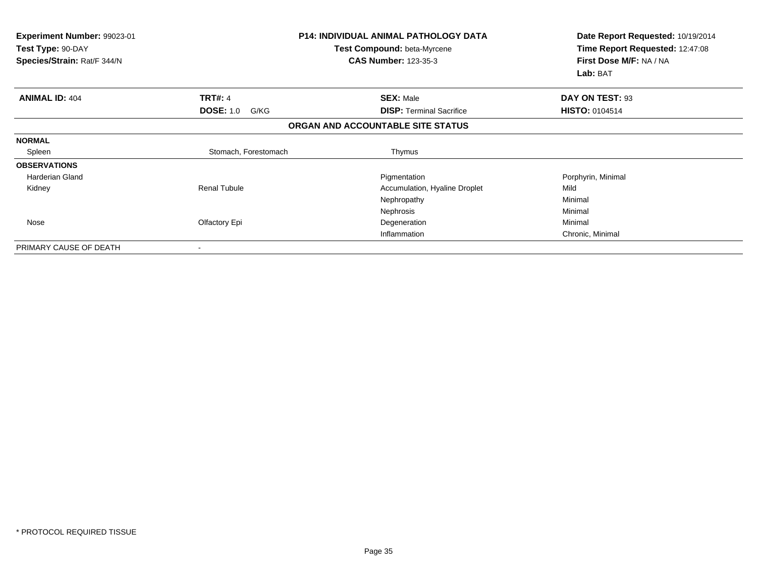| Experiment Number: 99023-01<br>Test Type: 90-DAY<br>Species/Strain: Rat/F 344/N |                          | <b>P14: INDIVIDUAL ANIMAL PATHOLOGY DATA</b><br>Test Compound: beta-Myrcene<br><b>CAS Number: 123-35-3</b> | Date Report Requested: 10/19/2014<br>Time Report Requested: 12:47:08<br>First Dose M/F: NA / NA<br>Lab: BAT |
|---------------------------------------------------------------------------------|--------------------------|------------------------------------------------------------------------------------------------------------|-------------------------------------------------------------------------------------------------------------|
| <b>ANIMAL ID: 404</b>                                                           | <b>TRT#: 4</b>           | <b>SEX: Male</b>                                                                                           | DAY ON TEST: 93                                                                                             |
|                                                                                 | <b>DOSE: 1.0</b><br>G/KG | <b>DISP: Terminal Sacrifice</b>                                                                            | <b>HISTO: 0104514</b>                                                                                       |
|                                                                                 |                          | ORGAN AND ACCOUNTABLE SITE STATUS                                                                          |                                                                                                             |
| <b>NORMAL</b>                                                                   |                          |                                                                                                            |                                                                                                             |
| Spleen                                                                          | Stomach, Forestomach     | Thymus                                                                                                     |                                                                                                             |
| <b>OBSERVATIONS</b>                                                             |                          |                                                                                                            |                                                                                                             |
| <b>Harderian Gland</b>                                                          |                          | Pigmentation                                                                                               | Porphyrin, Minimal                                                                                          |
| Kidney                                                                          | <b>Renal Tubule</b>      | Accumulation, Hyaline Droplet                                                                              | Mild                                                                                                        |
|                                                                                 |                          | Nephropathy                                                                                                | Minimal                                                                                                     |
|                                                                                 |                          | Nephrosis                                                                                                  | Minimal                                                                                                     |
| Nose                                                                            | Olfactory Epi            | Degeneration                                                                                               | Minimal                                                                                                     |
|                                                                                 |                          | Inflammation                                                                                               | Chronic, Minimal                                                                                            |
| PRIMARY CAUSE OF DEATH                                                          |                          |                                                                                                            |                                                                                                             |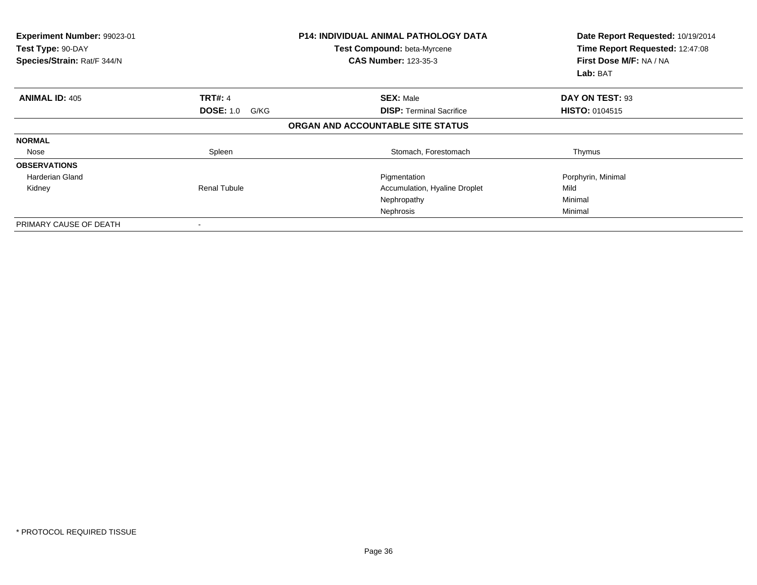| Experiment Number: 99023-01<br>Test Type: 90-DAY<br>Species/Strain: Rat/F 344/N |                          | <b>P14: INDIVIDUAL ANIMAL PATHOLOGY DATA</b><br>Test Compound: beta-Myrcene<br><b>CAS Number: 123-35-3</b> | Date Report Requested: 10/19/2014<br>Time Report Requested: 12:47:08<br>First Dose M/F: NA / NA<br>Lab: BAT |
|---------------------------------------------------------------------------------|--------------------------|------------------------------------------------------------------------------------------------------------|-------------------------------------------------------------------------------------------------------------|
| <b>ANIMAL ID: 405</b>                                                           | <b>TRT#: 4</b>           | <b>SEX: Male</b>                                                                                           | DAY ON TEST: 93                                                                                             |
|                                                                                 | <b>DOSE: 1.0</b><br>G/KG | <b>DISP:</b> Terminal Sacrifice                                                                            | <b>HISTO: 0104515</b>                                                                                       |
|                                                                                 |                          | ORGAN AND ACCOUNTABLE SITE STATUS                                                                          |                                                                                                             |
| <b>NORMAL</b>                                                                   |                          |                                                                                                            |                                                                                                             |
| Nose                                                                            | Spleen                   | Stomach, Forestomach                                                                                       | Thymus                                                                                                      |
| <b>OBSERVATIONS</b>                                                             |                          |                                                                                                            |                                                                                                             |
| Harderian Gland                                                                 |                          | Pigmentation                                                                                               | Porphyrin, Minimal                                                                                          |
| Kidney                                                                          | <b>Renal Tubule</b>      | Accumulation, Hyaline Droplet                                                                              | Mild                                                                                                        |
|                                                                                 |                          | Nephropathy                                                                                                | Minimal                                                                                                     |
|                                                                                 |                          | Nephrosis                                                                                                  | Minimal                                                                                                     |
| PRIMARY CAUSE OF DEATH                                                          |                          |                                                                                                            |                                                                                                             |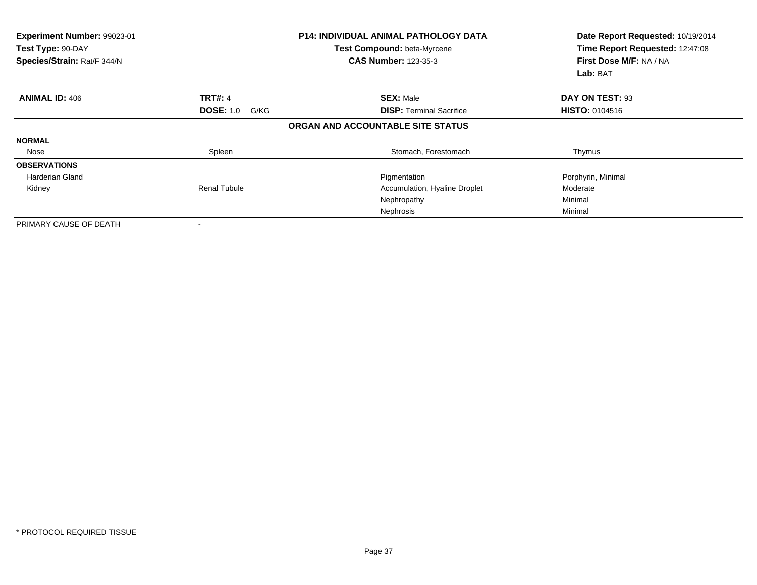| Experiment Number: 99023-01<br>Test Type: 90-DAY<br>Species/Strain: Rat/F 344/N |                          | <b>P14: INDIVIDUAL ANIMAL PATHOLOGY DATA</b><br>Test Compound: beta-Myrcene<br><b>CAS Number: 123-35-3</b> | Date Report Requested: 10/19/2014<br>Time Report Requested: 12:47:08<br>First Dose M/F: NA / NA<br>Lab: BAT |
|---------------------------------------------------------------------------------|--------------------------|------------------------------------------------------------------------------------------------------------|-------------------------------------------------------------------------------------------------------------|
| <b>ANIMAL ID: 406</b>                                                           | <b>TRT#: 4</b>           | <b>SEX: Male</b>                                                                                           | DAY ON TEST: 93                                                                                             |
|                                                                                 | <b>DOSE: 1.0</b><br>G/KG | <b>DISP: Terminal Sacrifice</b>                                                                            | <b>HISTO: 0104516</b>                                                                                       |
|                                                                                 |                          | ORGAN AND ACCOUNTABLE SITE STATUS                                                                          |                                                                                                             |
| <b>NORMAL</b>                                                                   |                          |                                                                                                            |                                                                                                             |
| Nose                                                                            | Spleen                   | Stomach, Forestomach                                                                                       | Thymus                                                                                                      |
| <b>OBSERVATIONS</b>                                                             |                          |                                                                                                            |                                                                                                             |
| Harderian Gland                                                                 |                          | Pigmentation                                                                                               | Porphyrin, Minimal                                                                                          |
| Kidney                                                                          | <b>Renal Tubule</b>      | Accumulation, Hyaline Droplet                                                                              | Moderate                                                                                                    |
|                                                                                 |                          | Nephropathy                                                                                                | Minimal                                                                                                     |
|                                                                                 |                          | Nephrosis                                                                                                  | Minimal                                                                                                     |
| PRIMARY CAUSE OF DEATH                                                          |                          |                                                                                                            |                                                                                                             |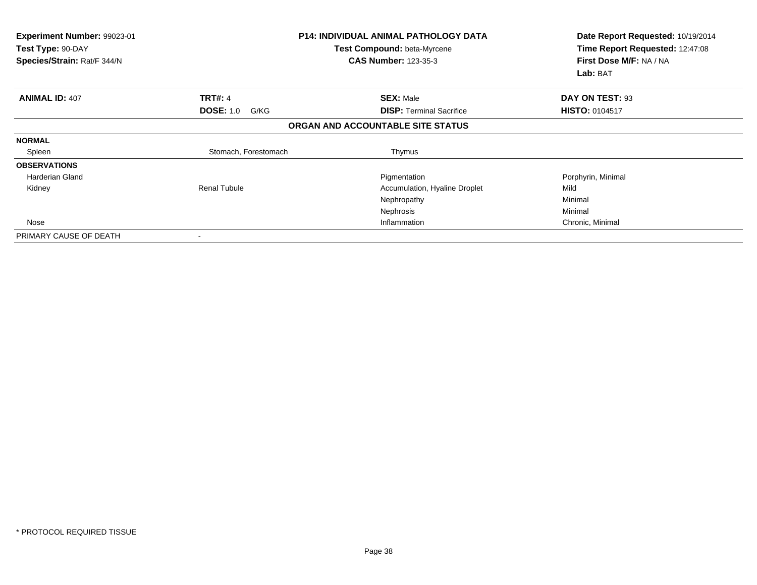| <b>Experiment Number: 99023-01</b><br>Test Type: 90-DAY<br>Species/Strain: Rat/F 344/N |                          | <b>P14: INDIVIDUAL ANIMAL PATHOLOGY DATA</b><br>Test Compound: beta-Myrcene<br><b>CAS Number: 123-35-3</b> | Date Report Requested: 10/19/2014<br>Time Report Requested: 12:47:08<br>First Dose M/F: NA / NA<br>Lab: BAT |
|----------------------------------------------------------------------------------------|--------------------------|------------------------------------------------------------------------------------------------------------|-------------------------------------------------------------------------------------------------------------|
| <b>ANIMAL ID: 407</b>                                                                  | <b>TRT#: 4</b>           | <b>SEX: Male</b>                                                                                           | DAY ON TEST: 93                                                                                             |
|                                                                                        | <b>DOSE: 1.0</b><br>G/KG | <b>DISP:</b> Terminal Sacrifice                                                                            | <b>HISTO: 0104517</b>                                                                                       |
|                                                                                        |                          | ORGAN AND ACCOUNTABLE SITE STATUS                                                                          |                                                                                                             |
| <b>NORMAL</b>                                                                          |                          |                                                                                                            |                                                                                                             |
| Spleen                                                                                 | Stomach, Forestomach     | Thymus                                                                                                     |                                                                                                             |
| <b>OBSERVATIONS</b>                                                                    |                          |                                                                                                            |                                                                                                             |
| Harderian Gland                                                                        |                          | Pigmentation                                                                                               | Porphyrin, Minimal                                                                                          |
| Kidney                                                                                 | Renal Tubule             | Accumulation, Hyaline Droplet                                                                              | Mild                                                                                                        |
|                                                                                        |                          | Nephropathy                                                                                                | Minimal                                                                                                     |
|                                                                                        |                          | Nephrosis                                                                                                  | Minimal                                                                                                     |
| Nose                                                                                   |                          | Inflammation                                                                                               | Chronic, Minimal                                                                                            |
| PRIMARY CAUSE OF DEATH                                                                 | $\,$                     |                                                                                                            |                                                                                                             |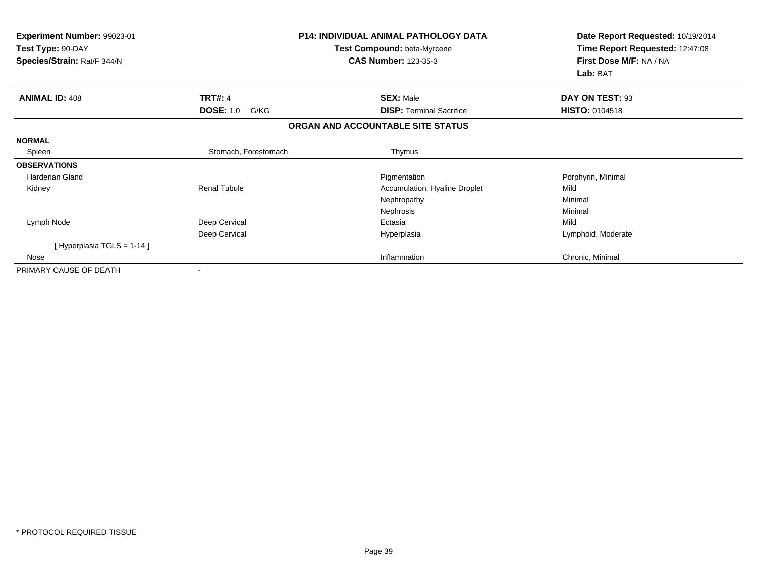| Experiment Number: 99023-01<br>Test Type: 90-DAY<br>Species/Strain: Rat/F 344/N |                          | <b>P14: INDIVIDUAL ANIMAL PATHOLOGY DATA</b><br>Test Compound: beta-Myrcene<br><b>CAS Number: 123-35-3</b> | Date Report Requested: 10/19/2014<br>Time Report Requested: 12:47:08<br>First Dose M/F: NA / NA |  |
|---------------------------------------------------------------------------------|--------------------------|------------------------------------------------------------------------------------------------------------|-------------------------------------------------------------------------------------------------|--|
|                                                                                 |                          |                                                                                                            | Lab: BAT                                                                                        |  |
| <b>ANIMAL ID: 408</b>                                                           | <b>TRT#: 4</b>           | <b>SEX: Male</b>                                                                                           | DAY ON TEST: 93                                                                                 |  |
|                                                                                 | <b>DOSE: 1.0</b><br>G/KG | <b>DISP: Terminal Sacrifice</b>                                                                            | <b>HISTO: 0104518</b>                                                                           |  |
|                                                                                 |                          | ORGAN AND ACCOUNTABLE SITE STATUS                                                                          |                                                                                                 |  |
| <b>NORMAL</b>                                                                   |                          |                                                                                                            |                                                                                                 |  |
| Spleen                                                                          | Stomach, Forestomach     | Thymus                                                                                                     |                                                                                                 |  |
| <b>OBSERVATIONS</b>                                                             |                          |                                                                                                            |                                                                                                 |  |
| Harderian Gland                                                                 |                          | Pigmentation                                                                                               | Porphyrin, Minimal                                                                              |  |
| Kidney                                                                          | <b>Renal Tubule</b>      | Accumulation, Hyaline Droplet                                                                              | Mild                                                                                            |  |
|                                                                                 |                          | Nephropathy                                                                                                | Minimal                                                                                         |  |
|                                                                                 |                          | Nephrosis                                                                                                  | Minimal                                                                                         |  |
| Lymph Node                                                                      | Deep Cervical            | Ectasia                                                                                                    | Mild                                                                                            |  |
|                                                                                 | Deep Cervical            | Hyperplasia                                                                                                | Lymphoid, Moderate                                                                              |  |
| [ Hyperplasia TGLS = 1-14 ]                                                     |                          |                                                                                                            |                                                                                                 |  |
| Nose                                                                            |                          | Inflammation                                                                                               | Chronic, Minimal                                                                                |  |
| PRIMARY CAUSE OF DEATH                                                          |                          |                                                                                                            |                                                                                                 |  |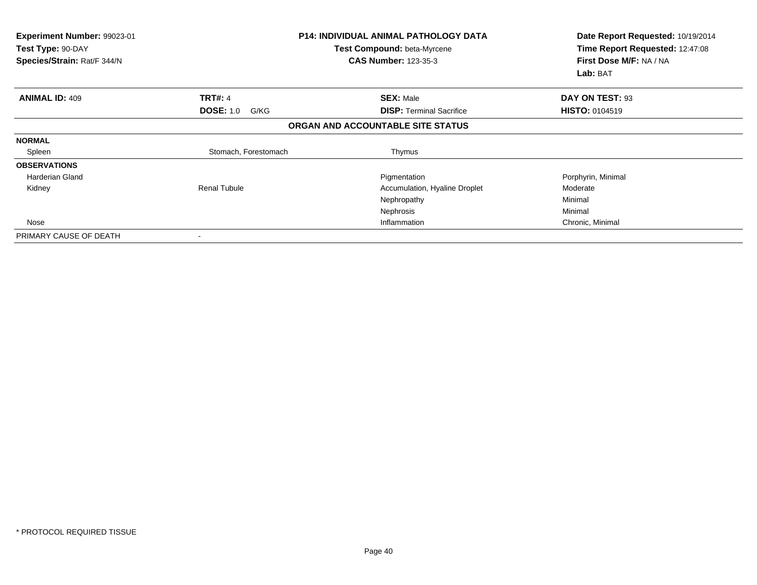| <b>Experiment Number: 99023-01</b><br>Test Type: 90-DAY<br>Species/Strain: Rat/F 344/N |                          | <b>P14: INDIVIDUAL ANIMAL PATHOLOGY DATA</b><br>Test Compound: beta-Myrcene<br><b>CAS Number: 123-35-3</b> | Date Report Requested: 10/19/2014<br>Time Report Requested: 12:47:08<br>First Dose M/F: NA / NA<br>Lab: BAT |
|----------------------------------------------------------------------------------------|--------------------------|------------------------------------------------------------------------------------------------------------|-------------------------------------------------------------------------------------------------------------|
| <b>ANIMAL ID: 409</b>                                                                  | <b>TRT#: 4</b>           | <b>SEX: Male</b>                                                                                           | DAY ON TEST: 93                                                                                             |
|                                                                                        | <b>DOSE: 1.0</b><br>G/KG | <b>DISP:</b> Terminal Sacrifice                                                                            | <b>HISTO: 0104519</b>                                                                                       |
|                                                                                        |                          | ORGAN AND ACCOUNTABLE SITE STATUS                                                                          |                                                                                                             |
| <b>NORMAL</b>                                                                          |                          |                                                                                                            |                                                                                                             |
| Spleen                                                                                 | Stomach, Forestomach     | Thymus                                                                                                     |                                                                                                             |
| <b>OBSERVATIONS</b>                                                                    |                          |                                                                                                            |                                                                                                             |
| <b>Harderian Gland</b>                                                                 |                          | Pigmentation                                                                                               | Porphyrin, Minimal                                                                                          |
| Kidney                                                                                 | <b>Renal Tubule</b>      | Accumulation, Hyaline Droplet                                                                              | Moderate                                                                                                    |
|                                                                                        |                          | Nephropathy                                                                                                | Minimal                                                                                                     |
|                                                                                        |                          | Nephrosis                                                                                                  | Minimal                                                                                                     |
| Nose                                                                                   |                          | Inflammation                                                                                               | Chronic, Minimal                                                                                            |
| PRIMARY CAUSE OF DEATH                                                                 |                          |                                                                                                            |                                                                                                             |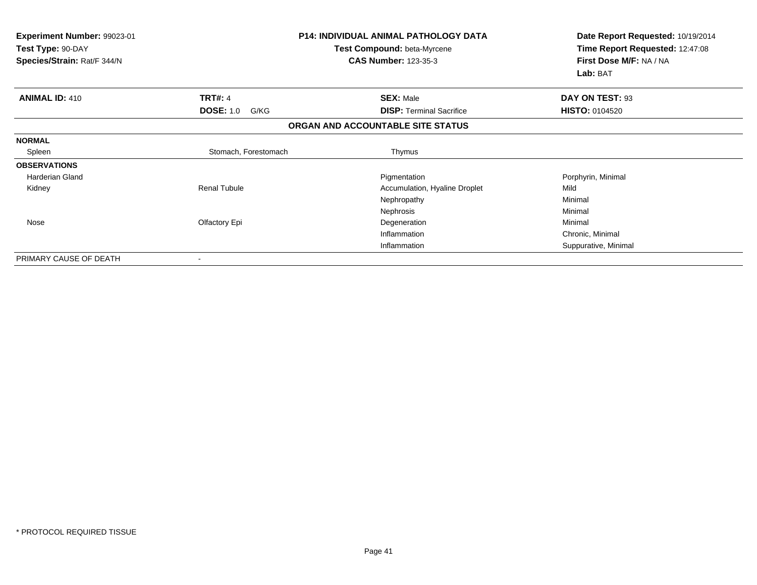| Experiment Number: 99023-01<br>Test Type: 90-DAY<br>Species/Strain: Rat/F 344/N |                          | <b>P14: INDIVIDUAL ANIMAL PATHOLOGY DATA</b><br><b>Test Compound: beta-Myrcene</b><br><b>CAS Number: 123-35-3</b> | Date Report Requested: 10/19/2014<br>Time Report Requested: 12:47:08<br>First Dose M/F: NA / NA<br>Lab: BAT |
|---------------------------------------------------------------------------------|--------------------------|-------------------------------------------------------------------------------------------------------------------|-------------------------------------------------------------------------------------------------------------|
| <b>ANIMAL ID: 410</b>                                                           | <b>TRT#: 4</b>           | <b>SEX: Male</b>                                                                                                  | DAY ON TEST: 93                                                                                             |
|                                                                                 | <b>DOSE: 1.0</b><br>G/KG | <b>DISP: Terminal Sacrifice</b>                                                                                   | <b>HISTO: 0104520</b>                                                                                       |
|                                                                                 |                          | ORGAN AND ACCOUNTABLE SITE STATUS                                                                                 |                                                                                                             |
| <b>NORMAL</b>                                                                   |                          |                                                                                                                   |                                                                                                             |
| Spleen                                                                          | Stomach, Forestomach     | Thymus                                                                                                            |                                                                                                             |
| <b>OBSERVATIONS</b>                                                             |                          |                                                                                                                   |                                                                                                             |
| <b>Harderian Gland</b>                                                          |                          | Pigmentation                                                                                                      | Porphyrin, Minimal                                                                                          |
| Kidney                                                                          | <b>Renal Tubule</b>      | Accumulation, Hyaline Droplet                                                                                     | Mild                                                                                                        |
|                                                                                 |                          | Nephropathy                                                                                                       | Minimal                                                                                                     |
|                                                                                 |                          | Nephrosis                                                                                                         | Minimal                                                                                                     |
| Nose                                                                            | Olfactory Epi            | Degeneration                                                                                                      | Minimal                                                                                                     |
|                                                                                 |                          | Inflammation                                                                                                      | Chronic, Minimal                                                                                            |
|                                                                                 |                          | Inflammation                                                                                                      | Suppurative, Minimal                                                                                        |
| PRIMARY CAUSE OF DEATH                                                          |                          |                                                                                                                   |                                                                                                             |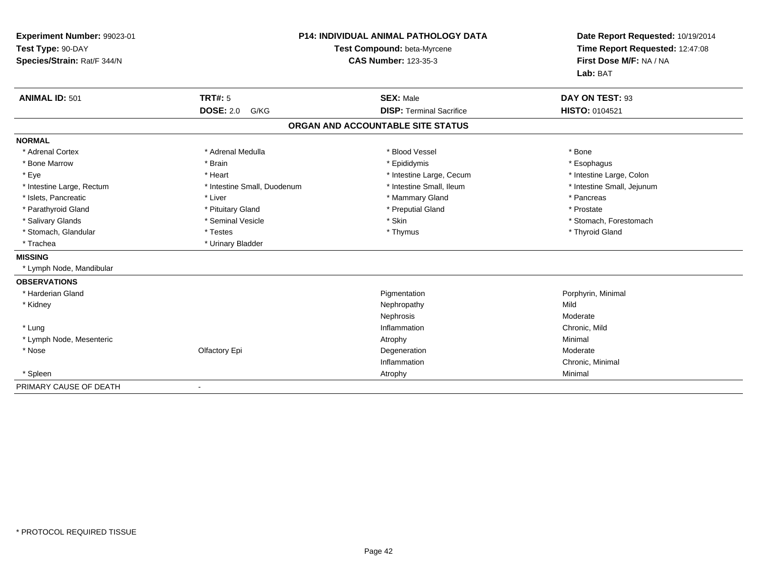| Experiment Number: 99023-01<br>Test Type: 90-DAY<br>Species/Strain: Rat/F 344/N | P14: INDIVIDUAL ANIMAL PATHOLOGY DATA<br>Test Compound: beta-Myrcene<br><b>CAS Number: 123-35-3</b> |                                   | Date Report Requested: 10/19/2014<br>Time Report Requested: 12:47:08<br>First Dose M/F: NA / NA<br>Lab: BAT |
|---------------------------------------------------------------------------------|-----------------------------------------------------------------------------------------------------|-----------------------------------|-------------------------------------------------------------------------------------------------------------|
| <b>ANIMAL ID: 501</b>                                                           | <b>TRT#: 5</b>                                                                                      | <b>SEX: Male</b>                  | DAY ON TEST: 93                                                                                             |
|                                                                                 | <b>DOSE: 2.0</b><br>G/KG                                                                            | <b>DISP: Terminal Sacrifice</b>   | <b>HISTO: 0104521</b>                                                                                       |
|                                                                                 |                                                                                                     | ORGAN AND ACCOUNTABLE SITE STATUS |                                                                                                             |
| <b>NORMAL</b>                                                                   |                                                                                                     |                                   |                                                                                                             |
| * Adrenal Cortex                                                                | * Adrenal Medulla                                                                                   | * Blood Vessel                    | * Bone                                                                                                      |
| * Bone Marrow                                                                   | * Brain                                                                                             | * Epididymis                      | * Esophagus                                                                                                 |
| * Eye                                                                           | * Heart                                                                                             | * Intestine Large, Cecum          | * Intestine Large, Colon                                                                                    |
| * Intestine Large, Rectum                                                       | * Intestine Small, Duodenum                                                                         | * Intestine Small, Ileum          | * Intestine Small, Jejunum                                                                                  |
| * Islets, Pancreatic                                                            | * Liver                                                                                             | * Mammary Gland                   | * Pancreas                                                                                                  |
| * Parathyroid Gland                                                             | * Pituitary Gland                                                                                   | * Preputial Gland                 | * Prostate                                                                                                  |
| * Salivary Glands                                                               | * Seminal Vesicle                                                                                   | * Skin                            | * Stomach, Forestomach                                                                                      |
| * Stomach, Glandular                                                            | * Testes                                                                                            | * Thymus                          | * Thyroid Gland                                                                                             |
| * Trachea                                                                       | * Urinary Bladder                                                                                   |                                   |                                                                                                             |
| <b>MISSING</b>                                                                  |                                                                                                     |                                   |                                                                                                             |
| * Lymph Node, Mandibular                                                        |                                                                                                     |                                   |                                                                                                             |
| <b>OBSERVATIONS</b>                                                             |                                                                                                     |                                   |                                                                                                             |
| * Harderian Gland                                                               |                                                                                                     | Pigmentation                      | Porphyrin, Minimal                                                                                          |
| * Kidney                                                                        |                                                                                                     | Nephropathy                       | Mild                                                                                                        |
|                                                                                 |                                                                                                     | Nephrosis                         | Moderate                                                                                                    |
| * Lung                                                                          |                                                                                                     | Inflammation                      | Chronic, Mild                                                                                               |
| * Lymph Node, Mesenteric                                                        |                                                                                                     | Atrophy                           | Minimal                                                                                                     |
| * Nose                                                                          | Olfactory Epi                                                                                       | Degeneration                      | Moderate                                                                                                    |
|                                                                                 |                                                                                                     | Inflammation                      | Chronic, Minimal                                                                                            |
| * Spleen                                                                        |                                                                                                     | Atrophy                           | Minimal                                                                                                     |
| PRIMARY CAUSE OF DEATH                                                          | ۰                                                                                                   |                                   |                                                                                                             |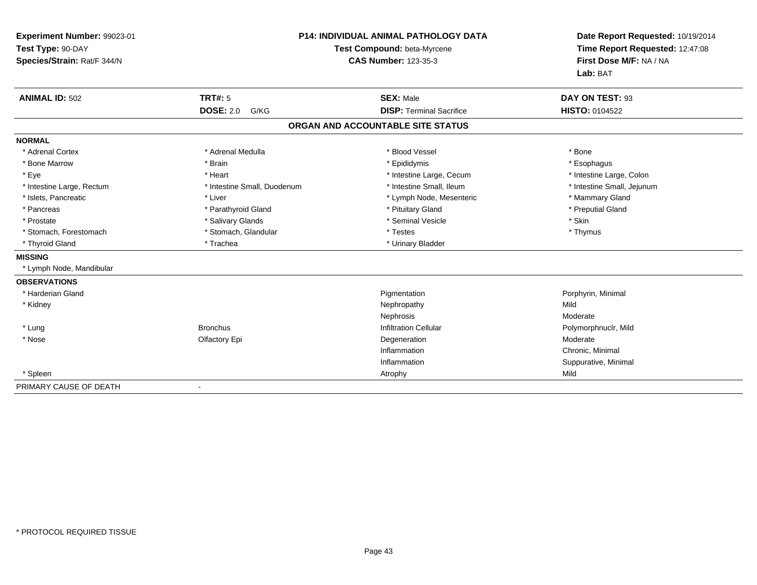| Experiment Number: 99023-01<br>Test Type: 90-DAY<br>Species/Strain: Rat/F 344/N |                              | <b>P14: INDIVIDUAL ANIMAL PATHOLOGY DATA</b><br>Test Compound: beta-Myrcene<br><b>CAS Number: 123-35-3</b> | Date Report Requested: 10/19/2014<br>Time Report Requested: 12:47:08<br>First Dose M/F: NA / NA<br>Lab: BAT |
|---------------------------------------------------------------------------------|------------------------------|------------------------------------------------------------------------------------------------------------|-------------------------------------------------------------------------------------------------------------|
| <b>ANIMAL ID: 502</b>                                                           | <b>TRT#: 5</b>               | <b>SEX: Male</b>                                                                                           | DAY ON TEST: 93                                                                                             |
|                                                                                 | <b>DOSE: 2.0</b><br>G/KG     | <b>DISP: Terminal Sacrifice</b>                                                                            | <b>HISTO: 0104522</b>                                                                                       |
|                                                                                 |                              | ORGAN AND ACCOUNTABLE SITE STATUS                                                                          |                                                                                                             |
| <b>NORMAL</b>                                                                   |                              |                                                                                                            |                                                                                                             |
| * Adrenal Cortex                                                                | * Adrenal Medulla            | * Blood Vessel                                                                                             | * Bone                                                                                                      |
| * Bone Marrow                                                                   | * Brain                      | * Epididymis                                                                                               | * Esophagus                                                                                                 |
| * Eye                                                                           | * Heart                      | * Intestine Large, Cecum                                                                                   | * Intestine Large, Colon                                                                                    |
| * Intestine Large, Rectum                                                       | * Intestine Small, Duodenum  | * Intestine Small, Ileum                                                                                   | * Intestine Small, Jejunum                                                                                  |
| * Islets, Pancreatic                                                            | * Liver                      | * Lymph Node, Mesenteric                                                                                   | * Mammary Gland                                                                                             |
| * Pancreas                                                                      | * Parathyroid Gland          | * Pituitary Gland                                                                                          | * Preputial Gland                                                                                           |
| * Prostate                                                                      | * Salivary Glands            | * Seminal Vesicle                                                                                          | * Skin                                                                                                      |
| * Stomach, Forestomach                                                          | * Stomach, Glandular         | * Testes                                                                                                   | * Thymus                                                                                                    |
| * Thyroid Gland                                                                 | * Trachea                    | * Urinary Bladder                                                                                          |                                                                                                             |
| <b>MISSING</b>                                                                  |                              |                                                                                                            |                                                                                                             |
| * Lymph Node, Mandibular                                                        |                              |                                                                                                            |                                                                                                             |
| <b>OBSERVATIONS</b>                                                             |                              |                                                                                                            |                                                                                                             |
| * Harderian Gland                                                               |                              | Pigmentation                                                                                               | Porphyrin, Minimal                                                                                          |
| * Kidney                                                                        |                              | Nephropathy                                                                                                | Mild                                                                                                        |
|                                                                                 |                              | Nephrosis                                                                                                  | Moderate                                                                                                    |
| * Lung                                                                          | <b>Bronchus</b>              | <b>Infiltration Cellular</b>                                                                               | Polymorphnuclr, Mild                                                                                        |
| * Nose                                                                          | Olfactory Epi                | Degeneration                                                                                               | Moderate                                                                                                    |
|                                                                                 |                              | Inflammation                                                                                               | Chronic, Minimal                                                                                            |
|                                                                                 |                              | Inflammation                                                                                               | Suppurative, Minimal                                                                                        |
| * Spleen                                                                        |                              | Atrophy                                                                                                    | Mild                                                                                                        |
| PRIMARY CAUSE OF DEATH                                                          | $\qquad \qquad \blacksquare$ |                                                                                                            |                                                                                                             |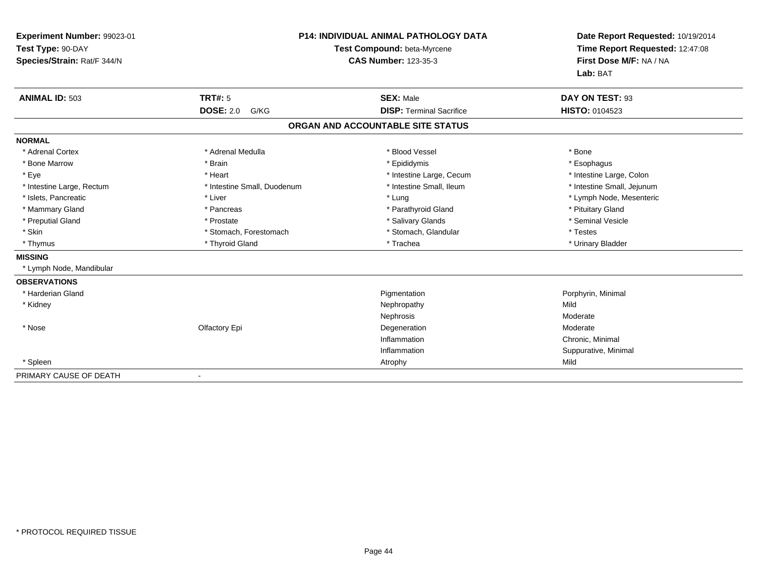| Experiment Number: 99023-01<br>Test Type: 90-DAY<br>Species/Strain: Rat/F 344/N |                              | <b>P14: INDIVIDUAL ANIMAL PATHOLOGY DATA</b><br>Test Compound: beta-Myrcene<br><b>CAS Number: 123-35-3</b> | Date Report Requested: 10/19/2014<br>Time Report Requested: 12:47:08<br>First Dose M/F: NA / NA<br>Lab: BAT |
|---------------------------------------------------------------------------------|------------------------------|------------------------------------------------------------------------------------------------------------|-------------------------------------------------------------------------------------------------------------|
| <b>ANIMAL ID: 503</b>                                                           | <b>TRT#: 5</b>               | <b>SEX: Male</b>                                                                                           | DAY ON TEST: 93                                                                                             |
|                                                                                 | <b>DOSE: 2.0</b><br>G/KG     | <b>DISP: Terminal Sacrifice</b>                                                                            | <b>HISTO: 0104523</b>                                                                                       |
|                                                                                 |                              | ORGAN AND ACCOUNTABLE SITE STATUS                                                                          |                                                                                                             |
| <b>NORMAL</b>                                                                   |                              |                                                                                                            |                                                                                                             |
| * Adrenal Cortex                                                                | * Adrenal Medulla            | * Blood Vessel                                                                                             | * Bone                                                                                                      |
| * Bone Marrow                                                                   | * Brain                      | * Epididymis                                                                                               | * Esophagus                                                                                                 |
| * Eve                                                                           | * Heart                      | * Intestine Large, Cecum                                                                                   | * Intestine Large, Colon                                                                                    |
| * Intestine Large, Rectum                                                       | * Intestine Small, Duodenum  | * Intestine Small, Ileum                                                                                   | * Intestine Small, Jejunum                                                                                  |
| * Islets, Pancreatic                                                            | * Liver                      | * Lung                                                                                                     | * Lymph Node, Mesenteric                                                                                    |
| * Mammary Gland                                                                 | * Pancreas                   | * Parathyroid Gland                                                                                        | * Pituitary Gland                                                                                           |
| * Preputial Gland                                                               | * Prostate                   | * Salivary Glands                                                                                          | * Seminal Vesicle                                                                                           |
| * Skin                                                                          | * Stomach, Forestomach       | * Stomach, Glandular                                                                                       | * Testes                                                                                                    |
| * Thymus                                                                        | * Thyroid Gland              | * Trachea                                                                                                  | * Urinary Bladder                                                                                           |
| <b>MISSING</b>                                                                  |                              |                                                                                                            |                                                                                                             |
| * Lymph Node, Mandibular                                                        |                              |                                                                                                            |                                                                                                             |
| <b>OBSERVATIONS</b>                                                             |                              |                                                                                                            |                                                                                                             |
| * Harderian Gland                                                               |                              | Pigmentation                                                                                               | Porphyrin, Minimal                                                                                          |
| * Kidney                                                                        |                              | Nephropathy                                                                                                | Mild                                                                                                        |
|                                                                                 |                              | Nephrosis                                                                                                  | Moderate                                                                                                    |
| * Nose                                                                          | Olfactory Epi                | Degeneration                                                                                               | Moderate                                                                                                    |
|                                                                                 |                              | Inflammation                                                                                               | Chronic, Minimal                                                                                            |
|                                                                                 |                              | Inflammation                                                                                               | Suppurative, Minimal                                                                                        |
| * Spleen                                                                        |                              | Atrophy                                                                                                    | Mild                                                                                                        |
| PRIMARY CAUSE OF DEATH                                                          | $\qquad \qquad \blacksquare$ |                                                                                                            |                                                                                                             |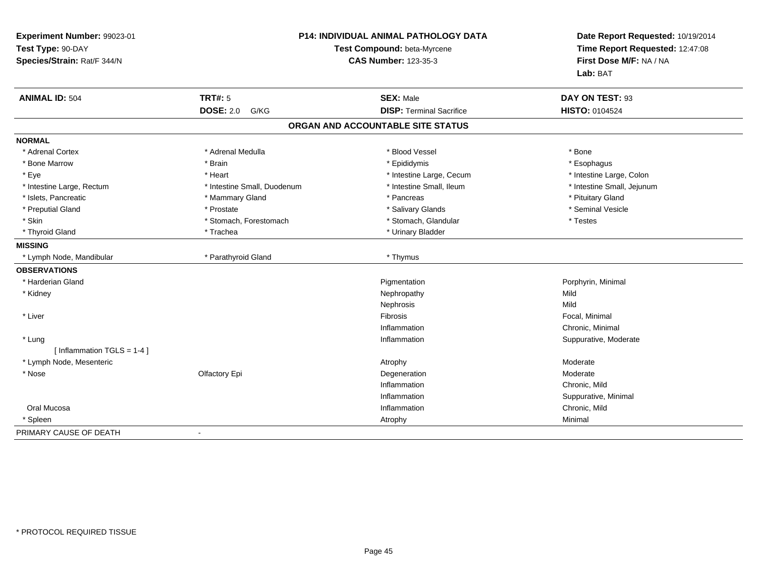| Experiment Number: 99023-01<br>Test Type: 90-DAY<br>Species/Strain: Rat/F 344/N | <b>P14: INDIVIDUAL ANIMAL PATHOLOGY DATA</b><br>Test Compound: beta-Myrcene<br><b>CAS Number: 123-35-3</b> |                                   | Date Report Requested: 10/19/2014<br>Time Report Requested: 12:47:08<br>First Dose M/F: NA / NA<br>Lab: BAT |
|---------------------------------------------------------------------------------|------------------------------------------------------------------------------------------------------------|-----------------------------------|-------------------------------------------------------------------------------------------------------------|
| <b>ANIMAL ID: 504</b>                                                           | <b>TRT#: 5</b>                                                                                             | <b>SEX: Male</b>                  | DAY ON TEST: 93                                                                                             |
|                                                                                 | <b>DOSE: 2.0</b><br>G/KG                                                                                   | <b>DISP: Terminal Sacrifice</b>   | HISTO: 0104524                                                                                              |
|                                                                                 |                                                                                                            | ORGAN AND ACCOUNTABLE SITE STATUS |                                                                                                             |
| <b>NORMAL</b>                                                                   |                                                                                                            |                                   |                                                                                                             |
| * Adrenal Cortex                                                                | * Adrenal Medulla                                                                                          | * Blood Vessel                    | * Bone                                                                                                      |
| * Bone Marrow                                                                   | * Brain                                                                                                    | * Epididymis                      | * Esophagus                                                                                                 |
| * Eye                                                                           | * Heart                                                                                                    | * Intestine Large, Cecum          | * Intestine Large, Colon                                                                                    |
| * Intestine Large, Rectum                                                       | * Intestine Small, Duodenum                                                                                | * Intestine Small, Ileum          | * Intestine Small, Jejunum                                                                                  |
| * Islets, Pancreatic                                                            | * Mammary Gland                                                                                            | * Pancreas                        | * Pituitary Gland                                                                                           |
| * Preputial Gland                                                               | * Prostate                                                                                                 | * Salivary Glands                 | * Seminal Vesicle                                                                                           |
| * Skin                                                                          | * Stomach, Forestomach                                                                                     | * Stomach, Glandular              | * Testes                                                                                                    |
| * Thyroid Gland                                                                 | * Trachea                                                                                                  | * Urinary Bladder                 |                                                                                                             |
| <b>MISSING</b>                                                                  |                                                                                                            |                                   |                                                                                                             |
| * Lymph Node, Mandibular                                                        | * Parathyroid Gland                                                                                        | * Thymus                          |                                                                                                             |
| <b>OBSERVATIONS</b>                                                             |                                                                                                            |                                   |                                                                                                             |
| * Harderian Gland                                                               |                                                                                                            | Pigmentation                      | Porphyrin, Minimal                                                                                          |
| * Kidney                                                                        |                                                                                                            | Nephropathy                       | Mild                                                                                                        |
|                                                                                 |                                                                                                            | Nephrosis                         | Mild                                                                                                        |
| * Liver                                                                         |                                                                                                            | Fibrosis                          | Focal, Minimal                                                                                              |
|                                                                                 |                                                                                                            | Inflammation                      | Chronic, Minimal                                                                                            |
| * Lung<br>[Inflammation TGLS = $1-4$ ]                                          |                                                                                                            | Inflammation                      | Suppurative, Moderate                                                                                       |
| * Lymph Node, Mesenteric                                                        |                                                                                                            | Atrophy                           | Moderate                                                                                                    |
| * Nose                                                                          | Olfactory Epi                                                                                              | Degeneration                      | Moderate                                                                                                    |
|                                                                                 |                                                                                                            | Inflammation                      | Chronic, Mild                                                                                               |
|                                                                                 |                                                                                                            | Inflammation                      | Suppurative, Minimal                                                                                        |
| Oral Mucosa                                                                     |                                                                                                            | Inflammation                      | Chronic, Mild                                                                                               |
| * Spleen                                                                        |                                                                                                            | Atrophy                           | Minimal                                                                                                     |
| PRIMARY CAUSE OF DEATH                                                          | $\blacksquare$                                                                                             |                                   |                                                                                                             |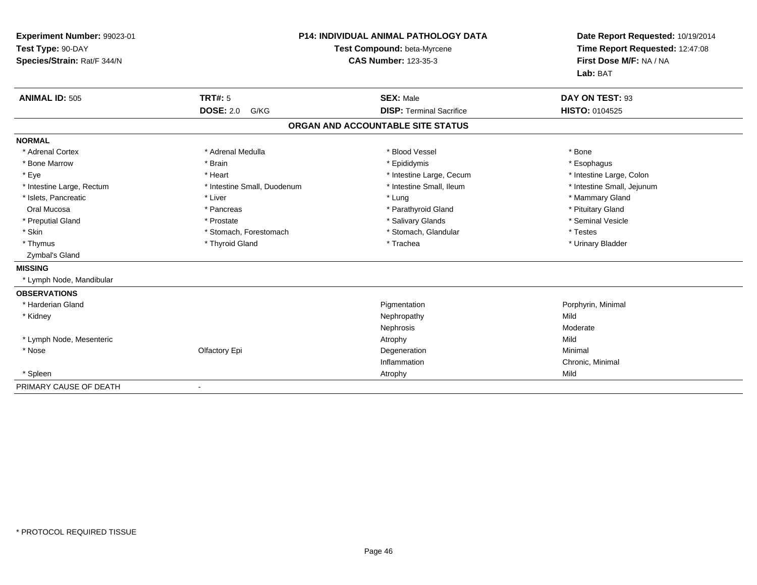| Experiment Number: 99023-01<br>Test Type: 90-DAY<br>Species/Strain: Rat/F 344/N |                             | <b>P14: INDIVIDUAL ANIMAL PATHOLOGY DATA</b><br>Test Compound: beta-Myrcene<br><b>CAS Number: 123-35-3</b> | Date Report Requested: 10/19/2014<br>Time Report Requested: 12:47:08<br>First Dose M/F: NA / NA<br>Lab: BAT |
|---------------------------------------------------------------------------------|-----------------------------|------------------------------------------------------------------------------------------------------------|-------------------------------------------------------------------------------------------------------------|
| <b>ANIMAL ID: 505</b>                                                           | <b>TRT#: 5</b>              | <b>SEX: Male</b>                                                                                           | DAY ON TEST: 93                                                                                             |
|                                                                                 | <b>DOSE: 2.0</b><br>G/KG    | <b>DISP: Terminal Sacrifice</b>                                                                            | <b>HISTO: 0104525</b>                                                                                       |
|                                                                                 |                             | ORGAN AND ACCOUNTABLE SITE STATUS                                                                          |                                                                                                             |
| <b>NORMAL</b>                                                                   |                             |                                                                                                            |                                                                                                             |
| * Adrenal Cortex                                                                | * Adrenal Medulla           | * Blood Vessel                                                                                             | * Bone                                                                                                      |
| * Bone Marrow                                                                   | * Brain                     | * Epididymis                                                                                               | * Esophagus                                                                                                 |
| * Eye                                                                           | * Heart                     | * Intestine Large, Cecum                                                                                   | * Intestine Large, Colon                                                                                    |
| * Intestine Large, Rectum                                                       | * Intestine Small, Duodenum | * Intestine Small, Ileum                                                                                   | * Intestine Small, Jejunum                                                                                  |
| * Islets, Pancreatic                                                            | * Liver                     | * Lung                                                                                                     | * Mammary Gland                                                                                             |
| Oral Mucosa                                                                     | * Pancreas                  | * Parathyroid Gland                                                                                        | * Pituitary Gland                                                                                           |
| * Preputial Gland                                                               | * Prostate                  | * Salivary Glands                                                                                          | * Seminal Vesicle                                                                                           |
| * Skin                                                                          | * Stomach, Forestomach      | * Stomach, Glandular                                                                                       | * Testes                                                                                                    |
| * Thymus                                                                        | * Thyroid Gland             | * Trachea                                                                                                  | * Urinary Bladder                                                                                           |
| Zymbal's Gland                                                                  |                             |                                                                                                            |                                                                                                             |
| <b>MISSING</b>                                                                  |                             |                                                                                                            |                                                                                                             |
| * Lymph Node, Mandibular                                                        |                             |                                                                                                            |                                                                                                             |
| <b>OBSERVATIONS</b>                                                             |                             |                                                                                                            |                                                                                                             |
| * Harderian Gland                                                               |                             | Pigmentation                                                                                               | Porphyrin, Minimal                                                                                          |
| * Kidney                                                                        |                             | Nephropathy                                                                                                | Mild                                                                                                        |
|                                                                                 |                             | Nephrosis                                                                                                  | Moderate                                                                                                    |
| * Lymph Node, Mesenteric                                                        |                             | Atrophy                                                                                                    | Mild                                                                                                        |
| * Nose                                                                          | Olfactory Epi               | Degeneration                                                                                               | Minimal                                                                                                     |
|                                                                                 |                             | Inflammation                                                                                               | Chronic, Minimal                                                                                            |
| * Spleen                                                                        |                             | Atrophy                                                                                                    | Mild                                                                                                        |
| PRIMARY CAUSE OF DEATH                                                          | $\blacksquare$              |                                                                                                            |                                                                                                             |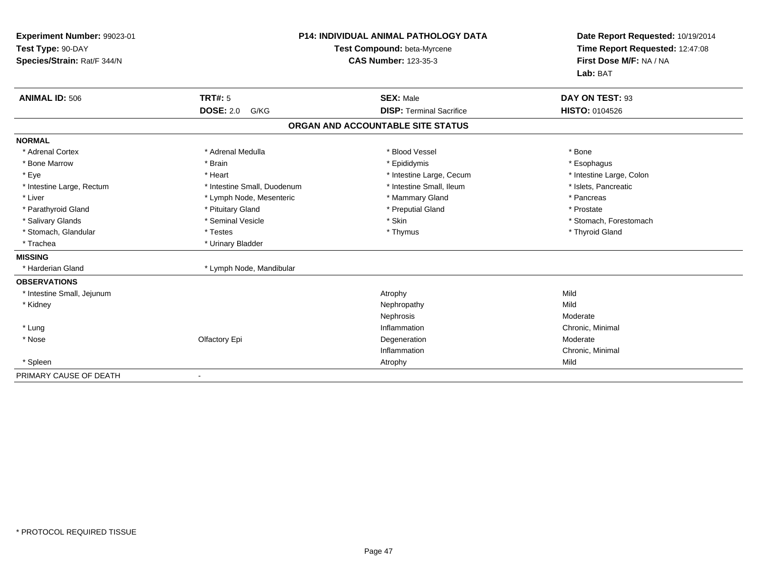| Experiment Number: 99023-01<br>Test Type: 90-DAY<br>Species/Strain: Rat/F 344/N |                             | <b>P14: INDIVIDUAL ANIMAL PATHOLOGY DATA</b><br>Test Compound: beta-Myrcene<br><b>CAS Number: 123-35-3</b> | Date Report Requested: 10/19/2014<br>Time Report Requested: 12:47:08<br>First Dose M/F: NA / NA<br>Lab: BAT |
|---------------------------------------------------------------------------------|-----------------------------|------------------------------------------------------------------------------------------------------------|-------------------------------------------------------------------------------------------------------------|
| <b>ANIMAL ID: 506</b>                                                           | <b>TRT#: 5</b>              | <b>SEX: Male</b>                                                                                           | DAY ON TEST: 93                                                                                             |
|                                                                                 | <b>DOSE: 2.0</b><br>G/KG    | <b>DISP: Terminal Sacrifice</b>                                                                            | <b>HISTO: 0104526</b>                                                                                       |
|                                                                                 |                             | ORGAN AND ACCOUNTABLE SITE STATUS                                                                          |                                                                                                             |
| <b>NORMAL</b>                                                                   |                             |                                                                                                            |                                                                                                             |
| * Adrenal Cortex                                                                | * Adrenal Medulla           | * Blood Vessel                                                                                             | * Bone                                                                                                      |
| * Bone Marrow                                                                   | * Brain                     | * Epididymis                                                                                               | * Esophagus                                                                                                 |
| * Eye                                                                           | * Heart                     | * Intestine Large, Cecum                                                                                   | * Intestine Large, Colon                                                                                    |
| * Intestine Large, Rectum                                                       | * Intestine Small, Duodenum | * Intestine Small, Ileum                                                                                   | * Islets, Pancreatic                                                                                        |
| * Liver                                                                         | * Lymph Node, Mesenteric    | * Mammary Gland                                                                                            | * Pancreas                                                                                                  |
| * Parathyroid Gland                                                             | * Pituitary Gland           | * Preputial Gland                                                                                          | * Prostate                                                                                                  |
| * Salivary Glands                                                               | * Seminal Vesicle           | * Skin                                                                                                     | * Stomach, Forestomach                                                                                      |
| * Stomach, Glandular                                                            | * Testes                    | * Thymus                                                                                                   | * Thyroid Gland                                                                                             |
| * Trachea                                                                       | * Urinary Bladder           |                                                                                                            |                                                                                                             |
| <b>MISSING</b>                                                                  |                             |                                                                                                            |                                                                                                             |
| * Harderian Gland                                                               | * Lymph Node, Mandibular    |                                                                                                            |                                                                                                             |
| <b>OBSERVATIONS</b>                                                             |                             |                                                                                                            |                                                                                                             |
| * Intestine Small, Jejunum                                                      |                             | Atrophy                                                                                                    | Mild                                                                                                        |
| * Kidney                                                                        |                             | Nephropathy                                                                                                | Mild                                                                                                        |
|                                                                                 |                             | Nephrosis                                                                                                  | Moderate                                                                                                    |
| * Lung                                                                          |                             | Inflammation                                                                                               | Chronic, Minimal                                                                                            |
| * Nose                                                                          | Olfactory Epi               | Degeneration                                                                                               | Moderate                                                                                                    |
|                                                                                 |                             | Inflammation                                                                                               | Chronic, Minimal                                                                                            |
| * Spleen                                                                        |                             | Atrophy                                                                                                    | Mild                                                                                                        |
| PRIMARY CAUSE OF DEATH                                                          | $\overline{\phantom{a}}$    |                                                                                                            |                                                                                                             |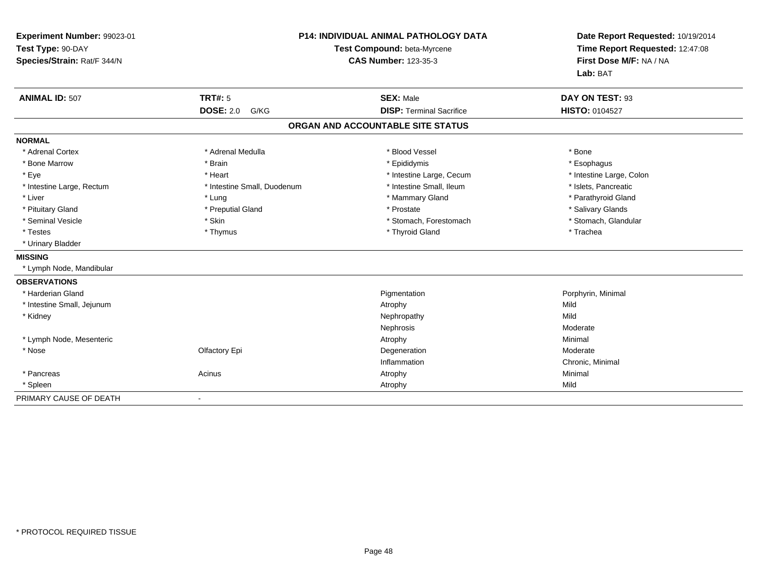| Experiment Number: 99023-01<br>Test Type: 90-DAY<br>Species/Strain: Rat/F 344/N |                             | <b>P14: INDIVIDUAL ANIMAL PATHOLOGY DATA</b><br>Test Compound: beta-Myrcene<br><b>CAS Number: 123-35-3</b> | Date Report Requested: 10/19/2014<br>Time Report Requested: 12:47:08<br>First Dose M/F: NA / NA<br>Lab: BAT |  |
|---------------------------------------------------------------------------------|-----------------------------|------------------------------------------------------------------------------------------------------------|-------------------------------------------------------------------------------------------------------------|--|
| <b>ANIMAL ID: 507</b>                                                           | <b>TRT#: 5</b>              | <b>SEX: Male</b>                                                                                           | DAY ON TEST: 93                                                                                             |  |
|                                                                                 | <b>DOSE: 2.0</b><br>G/KG    | <b>DISP: Terminal Sacrifice</b>                                                                            | <b>HISTO: 0104527</b>                                                                                       |  |
|                                                                                 |                             | ORGAN AND ACCOUNTABLE SITE STATUS                                                                          |                                                                                                             |  |
| <b>NORMAL</b>                                                                   |                             |                                                                                                            |                                                                                                             |  |
| * Adrenal Cortex                                                                | * Adrenal Medulla           | * Blood Vessel                                                                                             | * Bone                                                                                                      |  |
| * Bone Marrow                                                                   | * Brain                     | * Epididymis                                                                                               | * Esophagus                                                                                                 |  |
| * Eye                                                                           | * Heart                     | * Intestine Large, Cecum                                                                                   | * Intestine Large, Colon                                                                                    |  |
| * Intestine Large, Rectum                                                       | * Intestine Small, Duodenum | * Intestine Small, Ileum                                                                                   | * Islets, Pancreatic                                                                                        |  |
| * Liver                                                                         | * Lung                      | * Mammary Gland                                                                                            | * Parathyroid Gland                                                                                         |  |
| * Pituitary Gland                                                               | * Preputial Gland           | * Prostate                                                                                                 | * Salivary Glands                                                                                           |  |
| * Seminal Vesicle                                                               | * Skin                      | * Stomach, Forestomach                                                                                     | * Stomach, Glandular                                                                                        |  |
| * Testes                                                                        | * Thymus                    | * Thyroid Gland                                                                                            | * Trachea                                                                                                   |  |
| * Urinary Bladder                                                               |                             |                                                                                                            |                                                                                                             |  |
| <b>MISSING</b>                                                                  |                             |                                                                                                            |                                                                                                             |  |
| * Lymph Node, Mandibular                                                        |                             |                                                                                                            |                                                                                                             |  |
| <b>OBSERVATIONS</b>                                                             |                             |                                                                                                            |                                                                                                             |  |
| * Harderian Gland                                                               |                             | Pigmentation                                                                                               | Porphyrin, Minimal                                                                                          |  |
| * Intestine Small, Jejunum                                                      |                             | Atrophy                                                                                                    | Mild                                                                                                        |  |
| * Kidney                                                                        |                             | Nephropathy                                                                                                | Mild                                                                                                        |  |
|                                                                                 |                             | Nephrosis                                                                                                  | Moderate                                                                                                    |  |
| * Lymph Node, Mesenteric                                                        |                             | Atrophy                                                                                                    | Minimal                                                                                                     |  |
| * Nose                                                                          | Olfactory Epi               | Degeneration                                                                                               | Moderate                                                                                                    |  |
|                                                                                 |                             | Inflammation                                                                                               | Chronic, Minimal                                                                                            |  |
| * Pancreas                                                                      | Acinus                      | Atrophy                                                                                                    | Minimal                                                                                                     |  |
| * Spleen                                                                        |                             | Atrophy                                                                                                    | Mild                                                                                                        |  |
| PRIMARY CAUSE OF DEATH                                                          | $\blacksquare$              |                                                                                                            |                                                                                                             |  |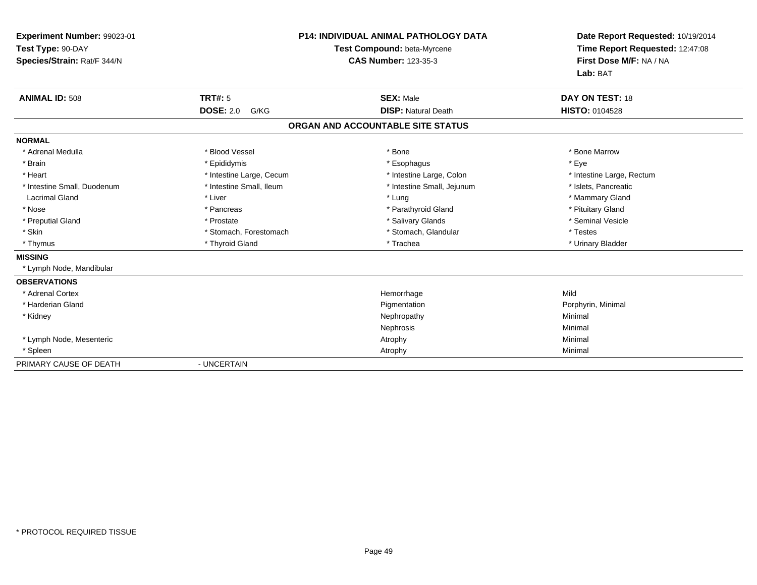| Experiment Number: 99023-01<br>Test Type: 90-DAY<br>Species/Strain: Rat/F 344/N<br><b>ANIMAL ID: 508</b> | <b>TRT#: 5</b>           | <b>P14: INDIVIDUAL ANIMAL PATHOLOGY DATA</b><br>Test Compound: beta-Myrcene<br><b>CAS Number: 123-35-3</b><br><b>SEX: Male</b> | Date Report Requested: 10/19/2014<br>Time Report Requested: 12:47:08<br>First Dose M/F: NA / NA<br>Lab: BAT<br>DAY ON TEST: 18 |
|----------------------------------------------------------------------------------------------------------|--------------------------|--------------------------------------------------------------------------------------------------------------------------------|--------------------------------------------------------------------------------------------------------------------------------|
|                                                                                                          | <b>DOSE: 2.0</b><br>G/KG | <b>DISP: Natural Death</b>                                                                                                     | <b>HISTO: 0104528</b>                                                                                                          |
|                                                                                                          |                          | ORGAN AND ACCOUNTABLE SITE STATUS                                                                                              |                                                                                                                                |
| <b>NORMAL</b>                                                                                            |                          |                                                                                                                                |                                                                                                                                |
| * Adrenal Medulla                                                                                        | * Blood Vessel           | * Bone                                                                                                                         | * Bone Marrow                                                                                                                  |
| * Brain                                                                                                  | * Epididymis             | * Esophagus                                                                                                                    | * Eye                                                                                                                          |
| * Heart                                                                                                  | * Intestine Large, Cecum | * Intestine Large, Colon                                                                                                       | * Intestine Large, Rectum                                                                                                      |
| * Intestine Small. Duodenum                                                                              | * Intestine Small, Ileum | * Intestine Small, Jejunum                                                                                                     | * Islets, Pancreatic                                                                                                           |
| <b>Lacrimal Gland</b>                                                                                    | * Liver                  | * Lung                                                                                                                         | * Mammary Gland                                                                                                                |
| * Nose                                                                                                   | * Pancreas               | * Parathyroid Gland                                                                                                            | * Pituitary Gland                                                                                                              |
| * Preputial Gland                                                                                        | * Prostate               | * Salivary Glands                                                                                                              | * Seminal Vesicle                                                                                                              |
| * Skin                                                                                                   | * Stomach, Forestomach   | * Stomach, Glandular                                                                                                           | * Testes                                                                                                                       |
| * Thymus                                                                                                 | * Thyroid Gland          | * Trachea                                                                                                                      | * Urinary Bladder                                                                                                              |
| <b>MISSING</b>                                                                                           |                          |                                                                                                                                |                                                                                                                                |
| * Lymph Node, Mandibular                                                                                 |                          |                                                                                                                                |                                                                                                                                |
| <b>OBSERVATIONS</b>                                                                                      |                          |                                                                                                                                |                                                                                                                                |
| * Adrenal Cortex                                                                                         |                          | Hemorrhage                                                                                                                     | Mild                                                                                                                           |
| * Harderian Gland                                                                                        |                          | Pigmentation                                                                                                                   | Porphyrin, Minimal                                                                                                             |
| * Kidney                                                                                                 |                          | Nephropathy                                                                                                                    | Minimal                                                                                                                        |
|                                                                                                          |                          | Nephrosis                                                                                                                      | Minimal                                                                                                                        |
| * Lymph Node, Mesenteric                                                                                 |                          | Atrophy                                                                                                                        | Minimal                                                                                                                        |
| * Spleen                                                                                                 |                          | Atrophy                                                                                                                        | Minimal                                                                                                                        |
| PRIMARY CAUSE OF DEATH                                                                                   | - UNCERTAIN              |                                                                                                                                |                                                                                                                                |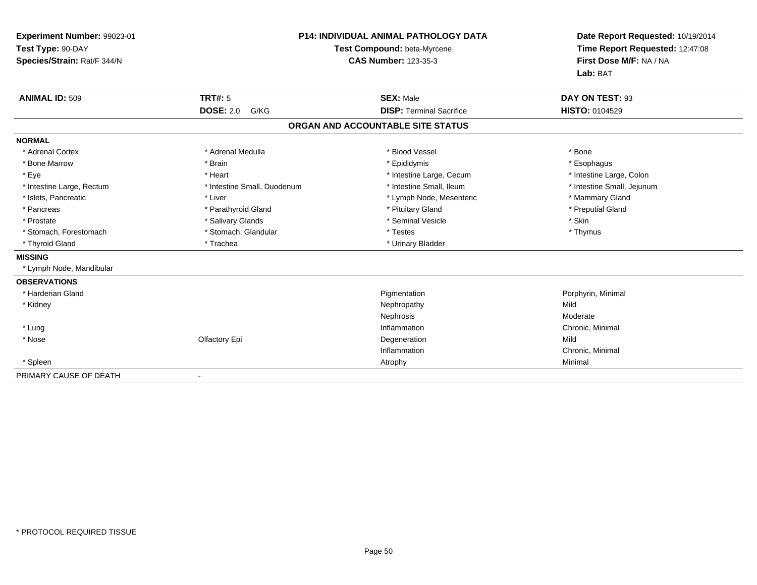| Experiment Number: 99023-01<br>Test Type: 90-DAY<br>Species/Strain: Rat/F 344/N |                             | <b>P14: INDIVIDUAL ANIMAL PATHOLOGY DATA</b><br>Test Compound: beta-Myrcene<br><b>CAS Number: 123-35-3</b> | Date Report Requested: 10/19/2014<br>Time Report Requested: 12:47:08<br>First Dose M/F: NA / NA<br>Lab: BAT |
|---------------------------------------------------------------------------------|-----------------------------|------------------------------------------------------------------------------------------------------------|-------------------------------------------------------------------------------------------------------------|
| <b>ANIMAL ID: 509</b>                                                           | <b>TRT#: 5</b>              | <b>SEX: Male</b>                                                                                           | DAY ON TEST: 93                                                                                             |
|                                                                                 | <b>DOSE: 2.0</b><br>G/KG    | <b>DISP: Terminal Sacrifice</b>                                                                            | <b>HISTO: 0104529</b>                                                                                       |
|                                                                                 |                             | ORGAN AND ACCOUNTABLE SITE STATUS                                                                          |                                                                                                             |
| <b>NORMAL</b>                                                                   |                             |                                                                                                            |                                                                                                             |
| * Adrenal Cortex                                                                | * Adrenal Medulla           | * Blood Vessel                                                                                             | * Bone                                                                                                      |
| * Bone Marrow                                                                   | * Brain                     | * Epididymis                                                                                               | * Esophagus                                                                                                 |
| * Eye                                                                           | * Heart                     | * Intestine Large, Cecum                                                                                   | * Intestine Large, Colon                                                                                    |
| * Intestine Large, Rectum                                                       | * Intestine Small, Duodenum | * Intestine Small, Ileum                                                                                   | * Intestine Small, Jejunum                                                                                  |
| * Islets, Pancreatic                                                            | * Liver                     | * Lymph Node, Mesenteric                                                                                   | * Mammary Gland                                                                                             |
| * Pancreas                                                                      | * Parathyroid Gland         | * Pituitary Gland                                                                                          | * Preputial Gland                                                                                           |
| * Prostate                                                                      | * Salivary Glands           | * Seminal Vesicle                                                                                          | * Skin                                                                                                      |
| * Stomach, Forestomach                                                          | * Stomach, Glandular        | * Testes                                                                                                   | * Thymus                                                                                                    |
| * Thyroid Gland                                                                 | * Trachea                   | * Urinary Bladder                                                                                          |                                                                                                             |
| <b>MISSING</b>                                                                  |                             |                                                                                                            |                                                                                                             |
| * Lymph Node, Mandibular                                                        |                             |                                                                                                            |                                                                                                             |
| <b>OBSERVATIONS</b>                                                             |                             |                                                                                                            |                                                                                                             |
| * Harderian Gland                                                               |                             | Pigmentation                                                                                               | Porphyrin, Minimal                                                                                          |
| * Kidney                                                                        |                             | Nephropathy                                                                                                | Mild                                                                                                        |
|                                                                                 |                             | Nephrosis                                                                                                  | Moderate                                                                                                    |
| * Lung                                                                          |                             | Inflammation                                                                                               | Chronic, Minimal                                                                                            |
| * Nose                                                                          | Olfactory Epi               | Degeneration                                                                                               | Mild                                                                                                        |
|                                                                                 |                             | Inflammation                                                                                               | Chronic, Minimal                                                                                            |
| * Spleen                                                                        |                             | Atrophy                                                                                                    | Minimal                                                                                                     |
| PRIMARY CAUSE OF DEATH                                                          |                             |                                                                                                            |                                                                                                             |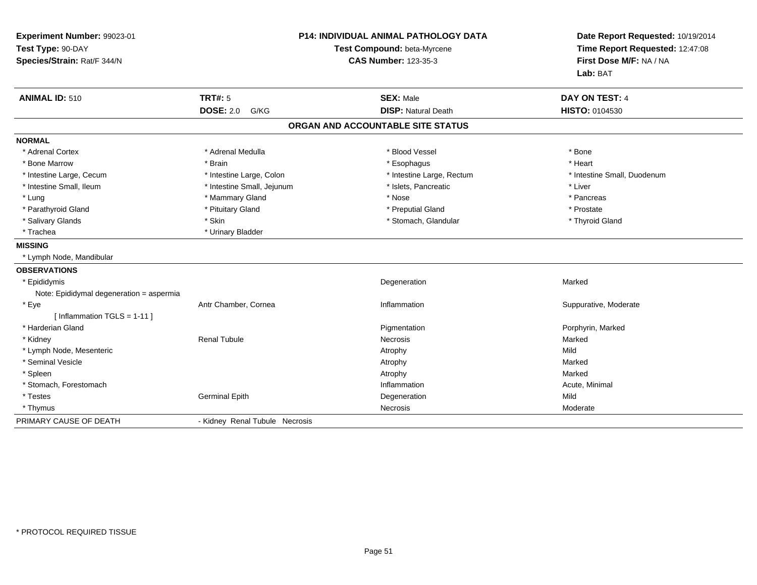| Experiment Number: 99023-01<br>Test Type: 90-DAY<br>Species/Strain: Rat/F 344/N | <b>P14: INDIVIDUAL ANIMAL PATHOLOGY DATA</b><br>Test Compound: beta-Myrcene<br><b>CAS Number: 123-35-3</b> |                                   | Date Report Requested: 10/19/2014<br>Time Report Requested: 12:47:08<br>First Dose M/F: NA / NA<br>Lab: BAT |
|---------------------------------------------------------------------------------|------------------------------------------------------------------------------------------------------------|-----------------------------------|-------------------------------------------------------------------------------------------------------------|
| <b>ANIMAL ID: 510</b>                                                           | <b>TRT#: 5</b>                                                                                             | <b>SEX: Male</b>                  | DAY ON TEST: 4                                                                                              |
|                                                                                 | <b>DOSE: 2.0</b><br>G/KG                                                                                   | <b>DISP: Natural Death</b>        | HISTO: 0104530                                                                                              |
|                                                                                 |                                                                                                            | ORGAN AND ACCOUNTABLE SITE STATUS |                                                                                                             |
| <b>NORMAL</b>                                                                   |                                                                                                            |                                   |                                                                                                             |
| * Adrenal Cortex                                                                | * Adrenal Medulla                                                                                          | * Blood Vessel                    | * Bone                                                                                                      |
| * Bone Marrow                                                                   | * Brain                                                                                                    | * Esophagus                       | * Heart                                                                                                     |
| * Intestine Large, Cecum                                                        | * Intestine Large, Colon                                                                                   | * Intestine Large, Rectum         | * Intestine Small, Duodenum                                                                                 |
| * Intestine Small, Ileum                                                        | * Intestine Small, Jejunum                                                                                 | * Islets, Pancreatic              | * Liver                                                                                                     |
| * Lung                                                                          | * Mammary Gland                                                                                            | * Nose                            | * Pancreas                                                                                                  |
| * Parathyroid Gland                                                             | * Pituitary Gland                                                                                          | * Preputial Gland                 | * Prostate                                                                                                  |
| * Salivary Glands                                                               | * Skin                                                                                                     | * Stomach, Glandular              | * Thyroid Gland                                                                                             |
| * Trachea                                                                       | * Urinary Bladder                                                                                          |                                   |                                                                                                             |
| <b>MISSING</b>                                                                  |                                                                                                            |                                   |                                                                                                             |
| * Lymph Node, Mandibular                                                        |                                                                                                            |                                   |                                                                                                             |
| <b>OBSERVATIONS</b>                                                             |                                                                                                            |                                   |                                                                                                             |
| * Epididymis                                                                    |                                                                                                            | Degeneration                      | Marked                                                                                                      |
| Note: Epididymal degeneration = aspermia                                        |                                                                                                            |                                   |                                                                                                             |
| * Eye                                                                           | Antr Chamber, Cornea                                                                                       | Inflammation                      | Suppurative, Moderate                                                                                       |
| [Inflammation $TGLS = 1-11$ ]                                                   |                                                                                                            |                                   |                                                                                                             |
| * Harderian Gland                                                               |                                                                                                            | Pigmentation                      | Porphyrin, Marked                                                                                           |
| * Kidney                                                                        | <b>Renal Tubule</b>                                                                                        | Necrosis                          | Marked                                                                                                      |
| * Lymph Node, Mesenteric                                                        |                                                                                                            | Atrophy                           | Mild                                                                                                        |
| * Seminal Vesicle                                                               |                                                                                                            | Atrophy                           | Marked                                                                                                      |
| * Spleen                                                                        |                                                                                                            | Atrophy                           | Marked                                                                                                      |
| * Stomach, Forestomach                                                          |                                                                                                            | Inflammation                      | Acute, Minimal                                                                                              |
| * Testes                                                                        | <b>Germinal Epith</b>                                                                                      | Degeneration                      | Mild                                                                                                        |
| * Thymus                                                                        |                                                                                                            | Necrosis                          | Moderate                                                                                                    |
| PRIMARY CAUSE OF DEATH                                                          | - Kidney Renal Tubule Necrosis                                                                             |                                   |                                                                                                             |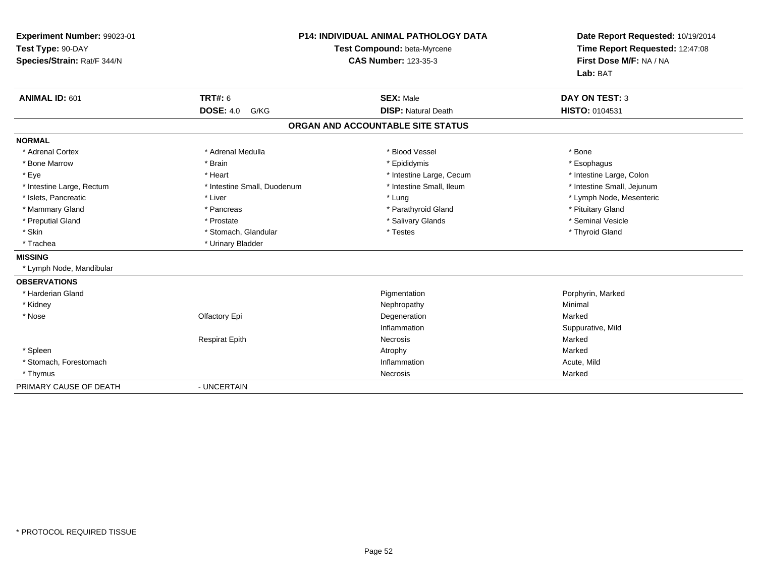| Experiment Number: 99023-01<br>Test Type: 90-DAY<br>Species/Strain: Rat/F 344/N |                             | <b>P14: INDIVIDUAL ANIMAL PATHOLOGY DATA</b><br>Test Compound: beta-Myrcene<br><b>CAS Number: 123-35-3</b> | Date Report Requested: 10/19/2014<br>Time Report Requested: 12:47:08<br>First Dose M/F: NA / NA<br>Lab: BAT |
|---------------------------------------------------------------------------------|-----------------------------|------------------------------------------------------------------------------------------------------------|-------------------------------------------------------------------------------------------------------------|
| ANIMAL ID: 601                                                                  | <b>TRT#: 6</b>              | <b>SEX: Male</b>                                                                                           | <b>DAY ON TEST: 3</b>                                                                                       |
|                                                                                 | <b>DOSE: 4.0</b><br>G/KG    | <b>DISP: Natural Death</b>                                                                                 | HISTO: 0104531                                                                                              |
|                                                                                 |                             | ORGAN AND ACCOUNTABLE SITE STATUS                                                                          |                                                                                                             |
| <b>NORMAL</b>                                                                   |                             |                                                                                                            |                                                                                                             |
| * Adrenal Cortex                                                                | * Adrenal Medulla           | * Blood Vessel                                                                                             | * Bone                                                                                                      |
| * Bone Marrow                                                                   | * Brain                     | * Epididymis                                                                                               | * Esophagus                                                                                                 |
| * Eye                                                                           | * Heart                     | * Intestine Large, Cecum                                                                                   | * Intestine Large, Colon                                                                                    |
| * Intestine Large, Rectum                                                       | * Intestine Small, Duodenum | * Intestine Small, Ileum                                                                                   | * Intestine Small, Jejunum                                                                                  |
| * Islets, Pancreatic                                                            | * Liver                     | * Lung                                                                                                     | * Lymph Node, Mesenteric                                                                                    |
| * Mammary Gland                                                                 | * Pancreas                  | * Parathyroid Gland                                                                                        | * Pituitary Gland                                                                                           |
| * Preputial Gland                                                               | * Prostate                  | * Salivary Glands                                                                                          | * Seminal Vesicle                                                                                           |
| * Skin                                                                          | * Stomach, Glandular        | * Testes                                                                                                   | * Thyroid Gland                                                                                             |
| * Trachea                                                                       | * Urinary Bladder           |                                                                                                            |                                                                                                             |
| <b>MISSING</b>                                                                  |                             |                                                                                                            |                                                                                                             |
| * Lymph Node, Mandibular                                                        |                             |                                                                                                            |                                                                                                             |
| <b>OBSERVATIONS</b>                                                             |                             |                                                                                                            |                                                                                                             |
| * Harderian Gland                                                               |                             | Pigmentation                                                                                               | Porphyrin, Marked                                                                                           |
| * Kidney                                                                        |                             | Nephropathy                                                                                                | Minimal                                                                                                     |
| * Nose                                                                          | Olfactory Epi               | Degeneration                                                                                               | Marked                                                                                                      |
|                                                                                 |                             | Inflammation                                                                                               | Suppurative, Mild                                                                                           |
|                                                                                 | <b>Respirat Epith</b>       | Necrosis                                                                                                   | Marked                                                                                                      |
| * Spleen                                                                        |                             | Atrophy                                                                                                    | Marked                                                                                                      |
| * Stomach, Forestomach                                                          |                             | Inflammation                                                                                               | Acute, Mild                                                                                                 |
| * Thymus                                                                        |                             | Necrosis                                                                                                   | Marked                                                                                                      |
| PRIMARY CAUSE OF DEATH                                                          | - UNCERTAIN                 |                                                                                                            |                                                                                                             |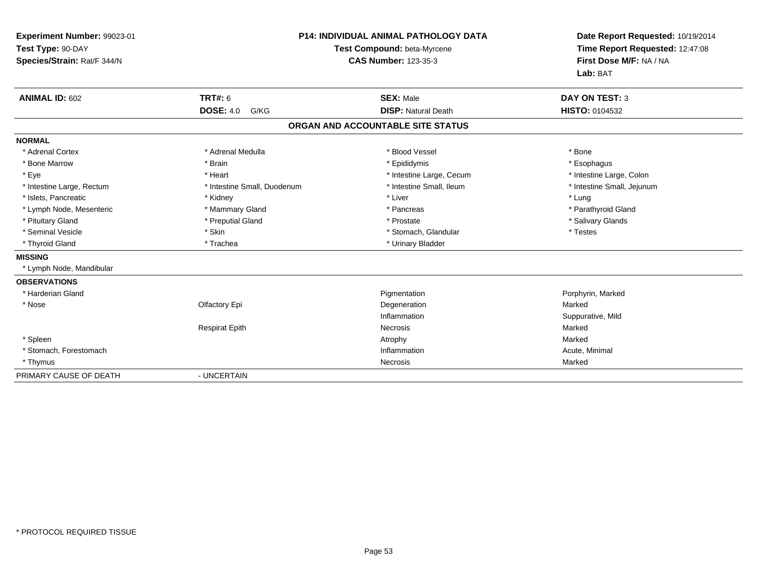| Experiment Number: 99023-01<br>Test Type: 90-DAY<br>Species/Strain: Rat/F 344/N |                             | <b>P14: INDIVIDUAL ANIMAL PATHOLOGY DATA</b><br>Test Compound: beta-Myrcene<br><b>CAS Number: 123-35-3</b> | Date Report Requested: 10/19/2014<br>Time Report Requested: 12:47:08<br>First Dose M/F: NA / NA<br>Lab: BAT |
|---------------------------------------------------------------------------------|-----------------------------|------------------------------------------------------------------------------------------------------------|-------------------------------------------------------------------------------------------------------------|
| <b>ANIMAL ID: 602</b>                                                           | <b>TRT#: 6</b>              | <b>SEX: Male</b>                                                                                           | <b>DAY ON TEST: 3</b>                                                                                       |
|                                                                                 | <b>DOSE: 4.0</b><br>G/KG    | <b>DISP: Natural Death</b>                                                                                 | HISTO: 0104532                                                                                              |
|                                                                                 |                             | ORGAN AND ACCOUNTABLE SITE STATUS                                                                          |                                                                                                             |
| <b>NORMAL</b>                                                                   |                             |                                                                                                            |                                                                                                             |
| * Adrenal Cortex                                                                | * Adrenal Medulla           | * Blood Vessel                                                                                             | * Bone                                                                                                      |
| * Bone Marrow                                                                   | * Brain                     | * Epididymis                                                                                               | * Esophagus                                                                                                 |
| * Eye                                                                           | * Heart                     | * Intestine Large, Cecum                                                                                   | * Intestine Large, Colon                                                                                    |
| * Intestine Large, Rectum                                                       | * Intestine Small, Duodenum | * Intestine Small, Ileum                                                                                   | * Intestine Small, Jejunum                                                                                  |
| * Islets, Pancreatic                                                            | * Kidney                    | * Liver                                                                                                    | * Lung                                                                                                      |
| * Lymph Node, Mesenteric                                                        | * Mammary Gland             | * Pancreas                                                                                                 | * Parathyroid Gland                                                                                         |
| * Pituitary Gland                                                               | * Preputial Gland           | * Prostate                                                                                                 | * Salivary Glands                                                                                           |
| * Seminal Vesicle                                                               | * Skin                      | * Stomach, Glandular                                                                                       | * Testes                                                                                                    |
| * Thyroid Gland                                                                 | * Trachea                   | * Urinary Bladder                                                                                          |                                                                                                             |
| <b>MISSING</b>                                                                  |                             |                                                                                                            |                                                                                                             |
| * Lymph Node, Mandibular                                                        |                             |                                                                                                            |                                                                                                             |
| <b>OBSERVATIONS</b>                                                             |                             |                                                                                                            |                                                                                                             |
| * Harderian Gland                                                               |                             | Pigmentation                                                                                               | Porphyrin, Marked                                                                                           |
| * Nose                                                                          | Olfactory Epi               | Degeneration                                                                                               | Marked                                                                                                      |
|                                                                                 |                             | Inflammation                                                                                               | Suppurative, Mild                                                                                           |
|                                                                                 | <b>Respirat Epith</b>       | Necrosis                                                                                                   | Marked                                                                                                      |
| * Spleen                                                                        |                             | Atrophy                                                                                                    | Marked                                                                                                      |
| * Stomach, Forestomach                                                          |                             | Inflammation                                                                                               | Acute, Minimal                                                                                              |
| * Thymus                                                                        |                             | Necrosis                                                                                                   | Marked                                                                                                      |
| PRIMARY CAUSE OF DEATH                                                          | - UNCERTAIN                 |                                                                                                            |                                                                                                             |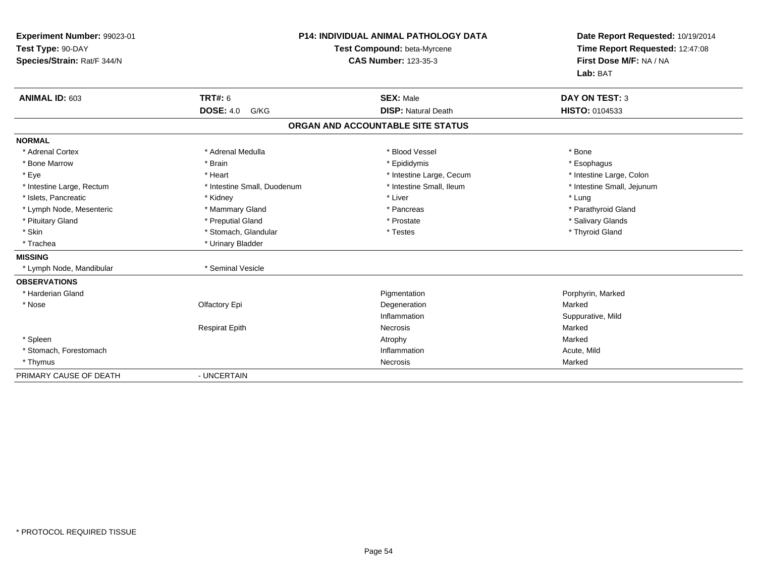| Experiment Number: 99023-01<br>Test Type: 90-DAY<br>Species/Strain: Rat/F 344/N |                             | <b>P14: INDIVIDUAL ANIMAL PATHOLOGY DATA</b><br>Test Compound: beta-Myrcene<br><b>CAS Number: 123-35-3</b> | Date Report Requested: 10/19/2014<br>Time Report Requested: 12:47:08<br>First Dose M/F: NA / NA<br>Lab: BAT |
|---------------------------------------------------------------------------------|-----------------------------|------------------------------------------------------------------------------------------------------------|-------------------------------------------------------------------------------------------------------------|
| ANIMAL ID: 603                                                                  | <b>TRT#: 6</b>              | <b>SEX: Male</b>                                                                                           | <b>DAY ON TEST: 3</b>                                                                                       |
|                                                                                 | <b>DOSE: 4.0</b><br>G/KG    | <b>DISP: Natural Death</b>                                                                                 | HISTO: 0104533                                                                                              |
|                                                                                 |                             | ORGAN AND ACCOUNTABLE SITE STATUS                                                                          |                                                                                                             |
| <b>NORMAL</b>                                                                   |                             |                                                                                                            |                                                                                                             |
| * Adrenal Cortex                                                                | * Adrenal Medulla           | * Blood Vessel                                                                                             | * Bone                                                                                                      |
| * Bone Marrow                                                                   | * Brain                     | * Epididymis                                                                                               | * Esophagus                                                                                                 |
| * Eye                                                                           | * Heart                     | * Intestine Large, Cecum                                                                                   | * Intestine Large, Colon                                                                                    |
| * Intestine Large, Rectum                                                       | * Intestine Small, Duodenum | * Intestine Small, Ileum                                                                                   | * Intestine Small, Jejunum                                                                                  |
| * Islets, Pancreatic                                                            | * Kidney                    | * Liver                                                                                                    | * Lung                                                                                                      |
| * Lymph Node, Mesenteric                                                        | * Mammary Gland             | * Pancreas                                                                                                 | * Parathyroid Gland                                                                                         |
| * Pituitary Gland                                                               | * Preputial Gland           | * Prostate                                                                                                 | * Salivary Glands                                                                                           |
| * Skin                                                                          | * Stomach, Glandular        | * Testes                                                                                                   | * Thyroid Gland                                                                                             |
| * Trachea                                                                       | * Urinary Bladder           |                                                                                                            |                                                                                                             |
| <b>MISSING</b>                                                                  |                             |                                                                                                            |                                                                                                             |
| * Lymph Node, Mandibular                                                        | * Seminal Vesicle           |                                                                                                            |                                                                                                             |
| <b>OBSERVATIONS</b>                                                             |                             |                                                                                                            |                                                                                                             |
| * Harderian Gland                                                               |                             | Pigmentation                                                                                               | Porphyrin, Marked                                                                                           |
| * Nose                                                                          | Olfactory Epi               | Degeneration                                                                                               | Marked                                                                                                      |
|                                                                                 |                             | Inflammation                                                                                               | Suppurative, Mild                                                                                           |
|                                                                                 | <b>Respirat Epith</b>       | Necrosis                                                                                                   | Marked                                                                                                      |
| * Spleen                                                                        |                             | Atrophy                                                                                                    | Marked                                                                                                      |
| * Stomach, Forestomach                                                          |                             | Inflammation                                                                                               | Acute, Mild                                                                                                 |
| * Thymus                                                                        |                             | Necrosis                                                                                                   | Marked                                                                                                      |
| PRIMARY CAUSE OF DEATH                                                          | - UNCERTAIN                 |                                                                                                            |                                                                                                             |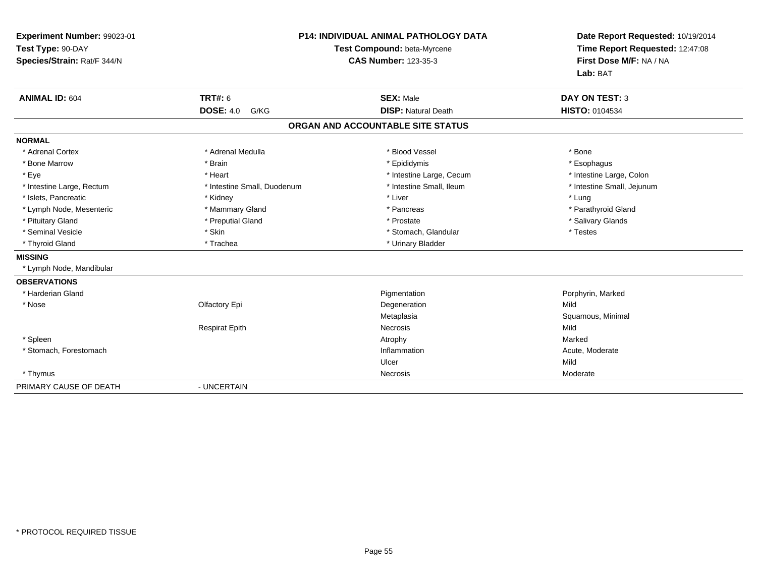| Experiment Number: 99023-01<br>Test Type: 90-DAY<br>Species/Strain: Rat/F 344/N |                             | P14: INDIVIDUAL ANIMAL PATHOLOGY DATA<br>Test Compound: beta-Myrcene<br><b>CAS Number: 123-35-3</b> | Date Report Requested: 10/19/2014<br>Time Report Requested: 12:47:08<br>First Dose M/F: NA / NA<br>Lab: BAT |
|---------------------------------------------------------------------------------|-----------------------------|-----------------------------------------------------------------------------------------------------|-------------------------------------------------------------------------------------------------------------|
| <b>ANIMAL ID: 604</b>                                                           | <b>TRT#: 6</b>              | <b>SEX: Male</b>                                                                                    | <b>DAY ON TEST: 3</b>                                                                                       |
|                                                                                 | <b>DOSE: 4.0</b><br>G/KG    | <b>DISP: Natural Death</b>                                                                          | HISTO: 0104534                                                                                              |
|                                                                                 |                             | ORGAN AND ACCOUNTABLE SITE STATUS                                                                   |                                                                                                             |
| <b>NORMAL</b>                                                                   |                             |                                                                                                     |                                                                                                             |
| * Adrenal Cortex                                                                | * Adrenal Medulla           | * Blood Vessel                                                                                      | * Bone                                                                                                      |
| * Bone Marrow                                                                   | * Brain                     | * Epididymis                                                                                        | * Esophagus                                                                                                 |
| * Eye                                                                           | * Heart                     | * Intestine Large, Cecum                                                                            | * Intestine Large, Colon                                                                                    |
| * Intestine Large, Rectum                                                       | * Intestine Small, Duodenum | * Intestine Small, Ileum                                                                            | * Intestine Small, Jejunum                                                                                  |
| * Islets, Pancreatic                                                            | * Kidney                    | * Liver                                                                                             | * Lung                                                                                                      |
| * Lymph Node, Mesenteric                                                        | * Mammary Gland             | * Pancreas                                                                                          | * Parathyroid Gland                                                                                         |
| * Pituitary Gland                                                               | * Preputial Gland           | * Prostate                                                                                          | * Salivary Glands                                                                                           |
| * Seminal Vesicle                                                               | * Skin                      | * Stomach, Glandular                                                                                | * Testes                                                                                                    |
| * Thyroid Gland                                                                 | * Trachea                   | * Urinary Bladder                                                                                   |                                                                                                             |
| <b>MISSING</b>                                                                  |                             |                                                                                                     |                                                                                                             |
| * Lymph Node, Mandibular                                                        |                             |                                                                                                     |                                                                                                             |
| <b>OBSERVATIONS</b>                                                             |                             |                                                                                                     |                                                                                                             |
| * Harderian Gland                                                               |                             | Pigmentation                                                                                        | Porphyrin, Marked                                                                                           |
| * Nose                                                                          | Olfactory Epi               | Degeneration                                                                                        | Mild                                                                                                        |
|                                                                                 |                             | Metaplasia                                                                                          | Squamous, Minimal                                                                                           |
|                                                                                 | <b>Respirat Epith</b>       | Necrosis                                                                                            | Mild                                                                                                        |
| * Spleen                                                                        |                             | Atrophy                                                                                             | Marked                                                                                                      |
| * Stomach, Forestomach                                                          |                             | Inflammation                                                                                        | Acute, Moderate                                                                                             |
|                                                                                 |                             | Ulcer                                                                                               | Mild                                                                                                        |
| * Thymus                                                                        |                             | Necrosis                                                                                            | Moderate                                                                                                    |
| PRIMARY CAUSE OF DEATH                                                          | - UNCERTAIN                 |                                                                                                     |                                                                                                             |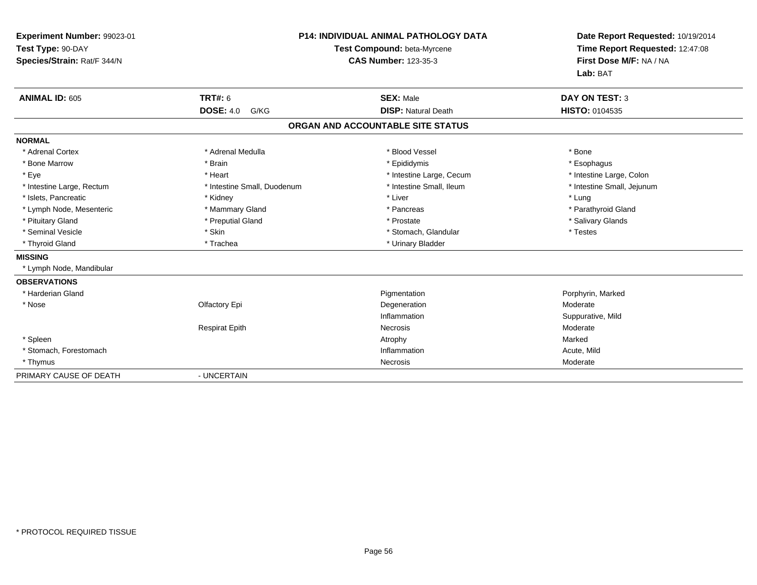| Experiment Number: 99023-01<br>Test Type: 90-DAY<br>Species/Strain: Rat/F 344/N |                             | P14: INDIVIDUAL ANIMAL PATHOLOGY DATA<br>Test Compound: beta-Myrcene<br><b>CAS Number: 123-35-3</b> | Date Report Requested: 10/19/2014<br>Time Report Requested: 12:47:08<br>First Dose M/F: NA / NA<br>Lab: BAT |
|---------------------------------------------------------------------------------|-----------------------------|-----------------------------------------------------------------------------------------------------|-------------------------------------------------------------------------------------------------------------|
| <b>ANIMAL ID: 605</b>                                                           | <b>TRT#: 6</b>              | <b>SEX: Male</b>                                                                                    | <b>DAY ON TEST: 3</b>                                                                                       |
|                                                                                 | <b>DOSE: 4.0</b><br>G/KG    | <b>DISP: Natural Death</b>                                                                          | HISTO: 0104535                                                                                              |
|                                                                                 |                             | ORGAN AND ACCOUNTABLE SITE STATUS                                                                   |                                                                                                             |
| <b>NORMAL</b>                                                                   |                             |                                                                                                     |                                                                                                             |
| * Adrenal Cortex                                                                | * Adrenal Medulla           | * Blood Vessel                                                                                      | * Bone                                                                                                      |
| * Bone Marrow                                                                   | * Brain                     | * Epididymis                                                                                        | * Esophagus                                                                                                 |
| * Eye                                                                           | * Heart                     | * Intestine Large, Cecum                                                                            | * Intestine Large, Colon                                                                                    |
| * Intestine Large, Rectum                                                       | * Intestine Small, Duodenum | * Intestine Small, Ileum                                                                            | * Intestine Small, Jejunum                                                                                  |
| * Islets, Pancreatic                                                            | * Kidney                    | * Liver                                                                                             | * Lung                                                                                                      |
| * Lymph Node, Mesenteric                                                        | * Mammary Gland             | * Pancreas                                                                                          | * Parathyroid Gland                                                                                         |
| * Pituitary Gland                                                               | * Preputial Gland           | * Prostate                                                                                          | * Salivary Glands                                                                                           |
| * Seminal Vesicle                                                               | * Skin                      | * Stomach, Glandular                                                                                | * Testes                                                                                                    |
| * Thyroid Gland                                                                 | * Trachea                   | * Urinary Bladder                                                                                   |                                                                                                             |
| <b>MISSING</b>                                                                  |                             |                                                                                                     |                                                                                                             |
| * Lymph Node, Mandibular                                                        |                             |                                                                                                     |                                                                                                             |
| <b>OBSERVATIONS</b>                                                             |                             |                                                                                                     |                                                                                                             |
| * Harderian Gland                                                               |                             | Pigmentation                                                                                        | Porphyrin, Marked                                                                                           |
| * Nose                                                                          | Olfactory Epi               | Degeneration                                                                                        | Moderate                                                                                                    |
|                                                                                 |                             | Inflammation                                                                                        | Suppurative, Mild                                                                                           |
|                                                                                 | <b>Respirat Epith</b>       | Necrosis                                                                                            | Moderate                                                                                                    |
| * Spleen                                                                        |                             | Atrophy                                                                                             | Marked                                                                                                      |
| * Stomach, Forestomach                                                          |                             | Inflammation                                                                                        | Acute, Mild                                                                                                 |
| * Thymus                                                                        |                             | Necrosis                                                                                            | Moderate                                                                                                    |
| PRIMARY CAUSE OF DEATH                                                          | - UNCERTAIN                 |                                                                                                     |                                                                                                             |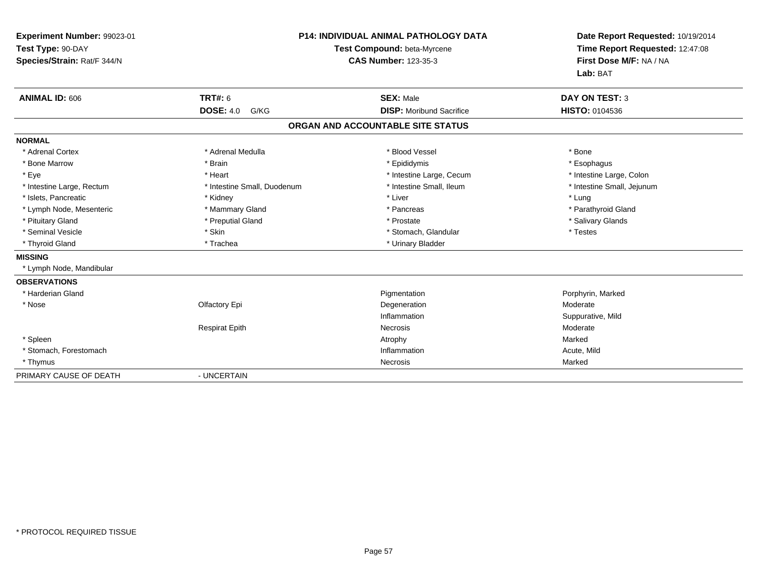| Experiment Number: 99023-01<br>Test Type: 90-DAY<br>Species/Strain: Rat/F 344/N |                             | P14: INDIVIDUAL ANIMAL PATHOLOGY DATA<br>Test Compound: beta-Myrcene<br><b>CAS Number: 123-35-3</b> | Date Report Requested: 10/19/2014<br>Time Report Requested: 12:47:08<br>First Dose M/F: NA / NA<br>Lab: BAT |
|---------------------------------------------------------------------------------|-----------------------------|-----------------------------------------------------------------------------------------------------|-------------------------------------------------------------------------------------------------------------|
| <b>ANIMAL ID: 606</b>                                                           | <b>TRT#: 6</b>              | <b>SEX: Male</b>                                                                                    | <b>DAY ON TEST: 3</b>                                                                                       |
|                                                                                 | <b>DOSE: 4.0</b><br>G/KG    | <b>DISP:</b> Moribund Sacrifice                                                                     | HISTO: 0104536                                                                                              |
|                                                                                 |                             | ORGAN AND ACCOUNTABLE SITE STATUS                                                                   |                                                                                                             |
| <b>NORMAL</b>                                                                   |                             |                                                                                                     |                                                                                                             |
| * Adrenal Cortex                                                                | * Adrenal Medulla           | * Blood Vessel                                                                                      | * Bone                                                                                                      |
| * Bone Marrow                                                                   | * Brain                     | * Epididymis                                                                                        | * Esophagus                                                                                                 |
| * Eye                                                                           | * Heart                     | * Intestine Large, Cecum                                                                            | * Intestine Large, Colon                                                                                    |
| * Intestine Large, Rectum                                                       | * Intestine Small, Duodenum | * Intestine Small, Ileum                                                                            | * Intestine Small, Jejunum                                                                                  |
| * Islets, Pancreatic                                                            | * Kidney                    | * Liver                                                                                             | * Lung                                                                                                      |
| * Lymph Node, Mesenteric                                                        | * Mammary Gland             | * Pancreas                                                                                          | * Parathyroid Gland                                                                                         |
| * Pituitary Gland                                                               | * Preputial Gland           | * Prostate                                                                                          | * Salivary Glands                                                                                           |
| * Seminal Vesicle                                                               | * Skin                      | * Stomach, Glandular                                                                                | * Testes                                                                                                    |
| * Thyroid Gland                                                                 | * Trachea                   | * Urinary Bladder                                                                                   |                                                                                                             |
| <b>MISSING</b>                                                                  |                             |                                                                                                     |                                                                                                             |
| * Lymph Node, Mandibular                                                        |                             |                                                                                                     |                                                                                                             |
| <b>OBSERVATIONS</b>                                                             |                             |                                                                                                     |                                                                                                             |
| * Harderian Gland                                                               |                             | Pigmentation                                                                                        | Porphyrin, Marked                                                                                           |
| * Nose                                                                          | Olfactory Epi               | Degeneration                                                                                        | Moderate                                                                                                    |
|                                                                                 |                             | Inflammation                                                                                        | Suppurative, Mild                                                                                           |
|                                                                                 | <b>Respirat Epith</b>       | Necrosis                                                                                            | Moderate                                                                                                    |
| * Spleen                                                                        |                             | Atrophy                                                                                             | Marked                                                                                                      |
| * Stomach, Forestomach                                                          |                             | Inflammation                                                                                        | Acute, Mild                                                                                                 |
| * Thymus                                                                        |                             | Necrosis                                                                                            | Marked                                                                                                      |
| PRIMARY CAUSE OF DEATH                                                          | - UNCERTAIN                 |                                                                                                     |                                                                                                             |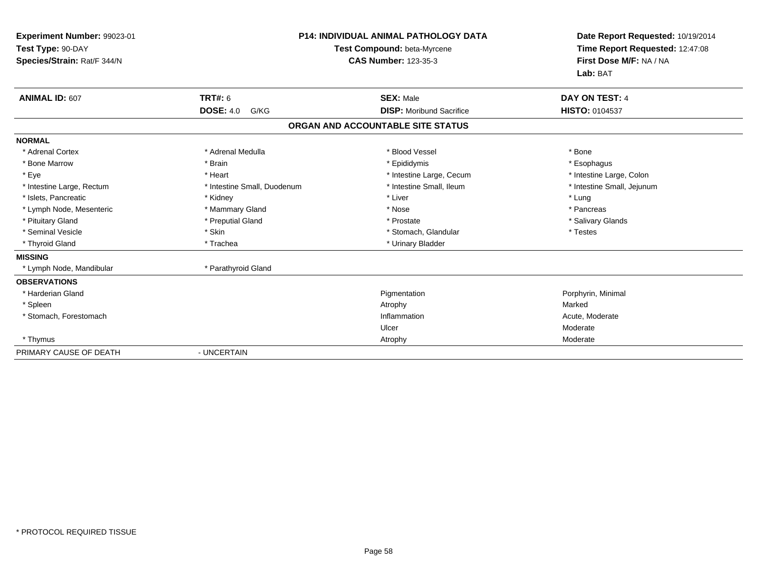| <b>Experiment Number: 99023-01</b><br>Test Type: 90-DAY<br>Species/Strain: Rat/F 344/N |                             | <b>P14: INDIVIDUAL ANIMAL PATHOLOGY DATA</b><br>Test Compound: beta-Myrcene<br><b>CAS Number: 123-35-3</b> | Date Report Requested: 10/19/2014<br>Time Report Requested: 12:47:08<br>First Dose M/F: NA / NA<br>Lab: BAT |
|----------------------------------------------------------------------------------------|-----------------------------|------------------------------------------------------------------------------------------------------------|-------------------------------------------------------------------------------------------------------------|
| <b>ANIMAL ID: 607</b>                                                                  | <b>TRT#: 6</b>              | <b>SEX: Male</b>                                                                                           | <b>DAY ON TEST: 4</b>                                                                                       |
|                                                                                        | <b>DOSE: 4.0</b><br>G/KG    | <b>DISP:</b> Moribund Sacrifice                                                                            | HISTO: 0104537                                                                                              |
|                                                                                        |                             | ORGAN AND ACCOUNTABLE SITE STATUS                                                                          |                                                                                                             |
| <b>NORMAL</b>                                                                          |                             |                                                                                                            |                                                                                                             |
| * Adrenal Cortex                                                                       | * Adrenal Medulla           | * Blood Vessel                                                                                             | * Bone                                                                                                      |
| * Bone Marrow                                                                          | * Brain                     | * Epididymis                                                                                               | * Esophagus                                                                                                 |
| * Eye                                                                                  | * Heart                     | * Intestine Large, Cecum                                                                                   | * Intestine Large, Colon                                                                                    |
| * Intestine Large, Rectum                                                              | * Intestine Small, Duodenum | * Intestine Small, Ileum                                                                                   | * Intestine Small, Jejunum                                                                                  |
| * Islets, Pancreatic                                                                   | * Kidney                    | * Liver                                                                                                    | * Lung                                                                                                      |
| * Lymph Node, Mesenteric                                                               | * Mammary Gland             | * Nose                                                                                                     | * Pancreas                                                                                                  |
| * Pituitary Gland                                                                      | * Preputial Gland           | * Prostate                                                                                                 | * Salivary Glands                                                                                           |
| * Seminal Vesicle                                                                      | * Skin                      | * Stomach, Glandular                                                                                       | * Testes                                                                                                    |
| * Thyroid Gland                                                                        | * Trachea                   | * Urinary Bladder                                                                                          |                                                                                                             |
| <b>MISSING</b>                                                                         |                             |                                                                                                            |                                                                                                             |
| * Lymph Node, Mandibular                                                               | * Parathyroid Gland         |                                                                                                            |                                                                                                             |
| <b>OBSERVATIONS</b>                                                                    |                             |                                                                                                            |                                                                                                             |
| * Harderian Gland                                                                      |                             | Pigmentation                                                                                               | Porphyrin, Minimal                                                                                          |
| * Spleen                                                                               |                             | Atrophy                                                                                                    | Marked                                                                                                      |
| * Stomach, Forestomach                                                                 |                             | Inflammation                                                                                               | Acute, Moderate                                                                                             |
|                                                                                        |                             | Ulcer                                                                                                      | Moderate                                                                                                    |
| * Thymus                                                                               |                             | Atrophy                                                                                                    | Moderate                                                                                                    |
| PRIMARY CAUSE OF DEATH                                                                 | - UNCERTAIN                 |                                                                                                            |                                                                                                             |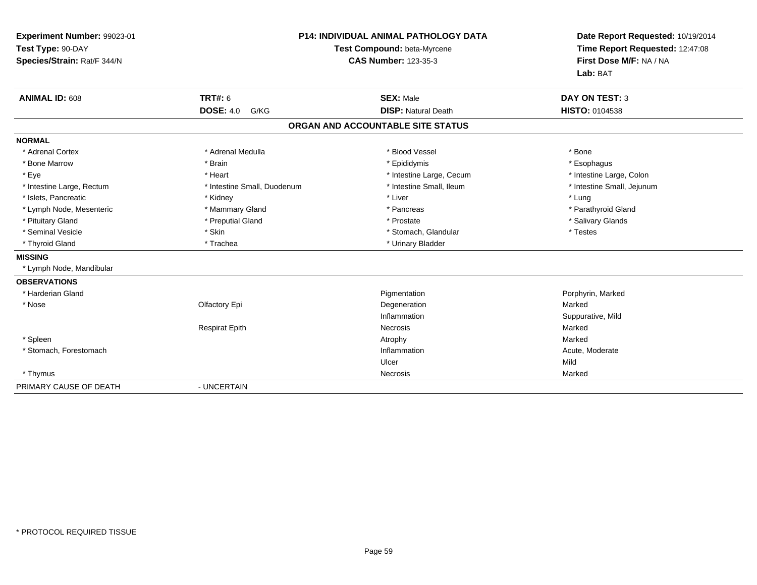| Experiment Number: 99023-01<br>Test Type: 90-DAY<br>Species/Strain: Rat/F 344/N |                             | <b>P14: INDIVIDUAL ANIMAL PATHOLOGY DATA</b><br>Test Compound: beta-Myrcene<br><b>CAS Number: 123-35-3</b> | Date Report Requested: 10/19/2014<br>Time Report Requested: 12:47:08<br>First Dose M/F: NA / NA<br>Lab: BAT |
|---------------------------------------------------------------------------------|-----------------------------|------------------------------------------------------------------------------------------------------------|-------------------------------------------------------------------------------------------------------------|
| <b>ANIMAL ID: 608</b>                                                           | <b>TRT#: 6</b>              | <b>SEX: Male</b>                                                                                           | <b>DAY ON TEST: 3</b>                                                                                       |
|                                                                                 | <b>DOSE: 4.0</b><br>G/KG    | <b>DISP: Natural Death</b>                                                                                 | <b>HISTO: 0104538</b>                                                                                       |
|                                                                                 |                             | ORGAN AND ACCOUNTABLE SITE STATUS                                                                          |                                                                                                             |
| <b>NORMAL</b>                                                                   |                             |                                                                                                            |                                                                                                             |
| * Adrenal Cortex                                                                | * Adrenal Medulla           | * Blood Vessel                                                                                             | * Bone                                                                                                      |
| * Bone Marrow                                                                   | * Brain                     | * Epididymis                                                                                               | * Esophagus                                                                                                 |
| * Eye                                                                           | * Heart                     | * Intestine Large, Cecum                                                                                   | * Intestine Large, Colon                                                                                    |
| * Intestine Large, Rectum                                                       | * Intestine Small, Duodenum | * Intestine Small, Ileum                                                                                   | * Intestine Small, Jejunum                                                                                  |
| * Islets, Pancreatic                                                            | * Kidney                    | * Liver                                                                                                    | * Lung                                                                                                      |
| * Lymph Node, Mesenteric                                                        | * Mammary Gland             | * Pancreas                                                                                                 | * Parathyroid Gland                                                                                         |
| * Pituitary Gland                                                               | * Preputial Gland           | * Prostate                                                                                                 | * Salivary Glands                                                                                           |
| * Seminal Vesicle                                                               | * Skin                      | * Stomach, Glandular                                                                                       | * Testes                                                                                                    |
| * Thyroid Gland                                                                 | * Trachea                   | * Urinary Bladder                                                                                          |                                                                                                             |
| <b>MISSING</b>                                                                  |                             |                                                                                                            |                                                                                                             |
| * Lymph Node, Mandibular                                                        |                             |                                                                                                            |                                                                                                             |
| <b>OBSERVATIONS</b>                                                             |                             |                                                                                                            |                                                                                                             |
| * Harderian Gland                                                               |                             | Pigmentation                                                                                               | Porphyrin, Marked                                                                                           |
| * Nose                                                                          | Olfactory Epi               | Degeneration                                                                                               | Marked                                                                                                      |
|                                                                                 |                             | Inflammation                                                                                               | Suppurative, Mild                                                                                           |
|                                                                                 | <b>Respirat Epith</b>       | Necrosis                                                                                                   | Marked                                                                                                      |
| * Spleen                                                                        |                             | Atrophy                                                                                                    | Marked                                                                                                      |
| * Stomach, Forestomach                                                          |                             | Inflammation                                                                                               | Acute, Moderate                                                                                             |
|                                                                                 |                             | Ulcer                                                                                                      | Mild                                                                                                        |
| * Thymus                                                                        |                             | Necrosis                                                                                                   | Marked                                                                                                      |
| PRIMARY CAUSE OF DEATH                                                          | - UNCERTAIN                 |                                                                                                            |                                                                                                             |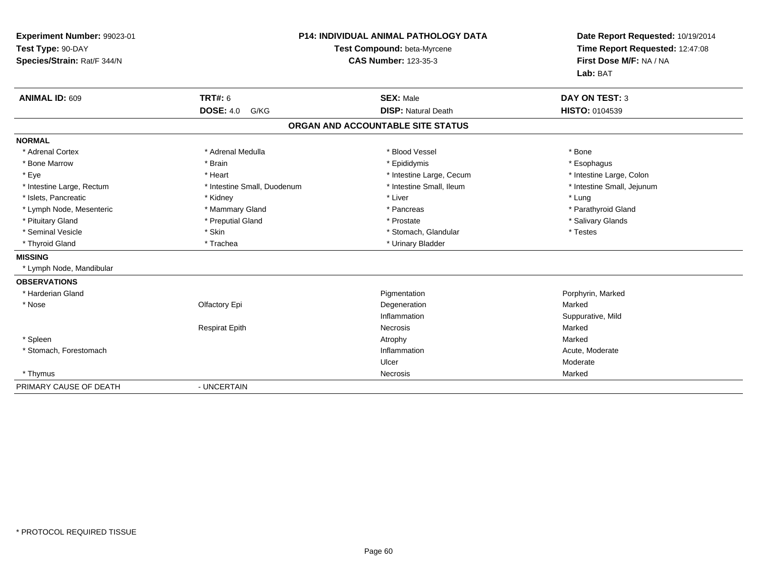| Experiment Number: 99023-01<br>Test Type: 90-DAY<br>Species/Strain: Rat/F 344/N |                             | <b>P14: INDIVIDUAL ANIMAL PATHOLOGY DATA</b><br>Test Compound: beta-Myrcene<br><b>CAS Number: 123-35-3</b> | Date Report Requested: 10/19/2014<br>Time Report Requested: 12:47:08<br>First Dose M/F: NA / NA<br>Lab: BAT |
|---------------------------------------------------------------------------------|-----------------------------|------------------------------------------------------------------------------------------------------------|-------------------------------------------------------------------------------------------------------------|
| <b>ANIMAL ID: 609</b>                                                           | <b>TRT#: 6</b>              | <b>SEX: Male</b>                                                                                           | <b>DAY ON TEST: 3</b>                                                                                       |
|                                                                                 | <b>DOSE: 4.0</b><br>G/KG    | <b>DISP: Natural Death</b>                                                                                 | <b>HISTO: 0104539</b>                                                                                       |
|                                                                                 |                             | ORGAN AND ACCOUNTABLE SITE STATUS                                                                          |                                                                                                             |
| <b>NORMAL</b>                                                                   |                             |                                                                                                            |                                                                                                             |
| * Adrenal Cortex                                                                | * Adrenal Medulla           | * Blood Vessel                                                                                             | * Bone                                                                                                      |
| * Bone Marrow                                                                   | * Brain                     | * Epididymis                                                                                               | * Esophagus                                                                                                 |
| * Eye                                                                           | * Heart                     | * Intestine Large, Cecum                                                                                   | * Intestine Large, Colon                                                                                    |
| * Intestine Large, Rectum                                                       | * Intestine Small, Duodenum | * Intestine Small. Ileum                                                                                   | * Intestine Small, Jejunum                                                                                  |
| * Islets, Pancreatic                                                            | * Kidney                    | * Liver                                                                                                    | * Lung                                                                                                      |
| * Lymph Node, Mesenteric                                                        | * Mammary Gland             | * Pancreas                                                                                                 | * Parathyroid Gland                                                                                         |
| * Pituitary Gland                                                               | * Preputial Gland           | * Prostate                                                                                                 | * Salivary Glands                                                                                           |
| * Seminal Vesicle                                                               | * Skin                      | * Stomach, Glandular                                                                                       | * Testes                                                                                                    |
| * Thyroid Gland                                                                 | * Trachea                   | * Urinary Bladder                                                                                          |                                                                                                             |
| <b>MISSING</b>                                                                  |                             |                                                                                                            |                                                                                                             |
| * Lymph Node, Mandibular                                                        |                             |                                                                                                            |                                                                                                             |
| <b>OBSERVATIONS</b>                                                             |                             |                                                                                                            |                                                                                                             |
| * Harderian Gland                                                               |                             | Pigmentation                                                                                               | Porphyrin, Marked                                                                                           |
| * Nose                                                                          | Olfactory Epi               | Degeneration                                                                                               | Marked                                                                                                      |
|                                                                                 |                             | Inflammation                                                                                               | Suppurative, Mild                                                                                           |
|                                                                                 | <b>Respirat Epith</b>       | Necrosis                                                                                                   | Marked                                                                                                      |
| * Spleen                                                                        |                             | Atrophy                                                                                                    | Marked                                                                                                      |
| * Stomach, Forestomach                                                          |                             | Inflammation                                                                                               | Acute, Moderate                                                                                             |
|                                                                                 |                             | Ulcer                                                                                                      | Moderate                                                                                                    |
| * Thymus                                                                        |                             | Necrosis                                                                                                   | Marked                                                                                                      |
| PRIMARY CAUSE OF DEATH                                                          | - UNCERTAIN                 |                                                                                                            |                                                                                                             |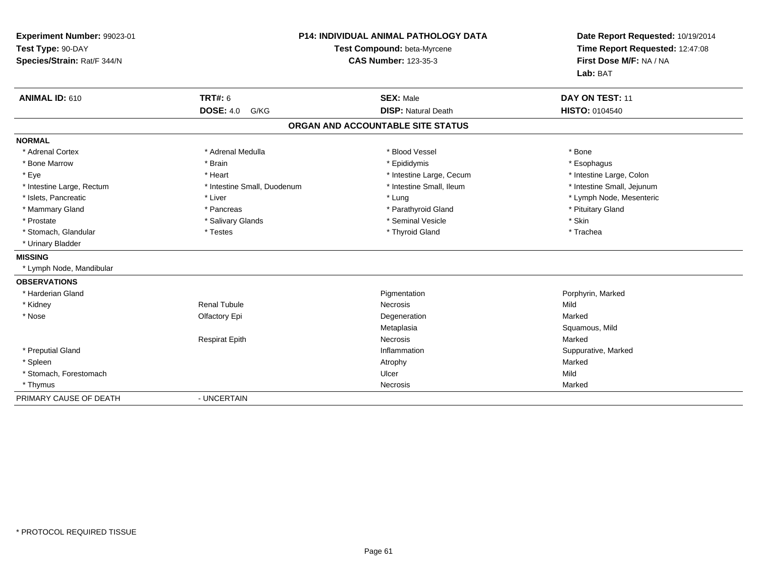| Experiment Number: 99023-01<br>Test Type: 90-DAY<br>Species/Strain: Rat/F 344/N |                             | <b>P14: INDIVIDUAL ANIMAL PATHOLOGY DATA</b><br>Test Compound: beta-Myrcene<br><b>CAS Number: 123-35-3</b> | Date Report Requested: 10/19/2014<br>Time Report Requested: 12:47:08<br>First Dose M/F: NA / NA<br>Lab: BAT |  |
|---------------------------------------------------------------------------------|-----------------------------|------------------------------------------------------------------------------------------------------------|-------------------------------------------------------------------------------------------------------------|--|
| ANIMAL ID: 610                                                                  | <b>TRT#: 6</b>              | <b>SEX: Male</b>                                                                                           | DAY ON TEST: 11                                                                                             |  |
|                                                                                 | <b>DOSE: 4.0</b><br>G/KG    | <b>DISP: Natural Death</b>                                                                                 | <b>HISTO: 0104540</b>                                                                                       |  |
|                                                                                 |                             | ORGAN AND ACCOUNTABLE SITE STATUS                                                                          |                                                                                                             |  |
| <b>NORMAL</b>                                                                   |                             |                                                                                                            |                                                                                                             |  |
| * Adrenal Cortex                                                                | * Adrenal Medulla           | * Blood Vessel                                                                                             | * Bone                                                                                                      |  |
| * Bone Marrow                                                                   | * Brain                     | * Epididymis                                                                                               | * Esophagus                                                                                                 |  |
| * Eye                                                                           | * Heart                     | * Intestine Large, Cecum                                                                                   | * Intestine Large, Colon                                                                                    |  |
| * Intestine Large, Rectum                                                       | * Intestine Small, Duodenum | * Intestine Small, Ileum                                                                                   | * Intestine Small, Jejunum                                                                                  |  |
| * Islets, Pancreatic                                                            | * Liver                     | * Lung                                                                                                     | * Lymph Node, Mesenteric                                                                                    |  |
| * Mammary Gland                                                                 | * Pancreas                  | * Parathyroid Gland                                                                                        | * Pituitary Gland                                                                                           |  |
| * Prostate                                                                      | * Salivary Glands           | * Seminal Vesicle                                                                                          | * Skin                                                                                                      |  |
| * Stomach, Glandular                                                            | * Testes                    | * Thyroid Gland                                                                                            | * Trachea                                                                                                   |  |
| * Urinary Bladder                                                               |                             |                                                                                                            |                                                                                                             |  |
| <b>MISSING</b>                                                                  |                             |                                                                                                            |                                                                                                             |  |
| * Lymph Node, Mandibular                                                        |                             |                                                                                                            |                                                                                                             |  |
| <b>OBSERVATIONS</b>                                                             |                             |                                                                                                            |                                                                                                             |  |
| * Harderian Gland                                                               |                             | Pigmentation                                                                                               | Porphyrin, Marked                                                                                           |  |
| * Kidney                                                                        | <b>Renal Tubule</b>         | Necrosis                                                                                                   | Mild                                                                                                        |  |
| * Nose                                                                          | Olfactory Epi               | Degeneration                                                                                               | Marked                                                                                                      |  |
|                                                                                 |                             | Metaplasia                                                                                                 | Squamous, Mild                                                                                              |  |
|                                                                                 | <b>Respirat Epith</b>       | Necrosis                                                                                                   | Marked                                                                                                      |  |
| * Preputial Gland                                                               |                             | Inflammation                                                                                               | Suppurative, Marked                                                                                         |  |
| * Spleen                                                                        |                             | Atrophy                                                                                                    | Marked                                                                                                      |  |
| * Stomach, Forestomach                                                          |                             | Ulcer                                                                                                      | Mild                                                                                                        |  |
| * Thymus                                                                        |                             | Necrosis                                                                                                   | Marked                                                                                                      |  |
| PRIMARY CAUSE OF DEATH                                                          | - UNCERTAIN                 |                                                                                                            |                                                                                                             |  |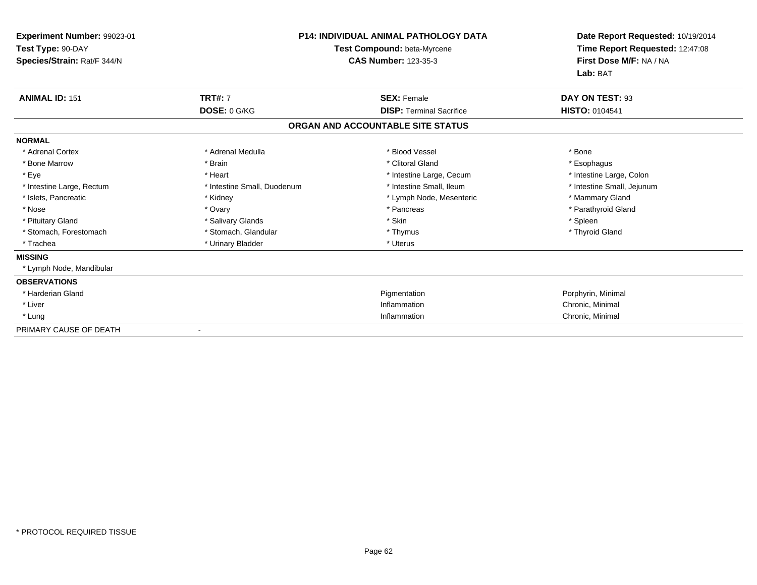| Experiment Number: 99023-01<br>Test Type: 90-DAY<br>Species/Strain: Rat/F 344/N |                             | <b>P14: INDIVIDUAL ANIMAL PATHOLOGY DATA</b><br>Test Compound: beta-Myrcene<br><b>CAS Number: 123-35-3</b> | Date Report Requested: 10/19/2014<br>Time Report Requested: 12:47:08<br>First Dose M/F: NA / NA<br>Lab: BAT |
|---------------------------------------------------------------------------------|-----------------------------|------------------------------------------------------------------------------------------------------------|-------------------------------------------------------------------------------------------------------------|
| <b>ANIMAL ID: 151</b>                                                           | <b>TRT#: 7</b>              | <b>SEX: Female</b>                                                                                         | DAY ON TEST: 93                                                                                             |
|                                                                                 | DOSE: 0 G/KG                | <b>DISP: Terminal Sacrifice</b>                                                                            | <b>HISTO: 0104541</b>                                                                                       |
|                                                                                 |                             | ORGAN AND ACCOUNTABLE SITE STATUS                                                                          |                                                                                                             |
| <b>NORMAL</b>                                                                   |                             |                                                                                                            |                                                                                                             |
| * Adrenal Cortex                                                                | * Adrenal Medulla           | * Blood Vessel                                                                                             | * Bone                                                                                                      |
| * Bone Marrow                                                                   | * Brain                     | * Clitoral Gland                                                                                           | * Esophagus                                                                                                 |
| * Eye                                                                           | * Heart                     | * Intestine Large, Cecum                                                                                   | * Intestine Large, Colon                                                                                    |
| * Intestine Large, Rectum                                                       | * Intestine Small, Duodenum | * Intestine Small, Ileum                                                                                   | * Intestine Small, Jejunum                                                                                  |
| * Islets, Pancreatic                                                            | * Kidney                    | * Lymph Node, Mesenteric                                                                                   | * Mammary Gland                                                                                             |
| * Nose                                                                          | * Ovary                     | * Pancreas                                                                                                 | * Parathyroid Gland                                                                                         |
| * Pituitary Gland                                                               | * Salivary Glands           | * Skin                                                                                                     | * Spleen                                                                                                    |
| * Stomach, Forestomach                                                          | * Stomach, Glandular        | * Thymus                                                                                                   | * Thyroid Gland                                                                                             |
| * Trachea                                                                       | * Urinary Bladder           | * Uterus                                                                                                   |                                                                                                             |
| <b>MISSING</b>                                                                  |                             |                                                                                                            |                                                                                                             |
| * Lymph Node, Mandibular                                                        |                             |                                                                                                            |                                                                                                             |
| <b>OBSERVATIONS</b>                                                             |                             |                                                                                                            |                                                                                                             |
| * Harderian Gland                                                               |                             | Pigmentation                                                                                               | Porphyrin, Minimal                                                                                          |
| * Liver                                                                         |                             | Inflammation                                                                                               | Chronic, Minimal                                                                                            |
| * Lung                                                                          |                             | Inflammation                                                                                               | Chronic, Minimal                                                                                            |
| PRIMARY CAUSE OF DEATH                                                          |                             |                                                                                                            |                                                                                                             |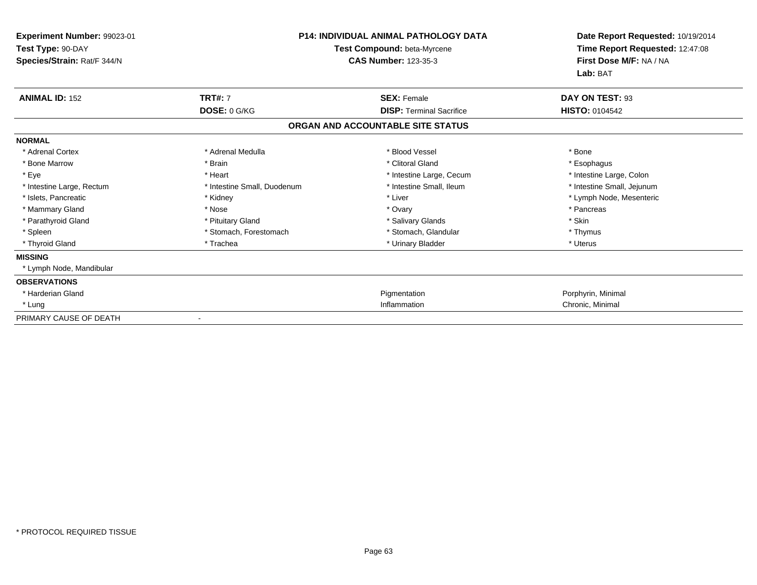| Experiment Number: 99023-01<br>Test Type: 90-DAY<br>Species/Strain: Rat/F 344/N | <b>P14: INDIVIDUAL ANIMAL PATHOLOGY DATA</b><br>Test Compound: beta-Myrcene<br><b>CAS Number: 123-35-3</b> |                                   | Date Report Requested: 10/19/2014<br>Time Report Requested: 12:47:08<br>First Dose M/F: NA / NA<br>Lab: BAT |
|---------------------------------------------------------------------------------|------------------------------------------------------------------------------------------------------------|-----------------------------------|-------------------------------------------------------------------------------------------------------------|
| <b>ANIMAL ID: 152</b>                                                           | <b>TRT#: 7</b>                                                                                             | <b>SEX: Female</b>                | DAY ON TEST: 93                                                                                             |
|                                                                                 | DOSE: 0 G/KG                                                                                               | <b>DISP: Terminal Sacrifice</b>   | <b>HISTO: 0104542</b>                                                                                       |
|                                                                                 |                                                                                                            | ORGAN AND ACCOUNTABLE SITE STATUS |                                                                                                             |
| <b>NORMAL</b>                                                                   |                                                                                                            |                                   |                                                                                                             |
| * Adrenal Cortex                                                                | * Adrenal Medulla                                                                                          | * Blood Vessel                    | * Bone                                                                                                      |
| * Bone Marrow                                                                   | * Brain                                                                                                    | * Clitoral Gland                  | * Esophagus                                                                                                 |
| * Eye                                                                           | * Heart                                                                                                    | * Intestine Large, Cecum          | * Intestine Large, Colon                                                                                    |
| * Intestine Large, Rectum                                                       | * Intestine Small, Duodenum                                                                                | * Intestine Small. Ileum          | * Intestine Small, Jejunum                                                                                  |
| * Islets, Pancreatic                                                            | * Kidney                                                                                                   | * Liver                           | * Lymph Node, Mesenteric                                                                                    |
| * Mammary Gland                                                                 | * Nose                                                                                                     | * Ovary                           | * Pancreas                                                                                                  |
| * Parathyroid Gland                                                             | * Pituitary Gland                                                                                          | * Salivary Glands                 | * Skin                                                                                                      |
| * Spleen                                                                        | * Stomach, Forestomach                                                                                     | * Stomach, Glandular              | * Thymus                                                                                                    |
| * Thyroid Gland                                                                 | * Trachea                                                                                                  | * Urinary Bladder                 | * Uterus                                                                                                    |
| <b>MISSING</b>                                                                  |                                                                                                            |                                   |                                                                                                             |
| * Lymph Node, Mandibular                                                        |                                                                                                            |                                   |                                                                                                             |
| <b>OBSERVATIONS</b>                                                             |                                                                                                            |                                   |                                                                                                             |
| * Harderian Gland                                                               |                                                                                                            | Pigmentation                      | Porphyrin, Minimal                                                                                          |
| * Lung                                                                          |                                                                                                            | Inflammation                      | Chronic, Minimal                                                                                            |
| PRIMARY CAUSE OF DEATH                                                          |                                                                                                            |                                   |                                                                                                             |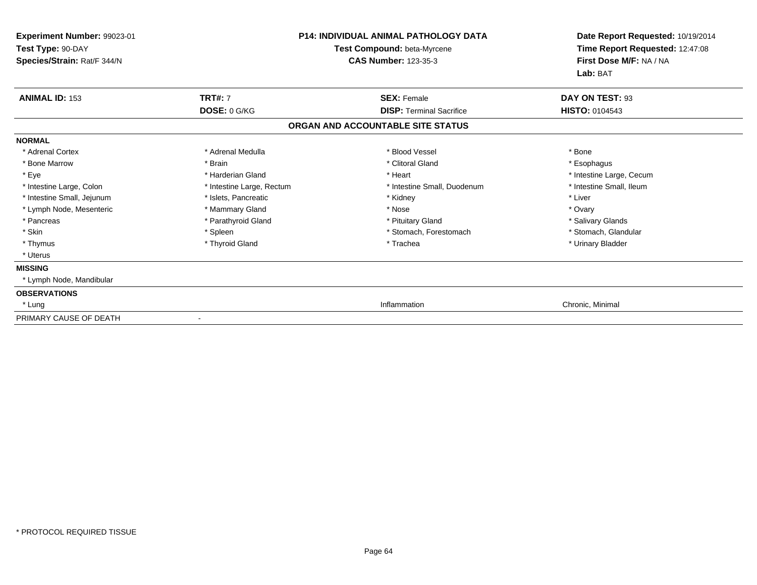| Experiment Number: 99023-01<br>Test Type: 90-DAY<br>Species/Strain: Rat/F 344/N |                           | <b>P14: INDIVIDUAL ANIMAL PATHOLOGY DATA</b><br>Test Compound: beta-Myrcene<br><b>CAS Number: 123-35-3</b> | Date Report Requested: 10/19/2014<br>Time Report Requested: 12:47:08<br>First Dose M/F: NA / NA |
|---------------------------------------------------------------------------------|---------------------------|------------------------------------------------------------------------------------------------------------|-------------------------------------------------------------------------------------------------|
|                                                                                 |                           |                                                                                                            | Lab: BAT                                                                                        |
| <b>ANIMAL ID: 153</b>                                                           | <b>TRT#: 7</b>            | <b>SEX: Female</b>                                                                                         | DAY ON TEST: 93                                                                                 |
|                                                                                 | DOSE: 0 G/KG              | <b>DISP: Terminal Sacrifice</b>                                                                            | <b>HISTO: 0104543</b>                                                                           |
|                                                                                 |                           | ORGAN AND ACCOUNTABLE SITE STATUS                                                                          |                                                                                                 |
| <b>NORMAL</b>                                                                   |                           |                                                                                                            |                                                                                                 |
| * Adrenal Cortex                                                                | * Adrenal Medulla         | * Blood Vessel                                                                                             | * Bone                                                                                          |
| * Bone Marrow                                                                   | * Brain                   | * Clitoral Gland                                                                                           | * Esophagus                                                                                     |
| * Eye                                                                           | * Harderian Gland         | * Heart                                                                                                    | * Intestine Large, Cecum                                                                        |
| * Intestine Large, Colon                                                        | * Intestine Large, Rectum | * Intestine Small, Duodenum                                                                                | * Intestine Small, Ileum                                                                        |
| * Intestine Small, Jejunum                                                      | * Islets, Pancreatic      | * Kidney                                                                                                   | * Liver                                                                                         |
| * Lymph Node, Mesenteric                                                        | * Mammary Gland           | * Nose                                                                                                     | * Ovary                                                                                         |
| * Pancreas                                                                      | * Parathyroid Gland       | * Pituitary Gland                                                                                          | * Salivary Glands                                                                               |
| * Skin                                                                          | * Spleen                  | * Stomach, Forestomach                                                                                     | * Stomach, Glandular                                                                            |
| * Thymus                                                                        | * Thyroid Gland           | * Trachea                                                                                                  | * Urinary Bladder                                                                               |
| * Uterus                                                                        |                           |                                                                                                            |                                                                                                 |
| <b>MISSING</b>                                                                  |                           |                                                                                                            |                                                                                                 |
| * Lymph Node, Mandibular                                                        |                           |                                                                                                            |                                                                                                 |
| <b>OBSERVATIONS</b>                                                             |                           |                                                                                                            |                                                                                                 |
| * Lung                                                                          |                           | Inflammation                                                                                               | Chronic, Minimal                                                                                |
| PRIMARY CAUSE OF DEATH                                                          |                           |                                                                                                            |                                                                                                 |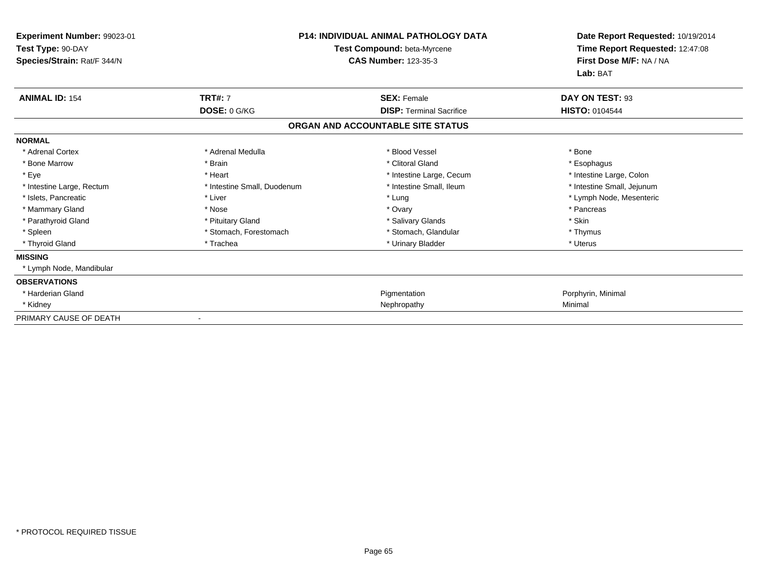| Experiment Number: 99023-01<br>Test Type: 90-DAY<br>Species/Strain: Rat/F 344/N | <b>P14: INDIVIDUAL ANIMAL PATHOLOGY DATA</b><br>Test Compound: beta-Myrcene<br><b>CAS Number: 123-35-3</b> |                                   | Date Report Requested: 10/19/2014<br>Time Report Requested: 12:47:08<br>First Dose M/F: NA / NA<br>Lab: BAT |
|---------------------------------------------------------------------------------|------------------------------------------------------------------------------------------------------------|-----------------------------------|-------------------------------------------------------------------------------------------------------------|
| <b>ANIMAL ID: 154</b>                                                           | <b>TRT#: 7</b>                                                                                             | <b>SEX: Female</b>                | DAY ON TEST: 93                                                                                             |
|                                                                                 | DOSE: 0 G/KG                                                                                               | <b>DISP: Terminal Sacrifice</b>   | <b>HISTO: 0104544</b>                                                                                       |
|                                                                                 |                                                                                                            | ORGAN AND ACCOUNTABLE SITE STATUS |                                                                                                             |
| <b>NORMAL</b>                                                                   |                                                                                                            |                                   |                                                                                                             |
| * Adrenal Cortex                                                                | * Adrenal Medulla                                                                                          | * Blood Vessel                    | * Bone                                                                                                      |
| * Bone Marrow                                                                   | * Brain                                                                                                    | * Clitoral Gland                  | * Esophagus                                                                                                 |
| * Eye                                                                           | * Heart                                                                                                    | * Intestine Large, Cecum          | * Intestine Large, Colon                                                                                    |
| * Intestine Large, Rectum                                                       | * Intestine Small, Duodenum                                                                                | * Intestine Small, Ileum          | * Intestine Small, Jejunum                                                                                  |
| * Islets, Pancreatic                                                            | * Liver                                                                                                    | * Lung                            | * Lymph Node, Mesenteric                                                                                    |
| * Mammary Gland                                                                 | * Nose                                                                                                     | * Ovary                           | * Pancreas                                                                                                  |
| * Parathyroid Gland                                                             | * Pituitary Gland                                                                                          | * Salivary Glands                 | * Skin                                                                                                      |
| * Spleen                                                                        | * Stomach, Forestomach                                                                                     | * Stomach, Glandular              | * Thymus                                                                                                    |
| * Thyroid Gland                                                                 | * Trachea                                                                                                  | * Urinary Bladder                 | * Uterus                                                                                                    |
| <b>MISSING</b>                                                                  |                                                                                                            |                                   |                                                                                                             |
| * Lymph Node, Mandibular                                                        |                                                                                                            |                                   |                                                                                                             |
| <b>OBSERVATIONS</b>                                                             |                                                                                                            |                                   |                                                                                                             |
| * Harderian Gland                                                               |                                                                                                            | Pigmentation                      | Porphyrin, Minimal                                                                                          |
| * Kidney                                                                        |                                                                                                            | Nephropathy                       | Minimal                                                                                                     |
| PRIMARY CAUSE OF DEATH                                                          |                                                                                                            |                                   |                                                                                                             |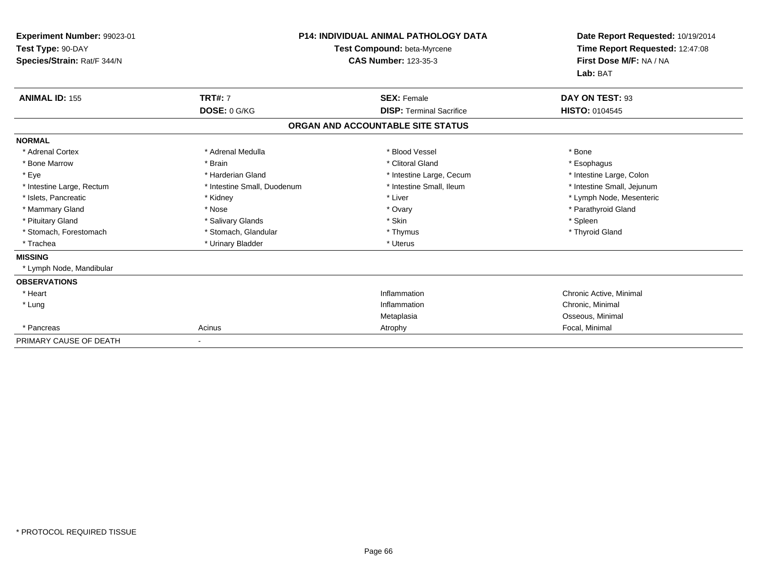| Experiment Number: 99023-01<br>Test Type: 90-DAY<br>Species/Strain: Rat/F 344/N |                             | <b>P14: INDIVIDUAL ANIMAL PATHOLOGY DATA</b><br>Test Compound: beta-Myrcene<br><b>CAS Number: 123-35-3</b> | Date Report Requested: 10/19/2014<br>Time Report Requested: 12:47:08<br>First Dose M/F: NA / NA<br>Lab: BAT |
|---------------------------------------------------------------------------------|-----------------------------|------------------------------------------------------------------------------------------------------------|-------------------------------------------------------------------------------------------------------------|
| <b>ANIMAL ID: 155</b>                                                           | <b>TRT#: 7</b>              | <b>SEX: Female</b>                                                                                         | DAY ON TEST: 93                                                                                             |
|                                                                                 | DOSE: 0 G/KG                | <b>DISP: Terminal Sacrifice</b>                                                                            | HISTO: 0104545                                                                                              |
|                                                                                 |                             | ORGAN AND ACCOUNTABLE SITE STATUS                                                                          |                                                                                                             |
| <b>NORMAL</b>                                                                   |                             |                                                                                                            |                                                                                                             |
| * Adrenal Cortex                                                                | * Adrenal Medulla           | * Blood Vessel                                                                                             | * Bone                                                                                                      |
| * Bone Marrow                                                                   | * Brain                     | * Clitoral Gland                                                                                           | * Esophagus                                                                                                 |
| * Eye                                                                           | * Harderian Gland           | * Intestine Large, Cecum                                                                                   | * Intestine Large, Colon                                                                                    |
| * Intestine Large, Rectum                                                       | * Intestine Small, Duodenum | * Intestine Small, Ileum                                                                                   | * Intestine Small, Jejunum                                                                                  |
| * Islets, Pancreatic                                                            | * Kidney                    | * Liver                                                                                                    | * Lymph Node, Mesenteric                                                                                    |
| * Mammary Gland                                                                 | * Nose                      | * Ovary                                                                                                    | * Parathyroid Gland                                                                                         |
| * Pituitary Gland                                                               | * Salivary Glands           | * Skin                                                                                                     | * Spleen                                                                                                    |
| * Stomach, Forestomach                                                          | * Stomach, Glandular        | * Thymus                                                                                                   | * Thyroid Gland                                                                                             |
| * Trachea                                                                       | * Urinary Bladder           | * Uterus                                                                                                   |                                                                                                             |
| <b>MISSING</b>                                                                  |                             |                                                                                                            |                                                                                                             |
| * Lymph Node, Mandibular                                                        |                             |                                                                                                            |                                                                                                             |
| <b>OBSERVATIONS</b>                                                             |                             |                                                                                                            |                                                                                                             |
| * Heart                                                                         |                             | Inflammation                                                                                               | Chronic Active, Minimal                                                                                     |
| * Lung                                                                          |                             | Inflammation                                                                                               | Chronic, Minimal                                                                                            |
|                                                                                 |                             | Metaplasia                                                                                                 | Osseous, Minimal                                                                                            |
| * Pancreas                                                                      | Acinus                      | Atrophy                                                                                                    | Focal, Minimal                                                                                              |
| PRIMARY CAUSE OF DEATH                                                          |                             |                                                                                                            |                                                                                                             |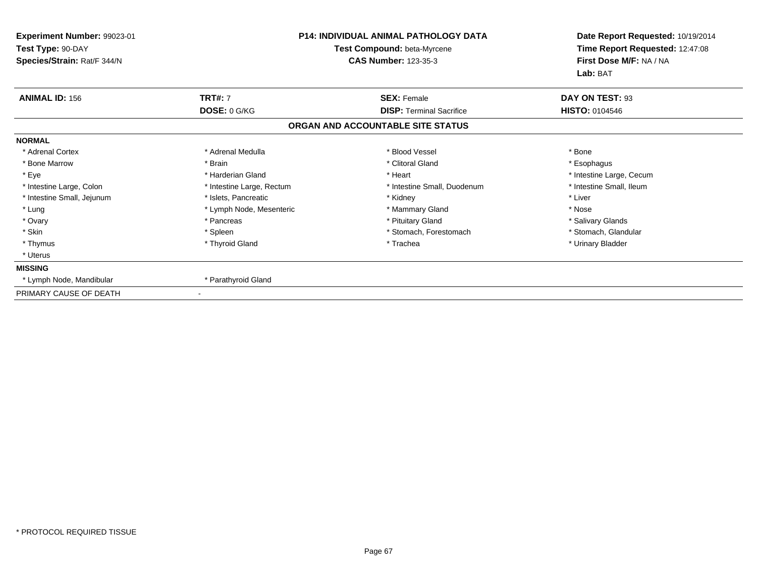| Experiment Number: 99023-01<br>Test Type: 90-DAY<br>Species/Strain: Rat/F 344/N | <b>P14: INDIVIDUAL ANIMAL PATHOLOGY DATA</b><br>Test Compound: beta-Myrcene<br><b>CAS Number: 123-35-3</b> |                                   | Date Report Requested: 10/19/2014<br>Time Report Requested: 12:47:08<br>First Dose M/F: NA / NA |  |
|---------------------------------------------------------------------------------|------------------------------------------------------------------------------------------------------------|-----------------------------------|-------------------------------------------------------------------------------------------------|--|
| <b>ANIMAL ID: 156</b>                                                           | <b>TRT#: 7</b>                                                                                             | <b>SEX: Female</b>                | Lab: BAT<br>DAY ON TEST: 93                                                                     |  |
|                                                                                 | DOSE: 0 G/KG                                                                                               | <b>DISP: Terminal Sacrifice</b>   | HISTO: 0104546                                                                                  |  |
|                                                                                 |                                                                                                            | ORGAN AND ACCOUNTABLE SITE STATUS |                                                                                                 |  |
| <b>NORMAL</b>                                                                   |                                                                                                            |                                   |                                                                                                 |  |
| * Adrenal Cortex                                                                | * Adrenal Medulla                                                                                          | * Blood Vessel                    | * Bone                                                                                          |  |
| * Bone Marrow                                                                   | * Brain                                                                                                    | * Clitoral Gland                  | * Esophagus                                                                                     |  |
| * Eye                                                                           | * Harderian Gland                                                                                          | * Heart                           | * Intestine Large, Cecum                                                                        |  |
| * Intestine Large, Colon                                                        | * Intestine Large, Rectum                                                                                  | * Intestine Small, Duodenum       | * Intestine Small, Ileum                                                                        |  |
| * Intestine Small, Jejunum                                                      | * Islets, Pancreatic                                                                                       | * Kidney                          | * Liver                                                                                         |  |
| * Lung                                                                          | * Lymph Node, Mesenteric                                                                                   | * Mammary Gland                   | * Nose                                                                                          |  |
| * Ovary                                                                         | * Pancreas                                                                                                 | * Pituitary Gland                 | * Salivary Glands                                                                               |  |
| * Skin                                                                          | * Spleen                                                                                                   | * Stomach, Forestomach            | * Stomach, Glandular                                                                            |  |
| * Thymus                                                                        | * Thyroid Gland                                                                                            | * Trachea                         | * Urinary Bladder                                                                               |  |
| * Uterus                                                                        |                                                                                                            |                                   |                                                                                                 |  |
| <b>MISSING</b>                                                                  |                                                                                                            |                                   |                                                                                                 |  |
| * Lymph Node, Mandibular                                                        | * Parathyroid Gland                                                                                        |                                   |                                                                                                 |  |
| PRIMARY CAUSE OF DEATH                                                          |                                                                                                            |                                   |                                                                                                 |  |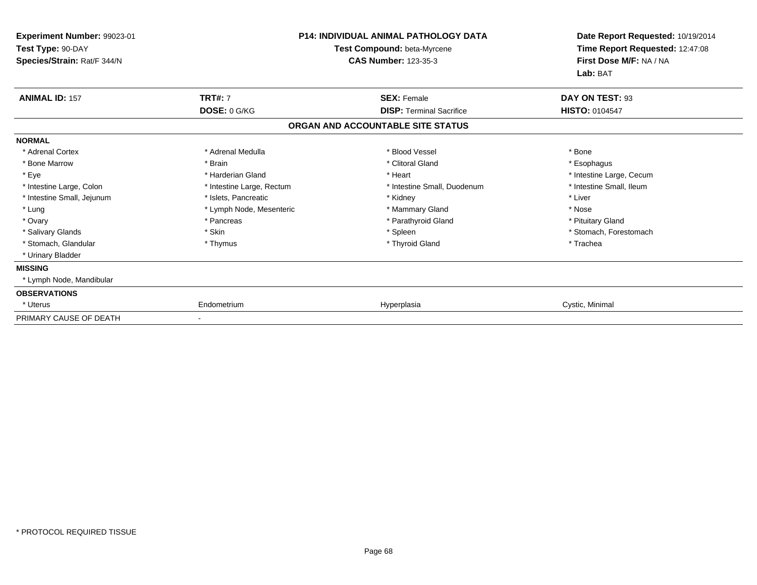| <b>Experiment Number: 99023-01</b><br>Test Type: 90-DAY<br>Species/Strain: Rat/F 344/N | <b>P14: INDIVIDUAL ANIMAL PATHOLOGY DATA</b><br>Test Compound: beta-Myrcene<br><b>CAS Number: 123-35-3</b> |                                   | Date Report Requested: 10/19/2014<br>Time Report Requested: 12:47:08<br>First Dose M/F: NA / NA<br>Lab: BAT |  |
|----------------------------------------------------------------------------------------|------------------------------------------------------------------------------------------------------------|-----------------------------------|-------------------------------------------------------------------------------------------------------------|--|
| <b>ANIMAL ID: 157</b>                                                                  | <b>TRT#: 7</b>                                                                                             | <b>SEX: Female</b>                | DAY ON TEST: 93                                                                                             |  |
|                                                                                        | DOSE: 0 G/KG                                                                                               | <b>DISP: Terminal Sacrifice</b>   | <b>HISTO: 0104547</b>                                                                                       |  |
|                                                                                        |                                                                                                            | ORGAN AND ACCOUNTABLE SITE STATUS |                                                                                                             |  |
| <b>NORMAL</b>                                                                          |                                                                                                            |                                   |                                                                                                             |  |
| * Adrenal Cortex                                                                       | * Adrenal Medulla                                                                                          | * Blood Vessel                    | * Bone                                                                                                      |  |
| * Bone Marrow                                                                          | * Brain                                                                                                    | * Clitoral Gland                  | * Esophagus                                                                                                 |  |
| * Eye                                                                                  | * Harderian Gland                                                                                          | * Heart                           | * Intestine Large, Cecum                                                                                    |  |
| * Intestine Large, Colon                                                               | * Intestine Large, Rectum                                                                                  | * Intestine Small, Duodenum       | * Intestine Small, Ileum                                                                                    |  |
| * Intestine Small, Jejunum                                                             | * Islets, Pancreatic                                                                                       | * Kidney                          | * Liver                                                                                                     |  |
| * Lung                                                                                 | * Lymph Node, Mesenteric                                                                                   | * Mammary Gland                   | * Nose                                                                                                      |  |
| * Ovary                                                                                | * Pancreas                                                                                                 | * Parathyroid Gland               | * Pituitary Gland                                                                                           |  |
| * Salivary Glands                                                                      | * Skin                                                                                                     | * Spleen                          | * Stomach, Forestomach                                                                                      |  |
| * Stomach, Glandular                                                                   | * Thymus                                                                                                   | * Thyroid Gland                   | * Trachea                                                                                                   |  |
| * Urinary Bladder                                                                      |                                                                                                            |                                   |                                                                                                             |  |
| <b>MISSING</b>                                                                         |                                                                                                            |                                   |                                                                                                             |  |
| * Lymph Node, Mandibular                                                               |                                                                                                            |                                   |                                                                                                             |  |
| <b>OBSERVATIONS</b>                                                                    |                                                                                                            |                                   |                                                                                                             |  |
| * Uterus                                                                               | Endometrium                                                                                                | Hyperplasia                       | Cystic, Minimal                                                                                             |  |
| PRIMARY CAUSE OF DEATH                                                                 |                                                                                                            |                                   |                                                                                                             |  |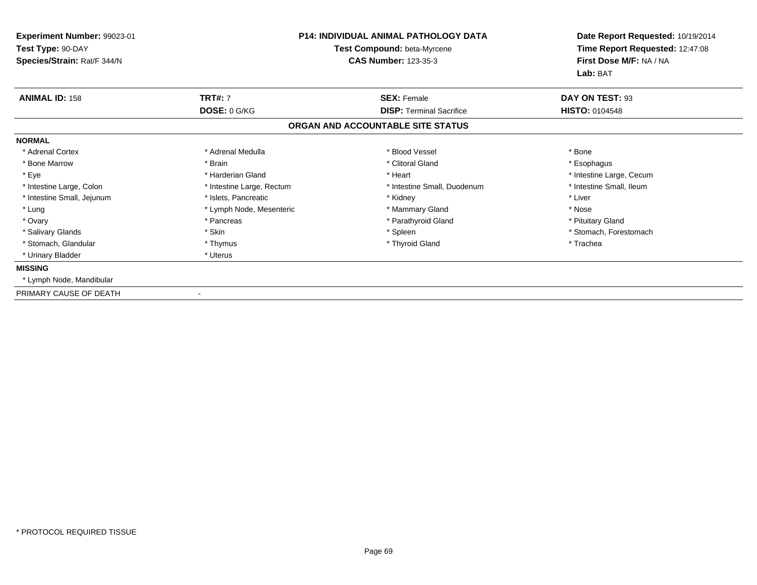| Experiment Number: 99023-01<br>Test Type: 90-DAY<br>Species/Strain: Rat/F 344/N | P14: INDIVIDUAL ANIMAL PATHOLOGY DATA<br>Test Compound: beta-Myrcene<br><b>CAS Number: 123-35-3</b> |                                   | Date Report Requested: 10/19/2014<br>Time Report Requested: 12:47:08<br>First Dose M/F: NA / NA<br>Lab: BAT |
|---------------------------------------------------------------------------------|-----------------------------------------------------------------------------------------------------|-----------------------------------|-------------------------------------------------------------------------------------------------------------|
| <b>ANIMAL ID: 158</b>                                                           | <b>TRT#: 7</b>                                                                                      | <b>SEX: Female</b>                | DAY ON TEST: 93                                                                                             |
|                                                                                 | DOSE: 0 G/KG                                                                                        | <b>DISP: Terminal Sacrifice</b>   | <b>HISTO: 0104548</b>                                                                                       |
|                                                                                 |                                                                                                     | ORGAN AND ACCOUNTABLE SITE STATUS |                                                                                                             |
| <b>NORMAL</b>                                                                   |                                                                                                     |                                   |                                                                                                             |
| * Adrenal Cortex                                                                | * Adrenal Medulla                                                                                   | * Blood Vessel                    | * Bone                                                                                                      |
| * Bone Marrow                                                                   | * Brain                                                                                             | * Clitoral Gland                  | * Esophagus                                                                                                 |
| * Eye                                                                           | * Harderian Gland                                                                                   | * Heart                           | * Intestine Large, Cecum                                                                                    |
| * Intestine Large, Colon                                                        | * Intestine Large, Rectum                                                                           | * Intestine Small, Duodenum       | * Intestine Small, Ileum                                                                                    |
| * Intestine Small, Jejunum                                                      | * Islets, Pancreatic                                                                                | * Kidney                          | * Liver                                                                                                     |
| * Lung                                                                          | * Lymph Node, Mesenteric                                                                            | * Mammary Gland                   | * Nose                                                                                                      |
| * Ovary                                                                         | * Pancreas                                                                                          | * Parathyroid Gland               | * Pituitary Gland                                                                                           |
| * Salivary Glands                                                               | * Skin                                                                                              | * Spleen                          | * Stomach, Forestomach                                                                                      |
| * Stomach, Glandular                                                            | * Thymus                                                                                            | * Thyroid Gland                   | * Trachea                                                                                                   |
| * Urinary Bladder                                                               | * Uterus                                                                                            |                                   |                                                                                                             |
| <b>MISSING</b>                                                                  |                                                                                                     |                                   |                                                                                                             |
| * Lymph Node, Mandibular                                                        |                                                                                                     |                                   |                                                                                                             |
| PRIMARY CAUSE OF DEATH                                                          | $\overline{\phantom{a}}$                                                                            |                                   |                                                                                                             |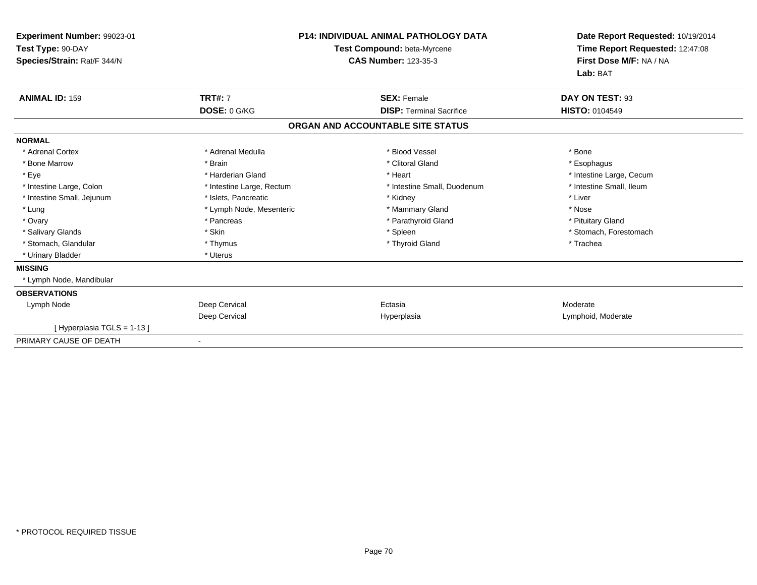| Experiment Number: 99023-01<br>Test Type: 90-DAY<br>Species/Strain: Rat/F 344/N |                           | <b>P14: INDIVIDUAL ANIMAL PATHOLOGY DATA</b><br>Test Compound: beta-Myrcene<br><b>CAS Number: 123-35-3</b> | Date Report Requested: 10/19/2014<br>Time Report Requested: 12:47:08<br>First Dose M/F: NA / NA<br>Lab: BAT |
|---------------------------------------------------------------------------------|---------------------------|------------------------------------------------------------------------------------------------------------|-------------------------------------------------------------------------------------------------------------|
| <b>ANIMAL ID: 159</b>                                                           | <b>TRT#: 7</b>            | <b>SEX: Female</b>                                                                                         | DAY ON TEST: 93                                                                                             |
|                                                                                 | DOSE: 0 G/KG              | <b>DISP: Terminal Sacrifice</b>                                                                            | HISTO: 0104549                                                                                              |
|                                                                                 |                           | ORGAN AND ACCOUNTABLE SITE STATUS                                                                          |                                                                                                             |
| <b>NORMAL</b>                                                                   |                           |                                                                                                            |                                                                                                             |
| * Adrenal Cortex                                                                | * Adrenal Medulla         | * Blood Vessel                                                                                             | * Bone                                                                                                      |
| * Bone Marrow                                                                   | * Brain                   | * Clitoral Gland                                                                                           | * Esophagus                                                                                                 |
| * Eye                                                                           | * Harderian Gland         | * Heart                                                                                                    | * Intestine Large, Cecum                                                                                    |
| * Intestine Large, Colon                                                        | * Intestine Large, Rectum | * Intestine Small, Duodenum                                                                                | * Intestine Small, Ileum                                                                                    |
| * Intestine Small, Jejunum                                                      | * Islets, Pancreatic      | * Kidney                                                                                                   | * Liver                                                                                                     |
| * Lung                                                                          | * Lymph Node, Mesenteric  | * Mammary Gland                                                                                            | * Nose                                                                                                      |
| * Ovary                                                                         | * Pancreas                | * Parathyroid Gland                                                                                        | * Pituitary Gland                                                                                           |
| * Salivary Glands                                                               | * Skin                    | * Spleen                                                                                                   | * Stomach, Forestomach                                                                                      |
| * Stomach, Glandular                                                            | * Thymus                  | * Thyroid Gland                                                                                            | * Trachea                                                                                                   |
| * Urinary Bladder                                                               | * Uterus                  |                                                                                                            |                                                                                                             |
| <b>MISSING</b>                                                                  |                           |                                                                                                            |                                                                                                             |
| * Lymph Node, Mandibular                                                        |                           |                                                                                                            |                                                                                                             |
| <b>OBSERVATIONS</b>                                                             |                           |                                                                                                            |                                                                                                             |
| Lymph Node                                                                      | Deep Cervical             | Ectasia                                                                                                    | Moderate                                                                                                    |
|                                                                                 | Deep Cervical             | Hyperplasia                                                                                                | Lymphoid, Moderate                                                                                          |
| [Hyperplasia TGLS = 1-13]                                                       |                           |                                                                                                            |                                                                                                             |
| PRIMARY CAUSE OF DEATH                                                          |                           |                                                                                                            |                                                                                                             |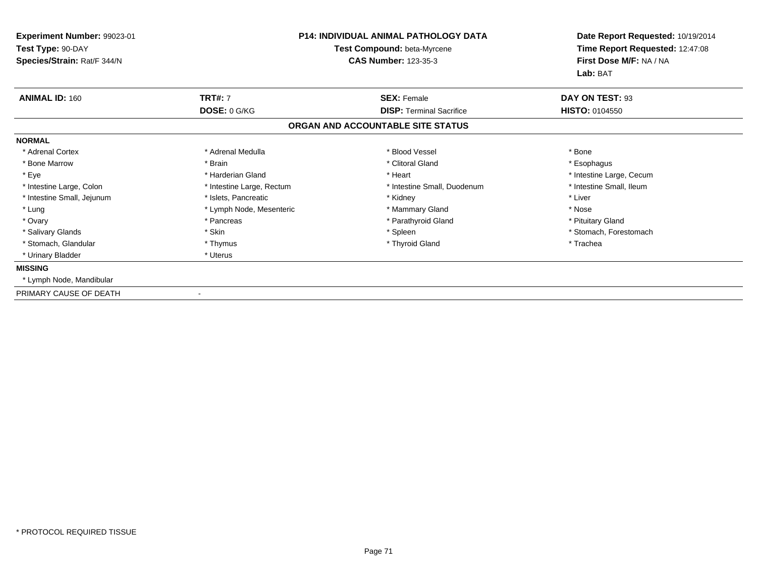| Experiment Number: 99023-01<br>Test Type: 90-DAY<br>Species/Strain: Rat/F 344/N | <b>P14: INDIVIDUAL ANIMAL PATHOLOGY DATA</b><br>Test Compound: beta-Myrcene<br><b>CAS Number: 123-35-3</b> |                                   | Date Report Requested: 10/19/2014<br>Time Report Requested: 12:47:08<br>First Dose M/F: NA / NA<br>Lab: BAT |
|---------------------------------------------------------------------------------|------------------------------------------------------------------------------------------------------------|-----------------------------------|-------------------------------------------------------------------------------------------------------------|
| <b>ANIMAL ID: 160</b>                                                           | <b>TRT#: 7</b>                                                                                             | <b>SEX: Female</b>                | DAY ON TEST: 93                                                                                             |
|                                                                                 | DOSE: 0 G/KG                                                                                               | <b>DISP:</b> Terminal Sacrifice   | HISTO: 0104550                                                                                              |
|                                                                                 |                                                                                                            | ORGAN AND ACCOUNTABLE SITE STATUS |                                                                                                             |
| <b>NORMAL</b>                                                                   |                                                                                                            |                                   |                                                                                                             |
| * Adrenal Cortex                                                                | * Adrenal Medulla                                                                                          | * Blood Vessel                    | * Bone                                                                                                      |
| * Bone Marrow                                                                   | * Brain                                                                                                    | * Clitoral Gland                  | * Esophagus                                                                                                 |
| * Eye                                                                           | * Harderian Gland                                                                                          | * Heart                           | * Intestine Large, Cecum                                                                                    |
| * Intestine Large, Colon                                                        | * Intestine Large, Rectum                                                                                  | * Intestine Small, Duodenum       | * Intestine Small, Ileum                                                                                    |
| * Intestine Small, Jejunum                                                      | * Islets, Pancreatic                                                                                       | * Kidney                          | * Liver                                                                                                     |
| * Lung                                                                          | * Lymph Node, Mesenteric                                                                                   | * Mammary Gland                   | * Nose                                                                                                      |
| * Ovary                                                                         | * Pancreas                                                                                                 | * Parathyroid Gland               | * Pituitary Gland                                                                                           |
| * Salivary Glands                                                               | * Skin                                                                                                     | * Spleen                          | * Stomach, Forestomach                                                                                      |
| * Stomach, Glandular                                                            | * Thymus                                                                                                   | * Thyroid Gland                   | * Trachea                                                                                                   |
| * Urinary Bladder                                                               | * Uterus                                                                                                   |                                   |                                                                                                             |
| <b>MISSING</b>                                                                  |                                                                                                            |                                   |                                                                                                             |
| * Lymph Node, Mandibular                                                        |                                                                                                            |                                   |                                                                                                             |
| PRIMARY CAUSE OF DEATH                                                          | $\overline{\phantom{a}}$                                                                                   |                                   |                                                                                                             |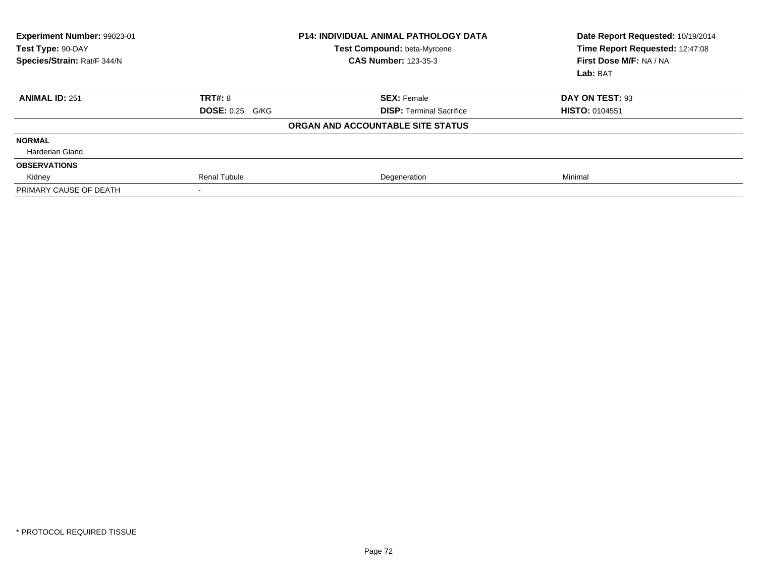| Experiment Number: 99023-01<br>Test Type: 90-DAY<br>Species/Strain: Rat/F 344/N | <b>P14: INDIVIDUAL ANIMAL PATHOLOGY DATA</b><br>Test Compound: beta-Myrcene<br><b>CAS Number: 123-35-3</b> |                                   | Date Report Requested: 10/19/2014<br>Time Report Requested: 12:47:08<br>First Dose M/F: NA / NA<br>Lab: BAT |
|---------------------------------------------------------------------------------|------------------------------------------------------------------------------------------------------------|-----------------------------------|-------------------------------------------------------------------------------------------------------------|
| <b>ANIMAL ID: 251</b>                                                           | TRT#: 8                                                                                                    | <b>SEX: Female</b>                | DAY ON TEST: 93                                                                                             |
|                                                                                 | <b>DOSE: 0.25 G/KG</b>                                                                                     | <b>DISP:</b> Terminal Sacrifice   | <b>HISTO: 0104551</b>                                                                                       |
|                                                                                 |                                                                                                            | ORGAN AND ACCOUNTABLE SITE STATUS |                                                                                                             |
| <b>NORMAL</b>                                                                   |                                                                                                            |                                   |                                                                                                             |
| <b>Harderian Gland</b>                                                          |                                                                                                            |                                   |                                                                                                             |
| <b>OBSERVATIONS</b>                                                             |                                                                                                            |                                   |                                                                                                             |
| Kidney                                                                          | <b>Renal Tubule</b>                                                                                        | Degeneration                      | Minimal                                                                                                     |
| PRIMARY CAUSE OF DEATH                                                          |                                                                                                            |                                   |                                                                                                             |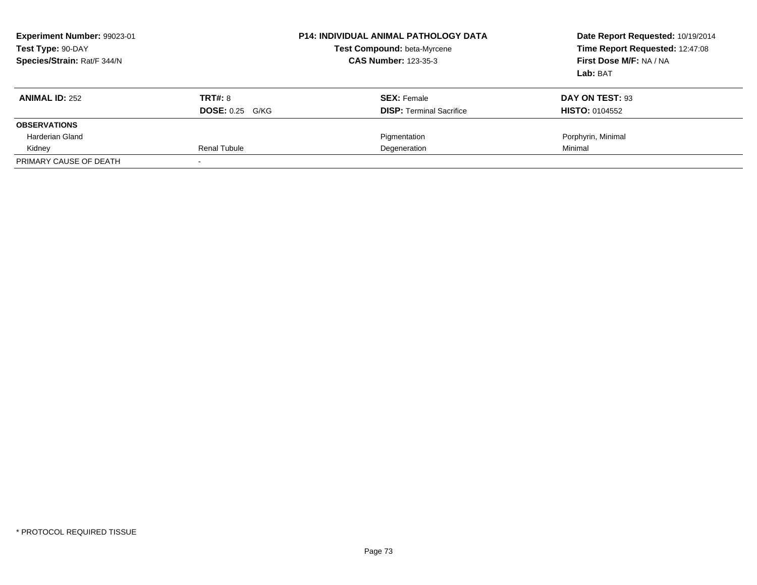| Experiment Number: 99023-01<br>Test Type: 90-DAY<br>Species/Strain: Rat/F 344/N |                        | <b>P14: INDIVIDUAL ANIMAL PATHOLOGY DATA</b><br>Test Compound: beta-Myrcene<br><b>CAS Number: 123-35-3</b> | Date Report Requested: 10/19/2014<br>Time Report Requested: 12:47:08<br>First Dose M/F: NA / NA<br>Lab: BAT |
|---------------------------------------------------------------------------------|------------------------|------------------------------------------------------------------------------------------------------------|-------------------------------------------------------------------------------------------------------------|
| <b>ANIMAL ID: 252</b>                                                           | <b>TRT#: 8</b>         | <b>SEX: Female</b>                                                                                         | DAY ON TEST: 93                                                                                             |
|                                                                                 | <b>DOSE: 0.25 G/KG</b> | <b>DISP: Terminal Sacrifice</b>                                                                            | <b>HISTO: 0104552</b>                                                                                       |
| <b>OBSERVATIONS</b>                                                             |                        |                                                                                                            |                                                                                                             |
| Harderian Gland                                                                 |                        | Pigmentation                                                                                               | Porphyrin, Minimal                                                                                          |
| Kidney                                                                          | Renal Tubule           | Degeneration                                                                                               | Minimal                                                                                                     |
| PRIMARY CAUSE OF DEATH                                                          |                        |                                                                                                            |                                                                                                             |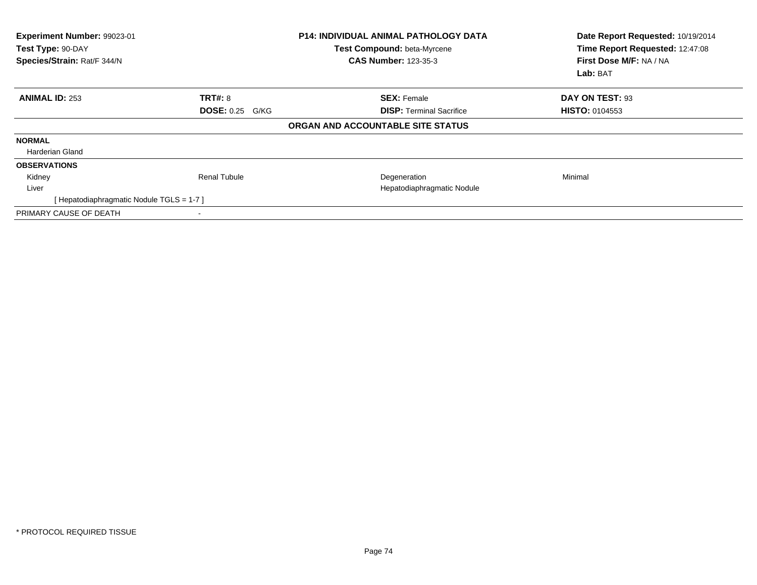| <b>Experiment Number: 99023-01</b><br>Test Type: 90-DAY<br>Species/Strain: Rat/F 344/N |                        | <b>P14: INDIVIDUAL ANIMAL PATHOLOGY DATA</b><br>Test Compound: beta-Myrcene<br><b>CAS Number: 123-35-3</b> | Date Report Requested: 10/19/2014<br>Time Report Requested: 12:47:08<br>First Dose M/F: NA / NA<br>Lab: BAT |
|----------------------------------------------------------------------------------------|------------------------|------------------------------------------------------------------------------------------------------------|-------------------------------------------------------------------------------------------------------------|
| <b>ANIMAL ID: 253</b>                                                                  | <b>TRT#: 8</b>         | <b>SEX: Female</b>                                                                                         | DAY ON TEST: 93                                                                                             |
|                                                                                        | <b>DOSE: 0.25 G/KG</b> | <b>DISP: Terminal Sacrifice</b>                                                                            | <b>HISTO: 0104553</b>                                                                                       |
|                                                                                        |                        | ORGAN AND ACCOUNTABLE SITE STATUS                                                                          |                                                                                                             |
| <b>NORMAL</b>                                                                          |                        |                                                                                                            |                                                                                                             |
| Harderian Gland                                                                        |                        |                                                                                                            |                                                                                                             |
| <b>OBSERVATIONS</b>                                                                    |                        |                                                                                                            |                                                                                                             |
| Kidney                                                                                 | Renal Tubule           | Degeneration                                                                                               | Minimal                                                                                                     |
| Liver                                                                                  |                        | Hepatodiaphragmatic Nodule                                                                                 |                                                                                                             |
| [Hepatodiaphragmatic Nodule TGLS = 1-7]                                                |                        |                                                                                                            |                                                                                                             |
| PRIMARY CAUSE OF DEATH                                                                 |                        |                                                                                                            |                                                                                                             |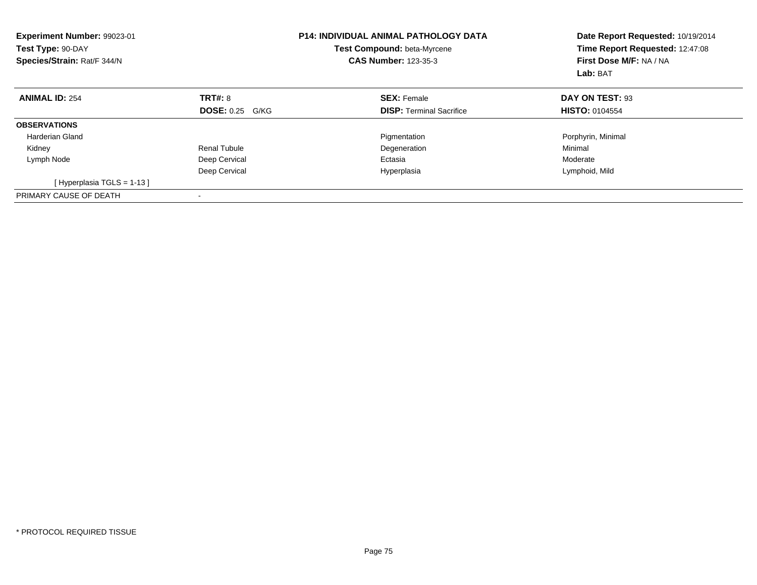| <b>Experiment Number: 99023-01</b><br>Test Type: 90-DAY<br>Species/Strain: Rat/F 344/N |                        | <b>P14: INDIVIDUAL ANIMAL PATHOLOGY DATA</b><br>Test Compound: beta-Myrcene<br><b>CAS Number: 123-35-3</b> | Date Report Requested: 10/19/2014<br>Time Report Requested: 12:47:08<br>First Dose M/F: NA / NA<br>Lab: BAT |
|----------------------------------------------------------------------------------------|------------------------|------------------------------------------------------------------------------------------------------------|-------------------------------------------------------------------------------------------------------------|
| <b>ANIMAL ID: 254</b>                                                                  | <b>TRT#: 8</b>         | <b>SEX: Female</b>                                                                                         | DAY ON TEST: 93                                                                                             |
|                                                                                        | <b>DOSE: 0.25 G/KG</b> | <b>DISP:</b> Terminal Sacrifice                                                                            | <b>HISTO: 0104554</b>                                                                                       |
| <b>OBSERVATIONS</b>                                                                    |                        |                                                                                                            |                                                                                                             |
| <b>Harderian Gland</b>                                                                 |                        | Pigmentation                                                                                               | Porphyrin, Minimal                                                                                          |
| Kidney                                                                                 | <b>Renal Tubule</b>    | Degeneration                                                                                               | Minimal                                                                                                     |
| Lymph Node                                                                             | Deep Cervical          | Ectasia                                                                                                    | Moderate                                                                                                    |
|                                                                                        | Deep Cervical          | Hyperplasia                                                                                                | Lymphoid, Mild                                                                                              |
| [Hyperplasia TGLS = $1-13$ ]                                                           |                        |                                                                                                            |                                                                                                             |
| PRIMARY CAUSE OF DEATH                                                                 | -                      |                                                                                                            |                                                                                                             |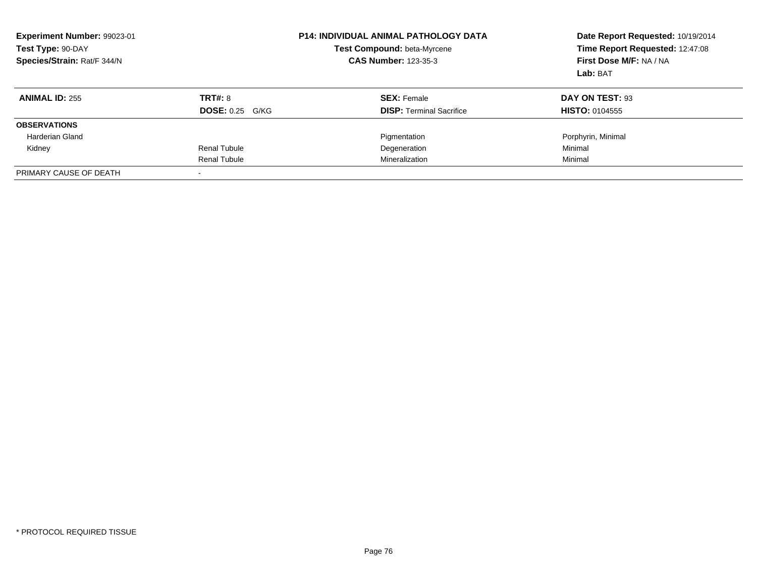| Experiment Number: 99023-01<br>Test Type: 90-DAY<br>Species/Strain: Rat/F 344/N |                        | <b>P14: INDIVIDUAL ANIMAL PATHOLOGY DATA</b><br>Test Compound: beta-Myrcene<br><b>CAS Number: 123-35-3</b> | Date Report Requested: 10/19/2014<br>Time Report Requested: 12:47:08<br>First Dose M/F: NA / NA<br>Lab: BAT |
|---------------------------------------------------------------------------------|------------------------|------------------------------------------------------------------------------------------------------------|-------------------------------------------------------------------------------------------------------------|
| <b>ANIMAL ID: 255</b>                                                           | <b>TRT#: 8</b>         | <b>SEX: Female</b>                                                                                         | DAY ON TEST: 93                                                                                             |
|                                                                                 | <b>DOSE: 0.25 G/KG</b> | <b>DISP:</b> Terminal Sacrifice                                                                            | <b>HISTO: 0104555</b>                                                                                       |
| <b>OBSERVATIONS</b>                                                             |                        |                                                                                                            |                                                                                                             |
| Harderian Gland                                                                 |                        | Pigmentation                                                                                               | Porphyrin, Minimal                                                                                          |
| Kidney                                                                          | Renal Tubule           | Degeneration                                                                                               | Minimal                                                                                                     |
|                                                                                 | Renal Tubule           | Mineralization                                                                                             | Minimal                                                                                                     |
| PRIMARY CAUSE OF DEATH                                                          |                        |                                                                                                            |                                                                                                             |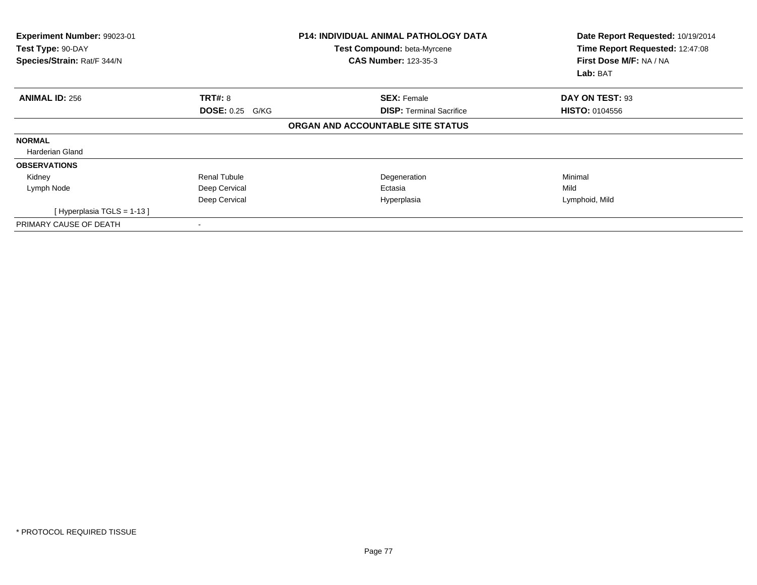| Experiment Number: 99023-01<br>Test Type: 90-DAY<br>Species/Strain: Rat/F 344/N |                        | <b>P14: INDIVIDUAL ANIMAL PATHOLOGY DATA</b><br>Test Compound: beta-Myrcene<br><b>CAS Number: 123-35-3</b> | Date Report Requested: 10/19/2014<br>Time Report Requested: 12:47:08<br>First Dose M/F: NA / NA<br>Lab: BAT |
|---------------------------------------------------------------------------------|------------------------|------------------------------------------------------------------------------------------------------------|-------------------------------------------------------------------------------------------------------------|
| <b>ANIMAL ID: 256</b>                                                           | <b>TRT#: 8</b>         | <b>SEX: Female</b>                                                                                         | DAY ON TEST: 93                                                                                             |
|                                                                                 | <b>DOSE: 0.25 G/KG</b> | <b>DISP:</b> Terminal Sacrifice                                                                            | <b>HISTO: 0104556</b>                                                                                       |
|                                                                                 |                        | ORGAN AND ACCOUNTABLE SITE STATUS                                                                          |                                                                                                             |
| <b>NORMAL</b>                                                                   |                        |                                                                                                            |                                                                                                             |
| Harderian Gland                                                                 |                        |                                                                                                            |                                                                                                             |
| <b>OBSERVATIONS</b>                                                             |                        |                                                                                                            |                                                                                                             |
| Kidney                                                                          | Renal Tubule           | Degeneration                                                                                               | Minimal                                                                                                     |
| Lymph Node                                                                      | Deep Cervical          | Ectasia                                                                                                    | Mild                                                                                                        |
|                                                                                 | Deep Cervical          | Hyperplasia                                                                                                | Lymphoid, Mild                                                                                              |
| [ Hyperplasia TGLS = 1-13 ]                                                     |                        |                                                                                                            |                                                                                                             |
| PRIMARY CAUSE OF DEATH                                                          |                        |                                                                                                            |                                                                                                             |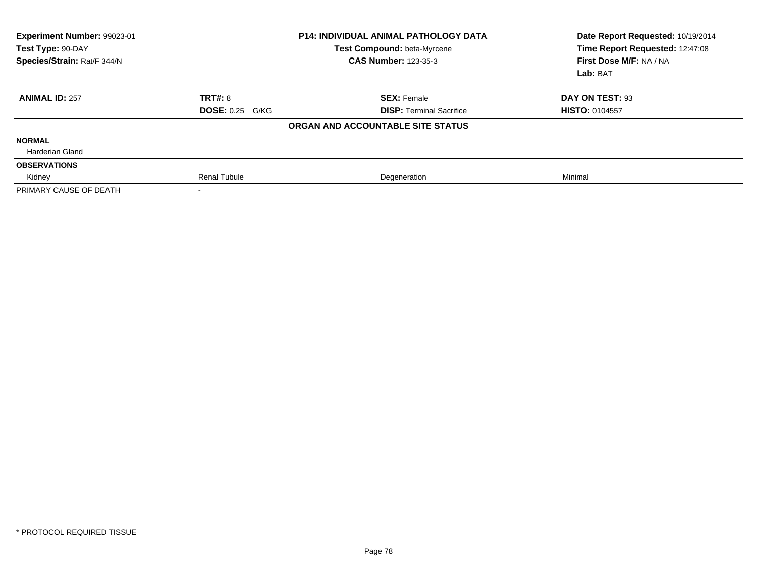| Experiment Number: 99023-01<br>Test Type: 90-DAY<br>Species/Strain: Rat/F 344/N |                        | <b>P14: INDIVIDUAL ANIMAL PATHOLOGY DATA</b><br>Test Compound: beta-Myrcene<br><b>CAS Number: 123-35-3</b> | Date Report Requested: 10/19/2014<br>Time Report Requested: 12:47:08<br>First Dose M/F: NA / NA<br>Lab: BAT |
|---------------------------------------------------------------------------------|------------------------|------------------------------------------------------------------------------------------------------------|-------------------------------------------------------------------------------------------------------------|
| <b>ANIMAL ID: 257</b>                                                           | TRT#: 8                | <b>SEX: Female</b>                                                                                         | DAY ON TEST: 93                                                                                             |
|                                                                                 | <b>DOSE: 0.25 G/KG</b> | <b>DISP:</b> Terminal Sacrifice                                                                            | <b>HISTO: 0104557</b>                                                                                       |
|                                                                                 |                        | ORGAN AND ACCOUNTABLE SITE STATUS                                                                          |                                                                                                             |
| <b>NORMAL</b>                                                                   |                        |                                                                                                            |                                                                                                             |
| <b>Harderian Gland</b>                                                          |                        |                                                                                                            |                                                                                                             |
| <b>OBSERVATIONS</b>                                                             |                        |                                                                                                            |                                                                                                             |
| Kidney                                                                          | <b>Renal Tubule</b>    | Degeneration                                                                                               | Minimal                                                                                                     |
| PRIMARY CAUSE OF DEATH                                                          |                        |                                                                                                            |                                                                                                             |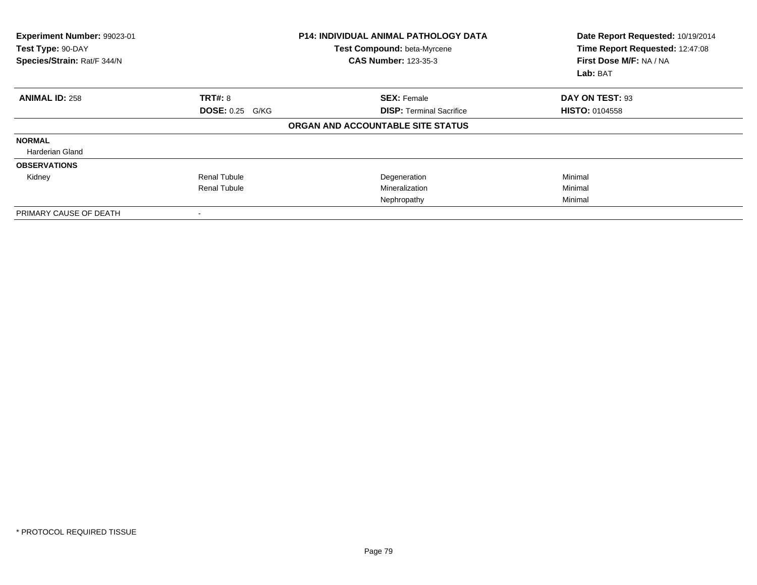| Experiment Number: 99023-01<br>Test Type: 90-DAY<br>Species/Strain: Rat/F 344/N |                          | <b>P14: INDIVIDUAL ANIMAL PATHOLOGY DATA</b><br>Test Compound: beta-Myrcene<br><b>CAS Number: 123-35-3</b> | Date Report Requested: 10/19/2014<br>Time Report Requested: 12:47:08<br>First Dose M/F: NA / NA<br>Lab: BAT |
|---------------------------------------------------------------------------------|--------------------------|------------------------------------------------------------------------------------------------------------|-------------------------------------------------------------------------------------------------------------|
| <b>ANIMAL ID: 258</b>                                                           | TRT#: 8                  | <b>SEX: Female</b>                                                                                         | DAY ON TEST: 93                                                                                             |
|                                                                                 | <b>DOSE: 0.25 G/KG</b>   | <b>DISP:</b> Terminal Sacrifice                                                                            | <b>HISTO: 0104558</b>                                                                                       |
|                                                                                 |                          | ORGAN AND ACCOUNTABLE SITE STATUS                                                                          |                                                                                                             |
| <b>NORMAL</b>                                                                   |                          |                                                                                                            |                                                                                                             |
| Harderian Gland                                                                 |                          |                                                                                                            |                                                                                                             |
| <b>OBSERVATIONS</b>                                                             |                          |                                                                                                            |                                                                                                             |
| Kidney                                                                          | <b>Renal Tubule</b>      | Degeneration                                                                                               | Minimal                                                                                                     |
|                                                                                 | <b>Renal Tubule</b>      | Mineralization                                                                                             | Minimal                                                                                                     |
|                                                                                 |                          | Nephropathy                                                                                                | Minimal                                                                                                     |
| PRIMARY CAUSE OF DEATH                                                          | $\overline{\phantom{a}}$ |                                                                                                            |                                                                                                             |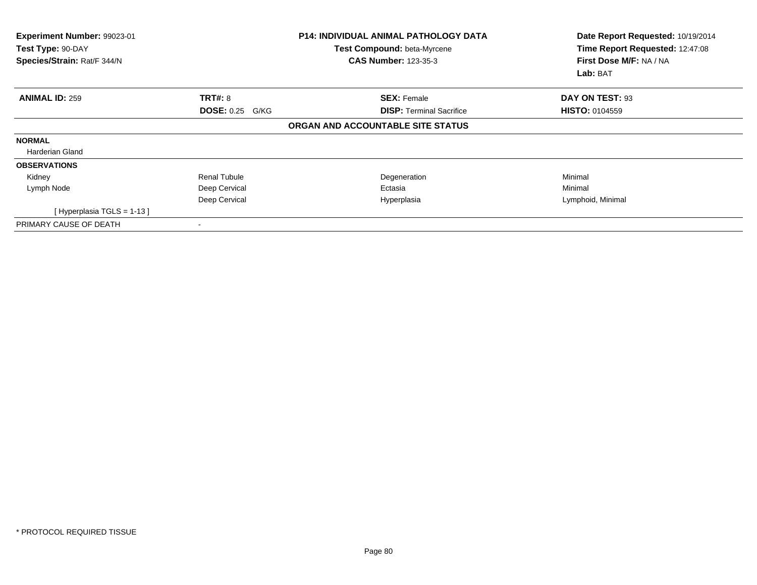| Experiment Number: 99023-01<br>Test Type: 90-DAY<br>Species/Strain: Rat/F 344/N |                        | <b>P14: INDIVIDUAL ANIMAL PATHOLOGY DATA</b><br>Test Compound: beta-Myrcene<br><b>CAS Number: 123-35-3</b> | Date Report Requested: 10/19/2014<br>Time Report Requested: 12:47:08<br>First Dose M/F: NA / NA<br>Lab: BAT |
|---------------------------------------------------------------------------------|------------------------|------------------------------------------------------------------------------------------------------------|-------------------------------------------------------------------------------------------------------------|
| <b>ANIMAL ID: 259</b>                                                           | <b>TRT#: 8</b>         | <b>SEX: Female</b>                                                                                         | DAY ON TEST: 93                                                                                             |
|                                                                                 | <b>DOSE: 0.25 G/KG</b> | <b>DISP: Terminal Sacrifice</b>                                                                            | <b>HISTO: 0104559</b>                                                                                       |
|                                                                                 |                        | ORGAN AND ACCOUNTABLE SITE STATUS                                                                          |                                                                                                             |
| <b>NORMAL</b>                                                                   |                        |                                                                                                            |                                                                                                             |
| Harderian Gland                                                                 |                        |                                                                                                            |                                                                                                             |
| <b>OBSERVATIONS</b>                                                             |                        |                                                                                                            |                                                                                                             |
| Kidney                                                                          | <b>Renal Tubule</b>    | Degeneration                                                                                               | Minimal                                                                                                     |
| Lymph Node                                                                      | Deep Cervical          | Ectasia                                                                                                    | Minimal                                                                                                     |
|                                                                                 | Deep Cervical          | Hyperplasia                                                                                                | Lymphoid, Minimal                                                                                           |
| [Hyperplasia TGLS = 1-13 ]                                                      |                        |                                                                                                            |                                                                                                             |
| PRIMARY CAUSE OF DEATH                                                          |                        |                                                                                                            |                                                                                                             |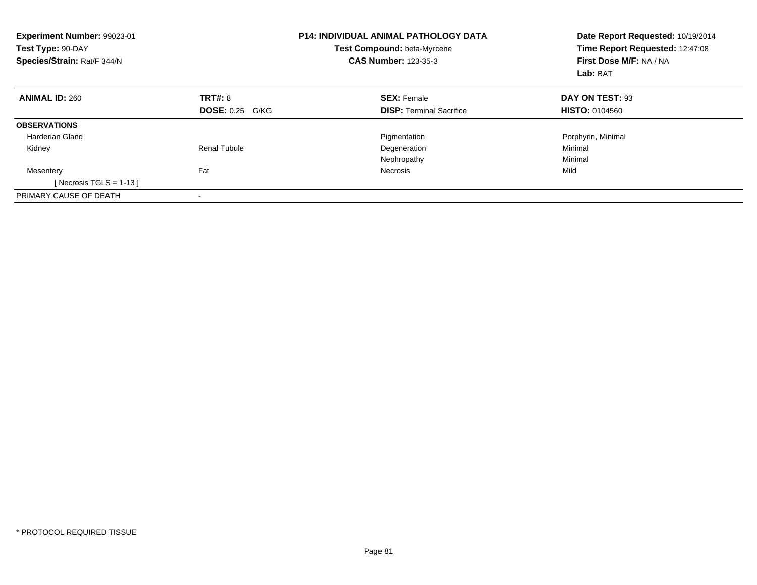| <b>Experiment Number: 99023-01</b><br>Test Type: 90-DAY<br>Species/Strain: Rat/F 344/N |                        | <b>P14: INDIVIDUAL ANIMAL PATHOLOGY DATA</b><br>Test Compound: beta-Myrcene<br><b>CAS Number: 123-35-3</b> | Date Report Requested: 10/19/2014<br>Time Report Requested: 12:47:08<br>First Dose M/F: NA / NA<br>Lab: BAT |
|----------------------------------------------------------------------------------------|------------------------|------------------------------------------------------------------------------------------------------------|-------------------------------------------------------------------------------------------------------------|
| <b>ANIMAL ID: 260</b>                                                                  | TRT#: 8                | <b>SEX: Female</b>                                                                                         | DAY ON TEST: 93                                                                                             |
|                                                                                        | <b>DOSE: 0.25 G/KG</b> | <b>DISP:</b> Terminal Sacrifice                                                                            | <b>HISTO: 0104560</b>                                                                                       |
| <b>OBSERVATIONS</b>                                                                    |                        |                                                                                                            |                                                                                                             |
| Harderian Gland                                                                        |                        | Pigmentation                                                                                               | Porphyrin, Minimal                                                                                          |
| Kidney                                                                                 | Renal Tubule           | Degeneration                                                                                               | Minimal                                                                                                     |
|                                                                                        |                        | Nephropathy                                                                                                | Minimal                                                                                                     |
| Mesentery                                                                              | Fat                    | Necrosis                                                                                                   | Mild                                                                                                        |
| [Necrosis TGLS = $1-13$ ]                                                              |                        |                                                                                                            |                                                                                                             |
| PRIMARY CAUSE OF DEATH                                                                 |                        |                                                                                                            |                                                                                                             |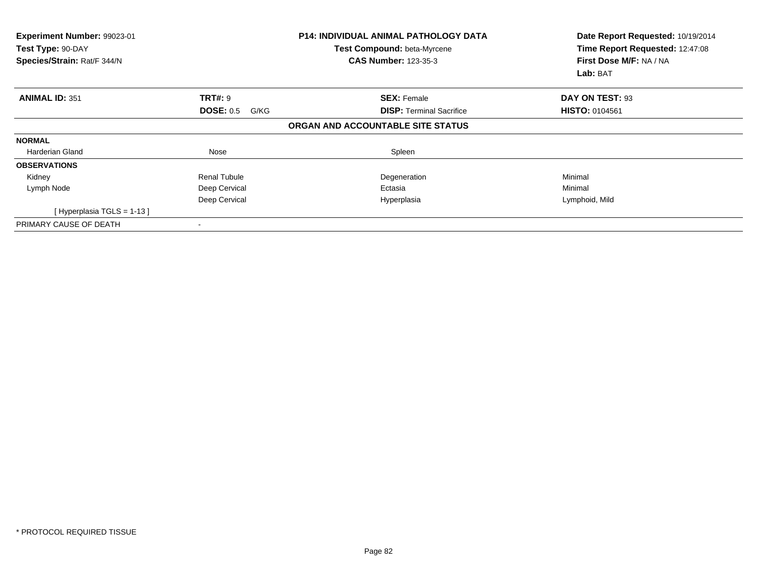| Experiment Number: 99023-01<br>Test Type: 90-DAY<br>Species/Strain: Rat/F 344/N |                          | <b>P14: INDIVIDUAL ANIMAL PATHOLOGY DATA</b><br>Test Compound: beta-Myrcene<br><b>CAS Number: 123-35-3</b> | Date Report Requested: 10/19/2014<br>Time Report Requested: 12:47:08<br>First Dose M/F: NA / NA<br>Lab: BAT |
|---------------------------------------------------------------------------------|--------------------------|------------------------------------------------------------------------------------------------------------|-------------------------------------------------------------------------------------------------------------|
| <b>ANIMAL ID: 351</b>                                                           | TRT#: 9                  | <b>SEX: Female</b>                                                                                         | DAY ON TEST: 93                                                                                             |
|                                                                                 | <b>DOSE: 0.5</b><br>G/KG | <b>DISP:</b> Terminal Sacrifice                                                                            | <b>HISTO: 0104561</b>                                                                                       |
|                                                                                 |                          | ORGAN AND ACCOUNTABLE SITE STATUS                                                                          |                                                                                                             |
| <b>NORMAL</b>                                                                   |                          |                                                                                                            |                                                                                                             |
| Harderian Gland                                                                 | Nose                     | Spleen                                                                                                     |                                                                                                             |
| <b>OBSERVATIONS</b>                                                             |                          |                                                                                                            |                                                                                                             |
| Kidney                                                                          | <b>Renal Tubule</b>      | Degeneration                                                                                               | Minimal                                                                                                     |
| Lymph Node                                                                      | Deep Cervical            | Ectasia                                                                                                    | Minimal                                                                                                     |
|                                                                                 | Deep Cervical            | Hyperplasia                                                                                                | Lymphoid, Mild                                                                                              |
| [Hyperplasia TGLS = 1-13]                                                       |                          |                                                                                                            |                                                                                                             |
| PRIMARY CAUSE OF DEATH                                                          |                          |                                                                                                            |                                                                                                             |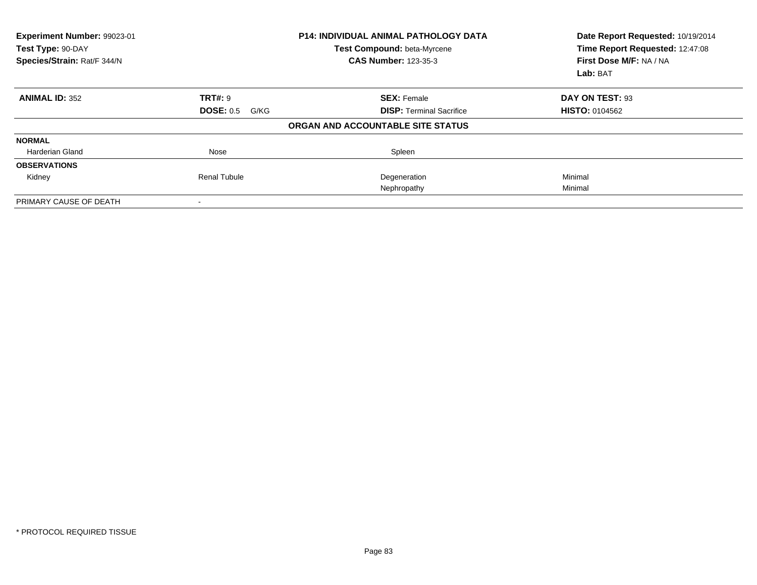| Experiment Number: 99023-01<br>Test Type: 90-DAY<br>Species/Strain: Rat/F 344/N |                          | <b>P14: INDIVIDUAL ANIMAL PATHOLOGY DATA</b><br>Test Compound: beta-Myrcene<br><b>CAS Number: 123-35-3</b> | Date Report Requested: 10/19/2014<br>Time Report Requested: 12:47:08<br>First Dose M/F: NA / NA<br>Lab: BAT |
|---------------------------------------------------------------------------------|--------------------------|------------------------------------------------------------------------------------------------------------|-------------------------------------------------------------------------------------------------------------|
| <b>ANIMAL ID: 352</b>                                                           | <b>TRT#: 9</b>           | <b>SEX: Female</b>                                                                                         | DAY ON TEST: 93                                                                                             |
|                                                                                 | <b>DOSE: 0.5</b><br>G/KG | <b>DISP:</b> Terminal Sacrifice                                                                            | <b>HISTO: 0104562</b>                                                                                       |
|                                                                                 |                          | ORGAN AND ACCOUNTABLE SITE STATUS                                                                          |                                                                                                             |
| <b>NORMAL</b>                                                                   |                          |                                                                                                            |                                                                                                             |
| Harderian Gland                                                                 | Nose                     | Spleen                                                                                                     |                                                                                                             |
| <b>OBSERVATIONS</b>                                                             |                          |                                                                                                            |                                                                                                             |
| Kidney                                                                          | Renal Tubule             | Degeneration                                                                                               | Minimal                                                                                                     |
|                                                                                 |                          | Nephropathy                                                                                                | Minimal                                                                                                     |
| PRIMARY CAUSE OF DEATH                                                          |                          |                                                                                                            |                                                                                                             |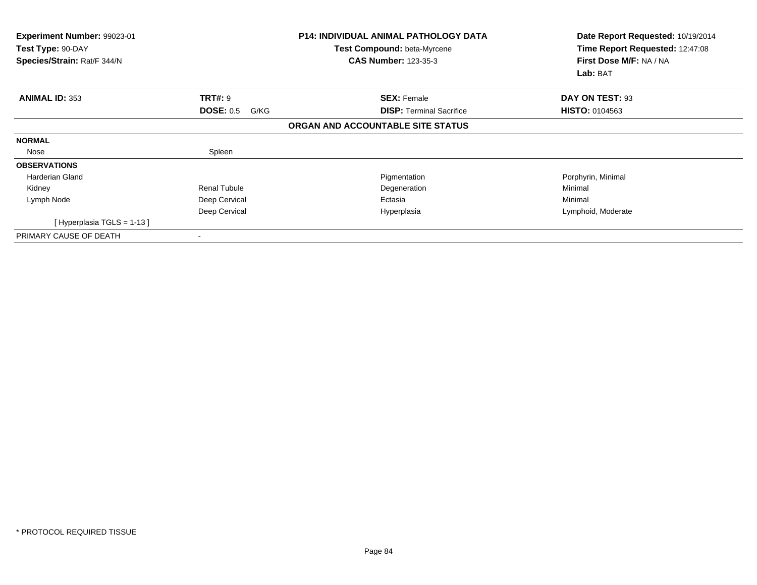| <b>Experiment Number: 99023-01</b><br>Test Type: 90-DAY<br>Species/Strain: Rat/F 344/N |                          | <b>P14: INDIVIDUAL ANIMAL PATHOLOGY DATA</b><br>Test Compound: beta-Myrcene<br><b>CAS Number: 123-35-3</b> | Date Report Requested: 10/19/2014<br>Time Report Requested: 12:47:08<br>First Dose M/F: NA / NA<br>Lab: BAT |
|----------------------------------------------------------------------------------------|--------------------------|------------------------------------------------------------------------------------------------------------|-------------------------------------------------------------------------------------------------------------|
| <b>ANIMAL ID: 353</b>                                                                  | <b>TRT#: 9</b>           | <b>SEX: Female</b>                                                                                         | DAY ON TEST: 93                                                                                             |
|                                                                                        | <b>DOSE: 0.5</b><br>G/KG | <b>DISP:</b> Terminal Sacrifice                                                                            | <b>HISTO: 0104563</b>                                                                                       |
|                                                                                        |                          | ORGAN AND ACCOUNTABLE SITE STATUS                                                                          |                                                                                                             |
| <b>NORMAL</b>                                                                          |                          |                                                                                                            |                                                                                                             |
| Nose                                                                                   | Spleen                   |                                                                                                            |                                                                                                             |
| <b>OBSERVATIONS</b>                                                                    |                          |                                                                                                            |                                                                                                             |
| <b>Harderian Gland</b>                                                                 |                          | Pigmentation                                                                                               | Porphyrin, Minimal                                                                                          |
| Kidney                                                                                 | <b>Renal Tubule</b>      | Degeneration                                                                                               | Minimal                                                                                                     |
| Lymph Node                                                                             | Deep Cervical            | Ectasia                                                                                                    | Minimal                                                                                                     |
|                                                                                        | Deep Cervical            | Hyperplasia                                                                                                | Lymphoid, Moderate                                                                                          |
| [Hyperplasia TGLS = $1-13$ ]                                                           |                          |                                                                                                            |                                                                                                             |
| PRIMARY CAUSE OF DEATH                                                                 |                          |                                                                                                            |                                                                                                             |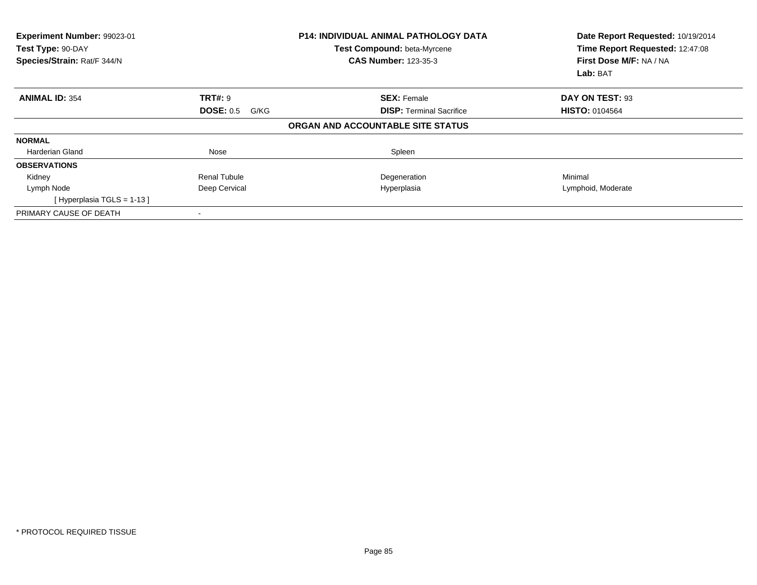| Experiment Number: 99023-01<br>Test Type: 90-DAY<br>Species/Strain: Rat/F 344/N |                          | <b>P14: INDIVIDUAL ANIMAL PATHOLOGY DATA</b><br>Test Compound: beta-Myrcene<br><b>CAS Number: 123-35-3</b> | Date Report Requested: 10/19/2014<br>Time Report Requested: 12:47:08<br>First Dose M/F: NA / NA<br>Lab: BAT |
|---------------------------------------------------------------------------------|--------------------------|------------------------------------------------------------------------------------------------------------|-------------------------------------------------------------------------------------------------------------|
| <b>ANIMAL ID: 354</b>                                                           | <b>TRT#: 9</b>           | <b>SEX: Female</b>                                                                                         | DAY ON TEST: 93                                                                                             |
|                                                                                 | <b>DOSE: 0.5</b><br>G/KG | <b>DISP:</b> Terminal Sacrifice                                                                            | <b>HISTO: 0104564</b>                                                                                       |
|                                                                                 |                          | ORGAN AND ACCOUNTABLE SITE STATUS                                                                          |                                                                                                             |
| <b>NORMAL</b>                                                                   |                          |                                                                                                            |                                                                                                             |
| Harderian Gland                                                                 | Nose                     | Spleen                                                                                                     |                                                                                                             |
| <b>OBSERVATIONS</b>                                                             |                          |                                                                                                            |                                                                                                             |
| Kidney                                                                          | <b>Renal Tubule</b>      | Degeneration                                                                                               | Minimal                                                                                                     |
| Lymph Node                                                                      | Deep Cervical            | Hyperplasia                                                                                                | Lymphoid, Moderate                                                                                          |
| [Hyperplasia TGLS = 1-13]                                                       |                          |                                                                                                            |                                                                                                             |
| PRIMARY CAUSE OF DEATH                                                          |                          |                                                                                                            |                                                                                                             |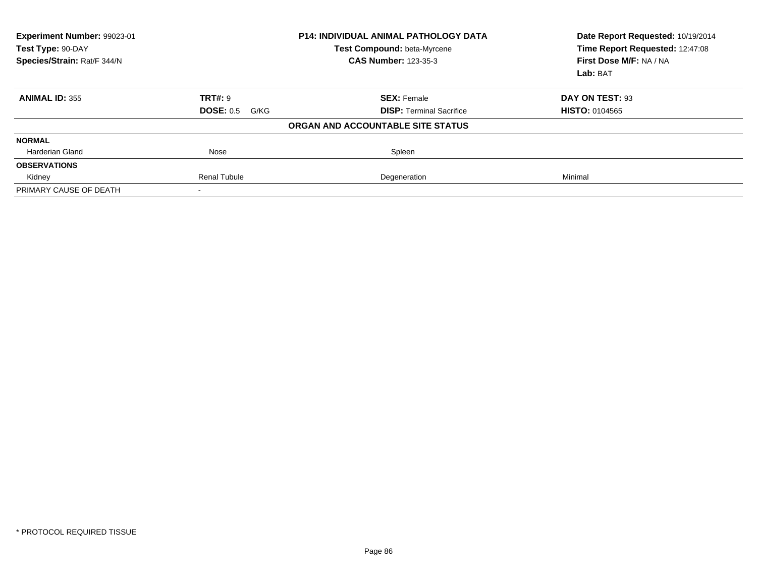| Experiment Number: 99023-01<br>Test Type: 90-DAY<br>Species/Strain: Rat/F 344/N |                          | <b>P14: INDIVIDUAL ANIMAL PATHOLOGY DATA</b><br>Test Compound: beta-Myrcene<br><b>CAS Number: 123-35-3</b> | Date Report Requested: 10/19/2014<br>Time Report Requested: 12:47:08<br>First Dose M/F: NA / NA<br>Lab: BAT |
|---------------------------------------------------------------------------------|--------------------------|------------------------------------------------------------------------------------------------------------|-------------------------------------------------------------------------------------------------------------|
| <b>ANIMAL ID: 355</b>                                                           | <b>TRT#: 9</b>           | <b>SEX: Female</b>                                                                                         | DAY ON TEST: 93                                                                                             |
|                                                                                 | <b>DOSE: 0.5</b><br>G/KG | <b>DISP:</b> Terminal Sacrifice                                                                            | <b>HISTO: 0104565</b>                                                                                       |
|                                                                                 |                          | ORGAN AND ACCOUNTABLE SITE STATUS                                                                          |                                                                                                             |
| <b>NORMAL</b>                                                                   |                          |                                                                                                            |                                                                                                             |
| <b>Harderian Gland</b>                                                          | Nose                     | Spleen                                                                                                     |                                                                                                             |
| <b>OBSERVATIONS</b>                                                             |                          |                                                                                                            |                                                                                                             |
| Kidney                                                                          | <b>Renal Tubule</b>      | Degeneration                                                                                               | Minimal                                                                                                     |
| PRIMARY CAUSE OF DEATH                                                          |                          |                                                                                                            |                                                                                                             |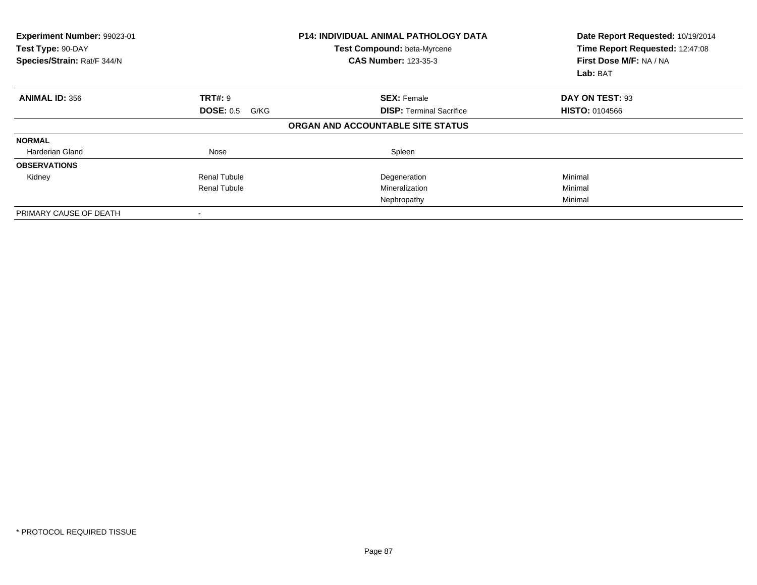| Experiment Number: 99023-01<br>Test Type: 90-DAY<br>Species/Strain: Rat/F 344/N |                          | <b>P14: INDIVIDUAL ANIMAL PATHOLOGY DATA</b><br>Test Compound: beta-Myrcene<br><b>CAS Number: 123-35-3</b> | Date Report Requested: 10/19/2014<br>Time Report Requested: 12:47:08<br>First Dose M/F: NA / NA<br>Lab: BAT |
|---------------------------------------------------------------------------------|--------------------------|------------------------------------------------------------------------------------------------------------|-------------------------------------------------------------------------------------------------------------|
| <b>ANIMAL ID: 356</b>                                                           | <b>TRT#: 9</b>           | <b>SEX: Female</b>                                                                                         | DAY ON TEST: 93                                                                                             |
|                                                                                 | <b>DOSE: 0.5</b><br>G/KG | <b>DISP:</b> Terminal Sacrifice                                                                            | <b>HISTO: 0104566</b>                                                                                       |
|                                                                                 |                          | ORGAN AND ACCOUNTABLE SITE STATUS                                                                          |                                                                                                             |
| <b>NORMAL</b>                                                                   |                          |                                                                                                            |                                                                                                             |
| Harderian Gland                                                                 | Nose                     | Spleen                                                                                                     |                                                                                                             |
| <b>OBSERVATIONS</b>                                                             |                          |                                                                                                            |                                                                                                             |
| Kidney                                                                          | <b>Renal Tubule</b>      | Degeneration                                                                                               | Minimal                                                                                                     |
|                                                                                 | <b>Renal Tubule</b>      | Mineralization                                                                                             | Minimal                                                                                                     |
|                                                                                 |                          | Nephropathy                                                                                                | Minimal                                                                                                     |
| PRIMARY CAUSE OF DEATH                                                          | $\overline{\phantom{a}}$ |                                                                                                            |                                                                                                             |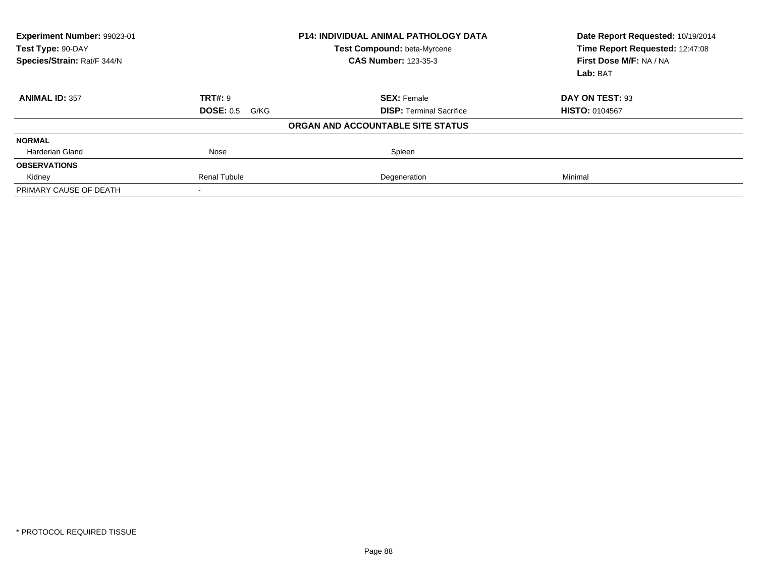| Experiment Number: 99023-01<br>Test Type: 90-DAY<br>Species/Strain: Rat/F 344/N |                          | <b>P14: INDIVIDUAL ANIMAL PATHOLOGY DATA</b><br>Test Compound: beta-Myrcene<br><b>CAS Number: 123-35-3</b> | Date Report Requested: 10/19/2014<br>Time Report Requested: 12:47:08<br>First Dose M/F: NA / NA<br>Lab: BAT |
|---------------------------------------------------------------------------------|--------------------------|------------------------------------------------------------------------------------------------------------|-------------------------------------------------------------------------------------------------------------|
| <b>ANIMAL ID: 357</b>                                                           | TRT#: 9                  | <b>SEX: Female</b>                                                                                         | DAY ON TEST: 93                                                                                             |
|                                                                                 | <b>DOSE: 0.5</b><br>G/KG | <b>DISP: Terminal Sacrifice</b>                                                                            | <b>HISTO: 0104567</b>                                                                                       |
|                                                                                 |                          | ORGAN AND ACCOUNTABLE SITE STATUS                                                                          |                                                                                                             |
| <b>NORMAL</b>                                                                   |                          |                                                                                                            |                                                                                                             |
| Harderian Gland                                                                 | Nose                     | Spleen                                                                                                     |                                                                                                             |
| <b>OBSERVATIONS</b>                                                             |                          |                                                                                                            |                                                                                                             |
| Kidney                                                                          | <b>Renal Tubule</b>      | Degeneration                                                                                               | Minimal                                                                                                     |
| PRIMARY CAUSE OF DEATH                                                          |                          |                                                                                                            |                                                                                                             |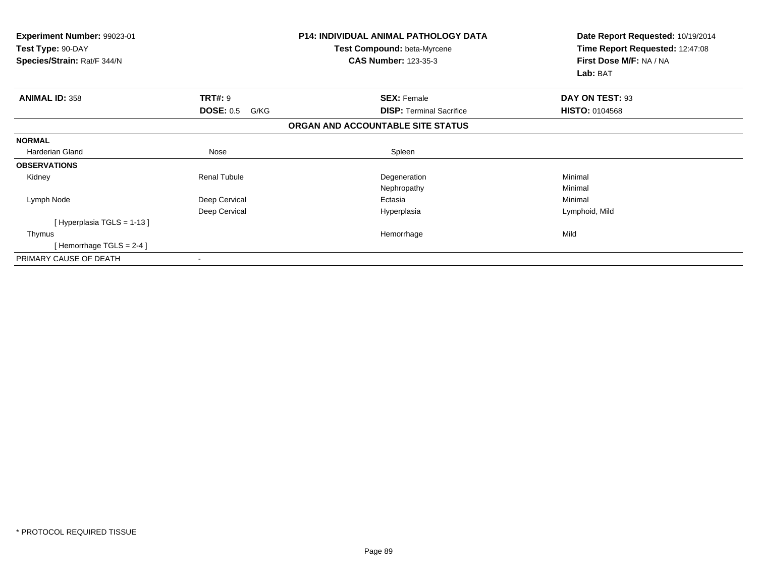| Experiment Number: 99023-01<br>Test Type: 90-DAY<br>Species/Strain: Rat/F 344/N |                          | <b>P14: INDIVIDUAL ANIMAL PATHOLOGY DATA</b><br>Test Compound: beta-Myrcene<br><b>CAS Number: 123-35-3</b> | Date Report Requested: 10/19/2014<br>Time Report Requested: 12:47:08<br>First Dose M/F: NA / NA<br>Lab: BAT |
|---------------------------------------------------------------------------------|--------------------------|------------------------------------------------------------------------------------------------------------|-------------------------------------------------------------------------------------------------------------|
| <b>ANIMAL ID: 358</b>                                                           | <b>TRT#: 9</b>           | <b>SEX: Female</b>                                                                                         | DAY ON TEST: 93                                                                                             |
|                                                                                 | <b>DOSE: 0.5</b><br>G/KG | <b>DISP:</b> Terminal Sacrifice                                                                            | <b>HISTO: 0104568</b>                                                                                       |
|                                                                                 |                          | ORGAN AND ACCOUNTABLE SITE STATUS                                                                          |                                                                                                             |
| <b>NORMAL</b>                                                                   |                          |                                                                                                            |                                                                                                             |
| Harderian Gland                                                                 | Nose                     | Spleen                                                                                                     |                                                                                                             |
| <b>OBSERVATIONS</b>                                                             |                          |                                                                                                            |                                                                                                             |
| Kidney                                                                          | <b>Renal Tubule</b>      | Degeneration                                                                                               | Minimal                                                                                                     |
|                                                                                 |                          | Nephropathy                                                                                                | Minimal                                                                                                     |
| Lymph Node                                                                      | Deep Cervical            | Ectasia                                                                                                    | Minimal                                                                                                     |
|                                                                                 | Deep Cervical            | Hyperplasia                                                                                                | Lymphoid, Mild                                                                                              |
| [Hyperplasia TGLS = $1-13$ ]                                                    |                          |                                                                                                            |                                                                                                             |
| Thymus                                                                          |                          | Hemorrhage                                                                                                 | Mild                                                                                                        |
| [Hemorrhage TGLS = $2-4$ ]                                                      |                          |                                                                                                            |                                                                                                             |
| PRIMARY CAUSE OF DEATH                                                          |                          |                                                                                                            |                                                                                                             |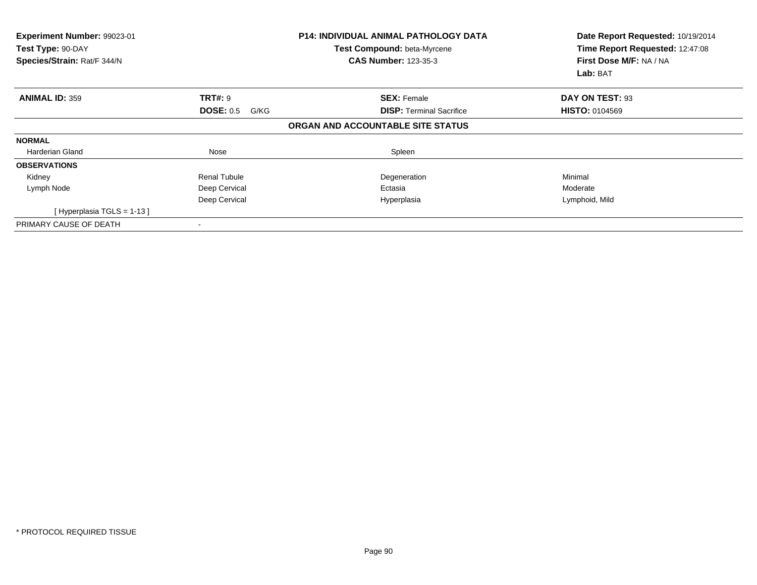| Experiment Number: 99023-01<br>Test Type: 90-DAY<br>Species/Strain: Rat/F 344/N |                          | <b>P14: INDIVIDUAL ANIMAL PATHOLOGY DATA</b><br>Test Compound: beta-Myrcene<br><b>CAS Number: 123-35-3</b> | Date Report Requested: 10/19/2014<br>Time Report Requested: 12:47:08<br>First Dose M/F: NA / NA<br>Lab: BAT |
|---------------------------------------------------------------------------------|--------------------------|------------------------------------------------------------------------------------------------------------|-------------------------------------------------------------------------------------------------------------|
| <b>ANIMAL ID: 359</b>                                                           | <b>TRT#: 9</b>           | <b>SEX: Female</b>                                                                                         | DAY ON TEST: 93                                                                                             |
|                                                                                 | <b>DOSE: 0.5</b><br>G/KG | <b>DISP: Terminal Sacrifice</b>                                                                            | <b>HISTO: 0104569</b>                                                                                       |
|                                                                                 |                          | ORGAN AND ACCOUNTABLE SITE STATUS                                                                          |                                                                                                             |
| <b>NORMAL</b>                                                                   |                          |                                                                                                            |                                                                                                             |
| Harderian Gland                                                                 | Nose                     | Spleen                                                                                                     |                                                                                                             |
| <b>OBSERVATIONS</b>                                                             |                          |                                                                                                            |                                                                                                             |
| Kidney                                                                          | Renal Tubule             | Degeneration                                                                                               | Minimal                                                                                                     |
| Lymph Node                                                                      | Deep Cervical            | Ectasia                                                                                                    | Moderate                                                                                                    |
|                                                                                 | Deep Cervical            | Hyperplasia                                                                                                | Lymphoid, Mild                                                                                              |
| [Hyperplasia TGLS = $1-13$ ]                                                    |                          |                                                                                                            |                                                                                                             |
| PRIMARY CAUSE OF DEATH                                                          |                          |                                                                                                            |                                                                                                             |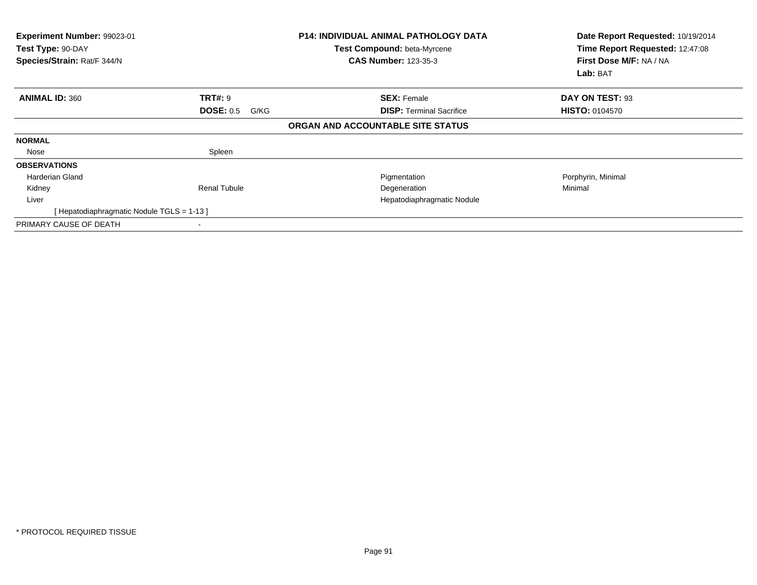| Experiment Number: 99023-01<br>Test Type: 90-DAY<br>Species/Strain: Rat/F 344/N |                          | <b>P14: INDIVIDUAL ANIMAL PATHOLOGY DATA</b><br>Test Compound: beta-Myrcene<br><b>CAS Number: 123-35-3</b> | Date Report Requested: 10/19/2014<br>Time Report Requested: 12:47:08<br>First Dose M/F: NA / NA<br>Lab: BAT |
|---------------------------------------------------------------------------------|--------------------------|------------------------------------------------------------------------------------------------------------|-------------------------------------------------------------------------------------------------------------|
| <b>ANIMAL ID: 360</b>                                                           | <b>TRT#: 9</b>           | <b>SEX: Female</b>                                                                                         | DAY ON TEST: 93                                                                                             |
|                                                                                 | <b>DOSE: 0.5</b><br>G/KG | <b>DISP: Terminal Sacrifice</b>                                                                            | <b>HISTO: 0104570</b>                                                                                       |
|                                                                                 |                          | ORGAN AND ACCOUNTABLE SITE STATUS                                                                          |                                                                                                             |
| <b>NORMAL</b>                                                                   |                          |                                                                                                            |                                                                                                             |
| Nose                                                                            | Spleen                   |                                                                                                            |                                                                                                             |
| <b>OBSERVATIONS</b>                                                             |                          |                                                                                                            |                                                                                                             |
| <b>Harderian Gland</b>                                                          |                          | Pigmentation                                                                                               | Porphyrin, Minimal                                                                                          |
| Kidney                                                                          | Renal Tubule             | Degeneration                                                                                               | Minimal                                                                                                     |
| Liver                                                                           |                          | Hepatodiaphragmatic Nodule                                                                                 |                                                                                                             |
| [Hepatodiaphragmatic Nodule TGLS = 1-13 ]                                       |                          |                                                                                                            |                                                                                                             |
| PRIMARY CAUSE OF DEATH                                                          |                          |                                                                                                            |                                                                                                             |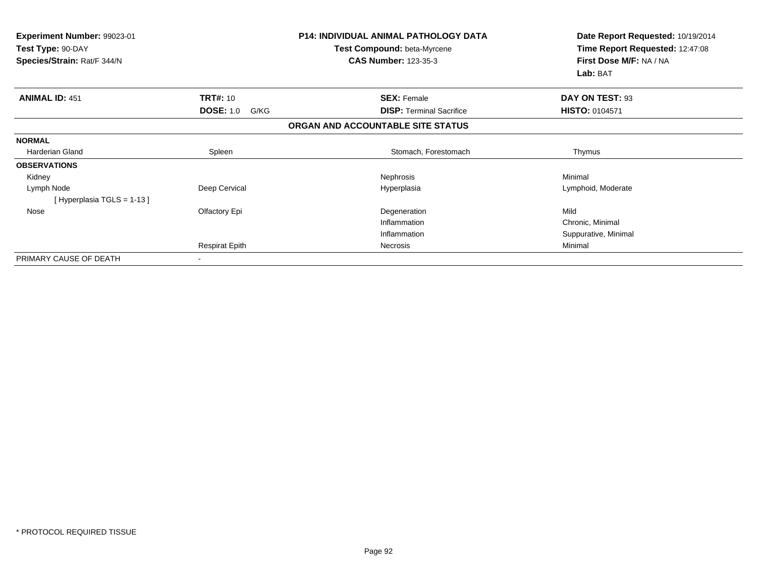| <b>Experiment Number: 99023-01</b><br>Test Type: 90-DAY<br>Species/Strain: Rat/F 344/N |                          | <b>P14: INDIVIDUAL ANIMAL PATHOLOGY DATA</b><br><b>Test Compound: beta-Myrcene</b><br><b>CAS Number: 123-35-3</b> | Date Report Requested: 10/19/2014<br>Time Report Requested: 12:47:08<br>First Dose M/F: NA / NA<br>Lab: BAT |
|----------------------------------------------------------------------------------------|--------------------------|-------------------------------------------------------------------------------------------------------------------|-------------------------------------------------------------------------------------------------------------|
| <b>ANIMAL ID: 451</b>                                                                  | <b>TRT#: 10</b>          | <b>SEX: Female</b>                                                                                                | DAY ON TEST: 93                                                                                             |
|                                                                                        | <b>DOSE: 1.0</b><br>G/KG | <b>DISP: Terminal Sacrifice</b>                                                                                   | <b>HISTO: 0104571</b>                                                                                       |
|                                                                                        |                          | ORGAN AND ACCOUNTABLE SITE STATUS                                                                                 |                                                                                                             |
| <b>NORMAL</b>                                                                          |                          |                                                                                                                   |                                                                                                             |
| <b>Harderian Gland</b>                                                                 | Spleen                   | Stomach, Forestomach                                                                                              | Thymus                                                                                                      |
| <b>OBSERVATIONS</b>                                                                    |                          |                                                                                                                   |                                                                                                             |
| Kidney                                                                                 |                          | Nephrosis                                                                                                         | Minimal                                                                                                     |
| Lymph Node<br>[Hyperplasia TGLS = 1-13]                                                | Deep Cervical            | Hyperplasia                                                                                                       | Lymphoid, Moderate                                                                                          |
| Nose                                                                                   | Olfactory Epi            | Degeneration                                                                                                      | Mild                                                                                                        |
|                                                                                        |                          | Inflammation                                                                                                      | Chronic, Minimal                                                                                            |
|                                                                                        |                          | Inflammation                                                                                                      | Suppurative, Minimal                                                                                        |
|                                                                                        | <b>Respirat Epith</b>    | Necrosis                                                                                                          | Minimal                                                                                                     |
| PRIMARY CAUSE OF DEATH                                                                 |                          |                                                                                                                   |                                                                                                             |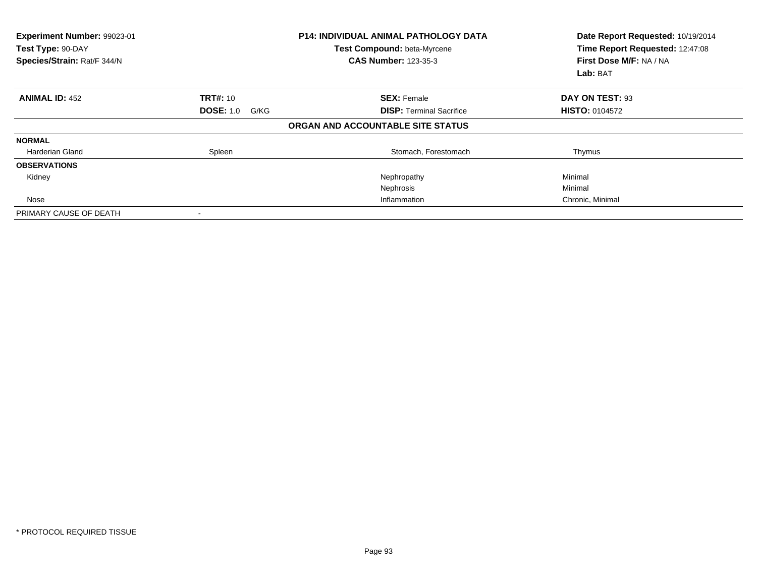| Experiment Number: 99023-01<br>Test Type: 90-DAY<br>Species/Strain: Rat/F 344/N |                          | <b>P14: INDIVIDUAL ANIMAL PATHOLOGY DATA</b><br>Test Compound: beta-Myrcene<br><b>CAS Number: 123-35-3</b> | Date Report Requested: 10/19/2014<br>Time Report Requested: 12:47:08<br>First Dose M/F: NA / NA<br>Lab: BAT |
|---------------------------------------------------------------------------------|--------------------------|------------------------------------------------------------------------------------------------------------|-------------------------------------------------------------------------------------------------------------|
| <b>ANIMAL ID: 452</b>                                                           | <b>TRT#:</b> 10          | <b>SEX: Female</b>                                                                                         | DAY ON TEST: 93                                                                                             |
|                                                                                 | <b>DOSE: 1.0</b><br>G/KG | <b>DISP:</b> Terminal Sacrifice                                                                            | <b>HISTO: 0104572</b>                                                                                       |
|                                                                                 |                          | ORGAN AND ACCOUNTABLE SITE STATUS                                                                          |                                                                                                             |
| <b>NORMAL</b>                                                                   |                          |                                                                                                            |                                                                                                             |
| <b>Harderian Gland</b>                                                          | Spleen                   | Stomach, Forestomach                                                                                       | Thymus                                                                                                      |
| <b>OBSERVATIONS</b>                                                             |                          |                                                                                                            |                                                                                                             |
| Kidney                                                                          |                          | Nephropathy                                                                                                | Minimal                                                                                                     |
|                                                                                 |                          | Nephrosis                                                                                                  | Minimal                                                                                                     |
| Nose                                                                            |                          | Inflammation                                                                                               | Chronic, Minimal                                                                                            |
| PRIMARY CAUSE OF DEATH                                                          |                          |                                                                                                            |                                                                                                             |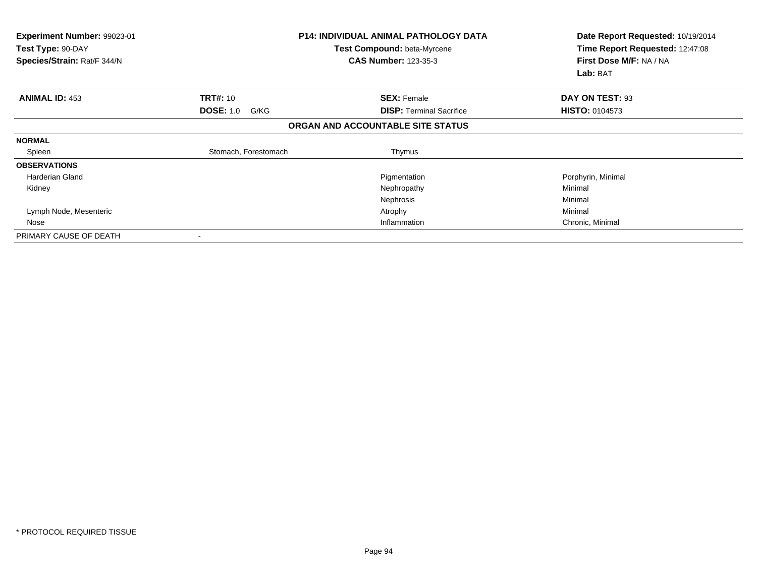| Experiment Number: 99023-01<br>Test Type: 90-DAY<br>Species/Strain: Rat/F 344/N |                          | P14: INDIVIDUAL ANIMAL PATHOLOGY DATA<br>Test Compound: beta-Myrcene<br><b>CAS Number: 123-35-3</b> | Date Report Requested: 10/19/2014<br>Time Report Requested: 12:47:08<br>First Dose M/F: NA / NA<br>Lab: BAT |
|---------------------------------------------------------------------------------|--------------------------|-----------------------------------------------------------------------------------------------------|-------------------------------------------------------------------------------------------------------------|
| <b>ANIMAL ID: 453</b>                                                           | <b>TRT#: 10</b>          | <b>SEX: Female</b>                                                                                  | DAY ON TEST: 93                                                                                             |
|                                                                                 | <b>DOSE: 1.0</b><br>G/KG | <b>DISP: Terminal Sacrifice</b>                                                                     | <b>HISTO: 0104573</b>                                                                                       |
|                                                                                 |                          | ORGAN AND ACCOUNTABLE SITE STATUS                                                                   |                                                                                                             |
| <b>NORMAL</b>                                                                   |                          |                                                                                                     |                                                                                                             |
| Spleen                                                                          | Stomach, Forestomach     | Thymus                                                                                              |                                                                                                             |
| <b>OBSERVATIONS</b>                                                             |                          |                                                                                                     |                                                                                                             |
| <b>Harderian Gland</b>                                                          |                          | Pigmentation                                                                                        | Porphyrin, Minimal                                                                                          |
| Kidney                                                                          |                          | Nephropathy                                                                                         | Minimal                                                                                                     |
|                                                                                 |                          | Nephrosis                                                                                           | Minimal                                                                                                     |
| Lymph Node, Mesenteric                                                          |                          | Atrophy                                                                                             | Minimal                                                                                                     |
| Nose                                                                            |                          | Inflammation                                                                                        | Chronic, Minimal                                                                                            |
| PRIMARY CAUSE OF DEATH                                                          |                          |                                                                                                     |                                                                                                             |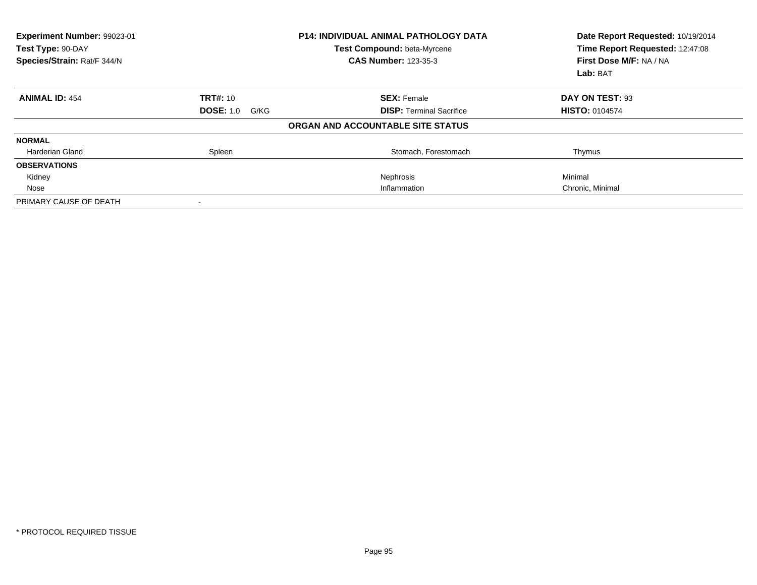| Experiment Number: 99023-01<br>Test Type: 90-DAY<br>Species/Strain: Rat/F 344/N |                          | <b>P14: INDIVIDUAL ANIMAL PATHOLOGY DATA</b><br>Test Compound: beta-Myrcene<br><b>CAS Number: 123-35-3</b> | Date Report Requested: 10/19/2014<br>Time Report Requested: 12:47:08<br>First Dose M/F: NA / NA<br>Lab: BAT |
|---------------------------------------------------------------------------------|--------------------------|------------------------------------------------------------------------------------------------------------|-------------------------------------------------------------------------------------------------------------|
| <b>ANIMAL ID: 454</b>                                                           | <b>TRT#: 10</b>          | <b>SEX: Female</b>                                                                                         | DAY ON TEST: 93                                                                                             |
|                                                                                 | <b>DOSE: 1.0</b><br>G/KG | <b>DISP: Terminal Sacrifice</b>                                                                            | <b>HISTO: 0104574</b>                                                                                       |
|                                                                                 |                          | ORGAN AND ACCOUNTABLE SITE STATUS                                                                          |                                                                                                             |
| <b>NORMAL</b>                                                                   |                          |                                                                                                            |                                                                                                             |
| Harderian Gland                                                                 | Spleen                   | Stomach, Forestomach                                                                                       | Thymus                                                                                                      |
| <b>OBSERVATIONS</b>                                                             |                          |                                                                                                            |                                                                                                             |
| Kidney                                                                          |                          | Nephrosis                                                                                                  | Minimal                                                                                                     |
| Nose                                                                            |                          | Inflammation                                                                                               | Chronic, Minimal                                                                                            |
| PRIMARY CAUSE OF DEATH                                                          |                          |                                                                                                            |                                                                                                             |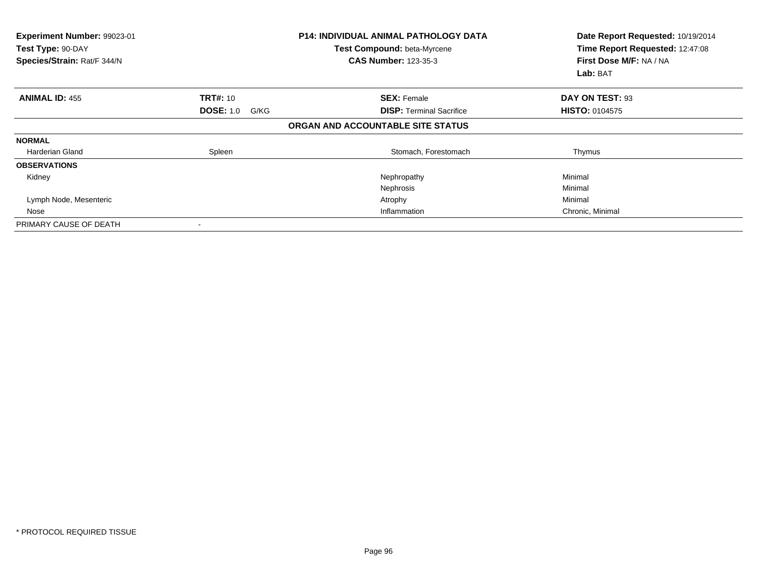| Experiment Number: 99023-01<br>Test Type: 90-DAY<br>Species/Strain: Rat/F 344/N |                          | <b>P14: INDIVIDUAL ANIMAL PATHOLOGY DATA</b><br>Test Compound: beta-Myrcene<br><b>CAS Number: 123-35-3</b> | Date Report Requested: 10/19/2014<br>Time Report Requested: 12:47:08<br>First Dose M/F: NA / NA<br>Lab: BAT |
|---------------------------------------------------------------------------------|--------------------------|------------------------------------------------------------------------------------------------------------|-------------------------------------------------------------------------------------------------------------|
| <b>ANIMAL ID: 455</b>                                                           | <b>TRT#: 10</b>          | <b>SEX: Female</b>                                                                                         | DAY ON TEST: 93                                                                                             |
|                                                                                 | <b>DOSE: 1.0</b><br>G/KG | <b>DISP:</b> Terminal Sacrifice                                                                            | <b>HISTO: 0104575</b>                                                                                       |
|                                                                                 |                          | ORGAN AND ACCOUNTABLE SITE STATUS                                                                          |                                                                                                             |
| <b>NORMAL</b>                                                                   |                          |                                                                                                            |                                                                                                             |
| Harderian Gland                                                                 | Spleen                   | Stomach, Forestomach                                                                                       | Thymus                                                                                                      |
| <b>OBSERVATIONS</b>                                                             |                          |                                                                                                            |                                                                                                             |
| Kidney                                                                          |                          | Nephropathy                                                                                                | Minimal                                                                                                     |
|                                                                                 |                          | Nephrosis                                                                                                  | Minimal                                                                                                     |
| Lymph Node, Mesenteric                                                          |                          | Atrophy                                                                                                    | Minimal                                                                                                     |
| Nose                                                                            |                          | Inflammation                                                                                               | Chronic, Minimal                                                                                            |
| PRIMARY CAUSE OF DEATH                                                          |                          |                                                                                                            |                                                                                                             |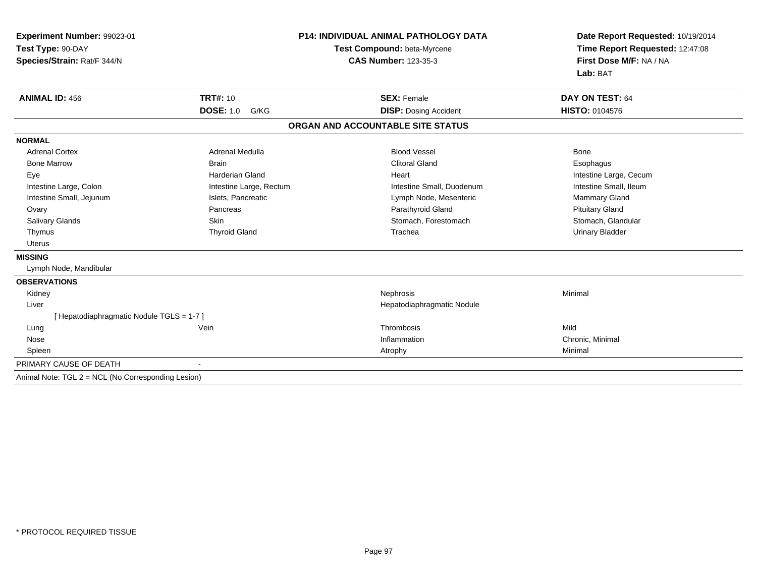| Experiment Number: 99023-01<br>Test Type: 90-DAY<br>Species/Strain: Rat/F 344/N<br><b>ANIMAL ID: 456</b> | <b>TRT#: 10</b>          | <b>P14: INDIVIDUAL ANIMAL PATHOLOGY DATA</b><br>Test Compound: beta-Myrcene<br><b>CAS Number: 123-35-3</b><br><b>SEX: Female</b> | Date Report Requested: 10/19/2014<br>Time Report Requested: 12:47:08<br>First Dose M/F: NA / NA<br>Lab: BAT |
|----------------------------------------------------------------------------------------------------------|--------------------------|----------------------------------------------------------------------------------------------------------------------------------|-------------------------------------------------------------------------------------------------------------|
|                                                                                                          | <b>DOSE: 1.0</b><br>G/KG | <b>DISP: Dosing Accident</b>                                                                                                     | DAY ON TEST: 64<br>HISTO: 0104576                                                                           |
|                                                                                                          |                          | ORGAN AND ACCOUNTABLE SITE STATUS                                                                                                |                                                                                                             |
|                                                                                                          |                          |                                                                                                                                  |                                                                                                             |
| <b>NORMAL</b>                                                                                            |                          |                                                                                                                                  |                                                                                                             |
| <b>Adrenal Cortex</b>                                                                                    | Adrenal Medulla          | <b>Blood Vessel</b>                                                                                                              | Bone                                                                                                        |
| <b>Bone Marrow</b>                                                                                       | <b>Brain</b>             | <b>Clitoral Gland</b>                                                                                                            | Esophagus                                                                                                   |
| Eye                                                                                                      | <b>Harderian Gland</b>   | Heart                                                                                                                            | Intestine Large, Cecum                                                                                      |
| Intestine Large, Colon                                                                                   | Intestine Large, Rectum  | Intestine Small, Duodenum                                                                                                        | Intestine Small, Ileum                                                                                      |
| Intestine Small, Jejunum                                                                                 | Islets, Pancreatic       | Lymph Node, Mesenteric                                                                                                           | Mammary Gland                                                                                               |
| Ovary                                                                                                    | Pancreas                 | Parathyroid Gland                                                                                                                | <b>Pituitary Gland</b>                                                                                      |
| Salivary Glands                                                                                          | Skin                     | Stomach, Forestomach                                                                                                             | Stomach, Glandular                                                                                          |
| Thymus                                                                                                   | <b>Thyroid Gland</b>     | Trachea                                                                                                                          | <b>Urinary Bladder</b>                                                                                      |
| <b>Uterus</b>                                                                                            |                          |                                                                                                                                  |                                                                                                             |
| <b>MISSING</b>                                                                                           |                          |                                                                                                                                  |                                                                                                             |
| Lymph Node, Mandibular                                                                                   |                          |                                                                                                                                  |                                                                                                             |
| <b>OBSERVATIONS</b>                                                                                      |                          |                                                                                                                                  |                                                                                                             |
| Kidney                                                                                                   |                          | Nephrosis                                                                                                                        | Minimal                                                                                                     |
| Liver                                                                                                    |                          | Hepatodiaphragmatic Nodule                                                                                                       |                                                                                                             |
| [ Hepatodiaphragmatic Nodule TGLS = 1-7 ]                                                                |                          |                                                                                                                                  |                                                                                                             |
| Lung                                                                                                     | Vein                     | Thrombosis                                                                                                                       | Mild                                                                                                        |
| Nose                                                                                                     |                          | Inflammation                                                                                                                     | Chronic, Minimal                                                                                            |
| Spleen                                                                                                   |                          | Atrophy                                                                                                                          | Minimal                                                                                                     |
| PRIMARY CAUSE OF DEATH                                                                                   |                          |                                                                                                                                  |                                                                                                             |
| Animal Note: TGL 2 = NCL (No Corresponding Lesion)                                                       |                          |                                                                                                                                  |                                                                                                             |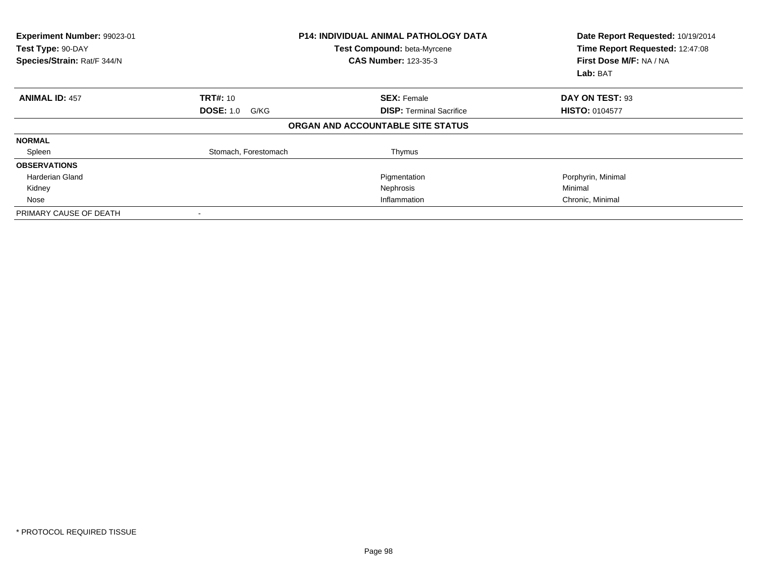| <b>Experiment Number: 99023-01</b><br>Test Type: 90-DAY<br>Species/Strain: Rat/F 344/N |                          | <b>P14: INDIVIDUAL ANIMAL PATHOLOGY DATA</b><br><b>Test Compound: beta-Myrcene</b><br><b>CAS Number: 123-35-3</b> | Date Report Requested: 10/19/2014<br>Time Report Requested: 12:47:08<br>First Dose M/F: NA / NA<br>Lab: BAT |
|----------------------------------------------------------------------------------------|--------------------------|-------------------------------------------------------------------------------------------------------------------|-------------------------------------------------------------------------------------------------------------|
| <b>ANIMAL ID: 457</b>                                                                  | <b>TRT#: 10</b>          | <b>SEX: Female</b>                                                                                                | DAY ON TEST: 93                                                                                             |
|                                                                                        | <b>DOSE: 1.0</b><br>G/KG | <b>DISP:</b> Terminal Sacrifice                                                                                   | <b>HISTO: 0104577</b>                                                                                       |
|                                                                                        |                          | ORGAN AND ACCOUNTABLE SITE STATUS                                                                                 |                                                                                                             |
| <b>NORMAL</b>                                                                          |                          |                                                                                                                   |                                                                                                             |
| Spleen                                                                                 | Stomach, Forestomach     | Thymus                                                                                                            |                                                                                                             |
| <b>OBSERVATIONS</b>                                                                    |                          |                                                                                                                   |                                                                                                             |
| Harderian Gland                                                                        |                          | Pigmentation                                                                                                      | Porphyrin, Minimal                                                                                          |
| Kidney                                                                                 |                          | Nephrosis                                                                                                         | Minimal                                                                                                     |
| Nose                                                                                   |                          | Inflammation                                                                                                      | Chronic, Minimal                                                                                            |
| PRIMARY CAUSE OF DEATH                                                                 |                          |                                                                                                                   |                                                                                                             |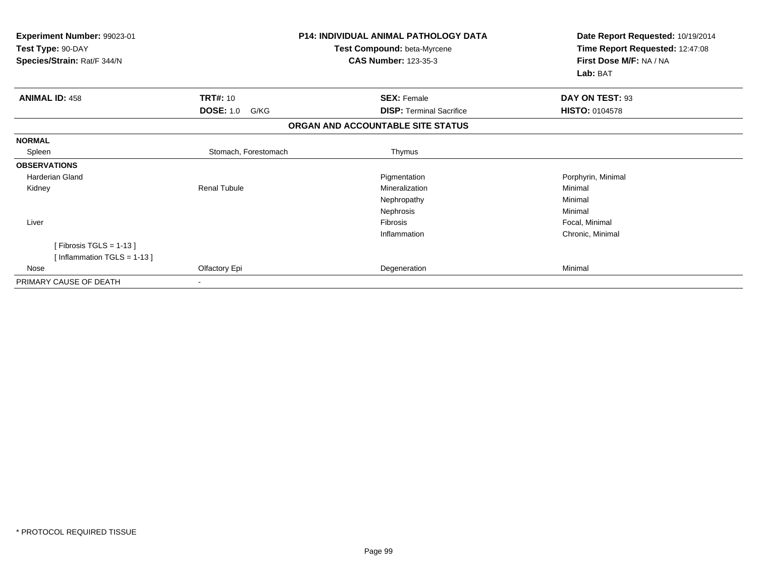| Experiment Number: 99023-01<br>Test Type: 90-DAY<br>Species/Strain: Rat/F 344/N |                                             | <b>P14: INDIVIDUAL ANIMAL PATHOLOGY DATA</b><br>Test Compound: beta-Myrcene<br><b>CAS Number: 123-35-3</b> | Date Report Requested: 10/19/2014<br>Time Report Requested: 12:47:08<br>First Dose M/F: NA / NA<br>Lab: BAT |
|---------------------------------------------------------------------------------|---------------------------------------------|------------------------------------------------------------------------------------------------------------|-------------------------------------------------------------------------------------------------------------|
| <b>ANIMAL ID: 458</b>                                                           | <b>TRT#: 10</b><br><b>DOSE: 1.0</b><br>G/KG | <b>SEX: Female</b><br><b>DISP: Terminal Sacrifice</b>                                                      | DAY ON TEST: 93<br><b>HISTO: 0104578</b>                                                                    |
|                                                                                 |                                             | ORGAN AND ACCOUNTABLE SITE STATUS                                                                          |                                                                                                             |
| <b>NORMAL</b>                                                                   |                                             |                                                                                                            |                                                                                                             |
| Spleen                                                                          | Stomach, Forestomach                        | Thymus                                                                                                     |                                                                                                             |
| <b>OBSERVATIONS</b>                                                             |                                             |                                                                                                            |                                                                                                             |
| <b>Harderian Gland</b>                                                          |                                             | Pigmentation                                                                                               | Porphyrin, Minimal                                                                                          |
| Kidney                                                                          | <b>Renal Tubule</b>                         | Mineralization                                                                                             | Minimal                                                                                                     |
|                                                                                 |                                             | Nephropathy                                                                                                | Minimal                                                                                                     |
|                                                                                 |                                             | Nephrosis                                                                                                  | Minimal                                                                                                     |
| Liver                                                                           |                                             | Fibrosis                                                                                                   | Focal, Minimal                                                                                              |
|                                                                                 |                                             | Inflammation                                                                                               | Chronic, Minimal                                                                                            |
| [Fibrosis TGLS = $1-13$ ]                                                       |                                             |                                                                                                            |                                                                                                             |
| [Inflammation TGLS = $1-13$ ]                                                   |                                             |                                                                                                            |                                                                                                             |
| Nose                                                                            | Olfactory Epi                               | Degeneration                                                                                               | Minimal                                                                                                     |
| PRIMARY CAUSE OF DEATH                                                          |                                             |                                                                                                            |                                                                                                             |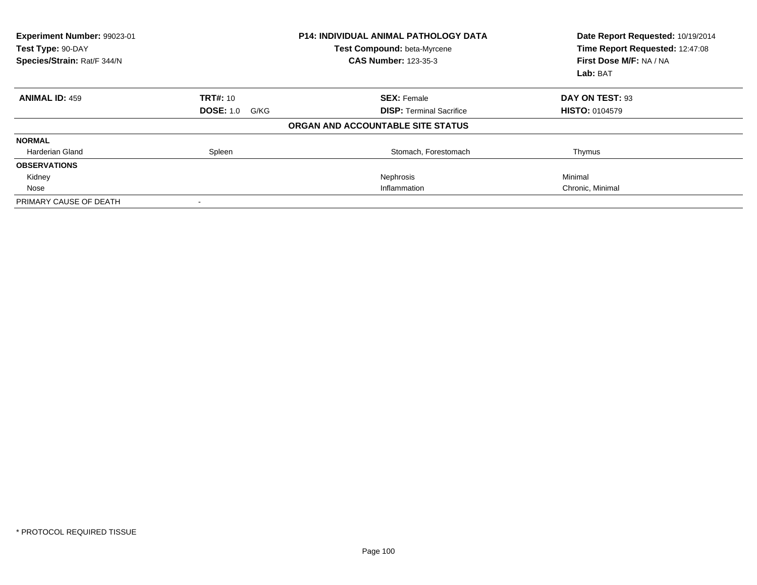| Experiment Number: 99023-01<br>Test Type: 90-DAY<br>Species/Strain: Rat/F 344/N | <b>P14: INDIVIDUAL ANIMAL PATHOLOGY DATA</b><br>Test Compound: beta-Myrcene<br><b>CAS Number: 123-35-3</b> |                                   | Date Report Requested: 10/19/2014<br>Time Report Requested: 12:47:08<br>First Dose M/F: NA / NA<br>Lab: BAT |
|---------------------------------------------------------------------------------|------------------------------------------------------------------------------------------------------------|-----------------------------------|-------------------------------------------------------------------------------------------------------------|
| <b>ANIMAL ID: 459</b>                                                           | <b>TRT#: 10</b>                                                                                            | <b>SEX: Female</b>                | DAY ON TEST: 93                                                                                             |
|                                                                                 | <b>DOSE: 1.0</b><br>G/KG                                                                                   | <b>DISP: Terminal Sacrifice</b>   | <b>HISTO: 0104579</b>                                                                                       |
|                                                                                 |                                                                                                            | ORGAN AND ACCOUNTABLE SITE STATUS |                                                                                                             |
| <b>NORMAL</b>                                                                   |                                                                                                            |                                   |                                                                                                             |
| Harderian Gland                                                                 | Spleen                                                                                                     | Stomach, Forestomach              | Thymus                                                                                                      |
| <b>OBSERVATIONS</b>                                                             |                                                                                                            |                                   |                                                                                                             |
| Kidney                                                                          |                                                                                                            | Nephrosis                         | Minimal                                                                                                     |
| Nose                                                                            |                                                                                                            | Inflammation                      | Chronic, Minimal                                                                                            |
| PRIMARY CAUSE OF DEATH                                                          |                                                                                                            |                                   |                                                                                                             |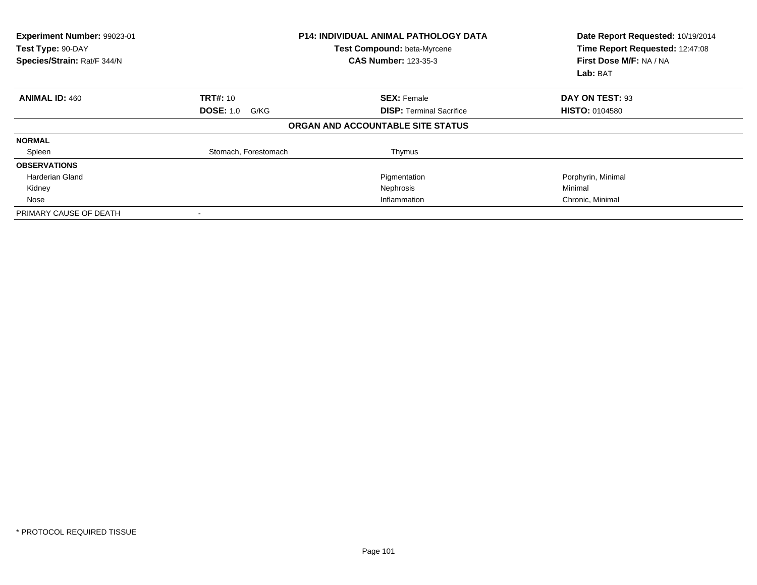| Experiment Number: 99023-01<br>Test Type: 90-DAY<br>Species/Strain: Rat/F 344/N |                          | <b>P14: INDIVIDUAL ANIMAL PATHOLOGY DATA</b><br>Test Compound: beta-Myrcene<br><b>CAS Number: 123-35-3</b> | Date Report Requested: 10/19/2014<br>Time Report Requested: 12:47:08<br>First Dose M/F: NA / NA<br>Lab: BAT |
|---------------------------------------------------------------------------------|--------------------------|------------------------------------------------------------------------------------------------------------|-------------------------------------------------------------------------------------------------------------|
| <b>ANIMAL ID: 460</b>                                                           | <b>TRT#: 10</b>          | <b>SEX: Female</b>                                                                                         | DAY ON TEST: 93                                                                                             |
|                                                                                 | <b>DOSE: 1.0</b><br>G/KG | <b>DISP:</b> Terminal Sacrifice                                                                            | <b>HISTO: 0104580</b>                                                                                       |
|                                                                                 |                          | ORGAN AND ACCOUNTABLE SITE STATUS                                                                          |                                                                                                             |
| <b>NORMAL</b>                                                                   |                          |                                                                                                            |                                                                                                             |
| Spleen                                                                          | Stomach, Forestomach     | Thymus                                                                                                     |                                                                                                             |
| <b>OBSERVATIONS</b>                                                             |                          |                                                                                                            |                                                                                                             |
| Harderian Gland                                                                 |                          | Pigmentation                                                                                               | Porphyrin, Minimal                                                                                          |
| Kidney                                                                          |                          | Nephrosis                                                                                                  | Minimal                                                                                                     |
| Nose                                                                            |                          | Inflammation                                                                                               | Chronic, Minimal                                                                                            |
| PRIMARY CAUSE OF DEATH                                                          |                          |                                                                                                            |                                                                                                             |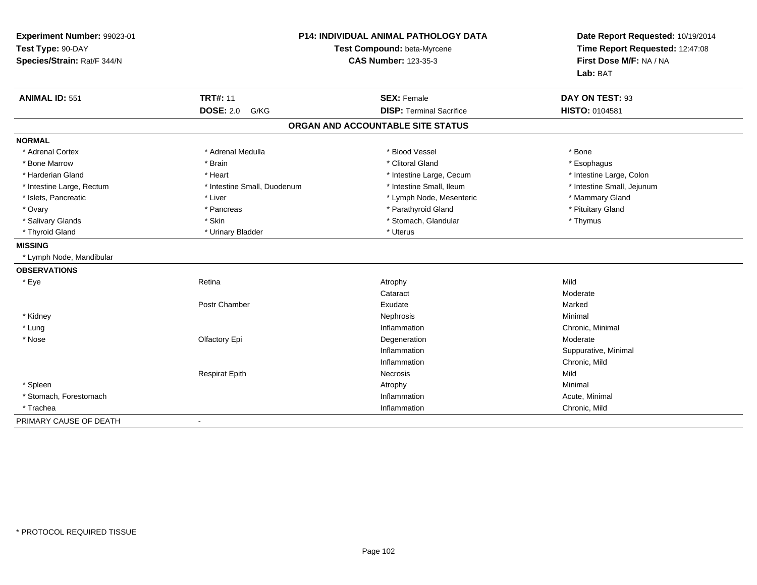| Experiment Number: 99023-01<br>Test Type: 90-DAY<br>Species/Strain: Rat/F 344/N | <b>P14: INDIVIDUAL ANIMAL PATHOLOGY DATA</b><br>Test Compound: beta-Myrcene<br><b>CAS Number: 123-35-3</b> |                                   | Date Report Requested: 10/19/2014<br>Time Report Requested: 12:47:08<br>First Dose M/F: NA / NA<br>Lab: BAT |
|---------------------------------------------------------------------------------|------------------------------------------------------------------------------------------------------------|-----------------------------------|-------------------------------------------------------------------------------------------------------------|
| <b>ANIMAL ID: 551</b>                                                           | <b>TRT#: 11</b>                                                                                            | <b>SEX: Female</b>                | DAY ON TEST: 93                                                                                             |
|                                                                                 | <b>DOSE: 2.0</b><br>G/KG                                                                                   | <b>DISP: Terminal Sacrifice</b>   | HISTO: 0104581                                                                                              |
|                                                                                 |                                                                                                            | ORGAN AND ACCOUNTABLE SITE STATUS |                                                                                                             |
| <b>NORMAL</b>                                                                   |                                                                                                            |                                   |                                                                                                             |
| * Adrenal Cortex                                                                | * Adrenal Medulla                                                                                          | * Blood Vessel                    | * Bone                                                                                                      |
| * Bone Marrow                                                                   | * Brain                                                                                                    | * Clitoral Gland                  | * Esophagus                                                                                                 |
| * Harderian Gland                                                               | * Heart                                                                                                    | * Intestine Large, Cecum          | * Intestine Large, Colon                                                                                    |
| * Intestine Large, Rectum                                                       | * Intestine Small, Duodenum                                                                                | * Intestine Small, Ileum          | * Intestine Small, Jejunum                                                                                  |
| * Islets, Pancreatic                                                            | * Liver                                                                                                    | * Lymph Node, Mesenteric          | * Mammary Gland                                                                                             |
| * Ovary                                                                         | * Pancreas                                                                                                 | * Parathyroid Gland               | * Pituitary Gland                                                                                           |
| * Salivary Glands                                                               | * Skin                                                                                                     | * Stomach, Glandular              | * Thymus                                                                                                    |
| * Thyroid Gland                                                                 | * Urinary Bladder                                                                                          | * Uterus                          |                                                                                                             |
| <b>MISSING</b>                                                                  |                                                                                                            |                                   |                                                                                                             |
| * Lymph Node, Mandibular                                                        |                                                                                                            |                                   |                                                                                                             |
| <b>OBSERVATIONS</b>                                                             |                                                                                                            |                                   |                                                                                                             |
| * Eye                                                                           | Retina                                                                                                     | Atrophy                           | Mild                                                                                                        |
|                                                                                 |                                                                                                            | Cataract                          | Moderate                                                                                                    |
|                                                                                 | Postr Chamber                                                                                              | Exudate                           | Marked                                                                                                      |
| * Kidney                                                                        |                                                                                                            | Nephrosis                         | Minimal                                                                                                     |
| $*$ Lung                                                                        |                                                                                                            | Inflammation                      | Chronic, Minimal                                                                                            |
| * Nose                                                                          | Olfactory Epi                                                                                              | Degeneration                      | Moderate                                                                                                    |
|                                                                                 |                                                                                                            | Inflammation                      | Suppurative, Minimal                                                                                        |
|                                                                                 |                                                                                                            | Inflammation                      | Chronic, Mild                                                                                               |
|                                                                                 | <b>Respirat Epith</b>                                                                                      | Necrosis                          | Mild                                                                                                        |
| * Spleen                                                                        |                                                                                                            | Atrophy                           | Minimal                                                                                                     |
| * Stomach, Forestomach                                                          |                                                                                                            | Inflammation                      | Acute, Minimal                                                                                              |
| * Trachea                                                                       |                                                                                                            | Inflammation                      | Chronic, Mild                                                                                               |
| PRIMARY CAUSE OF DEATH                                                          | $\blacksquare$                                                                                             |                                   |                                                                                                             |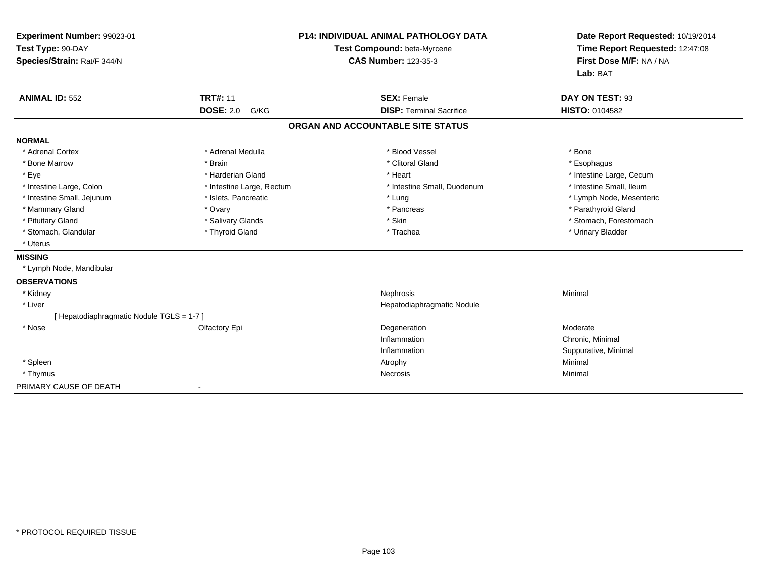| Experiment Number: 99023-01<br>Test Type: 90-DAY<br>Species/Strain: Rat/F 344/N |                           | <b>P14: INDIVIDUAL ANIMAL PATHOLOGY DATA</b><br>Test Compound: beta-Myrcene<br><b>CAS Number: 123-35-3</b> | Date Report Requested: 10/19/2014<br>Time Report Requested: 12:47:08<br>First Dose M/F: NA / NA<br>Lab: BAT |  |
|---------------------------------------------------------------------------------|---------------------------|------------------------------------------------------------------------------------------------------------|-------------------------------------------------------------------------------------------------------------|--|
| <b>ANIMAL ID: 552</b>                                                           | <b>TRT#: 11</b>           | <b>SEX: Female</b>                                                                                         | DAY ON TEST: 93                                                                                             |  |
|                                                                                 | <b>DOSE: 2.0</b><br>G/KG  | <b>DISP: Terminal Sacrifice</b>                                                                            | <b>HISTO: 0104582</b>                                                                                       |  |
|                                                                                 |                           | ORGAN AND ACCOUNTABLE SITE STATUS                                                                          |                                                                                                             |  |
| <b>NORMAL</b>                                                                   |                           |                                                                                                            |                                                                                                             |  |
| * Adrenal Cortex                                                                | * Adrenal Medulla         | * Blood Vessel                                                                                             | * Bone                                                                                                      |  |
| * Bone Marrow                                                                   | * Brain                   | * Clitoral Gland                                                                                           | * Esophagus                                                                                                 |  |
| * Eye                                                                           | * Harderian Gland         | * Heart                                                                                                    | * Intestine Large, Cecum                                                                                    |  |
| * Intestine Large, Colon                                                        | * Intestine Large, Rectum | * Intestine Small, Duodenum                                                                                | * Intestine Small. Ileum                                                                                    |  |
| * Intestine Small, Jejunum                                                      | * Islets, Pancreatic      | * Lung                                                                                                     | * Lymph Node, Mesenteric                                                                                    |  |
| * Mammary Gland                                                                 | * Ovary                   | * Pancreas                                                                                                 | * Parathyroid Gland                                                                                         |  |
| * Pituitary Gland                                                               | * Salivary Glands         | * Skin                                                                                                     | * Stomach, Forestomach                                                                                      |  |
| * Stomach, Glandular                                                            | * Thyroid Gland           | * Trachea                                                                                                  | * Urinary Bladder                                                                                           |  |
| * Uterus                                                                        |                           |                                                                                                            |                                                                                                             |  |
| <b>MISSING</b>                                                                  |                           |                                                                                                            |                                                                                                             |  |
| * Lymph Node, Mandibular                                                        |                           |                                                                                                            |                                                                                                             |  |
| <b>OBSERVATIONS</b>                                                             |                           |                                                                                                            |                                                                                                             |  |
| * Kidney                                                                        |                           | Nephrosis                                                                                                  | Minimal                                                                                                     |  |
| * Liver                                                                         |                           | Hepatodiaphragmatic Nodule                                                                                 |                                                                                                             |  |
| [ Hepatodiaphragmatic Nodule TGLS = 1-7 ]                                       |                           |                                                                                                            |                                                                                                             |  |
| * Nose                                                                          | Olfactory Epi             | Degeneration                                                                                               | Moderate                                                                                                    |  |
|                                                                                 |                           | Inflammation                                                                                               | Chronic, Minimal                                                                                            |  |
|                                                                                 |                           | Inflammation                                                                                               | Suppurative, Minimal                                                                                        |  |
| * Spleen                                                                        |                           | Atrophy                                                                                                    | Minimal                                                                                                     |  |
| * Thymus                                                                        |                           | Necrosis                                                                                                   | Minimal                                                                                                     |  |
| PRIMARY CAUSE OF DEATH                                                          | ۰                         |                                                                                                            |                                                                                                             |  |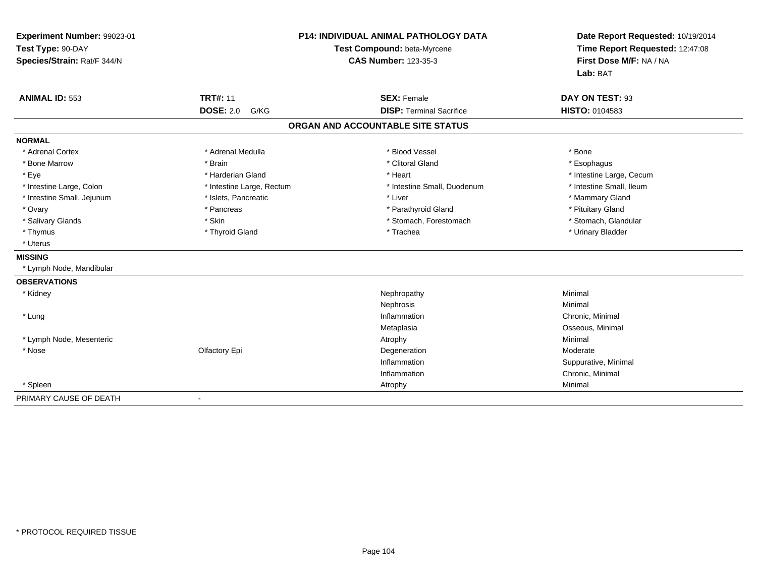| Experiment Number: 99023-01<br>Test Type: 90-DAY<br>Species/Strain: Rat/F 344/N |                           | <b>P14: INDIVIDUAL ANIMAL PATHOLOGY DATA</b><br>Test Compound: beta-Myrcene<br><b>CAS Number: 123-35-3</b> | Date Report Requested: 10/19/2014<br>Time Report Requested: 12:47:08<br>First Dose M/F: NA / NA<br>Lab: BAT |  |
|---------------------------------------------------------------------------------|---------------------------|------------------------------------------------------------------------------------------------------------|-------------------------------------------------------------------------------------------------------------|--|
| <b>ANIMAL ID: 553</b>                                                           | <b>TRT#: 11</b>           | <b>SEX: Female</b>                                                                                         | DAY ON TEST: 93                                                                                             |  |
|                                                                                 | <b>DOSE: 2.0</b><br>G/KG  | <b>DISP: Terminal Sacrifice</b>                                                                            | <b>HISTO: 0104583</b>                                                                                       |  |
|                                                                                 |                           | ORGAN AND ACCOUNTABLE SITE STATUS                                                                          |                                                                                                             |  |
| <b>NORMAL</b>                                                                   |                           |                                                                                                            |                                                                                                             |  |
| * Adrenal Cortex                                                                | * Adrenal Medulla         | * Blood Vessel                                                                                             | * Bone                                                                                                      |  |
| * Bone Marrow                                                                   | * Brain                   | * Clitoral Gland                                                                                           | * Esophagus                                                                                                 |  |
| * Eye                                                                           | * Harderian Gland         | * Heart                                                                                                    | * Intestine Large, Cecum                                                                                    |  |
| * Intestine Large, Colon                                                        | * Intestine Large, Rectum | * Intestine Small, Duodenum                                                                                | * Intestine Small, Ileum                                                                                    |  |
| * Intestine Small, Jejunum                                                      | * Islets, Pancreatic      | * Liver                                                                                                    | * Mammary Gland                                                                                             |  |
| * Ovary                                                                         | * Pancreas                | * Parathyroid Gland                                                                                        | * Pituitary Gland                                                                                           |  |
| * Salivary Glands                                                               | * Skin                    | * Stomach, Forestomach                                                                                     | * Stomach, Glandular                                                                                        |  |
| * Thymus                                                                        | * Thyroid Gland           | * Trachea                                                                                                  | * Urinary Bladder                                                                                           |  |
| * Uterus                                                                        |                           |                                                                                                            |                                                                                                             |  |
| <b>MISSING</b>                                                                  |                           |                                                                                                            |                                                                                                             |  |
| * Lymph Node, Mandibular                                                        |                           |                                                                                                            |                                                                                                             |  |
| <b>OBSERVATIONS</b>                                                             |                           |                                                                                                            |                                                                                                             |  |
| * Kidney                                                                        |                           | Nephropathy                                                                                                | Minimal                                                                                                     |  |
|                                                                                 |                           | Nephrosis                                                                                                  | Minimal                                                                                                     |  |
| * Lung                                                                          |                           | Inflammation                                                                                               | Chronic, Minimal                                                                                            |  |
|                                                                                 |                           | Metaplasia                                                                                                 | Osseous, Minimal                                                                                            |  |
| * Lymph Node, Mesenteric                                                        |                           | Atrophy                                                                                                    | Minimal                                                                                                     |  |
| * Nose                                                                          | Olfactory Epi             | Degeneration                                                                                               | Moderate                                                                                                    |  |
|                                                                                 |                           | Inflammation                                                                                               | Suppurative, Minimal                                                                                        |  |
|                                                                                 |                           | Inflammation                                                                                               | Chronic, Minimal                                                                                            |  |
| * Spleen                                                                        |                           | Atrophy                                                                                                    | Minimal                                                                                                     |  |
| PRIMARY CAUSE OF DEATH                                                          | $\blacksquare$            |                                                                                                            |                                                                                                             |  |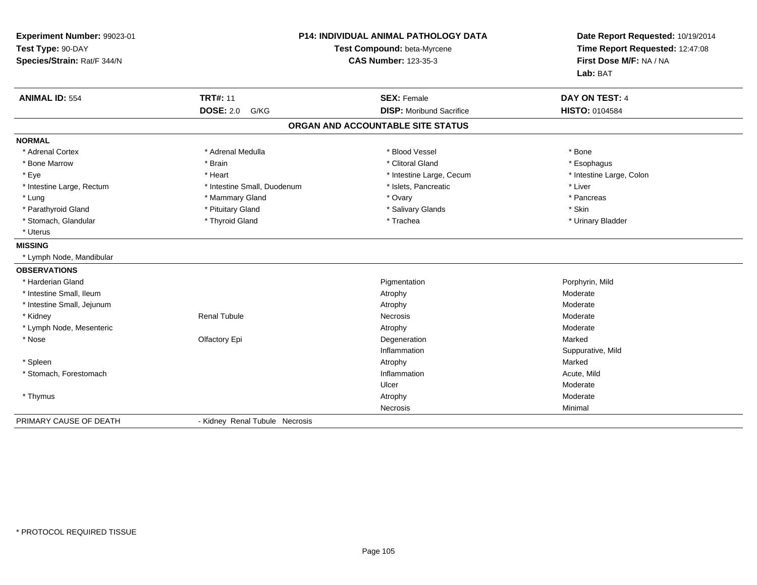| Experiment Number: 99023-01<br>Test Type: 90-DAY<br>Species/Strain: Rat/F 344/N | P14: INDIVIDUAL ANIMAL PATHOLOGY DATA<br>Test Compound: beta-Myrcene<br><b>CAS Number: 123-35-3</b> |                                   | Date Report Requested: 10/19/2014<br>Time Report Requested: 12:47:08<br>First Dose M/F: NA / NA<br>Lab: BAT |  |
|---------------------------------------------------------------------------------|-----------------------------------------------------------------------------------------------------|-----------------------------------|-------------------------------------------------------------------------------------------------------------|--|
| <b>ANIMAL ID: 554</b>                                                           | <b>TRT#: 11</b>                                                                                     | <b>SEX: Female</b>                | DAY ON TEST: 4                                                                                              |  |
|                                                                                 | <b>DOSE: 2.0</b><br>G/KG                                                                            | <b>DISP:</b> Moribund Sacrifice   | HISTO: 0104584                                                                                              |  |
|                                                                                 |                                                                                                     | ORGAN AND ACCOUNTABLE SITE STATUS |                                                                                                             |  |
| <b>NORMAL</b>                                                                   |                                                                                                     |                                   |                                                                                                             |  |
| * Adrenal Cortex                                                                | * Adrenal Medulla                                                                                   | * Blood Vessel                    | * Bone                                                                                                      |  |
| * Bone Marrow                                                                   | * Brain                                                                                             | * Clitoral Gland                  | * Esophagus                                                                                                 |  |
| * Eye                                                                           | * Heart                                                                                             | * Intestine Large, Cecum          | * Intestine Large, Colon                                                                                    |  |
| * Intestine Large, Rectum                                                       | * Intestine Small, Duodenum                                                                         | * Islets, Pancreatic              | * Liver                                                                                                     |  |
| * Lung                                                                          | * Mammary Gland                                                                                     | * Ovary                           | * Pancreas                                                                                                  |  |
| * Parathyroid Gland                                                             | * Pituitary Gland                                                                                   | * Salivary Glands                 | * Skin                                                                                                      |  |
| * Stomach, Glandular                                                            | * Thyroid Gland                                                                                     | * Trachea                         | * Urinary Bladder                                                                                           |  |
| * Uterus                                                                        |                                                                                                     |                                   |                                                                                                             |  |
| <b>MISSING</b>                                                                  |                                                                                                     |                                   |                                                                                                             |  |
| * Lymph Node, Mandibular                                                        |                                                                                                     |                                   |                                                                                                             |  |
| <b>OBSERVATIONS</b>                                                             |                                                                                                     |                                   |                                                                                                             |  |
| * Harderian Gland                                                               |                                                                                                     | Pigmentation                      | Porphyrin, Mild                                                                                             |  |
| * Intestine Small, Ileum                                                        |                                                                                                     | Atrophy                           | Moderate                                                                                                    |  |
| * Intestine Small, Jejunum                                                      |                                                                                                     | Atrophy                           | Moderate                                                                                                    |  |
| * Kidney                                                                        | <b>Renal Tubule</b>                                                                                 | <b>Necrosis</b>                   | Moderate                                                                                                    |  |
| * Lymph Node, Mesenteric                                                        |                                                                                                     | Atrophy                           | Moderate                                                                                                    |  |
| * Nose                                                                          | Olfactory Epi                                                                                       | Degeneration                      | Marked                                                                                                      |  |
|                                                                                 |                                                                                                     | Inflammation                      | Suppurative, Mild                                                                                           |  |
| * Spleen                                                                        |                                                                                                     | Atrophy                           | Marked                                                                                                      |  |
| * Stomach, Forestomach                                                          |                                                                                                     | Inflammation                      | Acute. Mild                                                                                                 |  |
|                                                                                 |                                                                                                     | Ulcer                             | Moderate                                                                                                    |  |
| * Thymus                                                                        |                                                                                                     | Atrophy                           | Moderate                                                                                                    |  |
|                                                                                 |                                                                                                     | Necrosis                          | Minimal                                                                                                     |  |
| PRIMARY CAUSE OF DEATH                                                          | - Kidney Renal Tubule Necrosis                                                                      |                                   |                                                                                                             |  |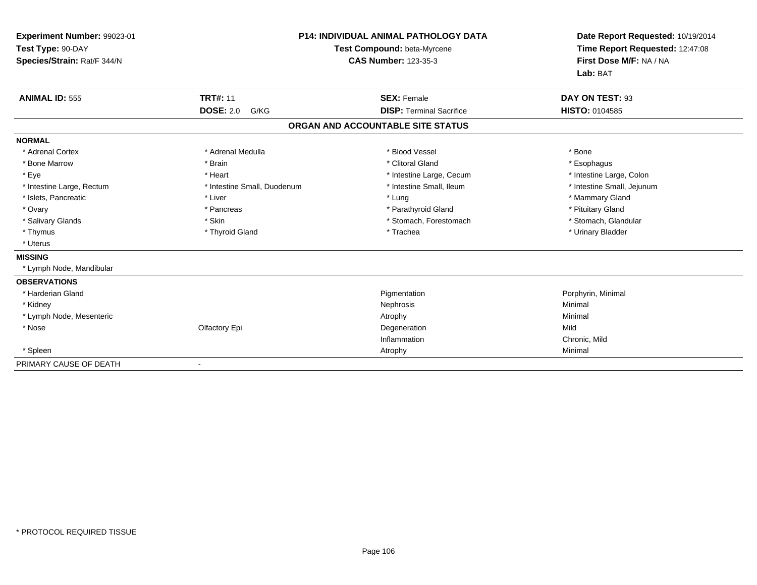| <b>P14: INDIVIDUAL ANIMAL PATHOLOGY DATA</b><br>Experiment Number: 99023-01<br>Test Type: 90-DAY<br>Test Compound: beta-Myrcene<br>Species/Strain: Rat/F 344/N<br><b>CAS Number: 123-35-3</b> |                             | Date Report Requested: 10/19/2014<br>Time Report Requested: 12:47:08<br>First Dose M/F: NA / NA<br>Lab: BAT |                            |
|-----------------------------------------------------------------------------------------------------------------------------------------------------------------------------------------------|-----------------------------|-------------------------------------------------------------------------------------------------------------|----------------------------|
| <b>ANIMAL ID: 555</b>                                                                                                                                                                         | <b>TRT#: 11</b>             | <b>SEX: Female</b>                                                                                          | DAY ON TEST: 93            |
|                                                                                                                                                                                               | <b>DOSE: 2.0</b><br>G/KG    | <b>DISP: Terminal Sacrifice</b>                                                                             | <b>HISTO: 0104585</b>      |
|                                                                                                                                                                                               |                             | ORGAN AND ACCOUNTABLE SITE STATUS                                                                           |                            |
| <b>NORMAL</b>                                                                                                                                                                                 |                             |                                                                                                             |                            |
| * Adrenal Cortex                                                                                                                                                                              | * Adrenal Medulla           | * Blood Vessel                                                                                              | * Bone                     |
| * Bone Marrow                                                                                                                                                                                 | * Brain                     | * Clitoral Gland                                                                                            | * Esophagus                |
| * Eye                                                                                                                                                                                         | * Heart                     | * Intestine Large, Cecum                                                                                    | * Intestine Large, Colon   |
| * Intestine Large, Rectum                                                                                                                                                                     | * Intestine Small, Duodenum | * Intestine Small. Ileum                                                                                    | * Intestine Small, Jejunum |
| * Islets, Pancreatic                                                                                                                                                                          | * Liver                     | * Lung                                                                                                      | * Mammary Gland            |
| * Ovary                                                                                                                                                                                       | * Pancreas                  | * Parathyroid Gland                                                                                         | * Pituitary Gland          |
| * Salivary Glands                                                                                                                                                                             | * Skin                      | * Stomach, Forestomach                                                                                      | * Stomach, Glandular       |
| * Thymus                                                                                                                                                                                      | * Thyroid Gland             | * Trachea                                                                                                   | * Urinary Bladder          |
| * Uterus                                                                                                                                                                                      |                             |                                                                                                             |                            |
| <b>MISSING</b>                                                                                                                                                                                |                             |                                                                                                             |                            |
| * Lymph Node, Mandibular                                                                                                                                                                      |                             |                                                                                                             |                            |
| <b>OBSERVATIONS</b>                                                                                                                                                                           |                             |                                                                                                             |                            |
| * Harderian Gland                                                                                                                                                                             |                             | Pigmentation                                                                                                | Porphyrin, Minimal         |
| * Kidney                                                                                                                                                                                      |                             | Nephrosis                                                                                                   | Minimal                    |
| * Lymph Node, Mesenteric                                                                                                                                                                      |                             | Atrophy                                                                                                     | Minimal                    |
| * Nose                                                                                                                                                                                        | Olfactory Epi               | Degeneration                                                                                                | Mild                       |
|                                                                                                                                                                                               |                             | Inflammation                                                                                                | Chronic, Mild              |
| * Spleen                                                                                                                                                                                      |                             | Atrophy                                                                                                     | Minimal                    |
| PRIMARY CAUSE OF DEATH                                                                                                                                                                        |                             |                                                                                                             |                            |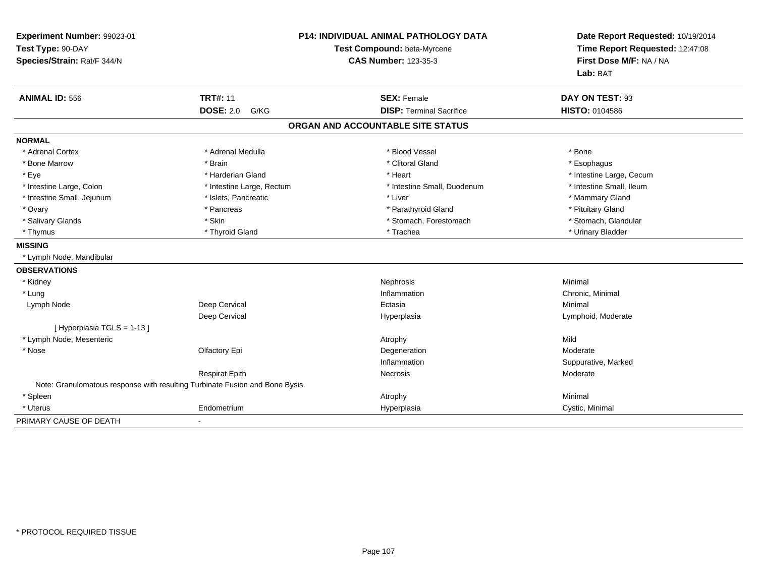| Experiment Number: 99023-01<br>Test Type: 90-DAY<br>Species/Strain: Rat/F 344/N | P14: INDIVIDUAL ANIMAL PATHOLOGY DATA<br>Test Compound: beta-Myrcene<br><b>CAS Number: 123-35-3</b> |                                   | Date Report Requested: 10/19/2014<br>Time Report Requested: 12:47:08<br>First Dose M/F: NA / NA<br>Lab: BAT |  |
|---------------------------------------------------------------------------------|-----------------------------------------------------------------------------------------------------|-----------------------------------|-------------------------------------------------------------------------------------------------------------|--|
| <b>ANIMAL ID: 556</b>                                                           | <b>TRT#: 11</b>                                                                                     | <b>SEX: Female</b>                | DAY ON TEST: 93                                                                                             |  |
|                                                                                 | <b>DOSE: 2.0</b><br>G/KG                                                                            | <b>DISP: Terminal Sacrifice</b>   | <b>HISTO: 0104586</b>                                                                                       |  |
|                                                                                 |                                                                                                     | ORGAN AND ACCOUNTABLE SITE STATUS |                                                                                                             |  |
| <b>NORMAL</b>                                                                   |                                                                                                     |                                   |                                                                                                             |  |
| * Adrenal Cortex                                                                | * Adrenal Medulla                                                                                   | * Blood Vessel                    | * Bone                                                                                                      |  |
| * Bone Marrow                                                                   | * Brain                                                                                             | * Clitoral Gland                  | * Esophagus                                                                                                 |  |
| * Eye                                                                           | * Harderian Gland                                                                                   | * Heart                           | * Intestine Large, Cecum                                                                                    |  |
| * Intestine Large, Colon                                                        | * Intestine Large, Rectum                                                                           | * Intestine Small, Duodenum       | * Intestine Small. Ileum                                                                                    |  |
| * Intestine Small, Jejunum                                                      | * Islets, Pancreatic                                                                                | * Liver                           | * Mammary Gland                                                                                             |  |
| * Ovary                                                                         | * Pancreas                                                                                          | * Parathyroid Gland               | * Pituitary Gland                                                                                           |  |
| * Salivary Glands                                                               | * Skin                                                                                              | * Stomach, Forestomach            | * Stomach, Glandular                                                                                        |  |
| * Thymus                                                                        | * Thyroid Gland                                                                                     | * Trachea                         | * Urinary Bladder                                                                                           |  |
| <b>MISSING</b>                                                                  |                                                                                                     |                                   |                                                                                                             |  |
| * Lymph Node, Mandibular                                                        |                                                                                                     |                                   |                                                                                                             |  |
| <b>OBSERVATIONS</b>                                                             |                                                                                                     |                                   |                                                                                                             |  |
| * Kidney                                                                        |                                                                                                     | Nephrosis                         | Minimal                                                                                                     |  |
| * Lung                                                                          |                                                                                                     | Inflammation                      | Chronic, Minimal                                                                                            |  |
| Lymph Node                                                                      | Deep Cervical                                                                                       | Ectasia                           | Minimal                                                                                                     |  |
|                                                                                 | Deep Cervical                                                                                       | Hyperplasia                       | Lymphoid, Moderate                                                                                          |  |
| [ Hyperplasia TGLS = 1-13 ]                                                     |                                                                                                     |                                   |                                                                                                             |  |
| * Lymph Node, Mesenteric                                                        |                                                                                                     | Atrophy                           | Mild                                                                                                        |  |
| * Nose                                                                          | Olfactory Epi                                                                                       | Degeneration                      | Moderate                                                                                                    |  |
|                                                                                 |                                                                                                     | Inflammation                      | Suppurative, Marked                                                                                         |  |
|                                                                                 | <b>Respirat Epith</b>                                                                               | <b>Necrosis</b>                   | Moderate                                                                                                    |  |
|                                                                                 | Note: Granulomatous response with resulting Turbinate Fusion and Bone Bysis.                        |                                   |                                                                                                             |  |
| * Spleen                                                                        |                                                                                                     | Atrophy                           | Minimal                                                                                                     |  |
| * Uterus                                                                        | Endometrium                                                                                         | Hyperplasia                       | Cystic, Minimal                                                                                             |  |
| PRIMARY CAUSE OF DEATH                                                          | $\blacksquare$                                                                                      |                                   |                                                                                                             |  |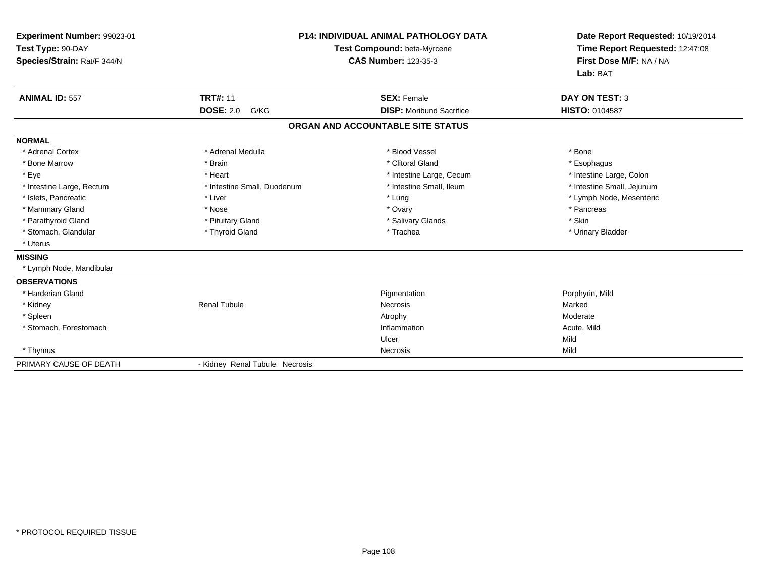| Experiment Number: 99023-01<br>Test Type: 90-DAY<br>Species/Strain: Rat/F 344/N | <b>P14: INDIVIDUAL ANIMAL PATHOLOGY DATA</b><br>Test Compound: beta-Myrcene<br><b>CAS Number: 123-35-3</b> |                                   | Date Report Requested: 10/19/2014<br>Time Report Requested: 12:47:08<br>First Dose M/F: NA / NA<br>Lab: BAT |  |
|---------------------------------------------------------------------------------|------------------------------------------------------------------------------------------------------------|-----------------------------------|-------------------------------------------------------------------------------------------------------------|--|
| <b>ANIMAL ID: 557</b>                                                           | <b>TRT#: 11</b>                                                                                            | <b>SEX: Female</b>                | <b>DAY ON TEST: 3</b>                                                                                       |  |
|                                                                                 | <b>DOSE: 2.0</b><br>G/KG                                                                                   | <b>DISP:</b> Moribund Sacrifice   | <b>HISTO: 0104587</b>                                                                                       |  |
|                                                                                 |                                                                                                            | ORGAN AND ACCOUNTABLE SITE STATUS |                                                                                                             |  |
| <b>NORMAL</b>                                                                   |                                                                                                            |                                   |                                                                                                             |  |
| * Adrenal Cortex                                                                | * Adrenal Medulla                                                                                          | * Blood Vessel                    | * Bone                                                                                                      |  |
| * Bone Marrow                                                                   | * Brain                                                                                                    | * Clitoral Gland                  | * Esophagus                                                                                                 |  |
| * Eye                                                                           | * Heart                                                                                                    | * Intestine Large, Cecum          | * Intestine Large, Colon                                                                                    |  |
| * Intestine Large, Rectum                                                       | * Intestine Small, Duodenum                                                                                | * Intestine Small, Ileum          | * Intestine Small, Jejunum                                                                                  |  |
| * Islets, Pancreatic                                                            | * Liver                                                                                                    | * Lung                            | * Lymph Node, Mesenteric                                                                                    |  |
| * Mammary Gland                                                                 | * Nose                                                                                                     | * Ovary                           | * Pancreas                                                                                                  |  |
| * Parathyroid Gland                                                             | * Pituitary Gland                                                                                          | * Salivary Glands                 | * Skin                                                                                                      |  |
| * Stomach, Glandular                                                            | * Thyroid Gland                                                                                            | * Trachea                         | * Urinary Bladder                                                                                           |  |
| * Uterus                                                                        |                                                                                                            |                                   |                                                                                                             |  |
| <b>MISSING</b>                                                                  |                                                                                                            |                                   |                                                                                                             |  |
| * Lymph Node, Mandibular                                                        |                                                                                                            |                                   |                                                                                                             |  |
| <b>OBSERVATIONS</b>                                                             |                                                                                                            |                                   |                                                                                                             |  |
| * Harderian Gland                                                               |                                                                                                            | Pigmentation                      | Porphyrin, Mild                                                                                             |  |
| * Kidney                                                                        | <b>Renal Tubule</b>                                                                                        | Necrosis                          | Marked                                                                                                      |  |
| * Spleen                                                                        |                                                                                                            | Atrophy                           | Moderate                                                                                                    |  |
| * Stomach, Forestomach                                                          |                                                                                                            | Inflammation                      | Acute, Mild                                                                                                 |  |
|                                                                                 |                                                                                                            | Ulcer                             | Mild                                                                                                        |  |
| * Thymus                                                                        |                                                                                                            | Necrosis                          | Mild                                                                                                        |  |
| PRIMARY CAUSE OF DEATH                                                          |                                                                                                            | - Kidney Renal Tubule Necrosis    |                                                                                                             |  |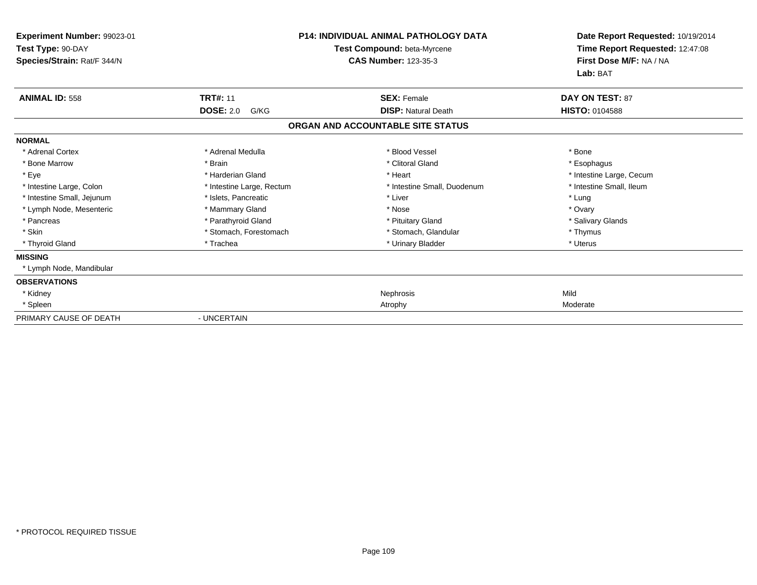| Experiment Number: 99023-01<br>Test Type: 90-DAY<br>Species/Strain: Rat/F 344/N |                           | <b>P14: INDIVIDUAL ANIMAL PATHOLOGY DATA</b><br>Test Compound: beta-Myrcene<br><b>CAS Number: 123-35-3</b> | Date Report Requested: 10/19/2014<br>Time Report Requested: 12:47:08<br>First Dose M/F: NA / NA<br>Lab: BAT |
|---------------------------------------------------------------------------------|---------------------------|------------------------------------------------------------------------------------------------------------|-------------------------------------------------------------------------------------------------------------|
| <b>ANIMAL ID: 558</b>                                                           | <b>TRT#: 11</b>           | <b>SEX: Female</b>                                                                                         | <b>DAY ON TEST: 87</b>                                                                                      |
|                                                                                 | <b>DOSE: 2.0</b><br>G/KG  | <b>DISP: Natural Death</b>                                                                                 | <b>HISTO: 0104588</b>                                                                                       |
|                                                                                 |                           | ORGAN AND ACCOUNTABLE SITE STATUS                                                                          |                                                                                                             |
| <b>NORMAL</b>                                                                   |                           |                                                                                                            |                                                                                                             |
| * Adrenal Cortex                                                                | * Adrenal Medulla         | * Blood Vessel                                                                                             | * Bone                                                                                                      |
| * Bone Marrow                                                                   | * Brain                   | * Clitoral Gland                                                                                           | * Esophagus                                                                                                 |
| * Eye                                                                           | * Harderian Gland         | * Heart                                                                                                    | * Intestine Large, Cecum                                                                                    |
| * Intestine Large, Colon                                                        | * Intestine Large, Rectum | * Intestine Small, Duodenum                                                                                | * Intestine Small, Ileum                                                                                    |
| * Intestine Small, Jejunum                                                      | * Islets, Pancreatic      | * Liver                                                                                                    | * Lung                                                                                                      |
| * Lymph Node, Mesenteric                                                        | * Mammary Gland           | * Nose                                                                                                     | * Ovary                                                                                                     |
| * Pancreas                                                                      | * Parathyroid Gland       | * Pituitary Gland                                                                                          | * Salivary Glands                                                                                           |
| * Skin                                                                          | * Stomach, Forestomach    | * Stomach, Glandular                                                                                       | * Thymus                                                                                                    |
| * Thyroid Gland                                                                 | * Trachea                 | * Urinary Bladder                                                                                          | * Uterus                                                                                                    |
| <b>MISSING</b>                                                                  |                           |                                                                                                            |                                                                                                             |
| * Lymph Node, Mandibular                                                        |                           |                                                                                                            |                                                                                                             |
| <b>OBSERVATIONS</b>                                                             |                           |                                                                                                            |                                                                                                             |
| * Kidney                                                                        |                           | Nephrosis                                                                                                  | Mild                                                                                                        |
| * Spleen                                                                        |                           | Atrophy                                                                                                    | Moderate                                                                                                    |
| PRIMARY CAUSE OF DEATH                                                          | - UNCERTAIN               |                                                                                                            |                                                                                                             |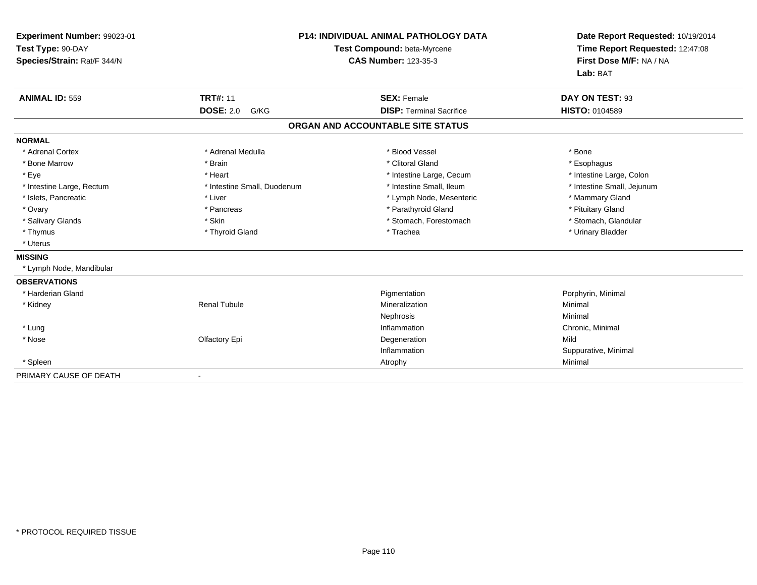| Experiment Number: 99023-01<br>Test Type: 90-DAY<br>Species/Strain: Rat/F 344/N |                             | <b>P14: INDIVIDUAL ANIMAL PATHOLOGY DATA</b><br>Test Compound: beta-Myrcene<br><b>CAS Number: 123-35-3</b> | Date Report Requested: 10/19/2014<br>Time Report Requested: 12:47:08<br>First Dose M/F: NA / NA<br>Lab: BAT |
|---------------------------------------------------------------------------------|-----------------------------|------------------------------------------------------------------------------------------------------------|-------------------------------------------------------------------------------------------------------------|
| <b>ANIMAL ID: 559</b>                                                           | <b>TRT#: 11</b>             | <b>SEX: Female</b>                                                                                         | DAY ON TEST: 93                                                                                             |
|                                                                                 | <b>DOSE: 2.0</b><br>G/KG    | <b>DISP: Terminal Sacrifice</b>                                                                            | <b>HISTO: 0104589</b>                                                                                       |
|                                                                                 |                             | ORGAN AND ACCOUNTABLE SITE STATUS                                                                          |                                                                                                             |
| <b>NORMAL</b>                                                                   |                             |                                                                                                            |                                                                                                             |
| * Adrenal Cortex                                                                | * Adrenal Medulla           | * Blood Vessel                                                                                             | * Bone                                                                                                      |
| * Bone Marrow                                                                   | * Brain                     | * Clitoral Gland                                                                                           | * Esophagus                                                                                                 |
| * Eye                                                                           | * Heart                     | * Intestine Large, Cecum                                                                                   | * Intestine Large, Colon                                                                                    |
| * Intestine Large, Rectum                                                       | * Intestine Small, Duodenum | * Intestine Small, Ileum                                                                                   | * Intestine Small, Jejunum                                                                                  |
| * Islets, Pancreatic                                                            | * Liver                     | * Lymph Node, Mesenteric                                                                                   | * Mammary Gland                                                                                             |
| * Ovary                                                                         | * Pancreas                  | * Parathyroid Gland                                                                                        | * Pituitary Gland                                                                                           |
| * Salivary Glands                                                               | * Skin                      | * Stomach, Forestomach                                                                                     | * Stomach, Glandular                                                                                        |
| * Thymus                                                                        | * Thyroid Gland             | * Trachea                                                                                                  | * Urinary Bladder                                                                                           |
| * Uterus                                                                        |                             |                                                                                                            |                                                                                                             |
| <b>MISSING</b>                                                                  |                             |                                                                                                            |                                                                                                             |
| * Lymph Node, Mandibular                                                        |                             |                                                                                                            |                                                                                                             |
| <b>OBSERVATIONS</b>                                                             |                             |                                                                                                            |                                                                                                             |
| * Harderian Gland                                                               |                             | Pigmentation                                                                                               | Porphyrin, Minimal                                                                                          |
| * Kidney                                                                        | <b>Renal Tubule</b>         | Mineralization                                                                                             | Minimal                                                                                                     |
|                                                                                 |                             | Nephrosis                                                                                                  | Minimal                                                                                                     |
| * Lung                                                                          |                             | Inflammation                                                                                               | Chronic, Minimal                                                                                            |
| * Nose                                                                          | Olfactory Epi               | Degeneration                                                                                               | Mild                                                                                                        |
|                                                                                 |                             | Inflammation                                                                                               | Suppurative, Minimal                                                                                        |
| * Spleen                                                                        |                             | Atrophy                                                                                                    | Minimal                                                                                                     |
| PRIMARY CAUSE OF DEATH                                                          |                             |                                                                                                            |                                                                                                             |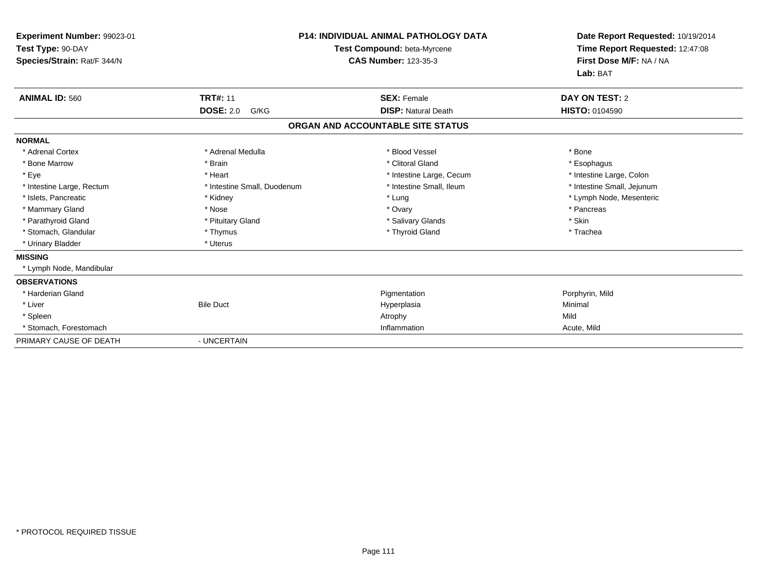| Experiment Number: 99023-01<br>Test Type: 90-DAY<br>Species/Strain: Rat/F 344/N |                             | <b>P14: INDIVIDUAL ANIMAL PATHOLOGY DATA</b><br>Test Compound: beta-Myrcene<br><b>CAS Number: 123-35-3</b> | Date Report Requested: 10/19/2014<br>Time Report Requested: 12:47:08<br>First Dose M/F: NA / NA<br>Lab: BAT |
|---------------------------------------------------------------------------------|-----------------------------|------------------------------------------------------------------------------------------------------------|-------------------------------------------------------------------------------------------------------------|
| <b>ANIMAL ID: 560</b>                                                           | <b>TRT#: 11</b>             | <b>SEX: Female</b>                                                                                         | DAY ON TEST: 2                                                                                              |
|                                                                                 | <b>DOSE: 2.0</b><br>G/KG    | <b>DISP: Natural Death</b>                                                                                 | HISTO: 0104590                                                                                              |
|                                                                                 |                             | ORGAN AND ACCOUNTABLE SITE STATUS                                                                          |                                                                                                             |
| <b>NORMAL</b>                                                                   |                             |                                                                                                            |                                                                                                             |
| * Adrenal Cortex                                                                | * Adrenal Medulla           | * Blood Vessel                                                                                             | * Bone                                                                                                      |
| * Bone Marrow                                                                   | * Brain                     | * Clitoral Gland                                                                                           | * Esophagus                                                                                                 |
| * Eye                                                                           | * Heart                     | * Intestine Large, Cecum                                                                                   | * Intestine Large, Colon                                                                                    |
| * Intestine Large, Rectum                                                       | * Intestine Small, Duodenum | * Intestine Small, Ileum                                                                                   | * Intestine Small, Jejunum                                                                                  |
| * Islets, Pancreatic                                                            | * Kidney                    | * Lung                                                                                                     | * Lymph Node, Mesenteric                                                                                    |
| * Mammary Gland                                                                 | * Nose                      | * Ovary                                                                                                    | * Pancreas                                                                                                  |
| * Parathyroid Gland                                                             | * Pituitary Gland           | * Salivary Glands                                                                                          | * Skin                                                                                                      |
| * Stomach, Glandular                                                            | * Thymus                    | * Thyroid Gland                                                                                            | * Trachea                                                                                                   |
| * Urinary Bladder                                                               | * Uterus                    |                                                                                                            |                                                                                                             |
| <b>MISSING</b>                                                                  |                             |                                                                                                            |                                                                                                             |
| * Lymph Node, Mandibular                                                        |                             |                                                                                                            |                                                                                                             |
| <b>OBSERVATIONS</b>                                                             |                             |                                                                                                            |                                                                                                             |
| * Harderian Gland                                                               |                             | Pigmentation                                                                                               | Porphyrin, Mild                                                                                             |
| * Liver                                                                         | <b>Bile Duct</b>            | Hyperplasia                                                                                                | Minimal                                                                                                     |
| * Spleen                                                                        |                             | Atrophy                                                                                                    | Mild                                                                                                        |
| * Stomach, Forestomach                                                          |                             | Inflammation                                                                                               | Acute, Mild                                                                                                 |
| PRIMARY CAUSE OF DEATH                                                          | - UNCERTAIN                 |                                                                                                            |                                                                                                             |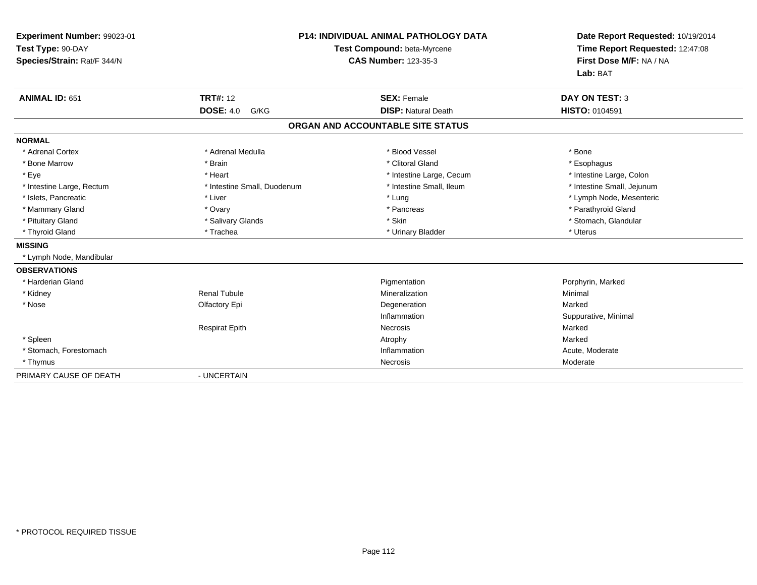| Experiment Number: 99023-01<br>Test Type: 90-DAY<br>Species/Strain: Rat/F 344/N |                             | <b>P14: INDIVIDUAL ANIMAL PATHOLOGY DATA</b><br>Test Compound: beta-Myrcene<br><b>CAS Number: 123-35-3</b> | Date Report Requested: 10/19/2014<br>Time Report Requested: 12:47:08<br>First Dose M/F: NA / NA<br>Lab: BAT |
|---------------------------------------------------------------------------------|-----------------------------|------------------------------------------------------------------------------------------------------------|-------------------------------------------------------------------------------------------------------------|
| <b>ANIMAL ID: 651</b>                                                           | <b>TRT#: 12</b>             | <b>SEX: Female</b>                                                                                         | <b>DAY ON TEST: 3</b>                                                                                       |
|                                                                                 | <b>DOSE: 4.0</b><br>G/KG    | <b>DISP: Natural Death</b>                                                                                 | <b>HISTO: 0104591</b>                                                                                       |
|                                                                                 |                             | ORGAN AND ACCOUNTABLE SITE STATUS                                                                          |                                                                                                             |
| <b>NORMAL</b>                                                                   |                             |                                                                                                            |                                                                                                             |
| * Adrenal Cortex                                                                | * Adrenal Medulla           | * Blood Vessel                                                                                             | * Bone                                                                                                      |
| * Bone Marrow                                                                   | * Brain                     | * Clitoral Gland                                                                                           | * Esophagus                                                                                                 |
| * Eye                                                                           | * Heart                     | * Intestine Large, Cecum                                                                                   | * Intestine Large, Colon                                                                                    |
| * Intestine Large, Rectum                                                       | * Intestine Small, Duodenum | * Intestine Small, Ileum                                                                                   | * Intestine Small, Jejunum                                                                                  |
| * Islets, Pancreatic                                                            | * Liver                     | * Lung                                                                                                     | * Lymph Node, Mesenteric                                                                                    |
| * Mammary Gland                                                                 | * Ovary                     | * Pancreas                                                                                                 | * Parathyroid Gland                                                                                         |
| * Pituitary Gland                                                               | * Salivary Glands           | * Skin                                                                                                     | * Stomach, Glandular                                                                                        |
| * Thyroid Gland                                                                 | * Trachea                   | * Urinary Bladder                                                                                          | * Uterus                                                                                                    |
| <b>MISSING</b>                                                                  |                             |                                                                                                            |                                                                                                             |
| * Lymph Node, Mandibular                                                        |                             |                                                                                                            |                                                                                                             |
| <b>OBSERVATIONS</b>                                                             |                             |                                                                                                            |                                                                                                             |
| * Harderian Gland                                                               |                             | Pigmentation                                                                                               | Porphyrin, Marked                                                                                           |
| * Kidney                                                                        | <b>Renal Tubule</b>         | Mineralization                                                                                             | Minimal                                                                                                     |
| * Nose                                                                          | Olfactory Epi               | Degeneration                                                                                               | Marked                                                                                                      |
|                                                                                 |                             | Inflammation                                                                                               | Suppurative, Minimal                                                                                        |
|                                                                                 | <b>Respirat Epith</b>       | Necrosis                                                                                                   | Marked                                                                                                      |
| * Spleen                                                                        |                             | Atrophy                                                                                                    | Marked                                                                                                      |
| * Stomach, Forestomach                                                          |                             | Inflammation                                                                                               | Acute, Moderate                                                                                             |
| * Thymus                                                                        |                             | Necrosis                                                                                                   | Moderate                                                                                                    |
| PRIMARY CAUSE OF DEATH                                                          | - UNCERTAIN                 |                                                                                                            |                                                                                                             |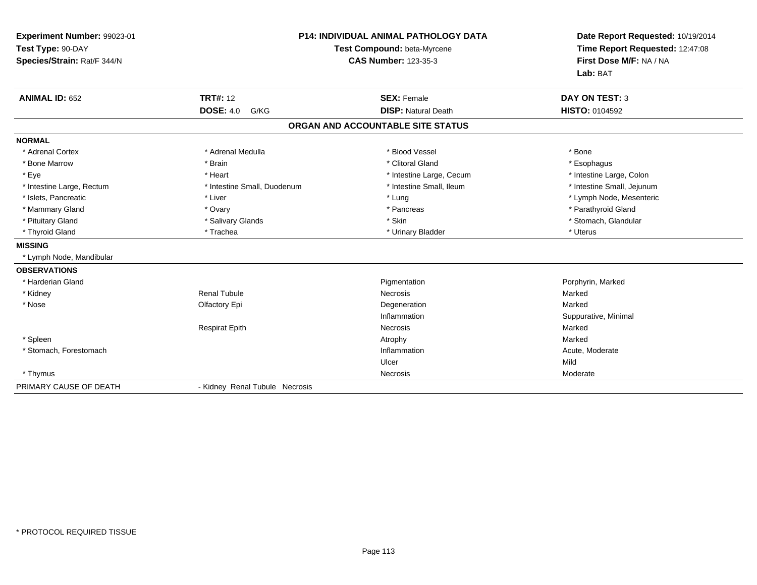| Experiment Number: 99023-01<br>Test Type: 90-DAY<br>Species/Strain: Rat/F 344/N<br><b>ANIMAL ID: 652</b> | <b>TRT#: 12</b>                | <b>P14: INDIVIDUAL ANIMAL PATHOLOGY DATA</b><br>Test Compound: beta-Myrcene<br><b>CAS Number: 123-35-3</b><br><b>SEX: Female</b> | Date Report Requested: 10/19/2014<br>Time Report Requested: 12:47:08<br>First Dose M/F: NA / NA<br>Lab: BAT<br><b>DAY ON TEST: 3</b> |
|----------------------------------------------------------------------------------------------------------|--------------------------------|----------------------------------------------------------------------------------------------------------------------------------|--------------------------------------------------------------------------------------------------------------------------------------|
|                                                                                                          | <b>DOSE: 4.0</b><br>G/KG       | <b>DISP: Natural Death</b>                                                                                                       | <b>HISTO: 0104592</b>                                                                                                                |
|                                                                                                          |                                | ORGAN AND ACCOUNTABLE SITE STATUS                                                                                                |                                                                                                                                      |
| <b>NORMAL</b>                                                                                            |                                |                                                                                                                                  |                                                                                                                                      |
| * Adrenal Cortex                                                                                         | * Adrenal Medulla              | * Blood Vessel                                                                                                                   | * Bone                                                                                                                               |
| * Bone Marrow                                                                                            | * Brain                        | * Clitoral Gland                                                                                                                 | * Esophagus                                                                                                                          |
| * Eye                                                                                                    | * Heart                        | * Intestine Large, Cecum                                                                                                         | * Intestine Large, Colon                                                                                                             |
| * Intestine Large, Rectum                                                                                | * Intestine Small, Duodenum    | * Intestine Small, Ileum                                                                                                         | * Intestine Small, Jejunum                                                                                                           |
| * Islets, Pancreatic                                                                                     | * Liver                        | * Lung                                                                                                                           | * Lymph Node, Mesenteric                                                                                                             |
| * Mammary Gland                                                                                          | * Ovary                        | * Pancreas                                                                                                                       | * Parathyroid Gland                                                                                                                  |
| * Pituitary Gland                                                                                        | * Salivary Glands              | * Skin                                                                                                                           | * Stomach, Glandular                                                                                                                 |
| * Thyroid Gland                                                                                          | * Trachea                      | * Urinary Bladder                                                                                                                | * Uterus                                                                                                                             |
| <b>MISSING</b>                                                                                           |                                |                                                                                                                                  |                                                                                                                                      |
| * Lymph Node, Mandibular                                                                                 |                                |                                                                                                                                  |                                                                                                                                      |
| <b>OBSERVATIONS</b>                                                                                      |                                |                                                                                                                                  |                                                                                                                                      |
| * Harderian Gland                                                                                        |                                | Pigmentation                                                                                                                     | Porphyrin, Marked                                                                                                                    |
| * Kidney                                                                                                 | <b>Renal Tubule</b>            | Necrosis                                                                                                                         | Marked                                                                                                                               |
| * Nose                                                                                                   | Olfactory Epi                  | Degeneration                                                                                                                     | Marked                                                                                                                               |
|                                                                                                          |                                | Inflammation                                                                                                                     | Suppurative, Minimal                                                                                                                 |
|                                                                                                          | <b>Respirat Epith</b>          | Necrosis                                                                                                                         | Marked                                                                                                                               |
| * Spleen                                                                                                 |                                | Atrophy                                                                                                                          | Marked                                                                                                                               |
| * Stomach, Forestomach                                                                                   |                                | Inflammation                                                                                                                     | Acute, Moderate                                                                                                                      |
|                                                                                                          |                                | Ulcer                                                                                                                            | Mild                                                                                                                                 |
| * Thymus                                                                                                 |                                | Necrosis                                                                                                                         | Moderate                                                                                                                             |
| PRIMARY CAUSE OF DEATH                                                                                   | - Kidney Renal Tubule Necrosis |                                                                                                                                  |                                                                                                                                      |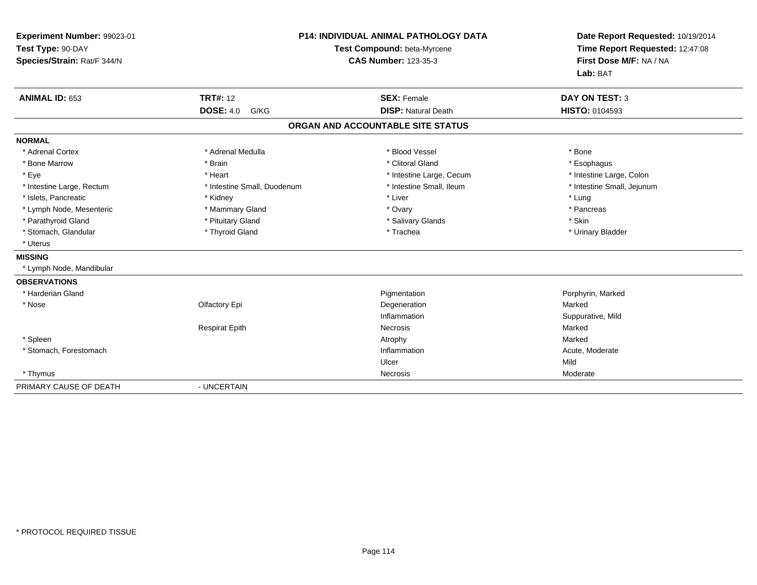| Experiment Number: 99023-01<br>Test Type: 90-DAY<br>Species/Strain: Rat/F 344/N |                             | <b>P14: INDIVIDUAL ANIMAL PATHOLOGY DATA</b><br>Test Compound: beta-Myrcene<br><b>CAS Number: 123-35-3</b> | Date Report Requested: 10/19/2014<br>Time Report Requested: 12:47:08<br>First Dose M/F: NA / NA<br>Lab: BAT |
|---------------------------------------------------------------------------------|-----------------------------|------------------------------------------------------------------------------------------------------------|-------------------------------------------------------------------------------------------------------------|
| ANIMAL ID: 653                                                                  | <b>TRT#: 12</b>             | <b>SEX: Female</b>                                                                                         | <b>DAY ON TEST: 3</b>                                                                                       |
|                                                                                 | <b>DOSE: 4.0</b><br>G/KG    | <b>DISP: Natural Death</b>                                                                                 | HISTO: 0104593                                                                                              |
|                                                                                 |                             | ORGAN AND ACCOUNTABLE SITE STATUS                                                                          |                                                                                                             |
| <b>NORMAL</b>                                                                   |                             |                                                                                                            |                                                                                                             |
| * Adrenal Cortex                                                                | * Adrenal Medulla           | * Blood Vessel                                                                                             | * Bone                                                                                                      |
| * Bone Marrow                                                                   | * Brain                     | * Clitoral Gland                                                                                           | * Esophagus                                                                                                 |
| * Eye                                                                           | * Heart                     | * Intestine Large, Cecum                                                                                   | * Intestine Large, Colon                                                                                    |
| * Intestine Large, Rectum                                                       | * Intestine Small, Duodenum | * Intestine Small, Ileum                                                                                   | * Intestine Small, Jejunum                                                                                  |
| * Islets, Pancreatic                                                            | * Kidney                    | * Liver                                                                                                    | * Lung                                                                                                      |
| * Lymph Node, Mesenteric                                                        | * Mammary Gland             | * Ovary                                                                                                    | * Pancreas                                                                                                  |
| * Parathyroid Gland                                                             | * Pituitary Gland           | * Salivary Glands                                                                                          | * Skin                                                                                                      |
| * Stomach, Glandular                                                            | * Thyroid Gland             | * Trachea                                                                                                  | * Urinary Bladder                                                                                           |
| * Uterus                                                                        |                             |                                                                                                            |                                                                                                             |
| <b>MISSING</b>                                                                  |                             |                                                                                                            |                                                                                                             |
| * Lymph Node, Mandibular                                                        |                             |                                                                                                            |                                                                                                             |
| <b>OBSERVATIONS</b>                                                             |                             |                                                                                                            |                                                                                                             |
| * Harderian Gland                                                               |                             | Pigmentation                                                                                               | Porphyrin, Marked                                                                                           |
| * Nose                                                                          | Olfactory Epi               | Degeneration                                                                                               | Marked                                                                                                      |
|                                                                                 |                             | Inflammation                                                                                               | Suppurative, Mild                                                                                           |
|                                                                                 | <b>Respirat Epith</b>       | Necrosis                                                                                                   | Marked                                                                                                      |
| * Spleen                                                                        |                             | Atrophy                                                                                                    | Marked                                                                                                      |
| * Stomach, Forestomach                                                          |                             | Inflammation                                                                                               | Acute, Moderate                                                                                             |
|                                                                                 |                             | Ulcer                                                                                                      | Mild                                                                                                        |
| * Thymus                                                                        |                             | Necrosis                                                                                                   | Moderate                                                                                                    |
| PRIMARY CAUSE OF DEATH                                                          | - UNCERTAIN                 |                                                                                                            |                                                                                                             |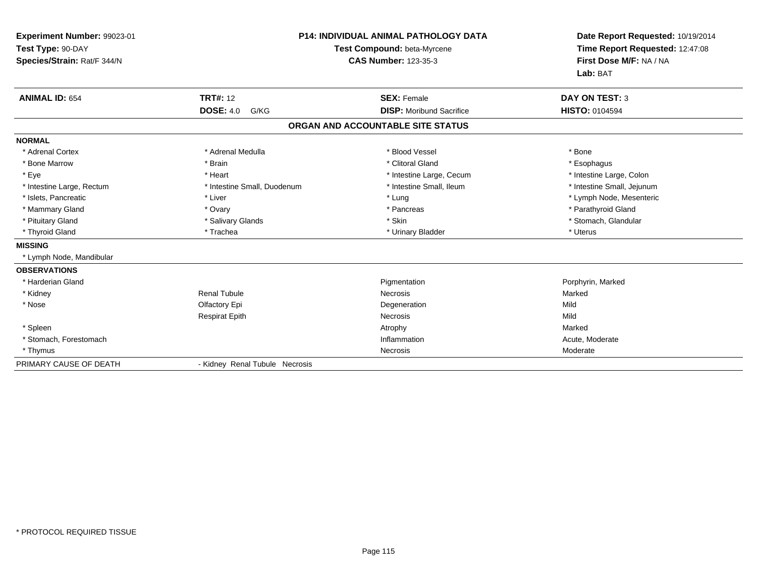| Experiment Number: 99023-01<br>Test Type: 90-DAY<br>Species/Strain: Rat/F 344/N<br><b>ANIMAL ID: 654</b> | <b>TRT#: 12</b>                | <b>P14: INDIVIDUAL ANIMAL PATHOLOGY DATA</b><br>Test Compound: beta-Myrcene<br><b>CAS Number: 123-35-3</b><br><b>SEX: Female</b> | Date Report Requested: 10/19/2014<br>Time Report Requested: 12:47:08<br>First Dose M/F: NA / NA<br>Lab: BAT<br><b>DAY ON TEST: 3</b> |
|----------------------------------------------------------------------------------------------------------|--------------------------------|----------------------------------------------------------------------------------------------------------------------------------|--------------------------------------------------------------------------------------------------------------------------------------|
|                                                                                                          | <b>DOSE: 4.0</b><br>G/KG       | <b>DISP:</b> Moribund Sacrifice                                                                                                  | <b>HISTO: 0104594</b>                                                                                                                |
|                                                                                                          |                                | ORGAN AND ACCOUNTABLE SITE STATUS                                                                                                |                                                                                                                                      |
| <b>NORMAL</b>                                                                                            |                                |                                                                                                                                  |                                                                                                                                      |
| * Adrenal Cortex                                                                                         | * Adrenal Medulla              | * Blood Vessel                                                                                                                   | * Bone                                                                                                                               |
| * Bone Marrow                                                                                            | * Brain                        | * Clitoral Gland                                                                                                                 | * Esophagus                                                                                                                          |
| * Eye                                                                                                    | * Heart                        | * Intestine Large, Cecum                                                                                                         | * Intestine Large, Colon                                                                                                             |
| * Intestine Large, Rectum                                                                                | * Intestine Small, Duodenum    | * Intestine Small, Ileum                                                                                                         | * Intestine Small, Jejunum                                                                                                           |
| * Islets, Pancreatic                                                                                     | * Liver                        | * Lung                                                                                                                           | * Lymph Node, Mesenteric                                                                                                             |
| * Mammary Gland                                                                                          | * Ovary                        | * Pancreas                                                                                                                       | * Parathyroid Gland                                                                                                                  |
| * Pituitary Gland                                                                                        | * Salivary Glands              | * Skin                                                                                                                           | * Stomach, Glandular                                                                                                                 |
| * Thyroid Gland                                                                                          | * Trachea                      | * Urinary Bladder                                                                                                                | * Uterus                                                                                                                             |
| <b>MISSING</b>                                                                                           |                                |                                                                                                                                  |                                                                                                                                      |
| * Lymph Node, Mandibular                                                                                 |                                |                                                                                                                                  |                                                                                                                                      |
| <b>OBSERVATIONS</b>                                                                                      |                                |                                                                                                                                  |                                                                                                                                      |
| * Harderian Gland                                                                                        |                                | Pigmentation                                                                                                                     | Porphyrin, Marked                                                                                                                    |
| * Kidney                                                                                                 | <b>Renal Tubule</b>            | Necrosis                                                                                                                         | Marked                                                                                                                               |
| * Nose                                                                                                   | Olfactory Epi                  | Degeneration                                                                                                                     | Mild                                                                                                                                 |
|                                                                                                          | <b>Respirat Epith</b>          | Necrosis                                                                                                                         | Mild                                                                                                                                 |
| * Spleen                                                                                                 |                                | Atrophy                                                                                                                          | Marked                                                                                                                               |
| * Stomach, Forestomach                                                                                   |                                | Inflammation                                                                                                                     | Acute, Moderate                                                                                                                      |
| * Thymus                                                                                                 |                                | Necrosis                                                                                                                         | Moderate                                                                                                                             |
| PRIMARY CAUSE OF DEATH                                                                                   | - Kidney Renal Tubule Necrosis |                                                                                                                                  |                                                                                                                                      |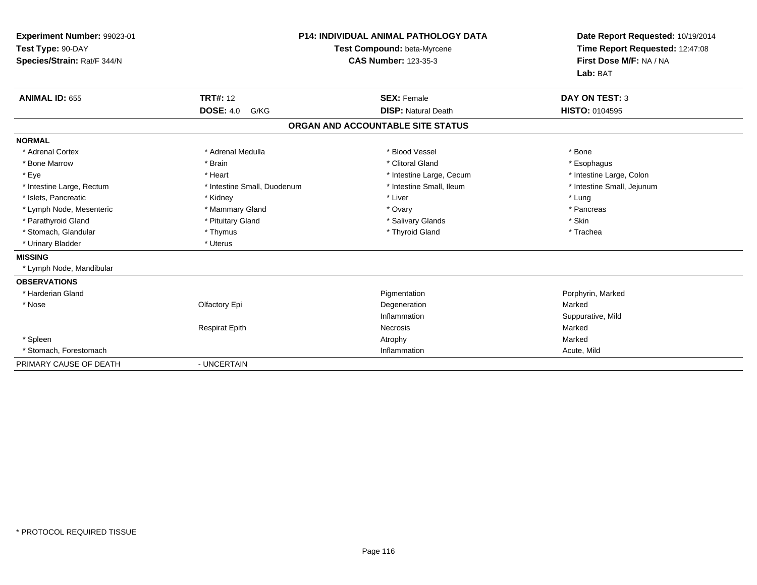| Experiment Number: 99023-01<br>Test Type: 90-DAY<br>Species/Strain: Rat/F 344/N |                                             | <b>P14: INDIVIDUAL ANIMAL PATHOLOGY DATA</b><br>Test Compound: beta-Myrcene<br><b>CAS Number: 123-35-3</b> | Date Report Requested: 10/19/2014<br>Time Report Requested: 12:47:08<br>First Dose M/F: NA / NA<br>Lab: BAT |
|---------------------------------------------------------------------------------|---------------------------------------------|------------------------------------------------------------------------------------------------------------|-------------------------------------------------------------------------------------------------------------|
| <b>ANIMAL ID: 655</b>                                                           | <b>TRT#: 12</b><br><b>DOSE: 4.0</b><br>G/KG | <b>SEX: Female</b><br><b>DISP: Natural Death</b>                                                           | <b>DAY ON TEST: 3</b><br><b>HISTO: 0104595</b>                                                              |
|                                                                                 |                                             |                                                                                                            |                                                                                                             |
|                                                                                 |                                             | ORGAN AND ACCOUNTABLE SITE STATUS                                                                          |                                                                                                             |
| <b>NORMAL</b>                                                                   |                                             |                                                                                                            |                                                                                                             |
| * Adrenal Cortex                                                                | * Adrenal Medulla                           | * Blood Vessel                                                                                             | * Bone                                                                                                      |
| * Bone Marrow                                                                   | * Brain                                     | * Clitoral Gland                                                                                           | * Esophagus                                                                                                 |
| * Eye                                                                           | * Heart                                     | * Intestine Large, Cecum                                                                                   | * Intestine Large, Colon                                                                                    |
| * Intestine Large, Rectum                                                       | * Intestine Small, Duodenum                 | * Intestine Small, Ileum                                                                                   | * Intestine Small, Jejunum                                                                                  |
| * Islets, Pancreatic                                                            | * Kidney                                    | * Liver                                                                                                    | * Lung                                                                                                      |
| * Lymph Node, Mesenteric                                                        | * Mammary Gland                             | * Ovary                                                                                                    | * Pancreas                                                                                                  |
| * Parathyroid Gland                                                             | * Pituitary Gland                           | * Salivary Glands                                                                                          | * Skin                                                                                                      |
| * Stomach, Glandular                                                            | * Thymus                                    | * Thyroid Gland                                                                                            | * Trachea                                                                                                   |
| * Urinary Bladder                                                               | * Uterus                                    |                                                                                                            |                                                                                                             |
| <b>MISSING</b>                                                                  |                                             |                                                                                                            |                                                                                                             |
| * Lymph Node, Mandibular                                                        |                                             |                                                                                                            |                                                                                                             |
| <b>OBSERVATIONS</b>                                                             |                                             |                                                                                                            |                                                                                                             |
| * Harderian Gland                                                               |                                             | Pigmentation                                                                                               | Porphyrin, Marked                                                                                           |
| * Nose                                                                          | Olfactory Epi                               | Degeneration                                                                                               | Marked                                                                                                      |
|                                                                                 |                                             | Inflammation                                                                                               | Suppurative, Mild                                                                                           |
|                                                                                 | <b>Respirat Epith</b>                       | <b>Necrosis</b>                                                                                            | Marked                                                                                                      |
| * Spleen                                                                        |                                             | Atrophy                                                                                                    | Marked                                                                                                      |
| * Stomach, Forestomach                                                          |                                             | Inflammation                                                                                               | Acute, Mild                                                                                                 |
| PRIMARY CAUSE OF DEATH                                                          | - UNCERTAIN                                 |                                                                                                            |                                                                                                             |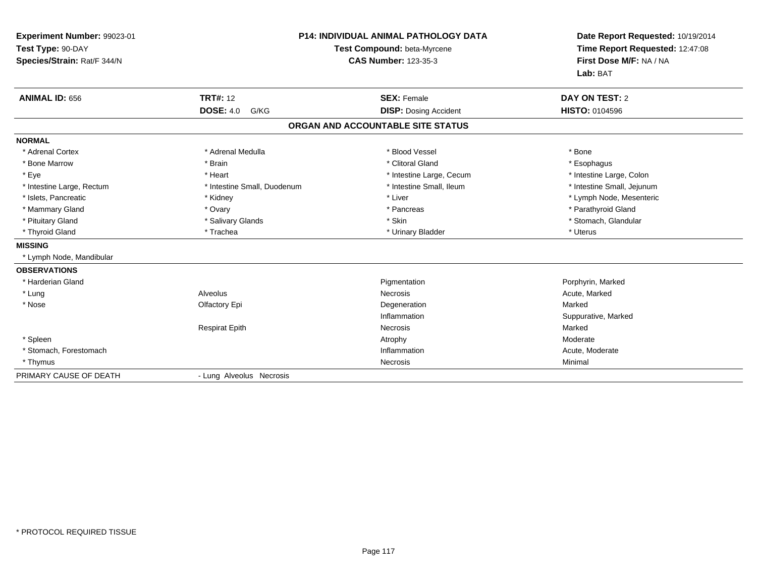| Experiment Number: 99023-01<br>Test Type: 90-DAY<br>Species/Strain: Rat/F 344/N |                             | <b>P14: INDIVIDUAL ANIMAL PATHOLOGY DATA</b><br>Test Compound: beta-Myrcene<br><b>CAS Number: 123-35-3</b> | Date Report Requested: 10/19/2014<br>Time Report Requested: 12:47:08<br>First Dose M/F: NA / NA<br>Lab: BAT |
|---------------------------------------------------------------------------------|-----------------------------|------------------------------------------------------------------------------------------------------------|-------------------------------------------------------------------------------------------------------------|
| <b>ANIMAL ID: 656</b>                                                           | <b>TRT#: 12</b>             | <b>SEX: Female</b>                                                                                         | DAY ON TEST: 2                                                                                              |
|                                                                                 | <b>DOSE: 4.0</b><br>G/KG    | <b>DISP: Dosing Accident</b>                                                                               | <b>HISTO: 0104596</b>                                                                                       |
|                                                                                 |                             | ORGAN AND ACCOUNTABLE SITE STATUS                                                                          |                                                                                                             |
| <b>NORMAL</b>                                                                   |                             |                                                                                                            |                                                                                                             |
| * Adrenal Cortex                                                                | * Adrenal Medulla           | * Blood Vessel                                                                                             | * Bone                                                                                                      |
| * Bone Marrow                                                                   | * Brain                     | * Clitoral Gland                                                                                           | * Esophagus                                                                                                 |
| * Eve                                                                           | * Heart                     | * Intestine Large, Cecum                                                                                   | * Intestine Large, Colon                                                                                    |
| * Intestine Large, Rectum                                                       | * Intestine Small, Duodenum | * Intestine Small, Ileum                                                                                   | * Intestine Small, Jejunum                                                                                  |
| * Islets, Pancreatic                                                            | * Kidney                    | * Liver                                                                                                    | * Lymph Node, Mesenteric                                                                                    |
| * Mammary Gland                                                                 | * Ovary                     | * Pancreas                                                                                                 | * Parathyroid Gland                                                                                         |
| * Pituitary Gland                                                               | * Salivary Glands           | * Skin                                                                                                     | * Stomach, Glandular                                                                                        |
| * Thyroid Gland                                                                 | * Trachea                   | * Urinary Bladder                                                                                          | * Uterus                                                                                                    |
| <b>MISSING</b>                                                                  |                             |                                                                                                            |                                                                                                             |
| * Lymph Node, Mandibular                                                        |                             |                                                                                                            |                                                                                                             |
| <b>OBSERVATIONS</b>                                                             |                             |                                                                                                            |                                                                                                             |
| * Harderian Gland                                                               |                             | Pigmentation                                                                                               | Porphyrin, Marked                                                                                           |
| * Lung                                                                          | Alveolus                    | Necrosis                                                                                                   | Acute, Marked                                                                                               |
| * Nose                                                                          | Olfactory Epi               | Degeneration                                                                                               | Marked                                                                                                      |
|                                                                                 |                             | Inflammation                                                                                               | Suppurative, Marked                                                                                         |
|                                                                                 | <b>Respirat Epith</b>       | <b>Necrosis</b>                                                                                            | Marked                                                                                                      |
| * Spleen                                                                        |                             | Atrophy                                                                                                    | Moderate                                                                                                    |
| * Stomach, Forestomach                                                          |                             | Inflammation                                                                                               | Acute, Moderate                                                                                             |
| * Thymus                                                                        |                             | Necrosis                                                                                                   | Minimal                                                                                                     |
| PRIMARY CAUSE OF DEATH                                                          | - Lung Alveolus Necrosis    |                                                                                                            |                                                                                                             |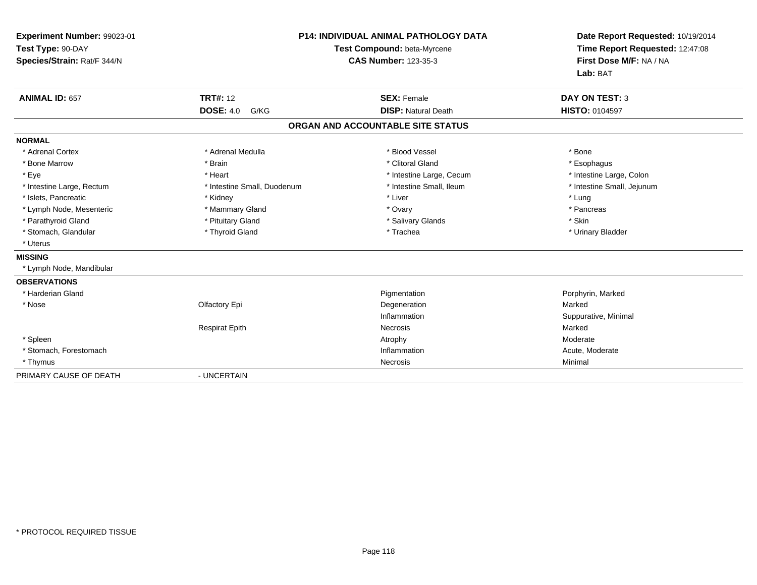| Experiment Number: 99023-01<br>Test Type: 90-DAY<br>Species/Strain: Rat/F 344/N |                             | <b>P14: INDIVIDUAL ANIMAL PATHOLOGY DATA</b><br>Test Compound: beta-Myrcene<br><b>CAS Number: 123-35-3</b> | Date Report Requested: 10/19/2014<br>Time Report Requested: 12:47:08<br>First Dose M/F: NA / NA<br>Lab: BAT |
|---------------------------------------------------------------------------------|-----------------------------|------------------------------------------------------------------------------------------------------------|-------------------------------------------------------------------------------------------------------------|
| <b>ANIMAL ID: 657</b>                                                           | <b>TRT#: 12</b>             | <b>SEX: Female</b>                                                                                         | <b>DAY ON TEST: 3</b>                                                                                       |
|                                                                                 | <b>DOSE: 4.0</b><br>G/KG    | <b>DISP: Natural Death</b>                                                                                 | HISTO: 0104597                                                                                              |
|                                                                                 |                             | ORGAN AND ACCOUNTABLE SITE STATUS                                                                          |                                                                                                             |
| <b>NORMAL</b>                                                                   |                             |                                                                                                            |                                                                                                             |
| * Adrenal Cortex                                                                | * Adrenal Medulla           | * Blood Vessel                                                                                             | * Bone                                                                                                      |
| * Bone Marrow                                                                   | * Brain                     | * Clitoral Gland                                                                                           | * Esophagus                                                                                                 |
| * Eye                                                                           | * Heart                     | * Intestine Large, Cecum                                                                                   | * Intestine Large, Colon                                                                                    |
| * Intestine Large, Rectum                                                       | * Intestine Small, Duodenum | * Intestine Small, Ileum                                                                                   | * Intestine Small, Jejunum                                                                                  |
| * Islets, Pancreatic                                                            | * Kidney                    | * Liver                                                                                                    | * Lung                                                                                                      |
| * Lymph Node, Mesenteric                                                        | * Mammary Gland             | * Ovary                                                                                                    | * Pancreas                                                                                                  |
| * Parathyroid Gland                                                             | * Pituitary Gland           | * Salivary Glands                                                                                          | * Skin                                                                                                      |
| * Stomach, Glandular                                                            | * Thyroid Gland             | * Trachea                                                                                                  | * Urinary Bladder                                                                                           |
| * Uterus                                                                        |                             |                                                                                                            |                                                                                                             |
| <b>MISSING</b>                                                                  |                             |                                                                                                            |                                                                                                             |
| * Lymph Node, Mandibular                                                        |                             |                                                                                                            |                                                                                                             |
| <b>OBSERVATIONS</b>                                                             |                             |                                                                                                            |                                                                                                             |
| * Harderian Gland                                                               |                             | Pigmentation                                                                                               | Porphyrin, Marked                                                                                           |
| * Nose                                                                          | Olfactory Epi               | Degeneration                                                                                               | Marked                                                                                                      |
|                                                                                 |                             | Inflammation                                                                                               | Suppurative, Minimal                                                                                        |
|                                                                                 | <b>Respirat Epith</b>       | <b>Necrosis</b>                                                                                            | Marked                                                                                                      |
| * Spleen                                                                        |                             | Atrophy                                                                                                    | Moderate                                                                                                    |
| * Stomach, Forestomach                                                          |                             | Inflammation                                                                                               | Acute, Moderate                                                                                             |
| * Thymus                                                                        |                             | Necrosis                                                                                                   | Minimal                                                                                                     |
| PRIMARY CAUSE OF DEATH                                                          | - UNCERTAIN                 |                                                                                                            |                                                                                                             |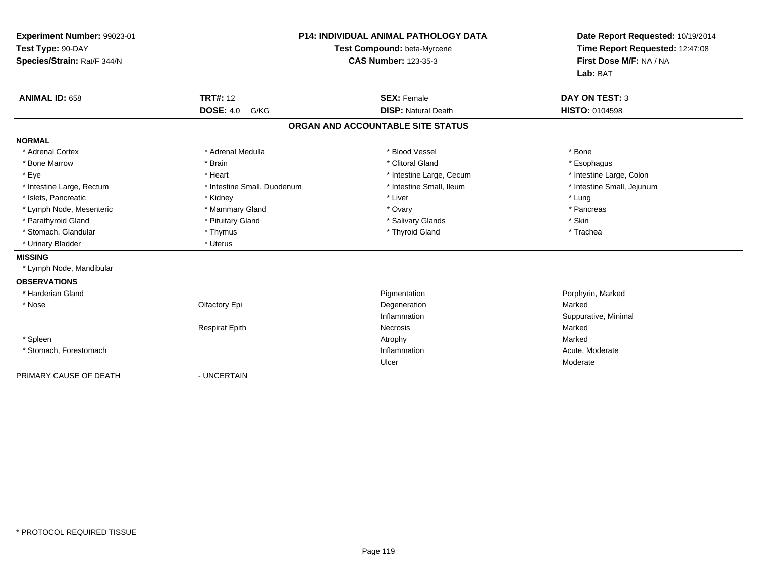| Experiment Number: 99023-01<br>Test Type: 90-DAY<br>Species/Strain: Rat/F 344/N |                             | <b>P14: INDIVIDUAL ANIMAL PATHOLOGY DATA</b><br>Test Compound: beta-Myrcene<br><b>CAS Number: 123-35-3</b> | Date Report Requested: 10/19/2014<br>Time Report Requested: 12:47:08<br>First Dose M/F: NA / NA<br>Lab: BAT |
|---------------------------------------------------------------------------------|-----------------------------|------------------------------------------------------------------------------------------------------------|-------------------------------------------------------------------------------------------------------------|
| <b>ANIMAL ID: 658</b>                                                           | <b>TRT#: 12</b>             | <b>SEX: Female</b>                                                                                         | <b>DAY ON TEST: 3</b>                                                                                       |
|                                                                                 | <b>DOSE: 4.0</b><br>G/KG    | <b>DISP: Natural Death</b>                                                                                 | <b>HISTO: 0104598</b>                                                                                       |
|                                                                                 |                             | ORGAN AND ACCOUNTABLE SITE STATUS                                                                          |                                                                                                             |
| <b>NORMAL</b>                                                                   |                             |                                                                                                            |                                                                                                             |
| * Adrenal Cortex                                                                | * Adrenal Medulla           | * Blood Vessel                                                                                             | * Bone                                                                                                      |
| * Bone Marrow                                                                   | * Brain                     | * Clitoral Gland                                                                                           | * Esophagus                                                                                                 |
| * Eye                                                                           | * Heart                     | * Intestine Large, Cecum                                                                                   | * Intestine Large, Colon                                                                                    |
| * Intestine Large, Rectum                                                       | * Intestine Small, Duodenum | * Intestine Small, Ileum                                                                                   | * Intestine Small, Jejunum                                                                                  |
| * Islets, Pancreatic                                                            | * Kidney                    | * Liver                                                                                                    | * Lung                                                                                                      |
| * Lymph Node, Mesenteric                                                        | * Mammary Gland             | * Ovary                                                                                                    | * Pancreas                                                                                                  |
| * Parathyroid Gland                                                             | * Pituitary Gland           | * Salivary Glands                                                                                          | * Skin                                                                                                      |
| * Stomach, Glandular                                                            | * Thymus                    | * Thyroid Gland                                                                                            | * Trachea                                                                                                   |
| * Urinary Bladder                                                               | * Uterus                    |                                                                                                            |                                                                                                             |
| <b>MISSING</b>                                                                  |                             |                                                                                                            |                                                                                                             |
| * Lymph Node, Mandibular                                                        |                             |                                                                                                            |                                                                                                             |
| <b>OBSERVATIONS</b>                                                             |                             |                                                                                                            |                                                                                                             |
| * Harderian Gland                                                               |                             | Pigmentation                                                                                               | Porphyrin, Marked                                                                                           |
| * Nose                                                                          | Olfactory Epi               | Degeneration                                                                                               | Marked                                                                                                      |
|                                                                                 |                             | Inflammation                                                                                               | Suppurative, Minimal                                                                                        |
|                                                                                 | <b>Respirat Epith</b>       | Necrosis                                                                                                   | Marked                                                                                                      |
| * Spleen                                                                        |                             | Atrophy                                                                                                    | Marked                                                                                                      |
| * Stomach, Forestomach                                                          |                             | Inflammation                                                                                               | Acute, Moderate                                                                                             |
|                                                                                 |                             | Ulcer                                                                                                      | Moderate                                                                                                    |
| PRIMARY CAUSE OF DEATH                                                          | - UNCERTAIN                 |                                                                                                            |                                                                                                             |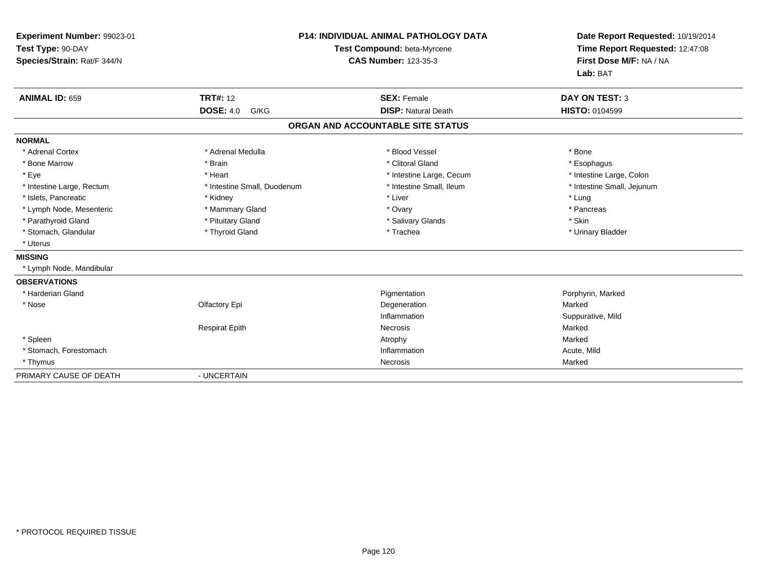| Experiment Number: 99023-01<br>Test Type: 90-DAY<br>Species/Strain: Rat/F 344/N |                             | <b>P14: INDIVIDUAL ANIMAL PATHOLOGY DATA</b><br>Test Compound: beta-Myrcene<br><b>CAS Number: 123-35-3</b> | Date Report Requested: 10/19/2014<br>Time Report Requested: 12:47:08<br>First Dose M/F: NA / NA<br>Lab: BAT |
|---------------------------------------------------------------------------------|-----------------------------|------------------------------------------------------------------------------------------------------------|-------------------------------------------------------------------------------------------------------------|
| <b>ANIMAL ID: 659</b>                                                           | <b>TRT#: 12</b>             | <b>SEX: Female</b>                                                                                         | <b>DAY ON TEST: 3</b>                                                                                       |
|                                                                                 | <b>DOSE: 4.0</b><br>G/KG    | <b>DISP: Natural Death</b>                                                                                 | <b>HISTO: 0104599</b>                                                                                       |
|                                                                                 |                             | ORGAN AND ACCOUNTABLE SITE STATUS                                                                          |                                                                                                             |
| <b>NORMAL</b>                                                                   |                             |                                                                                                            |                                                                                                             |
| * Adrenal Cortex                                                                | * Adrenal Medulla           | * Blood Vessel                                                                                             | * Bone                                                                                                      |
| * Bone Marrow                                                                   | * Brain                     | * Clitoral Gland                                                                                           | * Esophagus                                                                                                 |
| * Eye                                                                           | * Heart                     | * Intestine Large, Cecum                                                                                   | * Intestine Large, Colon                                                                                    |
| * Intestine Large, Rectum                                                       | * Intestine Small, Duodenum | * Intestine Small, Ileum                                                                                   | * Intestine Small, Jejunum                                                                                  |
| * Islets, Pancreatic                                                            | * Kidney                    | * Liver                                                                                                    | * Lung                                                                                                      |
| * Lymph Node, Mesenteric                                                        | * Mammary Gland             | * Ovary                                                                                                    | * Pancreas                                                                                                  |
| * Parathyroid Gland                                                             | * Pituitary Gland           | * Salivary Glands                                                                                          | * Skin                                                                                                      |
| * Stomach, Glandular                                                            | * Thyroid Gland             | * Trachea                                                                                                  | * Urinary Bladder                                                                                           |
| * Uterus                                                                        |                             |                                                                                                            |                                                                                                             |
| <b>MISSING</b>                                                                  |                             |                                                                                                            |                                                                                                             |
| * Lymph Node, Mandibular                                                        |                             |                                                                                                            |                                                                                                             |
| <b>OBSERVATIONS</b>                                                             |                             |                                                                                                            |                                                                                                             |
| * Harderian Gland                                                               |                             | Pigmentation                                                                                               | Porphyrin, Marked                                                                                           |
| * Nose                                                                          | Olfactory Epi               | Degeneration                                                                                               | Marked                                                                                                      |
|                                                                                 |                             | Inflammation                                                                                               | Suppurative, Mild                                                                                           |
|                                                                                 | <b>Respirat Epith</b>       | Necrosis                                                                                                   | Marked                                                                                                      |
| * Spleen                                                                        |                             | Atrophy                                                                                                    | Marked                                                                                                      |
| * Stomach, Forestomach                                                          |                             | Inflammation                                                                                               | Acute, Mild                                                                                                 |
| * Thymus                                                                        |                             | Necrosis                                                                                                   | Marked                                                                                                      |
| PRIMARY CAUSE OF DEATH                                                          | - UNCERTAIN                 |                                                                                                            |                                                                                                             |